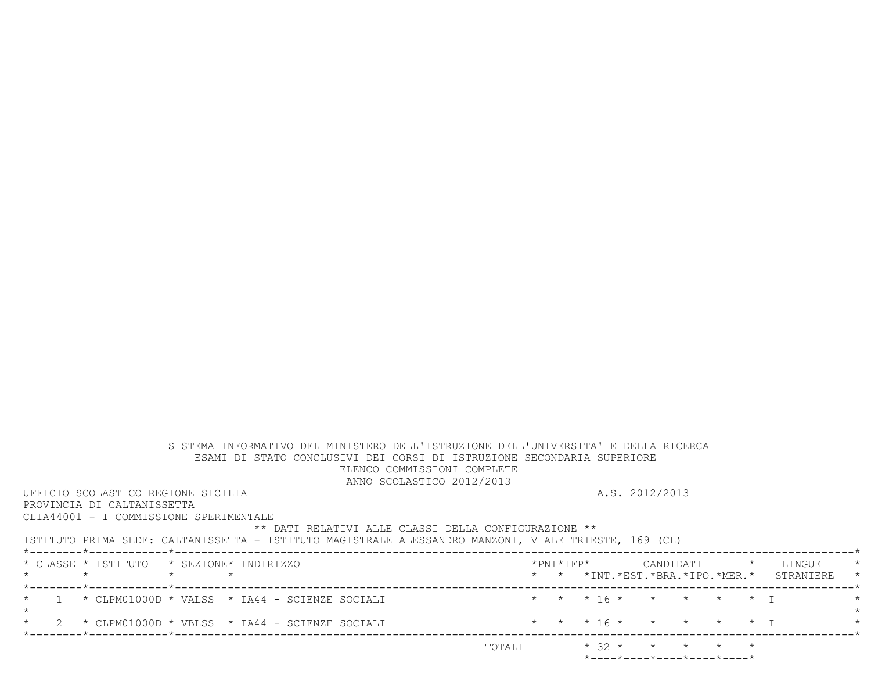| SISTEMA INFORMATIVO DEL MINISTERO DELL'ISTRUZIONE DELL'UNIVERSITA' E DELLA RICERCA<br>ESAMI DI STATO CONCLUSIVI DEI CORSI DI ISTRUZIONE SECONDARIA SUPERIORE |        |  |                                                                 |  |                                               |         |
|--------------------------------------------------------------------------------------------------------------------------------------------------------------|--------|--|-----------------------------------------------------------------|--|-----------------------------------------------|---------|
| ELENCO COMMISSIONI COMPLETE                                                                                                                                  |        |  |                                                                 |  |                                               |         |
| ANNO SCOLASTICO 2012/2013                                                                                                                                    |        |  |                                                                 |  |                                               |         |
| UFFICIO SCOLASTICO REGIONE SICILIA                                                                                                                           |        |  | A.S. 2012/2013                                                  |  |                                               |         |
| PROVINCIA DI CALTANISSETTA                                                                                                                                   |        |  |                                                                 |  |                                               |         |
| CLIA44001 - I COMMISSIONE SPERIMENTALE                                                                                                                       |        |  |                                                                 |  |                                               |         |
| ** DATI RELATIVI ALLE CLASSI DELLA CONFIGURAZIONE **                                                                                                         |        |  |                                                                 |  |                                               |         |
| ISTITUTO PRIMA SEDE: CALTANISSETTA - ISTITUTO MAGISTRALE ALESSANDRO MANZONI, VIALE TRIESTE, 169 (CL)                                                         |        |  |                                                                 |  |                                               |         |
|                                                                                                                                                              |        |  |                                                                 |  |                                               |         |
| * CLASSE * ISTITUTO * SEZIONE* INDIRIZZO                                                                                                                     |        |  |                                                                 |  |                                               | $\star$ |
| $\star$ $\star$<br>$\star$ $\star$                                                                                                                           |        |  |                                                                 |  | * * *INT. *EST. *BRA. *IPO. *MER. * STRANIERE | $\star$ |
|                                                                                                                                                              |        |  |                                                                 |  |                                               |         |
| $1 \times$ CLPM01000D * VALSS * IA44 - SCIENZE SOCIALI                                                                                                       |        |  | * * * 16 * * * * * * T                                          |  |                                               | $\star$ |
| $\star$                                                                                                                                                      |        |  |                                                                 |  |                                               | $\star$ |
| 2 $\star$ CLPM01000D $\star$ VBLSS $\star$ IA44 - SCIENZE SOCIALI                                                                                            |        |  | * * * 16 * * * * * * T                                          |  |                                               |         |
|                                                                                                                                                              |        |  |                                                                 |  |                                               |         |
|                                                                                                                                                              | TOTALI |  | $* 32 * * * * * * * * *$                                        |  |                                               |         |
|                                                                                                                                                              |        |  | $*$ - - - - $*$ - - - - $*$ - - - - $*$ - - - - $*$ - - - - $*$ |  |                                               |         |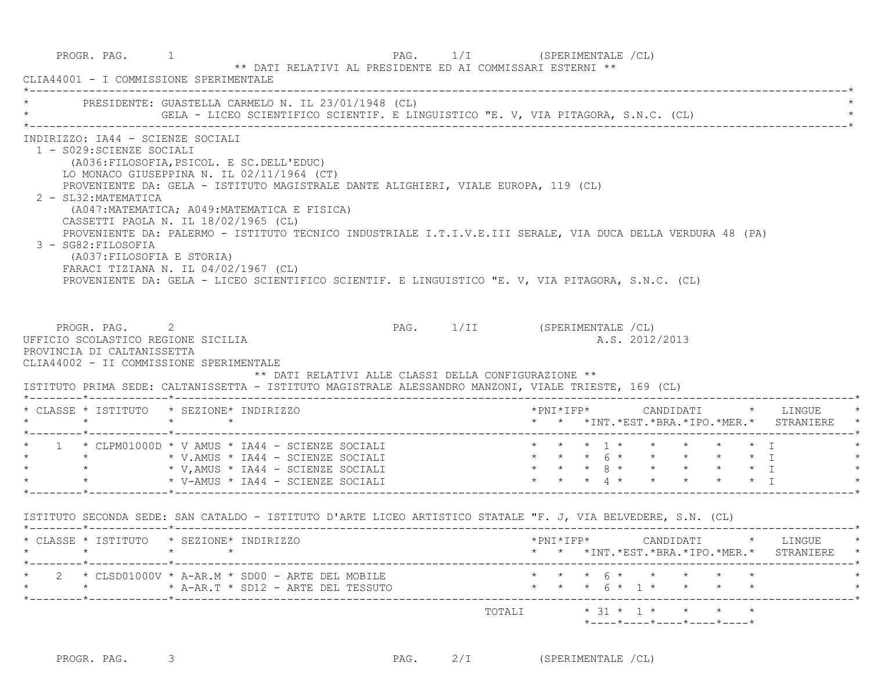|                                                                                                                                             | PRESIDENTE: GUASTELLA CARMELO N. IL 23/01/1948 (CL)                                                                                                                                                                                                                                                                                                                                                                                                                                                                                 |           |  |  |                |                                                    |  |                                                                                       |         |
|---------------------------------------------------------------------------------------------------------------------------------------------|-------------------------------------------------------------------------------------------------------------------------------------------------------------------------------------------------------------------------------------------------------------------------------------------------------------------------------------------------------------------------------------------------------------------------------------------------------------------------------------------------------------------------------------|-----------|--|--|----------------|----------------------------------------------------|--|---------------------------------------------------------------------------------------|---------|
| INDIRIZZO: IA44 - SCIENZE SOCIALI<br>1 - S029: SCIENZE SOCIALI<br>2 - SL32: MATEMATICA<br>3 - SG82: FILOSOFIA<br>(A037: FILOSOFIA E STORIA) | (A036: FILOSOFIA, PSICOL. E SC. DELL'EDUC)<br>LO MONACO GIUSEPPINA N. IL 02/11/1964 (CT)<br>PROVENIENTE DA: GELA - ISTITUTO MAGISTRALE DANTE ALIGHIERI, VIALE EUROPA, 119 (CL)<br>(A047: MATEMATICA; A049: MATEMATICA E FISICA)<br>CASSETTI PAOLA N. IL 18/02/1965 (CL)<br>PROVENIENTE DA: PALERMO - ISTITUTO TECNICO INDUSTRIALE I.T.I.V.E.III SERALE, VIA DUCA DELLA VERDURA 48 (PA)<br>FARACI TIZIANA N. IL 04/02/1967 (CL)<br>PROVENIENTE DA: GELA - LICEO SCIENTIFICO SCIENTIF. E LINGUISTICO "E. V, VIA PITAGORA, S.N.C. (CL) |           |  |  |                |                                                    |  |                                                                                       |         |
| UFFICIO SCOLASTICO REGIONE SICILIA<br>PROVINCIA DI CALTANISSETTA                                                                            | PROGR. PAG. 2<br>PAG. 1/II (SPERIMENTALE /CL)<br>CLIA44002 - II COMMISSIONE SPERIMENTALE<br>** DATI RELATIVI ALLE CLASSI DELLA CONFIGURAZIONE **                                                                                                                                                                                                                                                                                                                                                                                    |           |  |  | A.S. 2012/2013 |                                                    |  |                                                                                       |         |
|                                                                                                                                             | ISTITUTO PRIMA SEDE: CALTANISSETTA - ISTITUTO MAGISTRALE ALESSANDRO MANZONI, VIALE TRIESTE, 169 (CL)<br>* CLASSE * ISTITUTO * SEZIONE* INDIRIZZO                                                                                                                                                                                                                                                                                                                                                                                    |           |  |  |                |                                                    |  | *PNI*IFP*     CANDIDATI    *   LINGUE   *<br>* * *INT.*EST.*BRA.*IPO.*MER.* STRANIERE |         |
|                                                                                                                                             |                                                                                                                                                                                                                                                                                                                                                                                                                                                                                                                                     |           |  |  |                |                                                    |  |                                                                                       |         |
|                                                                                                                                             |                                                                                                                                                                                                                                                                                                                                                                                                                                                                                                                                     |           |  |  |                |                                                    |  |                                                                                       | $\star$ |
|                                                                                                                                             |                                                                                                                                                                                                                                                                                                                                                                                                                                                                                                                                     |           |  |  |                |                                                    |  |                                                                                       |         |
|                                                                                                                                             | ISTITUTO SECONDA SEDE: SAN CATALDO - ISTITUTO D'ARTE LICEO ARTISTICO STATALE "F. J, VIA BELVEDERE, S.N. (CL)                                                                                                                                                                                                                                                                                                                                                                                                                        |           |  |  |                |                                                    |  |                                                                                       |         |
|                                                                                                                                             | * CLASSE * ISTITUTO * SEZIONE* INDIRIZZO                                                                                                                                                                                                                                                                                                                                                                                                                                                                                            | *PNI*IFP* |  |  |                |                                                    |  | CANDIDATI * LINGUE                                                                    |         |
|                                                                                                                                             |                                                                                                                                                                                                                                                                                                                                                                                                                                                                                                                                     |           |  |  |                |                                                    |  | * * *INT. *EST. *BRA. *IPO. *MER. * STRANIERE                                         |         |
| $\star$                                                                                                                                     | $2 \times$ CLSD01000V * A-AR.M * SD00 - ARTE DEL MOBILE<br>* A-AR.T * SD12 - ARTE DEL TESSUTO                                                                                                                                                                                                                                                                                                                                                                                                                                       |           |  |  |                | $* * * 6 * * * * * * * *$<br>* * * 6 * 1 * * * * * |  |                                                                                       |         |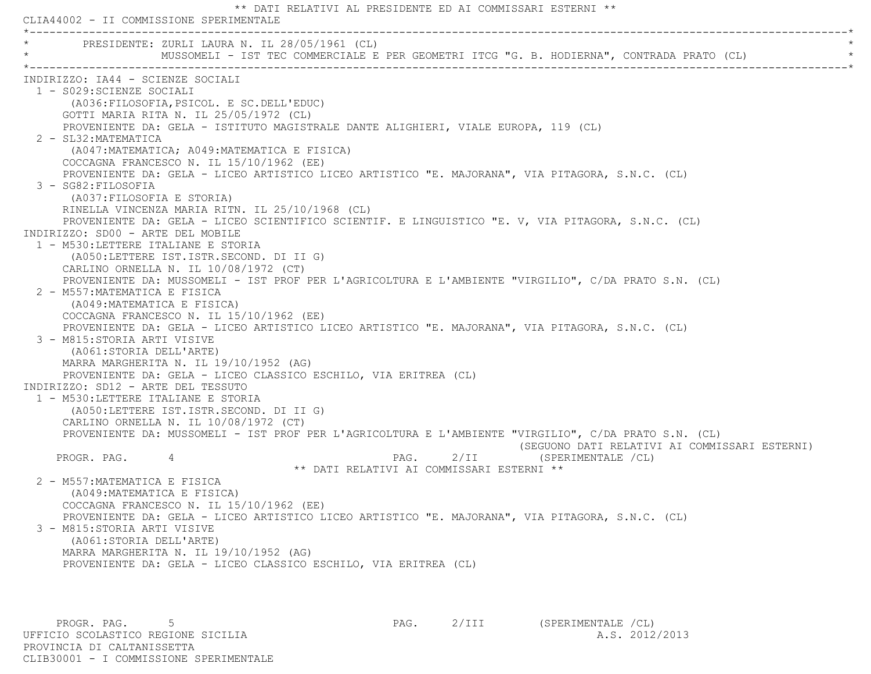\*\* DATI RELATIVI AL PRESIDENTE ED AI COMMISSARI ESTERNI \*\* CLIA44002 - II COMMISSIONE SPERIMENTALE \*----------------------------------------------------------------------------------------------------------------------------\*PRESIDENTE: ZURLI LAURA N. IL 28/05/1961 (CL) MUSSOMELI - IST TEC COMMERCIALE E PER GEOMETRI ITCG "G. B. HODIERNA", CONTRADA PRATO (CL) \*----------------------------------------------------------------------------------------------------------------------------\* INDIRIZZO: IA44 - SCIENZE SOCIALI 1 - S029:SCIENZE SOCIALI (A036:FILOSOFIA,PSICOL. E SC.DELL'EDUC) GOTTI MARIA RITA N. IL 25/05/1972 (CL) PROVENIENTE DA: GELA - ISTITUTO MAGISTRALE DANTE ALIGHIERI, VIALE EUROPA, 119 (CL) 2 - SL32:MATEMATICA (A047:MATEMATICA; A049:MATEMATICA E FISICA) COCCAGNA FRANCESCO N. IL 15/10/1962 (EE) PROVENIENTE DA: GELA - LICEO ARTISTICO LICEO ARTISTICO "E. MAJORANA", VIA PITAGORA, S.N.C. (CL) 3 - SG82:FILOSOFIA (A037:FILOSOFIA E STORIA) RINELLA VINCENZA MARIA RITN. IL 25/10/1968 (CL) PROVENIENTE DA: GELA - LICEO SCIENTIFICO SCIENTIF. E LINGUISTICO "E. V, VIA PITAGORA, S.N.C. (CL) INDIRIZZO: SD00 - ARTE DEL MOBILE 1 - M530:LETTERE ITALIANE E STORIA (A050:LETTERE IST.ISTR.SECOND. DI II G) CARLINO ORNELLA N. IL 10/08/1972 (CT) PROVENIENTE DA: MUSSOMELI - IST PROF PER L'AGRICOLTURA E L'AMBIENTE "VIRGILIO", C/DA PRATO S.N. (CL) 2 - M557:MATEMATICA E FISICA (A049:MATEMATICA E FISICA) COCCAGNA FRANCESCO N. IL 15/10/1962 (EE) PROVENIENTE DA: GELA - LICEO ARTISTICO LICEO ARTISTICO "E. MAJORANA", VIA PITAGORA, S.N.C. (CL) 3 - M815:STORIA ARTI VISIVE (A061:STORIA DELL'ARTE) MARRA MARGHERITA N. IL 19/10/1952 (AG) PROVENIENTE DA: GELA - LICEO CLASSICO ESCHILO, VIA ERITREA (CL) INDIRIZZO: SD12 - ARTE DEL TESSUTO 1 - M530:LETTERE ITALIANE E STORIA (A050:LETTERE IST.ISTR.SECOND. DI II G) CARLINO ORNELLA N. IL 10/08/1972 (CT) PROVENIENTE DA: MUSSOMELI - IST PROF PER L'AGRICOLTURA E L'AMBIENTE "VIRGILIO", C/DA PRATO S.N. (CL) (SEGUONO DATI RELATIVI AI COMMISSARI ESTERNI) PROGR. PAG. 4 2/II (SPERIMENTALE /CL) \*\* DATI RELATIVI AI COMMISSARI ESTERNI \*\* 2 - M557:MATEMATICA E FISICA (A049:MATEMATICA E FISICA) COCCAGNA FRANCESCO N. IL 15/10/1962 (EE) PROVENIENTE DA: GELA - LICEO ARTISTICO LICEO ARTISTICO "E. MAJORANA", VIA PITAGORA, S.N.C. (CL) 3 - M815:STORIA ARTI VISIVE (A061:STORIA DELL'ARTE) MARRA MARGHERITA N. IL 19/10/1952 (AG) PROVENIENTE DA: GELA - LICEO CLASSICO ESCHILO, VIA ERITREA (CL)

PROGR. PAG. 5 5 2/III (SPERIMENTALE /CL) UFFICIO SCOLASTICO REGIONE SICILIA A.S. 2012/2013 PROVINCIA DI CALTANISSETTACLIB30001 - I COMMISSIONE SPERIMENTALE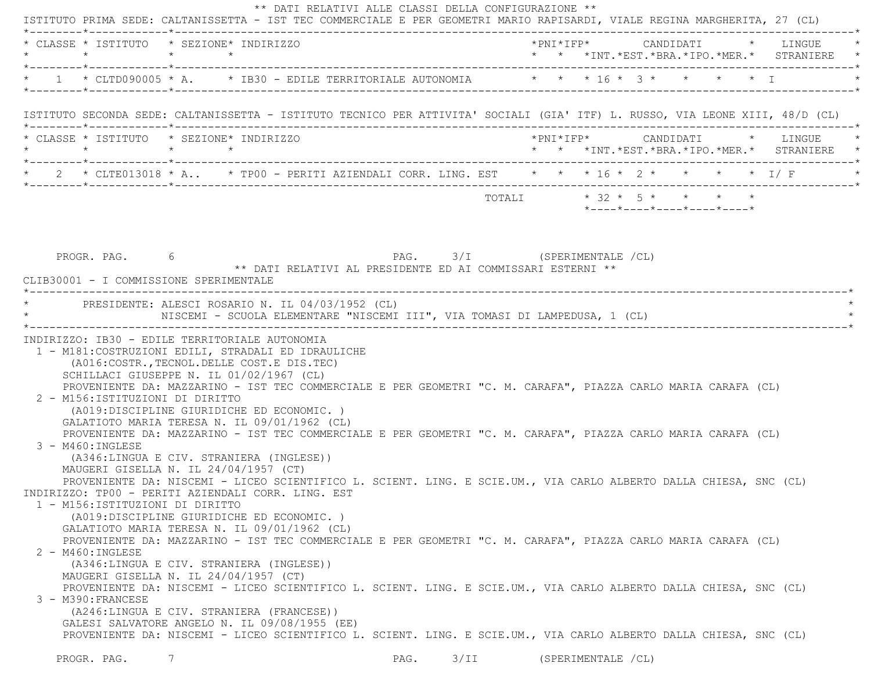|                                  | * CLASSE * ISTITUTO * SEZIONE* INDIRIZZO                                                                                                                                                                                                                           | *PNI*IFP* CANDIDATI * LINGUE                                               |
|----------------------------------|--------------------------------------------------------------------------------------------------------------------------------------------------------------------------------------------------------------------------------------------------------------------|----------------------------------------------------------------------------|
|                                  | * 1 * CLTD090005 * A. * IB30 - EDILE TERRITORIALE AUTONOMIA * * * 16 * 3 * * * * * I                                                                                                                                                                               |                                                                            |
|                                  | ISTITUTO SECONDA SEDE: CALTANISSETTA - ISTITUTO TECNICO PER ATTIVITA' SOCIALI (GIA' ITF) L. RUSSO, VIA LEONE XIII, 48/D (CL)                                                                                                                                       |                                                                            |
|                                  | * CLASSE * ISTITUTO * SEZIONE* INDIRIZZO<br>$\star \qquad \qquad \star \qquad \qquad \star \qquad \qquad \star$                                                                                                                                                    | *PNI*IFP* CANDIDATI * LINGUE<br>* * *INT.*EST.*BRA.*IPO.*MER.* STRANIERE * |
|                                  | * 2 * CLTE013018 * A * TP00 - PERITI AZIENDALI CORR. LING. EST * * * 16 * 2 * * * * * * 1/ F                                                                                                                                                                       |                                                                            |
|                                  |                                                                                                                                                                                                                                                                    | *----*----*----*----*----*                                                 |
|                                  | * PRESIDENTE: ALESCI ROSARIO N. IL 04/03/1952 (CL)<br>NISCEMI - SCUOLA ELEMENTARE "NISCEMI III", VIA TOMASI DI LAMPEDUSA, 1 (CL)<br>INDIRIZZO: IB30 - EDILE TERRITORIALE AUTONOMIA                                                                                 |                                                                            |
|                                  | 1 - M181: COSTRUZIONI EDILI, STRADALI ED IDRAULICHE<br>(A016: COSTR., TECNOL. DELLE COST. E DIS. TEC)<br>SCHILLACI GIUSEPPE N. IL 01/02/1967 (CL)<br>PROVENIENTE DA: MAZZARINO - IST TEC COMMERCIALE E PER GEOMETRI "C. M. CARAFA", PIAZZA CARLO MARIA CARAFA (CL) |                                                                            |
| 2 - M156:ISTITUZIONI DI DIRITTO  | (A019:DISCIPLINE GIURIDICHE ED ECONOMIC.)<br>GALATIOTO MARIA TERESA N. IL 09/01/1962 (CL)<br>PROVENIENTE DA: MAZZARINO - IST TEC COMMERCIALE E PER GEOMETRI "C. M. CARAFA", PIAZZA CARLO MARIA CARAFA (CL)                                                         |                                                                            |
| $3 - M460$ : INGLESE             | (A346:LINGUA E CIV. STRANIERA (INGLESE))<br>MAUGERI GISELLA N. IL 24/04/1957 (CT)<br>PROVENIENTE DA: NISCEMI - LICEO SCIENTIFICO L. SCIENT. LING. E SCIE.UM., VIA CARLO ALBERTO DALLA CHIESA, SNC (CL)<br>INDIRIZZO: TP00 - PERITI AZIENDALI CORR. LING. EST       |                                                                            |
| 1 - M156: ISTITUZIONI DI DIRITTO | (A019:DISCIPLINE GIURIDICHE ED ECONOMIC.)<br>GALATIOTO MARIA TERESA N. IL 09/01/1962 (CL)                                                                                                                                                                          |                                                                            |
| 2 - M460: INGLESE                | PROVENIENTE DA: MAZZARINO - IST TEC COMMERCIALE E PER GEOMETRI "C. M. CARAFA", PIAZZA CARLO MARIA CARAFA (CL)<br>(A346:LINGUA E CIV. STRANIERA (INGLESE))<br>MAUGERI GISELLA N. IL 24/04/1957 (CT)                                                                 |                                                                            |
| 3 - M390: FRANCESE               | PROVENIENTE DA: NISCEMI - LICEO SCIENTIFICO L. SCIENT. LING. E SCIE.UM., VIA CARLO ALBERTO DALLA CHIESA, SNC (CL)<br>(A246:LINGUA E CIV. STRANIERA (FRANCESE))<br>GALESI SALVATORE ANGELO N. IL 09/08/1955 (EE)                                                    |                                                                            |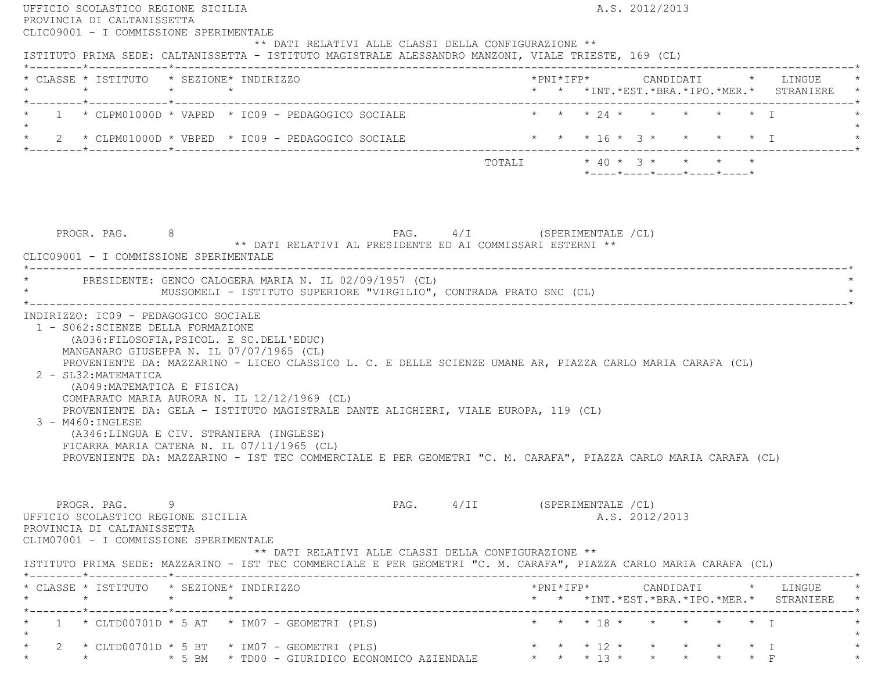| UFFICIO SCOLASTICO REGIONE SICILIA<br>PROVINCIA DI CALTANISSETTA<br>CLIC09001 - I COMMISSIONE SPERIMENTALE                |         |                                                                                                                                                                                   |  |                                                                                                                                                                                                                                                                                                                  |  |  | A.S. 2012/2013             |  |                                                 |
|---------------------------------------------------------------------------------------------------------------------------|---------|-----------------------------------------------------------------------------------------------------------------------------------------------------------------------------------|--|------------------------------------------------------------------------------------------------------------------------------------------------------------------------------------------------------------------------------------------------------------------------------------------------------------------|--|--|----------------------------|--|-------------------------------------------------|
|                                                                                                                           |         |                                                                                                                                                                                   |  | ** DATI RELATIVI ALLE CLASSI DELLA CONFIGURAZIONE **<br>ISTITUTO PRIMA SEDE: CALTANISSETTA - ISTITUTO MAGISTRALE ALESSANDRO MANZONI, VIALE TRIESTE, 169 (CL)                                                                                                                                                     |  |  |                            |  |                                                 |
| * CLASSE * ISTITUTO * SEZIONE* INDIRIZZO                                                                                  |         |                                                                                                                                                                                   |  |                                                                                                                                                                                                                                                                                                                  |  |  |                            |  | * * *INT. *EST. *BRA. *IPO. *MER. * STRANIERE   |
|                                                                                                                           |         | $1 \times$ CLPM01000D * VAPED * IC09 - PEDAGOGICO SOCIALE                                                                                                                         |  |                                                                                                                                                                                                                                                                                                                  |  |  | * * * 24 * * * * * * T     |  |                                                 |
|                                                                                                                           |         | $\star$ 2 $\star$ CLPM01000D $\star$ VBPED $\star$ IC09 - PEDAGOGICO SOCIALE                                                                                                      |  |                                                                                                                                                                                                                                                                                                                  |  |  | * * * 16 * 3 * * * * * I   |  |                                                 |
|                                                                                                                           |         |                                                                                                                                                                                   |  | TOTALI $* 40 * 3 * * * * * * *$                                                                                                                                                                                                                                                                                  |  |  | *----*----*----*----*----* |  |                                                 |
| PROGR. PAG. 8<br>CLIC09001 - I COMMISSIONE SPERIMENTALE                                                                   |         |                                                                                                                                                                                   |  | PAG. 4/I (SPERIMENTALE /CL)<br>** DATI RELATIVI AL PRESIDENTE ED AI COMMISSARI ESTERNI **                                                                                                                                                                                                                        |  |  |                            |  |                                                 |
|                                                                                                                           |         | * PRESIDENTE: GENCO CALOGERA MARIA N. IL 02/09/1957 (CL)                                                                                                                          |  | MUSSOMELI - ISTITUTO SUPERIORE "VIRGILIO", CONTRADA PRATO SNC (CL)                                                                                                                                                                                                                                               |  |  |                            |  |                                                 |
| 2 - SL32: MATEMATICA<br>(A049: MATEMATICA E FISICA)<br>3 - M460: INGLESE                                                  |         | MANGANARO GIUSEPPA N. IL 07/07/1965 (CL)<br>COMPARATO MARIA AURORA N. IL 12/12/1969 (CL)<br>(A346:LINGUA E CIV. STRANIERA (INGLESE)<br>FICARRA MARIA CATENA N. IL 07/11/1965 (CL) |  | PROVENIENTE DA: MAZZARINO - LICEO CLASSICO L. C. E DELLE SCIENZE UMANE AR, PIAZZA CARLO MARIA CARAFA (CL)<br>PROVENIENTE DA: GELA - ISTITUTO MAGISTRALE DANTE ALIGHIERI, VIALE EUROPA, 119 (CL)<br>PROVENIENTE DA: MAZZARINO - IST TEC COMMERCIALE E PER GEOMETRI "C. M. CARAFA", PIAZZA CARLO MARIA CARAFA (CL) |  |  |                            |  |                                                 |
|                                                                                                                           |         |                                                                                                                                                                                   |  |                                                                                                                                                                                                                                                                                                                  |  |  |                            |  |                                                 |
| PROGR. PAG.<br>UFFICIO SCOLASTICO REGIONE SICILIA<br>PROVINCIA DI CALTANISSETTA<br>CLIM07001 - I COMMISSIONE SPERIMENTALE | -9      |                                                                                                                                                                                   |  | PAG. 4/II (SPERIMENTALE /CL)<br>** DATI RELATIVI ALLE CLASSI DELLA CONFIGURAZIONE **                                                                                                                                                                                                                             |  |  | A.S. 2012/2013             |  |                                                 |
| * CLASSE * ISTITUTO * SEZIONE* INDIRIZZO                                                                                  |         |                                                                                                                                                                                   |  | ISTITUTO PRIMA SEDE: MAZZARINO - IST TEC COMMERCIALE E PER GEOMETRI "C. M. CARAFA", PIAZZA CARLO MARIA CARAFA (CL)                                                                                                                                                                                               |  |  |                            |  |                                                 |
| $\star$                                                                                                                   | $\star$ | $\star$                                                                                                                                                                           |  |                                                                                                                                                                                                                                                                                                                  |  |  |                            |  | * * *INT. *EST. *BRA. *IPO. *MER. * STRANIERE * |
|                                                                                                                           |         | $1 * CLTD00701D * 5 AT * IM07 - GEOMETRYI (PLS)$                                                                                                                                  |  |                                                                                                                                                                                                                                                                                                                  |  |  | * * * 18 * * * * * * T     |  |                                                 |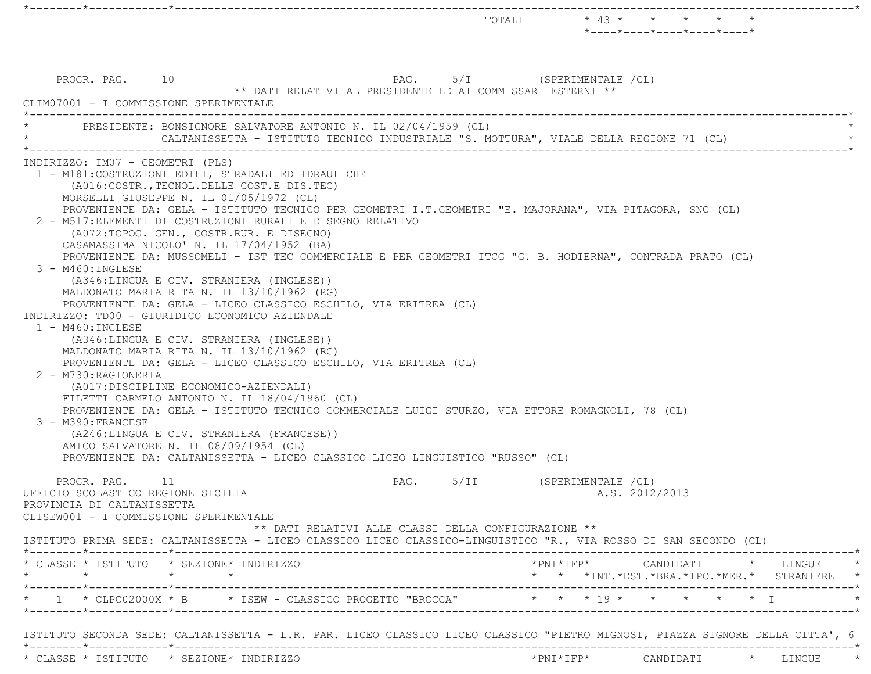|                                                                                                                             |                                                                                                                                                                                                                                                                                                                                                                                                                                                                                                                                                                                                                                                                                                                                                                                                                                                                                                                                                                                                                                                                                                                                                                                                                                                                                   |      |                             |                     | TOTALI * 43 * * * *<br>$*$ ---- $*$ ---- $*$ ---- $*$ ---- $*$ ---- $*$ |  |                                                                                                                                                                              |
|-----------------------------------------------------------------------------------------------------------------------------|-----------------------------------------------------------------------------------------------------------------------------------------------------------------------------------------------------------------------------------------------------------------------------------------------------------------------------------------------------------------------------------------------------------------------------------------------------------------------------------------------------------------------------------------------------------------------------------------------------------------------------------------------------------------------------------------------------------------------------------------------------------------------------------------------------------------------------------------------------------------------------------------------------------------------------------------------------------------------------------------------------------------------------------------------------------------------------------------------------------------------------------------------------------------------------------------------------------------------------------------------------------------------------------|------|-----------------------------|---------------------|-------------------------------------------------------------------------|--|------------------------------------------------------------------------------------------------------------------------------------------------------------------------------|
| PROGR. PAG. 10<br>CLIM07001 - I COMMISSIONE SPERIMENTALE                                                                    | ** DATI RELATIVI AL PRESIDENTE ED AI COMMISSARI ESTERNI **                                                                                                                                                                                                                                                                                                                                                                                                                                                                                                                                                                                                                                                                                                                                                                                                                                                                                                                                                                                                                                                                                                                                                                                                                        |      | PAG. 5/I (SPERIMENTALE /CL) |                     |                                                                         |  |                                                                                                                                                                              |
|                                                                                                                             | PRESIDENTE: BONSIGNORE SALVATORE ANTONIO N. IL 02/04/1959 (CL)<br>CALTANISSETTA - ISTITUTO TECNICO INDUSTRIALE "S. MOTTURA", VIALE DELLA REGIONE 71 (CL)                                                                                                                                                                                                                                                                                                                                                                                                                                                                                                                                                                                                                                                                                                                                                                                                                                                                                                                                                                                                                                                                                                                          |      |                             |                     |                                                                         |  |                                                                                                                                                                              |
| INDIRIZZO: IM07 - GEOMETRI (PLS)<br>$3 - M460$ : INGLESE<br>1 - M460: INGLESE<br>2 - M730: RAGIONERIA<br>3 - M390: FRANCESE | 1 - M181: COSTRUZIONI EDILI, STRADALI ED IDRAULICHE<br>(A016: COSTR., TECNOL. DELLE COST. E DIS. TEC)<br>MORSELLI GIUSEPPE N. IL 01/05/1972 (CL)<br>PROVENIENTE DA: GELA - ISTITUTO TECNICO PER GEOMETRI I.T.GEOMETRI "E. MAJORANA", VIA PITAGORA, SNC (CL)<br>2 - M517: ELEMENTI DI COSTRUZIONI RURALI E DISEGNO RELATIVO<br>(A072:TOPOG. GEN., COSTR.RUR. E DISEGNO)<br>CASAMASSIMA NICOLO' N. IL 17/04/1952 (BA)<br>PROVENIENTE DA: MUSSOMELI - IST TEC COMMERCIALE E PER GEOMETRI ITCG "G. B. HODIERNA", CONTRADA PRATO (CL)<br>(A346:LINGUA E CIV. STRANIERA (INGLESE))<br>MALDONATO MARIA RITA N. IL 13/10/1962 (RG)<br>PROVENIENTE DA: GELA - LICEO CLASSICO ESCHILO, VIA ERITREA (CL)<br>INDIRIZZO: TD00 - GIURIDICO ECONOMICO AZIENDALE<br>(A346:LINGUA E CIV. STRANIERA (INGLESE))<br>MALDONATO MARIA RITA N. IL 13/10/1962 (RG)<br>PROVENIENTE DA: GELA - LICEO CLASSICO ESCHILO, VIA ERITREA (CL)<br>(A017:DISCIPLINE ECONOMICO-AZIENDALI)<br>FILETTI CARMELO ANTONIO N. IL 18/04/1960 (CL)<br>PROVENIENTE DA: GELA - ISTITUTO TECNICO COMMERCIALE LUIGI STURZO, VIA ETTORE ROMAGNOLI, 78 (CL)<br>(A246:LINGUA E CIV. STRANIERA (FRANCESE))<br>AMICO SALVATORE N. IL 08/09/1954 (CL)<br>PROVENIENTE DA: CALTANISSETTA - LICEO CLASSICO LICEO LINGUISTICO "RUSSO" (CL) |      |                             |                     |                                                                         |  |                                                                                                                                                                              |
| PROGR. PAG.<br>UFFICIO SCOLASTICO REGIONE SICILIA<br>PROVINCIA DI CALTANISSETTA<br>CLISEW001 - I COMMISSIONE SPERIMENTALE   | - 11<br>** DATI RELATIVI ALLE CLASSI DELLA CONFIGURAZIONE **<br>ISTITUTO PRIMA SEDE: CALTANISSETTA - LICEO CLASSICO LICEO CLASSICO-LINGUISTICO "R., VIA ROSSO DI SAN SECONDO (CL)                                                                                                                                                                                                                                                                                                                                                                                                                                                                                                                                                                                                                                                                                                                                                                                                                                                                                                                                                                                                                                                                                                 | PAG. | 5/II                        | (SPERIMENTALE / CL) | A.S. 2012/2013                                                          |  |                                                                                                                                                                              |
|                                                                                                                             | * CLASSE * ISTITUTO * SEZIONE* INDIRIZZO                                                                                                                                                                                                                                                                                                                                                                                                                                                                                                                                                                                                                                                                                                                                                                                                                                                                                                                                                                                                                                                                                                                                                                                                                                          |      |                             |                     |                                                                         |  | $\star \texttt{PNI*IFP*} \qquad \qquad \texttt{CANDIDATI} \qquad \qquad \star \qquad \texttt{LINGUE} \qquad \qquad \star$<br>* * *INT. *EST. *BRA. *IPO. *MER. * STRANIERE * |
|                                                                                                                             | * 1 * CLPC02000X * B * ISEW - CLASSICO PROGETTO "BROCCA" * * * 19 * * * * * * * I                                                                                                                                                                                                                                                                                                                                                                                                                                                                                                                                                                                                                                                                                                                                                                                                                                                                                                                                                                                                                                                                                                                                                                                                 |      |                             |                     |                                                                         |  |                                                                                                                                                                              |
|                                                                                                                             | ISTITUTO SECONDA SEDE: CALTANISSETTA - L.R. PAR. LICEO CLASSICO LICEO CLASSICO "PIETRO MIGNOSI, PIAZZA SIGNORE DELLA CITTA', 6                                                                                                                                                                                                                                                                                                                                                                                                                                                                                                                                                                                                                                                                                                                                                                                                                                                                                                                                                                                                                                                                                                                                                    |      |                             |                     |                                                                         |  |                                                                                                                                                                              |
|                                                                                                                             | * CLASSE * ISTITUTO * SEZIONE* INDIRIZZO                                                                                                                                                                                                                                                                                                                                                                                                                                                                                                                                                                                                                                                                                                                                                                                                                                                                                                                                                                                                                                                                                                                                                                                                                                          |      |                             |                     |                                                                         |  |                                                                                                                                                                              |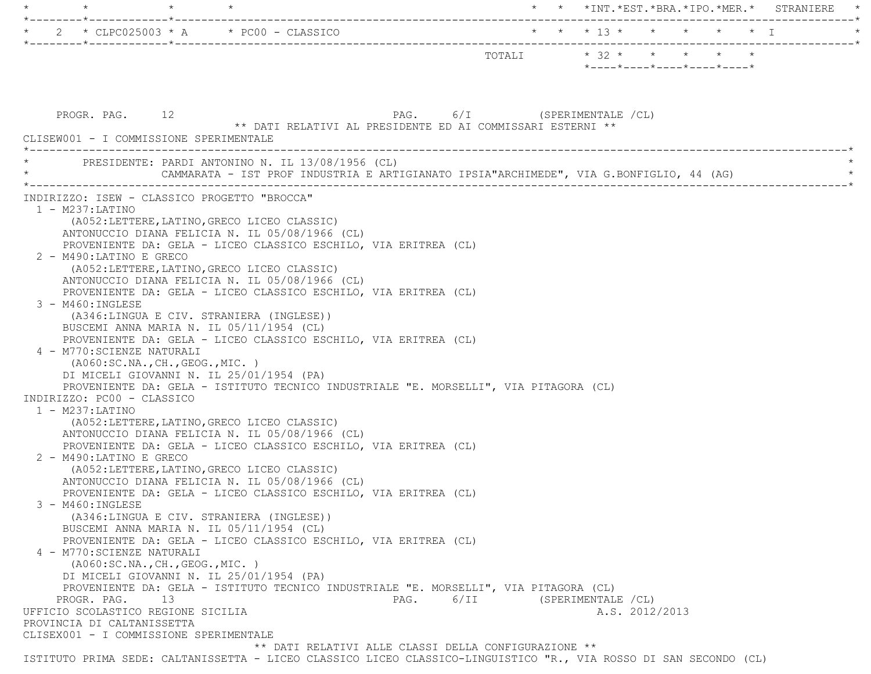| $\star$<br>*--------*------------*---------------                                                                                            |                         |                     |                                                                 |  | * * *INT.*EST.*BRA.*IPO.*MER.* STRANIERE |
|----------------------------------------------------------------------------------------------------------------------------------------------|-------------------------|---------------------|-----------------------------------------------------------------|--|------------------------------------------|
| 2 * CLPC025003 * A * PC00 - CLASSICO                                                                                                         | * * * 13 * * * * * * I  |                     |                                                                 |  |                                          |
|                                                                                                                                              | TOTALI * 32 * * * * * * |                     |                                                                 |  |                                          |
|                                                                                                                                              |                         |                     | $*$ - - - - $*$ - - - - $*$ - - - - $*$ - - - - $*$ - - - - $*$ |  |                                          |
|                                                                                                                                              |                         |                     |                                                                 |  |                                          |
| PAG. 6/I (SPERIMENTALE /CL)<br>PROGR. PAG. 12                                                                                                |                         |                     |                                                                 |  |                                          |
| ** DATI RELATIVI AL PRESIDENTE ED AI COMMISSARI ESTERNI **                                                                                   |                         |                     |                                                                 |  |                                          |
| CLISEW001 - I COMMISSIONE SPERIMENTALE                                                                                                       |                         |                     |                                                                 |  |                                          |
| PRESIDENTE: PARDI ANTONINO N. IL 13/08/1956 (CL)<br>CAMMARATA - IST PROF INDUSTRIA E ARTIGIANATO IPSIA "ARCHIMEDE", VIA G.BONFIGLIO, 44 (AG) |                         |                     |                                                                 |  |                                          |
| INDIRIZZO: ISEW - CLASSICO PROGETTO "BROCCA"                                                                                                 |                         |                     |                                                                 |  |                                          |
| $1 - M237$ : LATINO                                                                                                                          |                         |                     |                                                                 |  |                                          |
| (A052: LETTERE, LATINO, GRECO LICEO CLASSIC)<br>ANTONUCCIO DIANA FELICIA N. IL 05/08/1966 (CL)                                               |                         |                     |                                                                 |  |                                          |
| PROVENIENTE DA: GELA - LICEO CLASSICO ESCHILO, VIA ERITREA (CL)                                                                              |                         |                     |                                                                 |  |                                          |
| 2 - M490:LATINO E GRECO                                                                                                                      |                         |                     |                                                                 |  |                                          |
| (A052:LETTERE, LATINO, GRECO LICEO CLASSIC)                                                                                                  |                         |                     |                                                                 |  |                                          |
| ANTONUCCIO DIANA FELICIA N. IL 05/08/1966 (CL)<br>PROVENIENTE DA: GELA - LICEO CLASSICO ESCHILO, VIA ERITREA (CL)                            |                         |                     |                                                                 |  |                                          |
| 3 - M460: INGLESE                                                                                                                            |                         |                     |                                                                 |  |                                          |
| (A346:LINGUA E CIV. STRANIERA (INGLESE))                                                                                                     |                         |                     |                                                                 |  |                                          |
| BUSCEMI ANNA MARIA N. IL 05/11/1954 (CL)                                                                                                     |                         |                     |                                                                 |  |                                          |
| PROVENIENTE DA: GELA - LICEO CLASSICO ESCHILO, VIA ERITREA (CL)<br>4 - M770: SCIENZE NATURALI                                                |                         |                     |                                                                 |  |                                          |
| ( A060:SC.NA., CH., GEOG., MIC. )                                                                                                            |                         |                     |                                                                 |  |                                          |
| DI MICELI GIOVANNI N. IL 25/01/1954 (PA)                                                                                                     |                         |                     |                                                                 |  |                                          |
| PROVENIENTE DA: GELA - ISTITUTO TECNICO INDUSTRIALE "E. MORSELLI", VIA PITAGORA (CL)<br>INDIRIZZO: PC00 - CLASSICO                           |                         |                     |                                                                 |  |                                          |
| $1 - M237$ : LATINO                                                                                                                          |                         |                     |                                                                 |  |                                          |
| (A052:LETTERE, LATINO, GRECO LICEO CLASSIC)                                                                                                  |                         |                     |                                                                 |  |                                          |
| ANTONUCCIO DIANA FELICIA N. IL 05/08/1966 (CL)                                                                                               |                         |                     |                                                                 |  |                                          |
| PROVENIENTE DA: GELA - LICEO CLASSICO ESCHILO, VIA ERITREA (CL)<br>2 - M490:LATINO E GRECO                                                   |                         |                     |                                                                 |  |                                          |
| (A052:LETTERE, LATINO, GRECO LICEO CLASSIC)                                                                                                  |                         |                     |                                                                 |  |                                          |
| ANTONUCCIO DIANA FELICIA N. IL 05/08/1966 (CL)                                                                                               |                         |                     |                                                                 |  |                                          |
| PROVENIENTE DA: GELA - LICEO CLASSICO ESCHILO, VIA ERITREA (CL)                                                                              |                         |                     |                                                                 |  |                                          |
| 3 - M460:INGLESE<br>(A346:LINGUA E CIV. STRANIERA (INGLESE))                                                                                 |                         |                     |                                                                 |  |                                          |
| BUSCEMI ANNA MARIA N. IL 05/11/1954 (CL)                                                                                                     |                         |                     |                                                                 |  |                                          |
| PROVENIENTE DA: GELA - LICEO CLASSICO ESCHILO, VIA ERITREA (CL)                                                                              |                         |                     |                                                                 |  |                                          |
| 4 - M770: SCIENZE NATURALI                                                                                                                   |                         |                     |                                                                 |  |                                          |
| ( A060:SC.NA., CH., GEOG., MIC. )<br>DI MICELI GIOVANNI N. IL 25/01/1954 (PA)                                                                |                         |                     |                                                                 |  |                                          |
| PROVENIENTE DA: GELA - ISTITUTO TECNICO INDUSTRIALE "E. MORSELLI", VIA PITAGORA (CL)                                                         |                         |                     |                                                                 |  |                                          |
| 6/II<br>PROGR. PAG. 13<br>PAG.                                                                                                               |                         | (SPERIMENTALE / CL) |                                                                 |  |                                          |
| UFFICIO SCOLASTICO REGIONE SICILIA                                                                                                           |                         |                     | A.S. 2012/2013                                                  |  |                                          |
| PROVINCIA DI CALTANISSETTA<br>CLISEX001 - I COMMISSIONE SPERIMENTALE                                                                         |                         |                     |                                                                 |  |                                          |
| ** DATI RELATIVI ALLE CLASSI DELLA CONFIGURAZIONE **                                                                                         |                         |                     |                                                                 |  |                                          |
| ISTITUTO PRIMA SEDE: CALTANISSETTA - LICEO CLASSICO LICEO CLASSICO-LINGUISTICO "R., VIA ROSSO DI SAN SECONDO (CL)                            |                         |                     |                                                                 |  |                                          |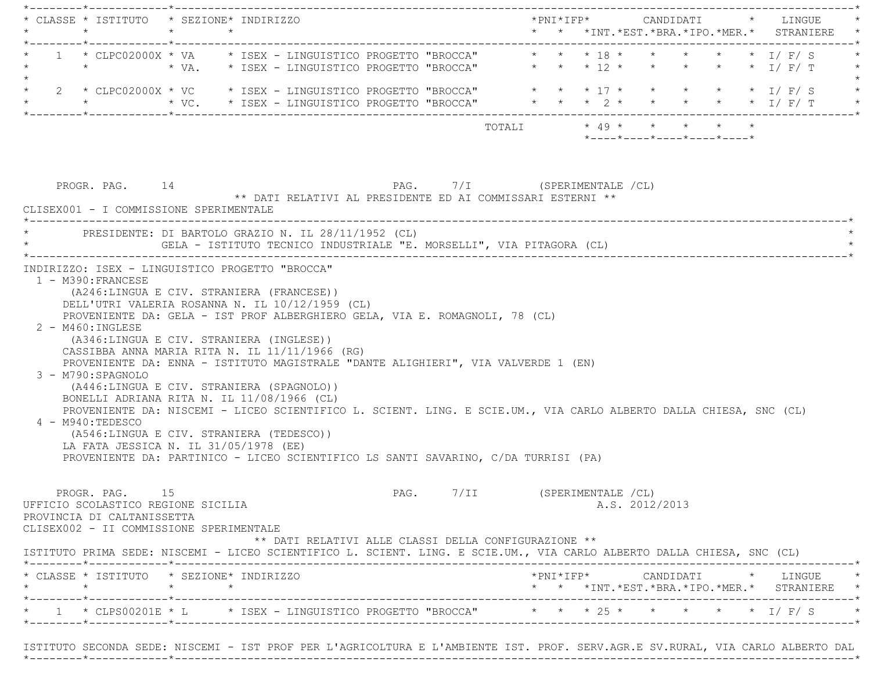| * CLASSE * ISTITUTO * SEZIONE* INDIRIZZO                                                                                                                                                                                                                                                                                                                                                                                                                                                                                                                                                                                                                                                                                                                                   |  |                                           |                                                                             |                              |  |  | *PNI*IFP*     CANDIDATI    *   LINGUE                                                                                                              |  |  |  |
|----------------------------------------------------------------------------------------------------------------------------------------------------------------------------------------------------------------------------------------------------------------------------------------------------------------------------------------------------------------------------------------------------------------------------------------------------------------------------------------------------------------------------------------------------------------------------------------------------------------------------------------------------------------------------------------------------------------------------------------------------------------------------|--|-------------------------------------------|-----------------------------------------------------------------------------|------------------------------|--|--|----------------------------------------------------------------------------------------------------------------------------------------------------|--|--|--|
| 1 * CLPC02000X * VA * ISEX - LINGUISTICO PROGETTO "BROCCA" * * * 18 * * * * * * * I/F/S<br>$\star$ $\star$                                                                                                                                                                                                                                                                                                                                                                                                                                                                                                                                                                                                                                                                 |  |                                           | * VA. * ISEX - LINGUISTICO PROGETTO "BROCCA" * * * 12 * * * * * * * * I/F/T |                              |  |  |                                                                                                                                                    |  |  |  |
| * 2 * CLPC02000X * VC   * ISEX – LINGUISTICO PROGETTO "BROCCA"   * * * 17 * * * * * * 1/ F/ S<br>*   * * * * VC.   * ISEX – LINGUISTICO PROGETTO "BROCCA"   * * * 2 * * * * * * 1/ F/ T                                                                                                                                                                                                                                                                                                                                                                                                                                                                                                                                                                                    |  |                                           |                                                                             |                              |  |  |                                                                                                                                                    |  |  |  |
|                                                                                                                                                                                                                                                                                                                                                                                                                                                                                                                                                                                                                                                                                                                                                                            |  |                                           |                                                                             |                              |  |  | *----*----*----*----*----*                                                                                                                         |  |  |  |
| PROGR. PAG. 14<br>CLISEX001 - I COMMISSIONE SPERIMENTALE<br>* PRESIDENTE: DI BARTOLO GRAZIO N. IL 28/11/1952 (CL)                                                                                                                                                                                                                                                                                                                                                                                                                                                                                                                                                                                                                                                          |  |                                           | ** DATI RELATIVI AL PRESIDENTE ED AI COMMISSARI ESTERNI **                  | PAG. 7/I (SPERIMENTALE /CL)  |  |  |                                                                                                                                                    |  |  |  |
| GELA - ISTITUTO TECNICO INDUSTRIALE "E. MORSELLI", VIA PITAGORA (CL)<br>INDIRIZZO: ISEX - LINGUISTICO PROGETTO "BROCCA"                                                                                                                                                                                                                                                                                                                                                                                                                                                                                                                                                                                                                                                    |  |                                           |                                                                             |                              |  |  |                                                                                                                                                    |  |  |  |
|                                                                                                                                                                                                                                                                                                                                                                                                                                                                                                                                                                                                                                                                                                                                                                            |  | (A246:LINGUA E CIV. STRANIERA (FRANCESE)) |                                                                             |                              |  |  |                                                                                                                                                    |  |  |  |
| DELL'UTRI VALERIA ROSANNA N. IL 10/12/1959 (CL)<br>PROVENIENTE DA: GELA - IST PROF ALBERGHIERO GELA, VIA E. ROMAGNOLI, 78 (CL)<br>2 - M460: INGLESE<br>(A346:LINGUA E CIV. STRANIERA (INGLESE))<br>CASSIBBA ANNA MARIA RITA N. IL 11/11/1966 (RG)<br>PROVENIENTE DA: ENNA - ISTITUTO MAGISTRALE "DANTE ALIGHIERI", VIA VALVERDE 1 (EN)<br>3 - M790:SPAGNOLO<br>(A446:LINGUA E CIV. STRANIERA (SPAGNOLO))<br>BONELLI ADRIANA RITA N. IL 11/08/1966 (CL)<br>PROVENIENTE DA: NISCEMI - LICEO SCIENTIFICO L. SCIENT. LING. E SCIE.UM., VIA CARLO ALBERTO DALLA CHIESA, SNC (CL)<br>4 - M940:TEDESCO<br>(A546:LINGUA E CIV. STRANIERA (TEDESCO))<br>LA FATA JESSICA N. IL 31/05/1978 (EE)<br>PROVENIENTE DA: PARTINICO - LICEO SCIENTIFICO LS SANTI SAVARINO, C/DA TURRISI (PA) |  |                                           |                                                                             |                              |  |  |                                                                                                                                                    |  |  |  |
| PROGR. PAG. 15<br>UFFICIO SCOLASTICO REGIONE SICILIA<br>PROVINCIA DI CALTANISSETTA<br>CLISEX002 - II COMMISSIONE SPERIMENTALE<br>ISTITUTO PRIMA SEDE: NISCEMI - LICEO SCIENTIFICO L. SCIENT. LING. E SCIE.UM., VIA CARLO ALBERTO DALLA CHIESA, SNC (CL)                                                                                                                                                                                                                                                                                                                                                                                                                                                                                                                    |  |                                           | ** DATI RELATIVI ALLE CLASSI DELLA CONFIGURAZIONE **                        | PAG. 7/II (SPERIMENTALE /CL) |  |  | A.S. 2012/2013                                                                                                                                     |  |  |  |
| * CLASSE * ISTITUTO * SEZIONE* INDIRIZZO                                                                                                                                                                                                                                                                                                                                                                                                                                                                                                                                                                                                                                                                                                                                   |  |                                           |                                                                             |                              |  |  | $*PNI*IFP* \qquad \qquad \text{CANDIDATI} \qquad \qquad * \qquad \text{LINGUE} \qquad \qquad *$<br>* * *INT. *EST. *BRA. *IPO. *MER. * STRANIERE * |  |  |  |

 ISTITUTO SECONDA SEDE: NISCEMI - IST PROF PER L'AGRICOLTURA E L'AMBIENTE IST. PROF. SERV.AGR.E SV.RURAL, VIA CARLO ALBERTO DAL \*--------\*------------\*-------------------------------------------------------------------------------------------------------\*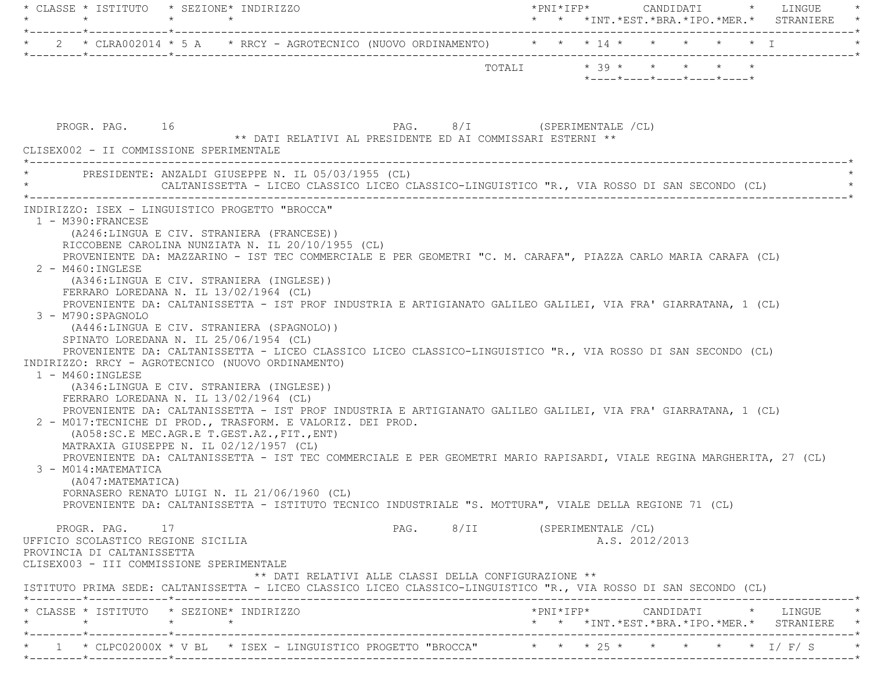| * CLASSE * ISTITUTO * SEZIONE* INDIRIZZO<br>$\star$ $\star$                                                                                             |                                                               |
|---------------------------------------------------------------------------------------------------------------------------------------------------------|---------------------------------------------------------------|
|                                                                                                                                                         | * * *INT.*EST.*BRA.*IPO.*MER.* STRANIERE                      |
|                                                                                                                                                         |                                                               |
|                                                                                                                                                         | TOTALI $* 39 * * * * * * * * *$<br>*----*----*----*----*----* |
|                                                                                                                                                         |                                                               |
|                                                                                                                                                         |                                                               |
| PAG. 8/I (SPERIMENTALE /CL)<br>PROGR. PAG. 16<br>** DATI RELATIVI AL PRESIDENTE ED AI COMMISSARI ESTERNI **                                             |                                                               |
| CLISEX002 - II COMMISSIONE SPERIMENTALE                                                                                                                 |                                                               |
| * PRESIDENTE: ANZALDI GIUSEPPE N. IL 05/03/1955 (CL)<br>CALTANISSETTA - LICEO CLASSICO LICEO CLASSICO-LINGUISTICO "R., VIA ROSSO DI SAN SECONDO (CL)    |                                                               |
| INDIRIZZO: ISEX - LINGUISTICO PROGETTO "BROCCA"                                                                                                         |                                                               |
| 1 - M390: FRANCESE<br>(A246:LINGUA E CIV. STRANIERA (FRANCESE))                                                                                         |                                                               |
| RICCOBENE CAROLINA NUNZIATA N. IL 20/10/1955 (CL)                                                                                                       |                                                               |
| PROVENIENTE DA: MAZZARINO - IST TEC COMMERCIALE E PER GEOMETRI "C. M. CARAFA", PIAZZA CARLO MARIA CARAFA (CL)                                           |                                                               |
| 2 - M460: INGLESE                                                                                                                                       |                                                               |
| (A346:LINGUA E CIV. STRANIERA (INGLESE))<br>FERRARO LOREDANA N. IL 13/02/1964 (CL)                                                                      |                                                               |
| PROVENIENTE DA: CALTANISSETTA - IST PROF INDUSTRIA E ARTIGIANATO GALILEO GALILEI, VIA FRA' GIARRATANA, 1 (CL)                                           |                                                               |
| 3 - M790:SPAGNOLO                                                                                                                                       |                                                               |
| (A446:LINGUA E CIV. STRANIERA (SPAGNOLO))                                                                                                               |                                                               |
| SPINATO LOREDANA N. IL 25/06/1954 (CL)                                                                                                                  |                                                               |
| PROVENIENTE DA: CALTANISSETTA - LICEO CLASSICO LICEO CLASSICO-LINGUISTICO "R., VIA ROSSO DI SAN SECONDO (CL)                                            |                                                               |
| INDIRIZZO: RRCY - AGROTECNICO (NUOVO ORDINAMENTO)                                                                                                       |                                                               |
| $1 - M460 : INGLESE$                                                                                                                                    |                                                               |
| (A346:LINGUA E CIV. STRANIERA (INGLESE))                                                                                                                |                                                               |
| FERRARO LOREDANA N. IL 13/02/1964 (CL)<br>PROVENIENTE DA: CALTANISSETTA - IST PROF INDUSTRIA E ARTIGIANATO GALILEO GALILEI, VIA FRA' GIARRATANA, 1 (CL) |                                                               |
| 2 - M017:TECNICHE DI PROD., TRASFORM. E VALORIZ. DEI PROD.                                                                                              |                                                               |
| (A058:SC.E MEC.AGR.E T.GEST.AZ., FIT., ENT)                                                                                                             |                                                               |
| MATRAXIA GIUSEPPE N. IL 02/12/1957 (CL)                                                                                                                 |                                                               |
| PROVENIENTE DA: CALTANISSETTA - IST TEC COMMERCIALE E PER GEOMETRI MARIO RAPISARDI, VIALE REGINA MARGHERITA, 27 (CL)                                    |                                                               |
| 3 - M014: MATEMATICA                                                                                                                                    |                                                               |
| (A047: MATEMATICA)                                                                                                                                      |                                                               |
| FORNASERO RENATO LUIGI N. IL 21/06/1960 (CL)                                                                                                            |                                                               |
| PROVENIENTE DA: CALTANISSETTA - ISTITUTO TECNICO INDUSTRIALE "S. MOTTURA", VIALE DELLA REGIONE 71 (CL)                                                  |                                                               |
| PROGR. PAG.<br>17                                                                                                                                       | PAG. 8/II (SPERIMENTALE /CL)                                  |
| UFFICIO SCOLASTICO REGIONE SICILIA                                                                                                                      | A.S. 2012/2013                                                |
| PROVINCIA DI CALTANISSETTA                                                                                                                              |                                                               |
| CLISEX003 - III COMMISSIONE SPERIMENTALE                                                                                                                |                                                               |
| ** DATI RELATIVI ALLE CLASSI DELLA CONFIGURAZIONE **                                                                                                    |                                                               |
| ISTITUTO PRIMA SEDE: CALTANISSETTA - LICEO CLASSICO LICEO CLASSICO-LINGUISTICO "R., VIA ROSSO DI SAN SECONDO (CL)                                       |                                                               |
| * CLASSE * ISTITUTO * SEZIONE* INDIRIZZO                                                                                                                | $*$ PNI $*$ IFP $*$<br>CANDIDATI<br>* LINGUE                  |
| $\star$<br>$\star$<br>$\star$                                                                                                                           | * * *INT. *EST. *BRA. *IPO. *MER. * STRANIERE *               |
| * 1 * CLPC02000X * V BL * ISEX - LINGUISTICO PROGETTO "BROCCA" * * * 25 * * * * * * * I/ F/ S                                                           |                                                               |
|                                                                                                                                                         |                                                               |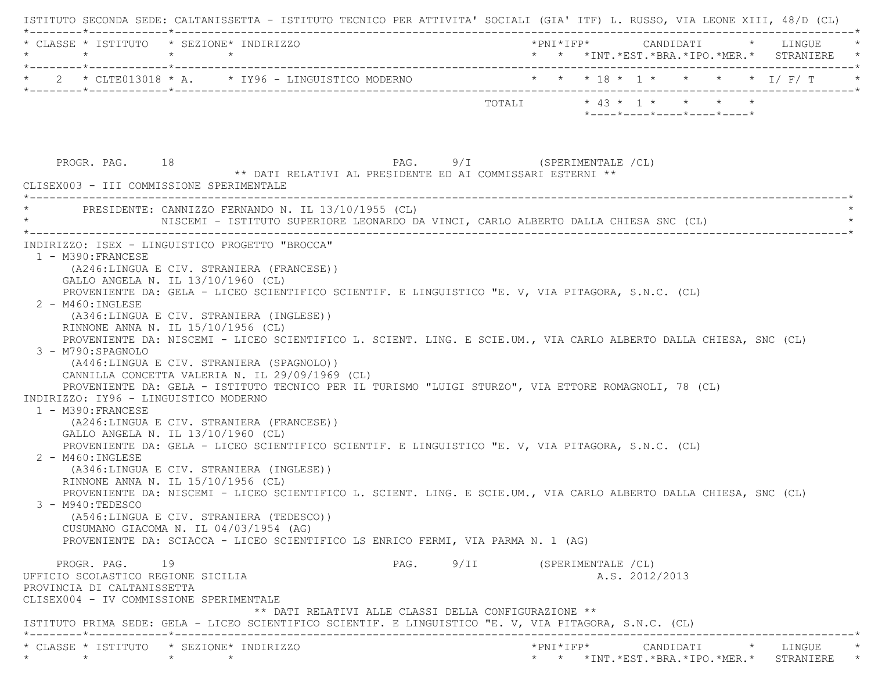| $\star$ |                                                                                                                                                                       | * CLASSE * ISTITUTO * SEZIONE* INDIRIZZO<br>$\star$ $\star$                                                                                                                                                                                                                                                                                                                                                                                                                                                                                                                                                                                                                                                                                                                                                                                                                                                                                                                                                                                                                                                                                                                                                                                           |                           |  |                                                  |  |  | *PNI*IFP* CANDIDATI * LINGUE<br>* * *INT.*EST.*BRA.*IPO.*MER.* STRANIERE *             |
|---------|-----------------------------------------------------------------------------------------------------------------------------------------------------------------------|-------------------------------------------------------------------------------------------------------------------------------------------------------------------------------------------------------------------------------------------------------------------------------------------------------------------------------------------------------------------------------------------------------------------------------------------------------------------------------------------------------------------------------------------------------------------------------------------------------------------------------------------------------------------------------------------------------------------------------------------------------------------------------------------------------------------------------------------------------------------------------------------------------------------------------------------------------------------------------------------------------------------------------------------------------------------------------------------------------------------------------------------------------------------------------------------------------------------------------------------------------|---------------------------|--|--------------------------------------------------|--|--|----------------------------------------------------------------------------------------|
|         |                                                                                                                                                                       | * 2 * CLTE013018 * A. * IY96 - LINGUISTICO MODERNO * * * * 18 * 1 * * * * * I/F/T                                                                                                                                                                                                                                                                                                                                                                                                                                                                                                                                                                                                                                                                                                                                                                                                                                                                                                                                                                                                                                                                                                                                                                     |                           |  |                                                  |  |  |                                                                                        |
|         |                                                                                                                                                                       |                                                                                                                                                                                                                                                                                                                                                                                                                                                                                                                                                                                                                                                                                                                                                                                                                                                                                                                                                                                                                                                                                                                                                                                                                                                       | TOTALI * 43 * 1 * * * * * |  | $*$ ---- $*$ ---- $*$ ---- $*$ ---- $*$ ---- $*$ |  |  |                                                                                        |
|         | PROGR. PAG. 18                                                                                                                                                        | PAG. 9/I (SPERIMENTALE /CL)<br>** DATI RELATIVI AL PRESIDENTE ED AI COMMISSARI ESTERNI **<br>CLISEX003 - III COMMISSIONE SPERIMENTALE                                                                                                                                                                                                                                                                                                                                                                                                                                                                                                                                                                                                                                                                                                                                                                                                                                                                                                                                                                                                                                                                                                                 |                           |  |                                                  |  |  |                                                                                        |
|         |                                                                                                                                                                       | PRESIDENTE: CANNIZZO FERNANDO N. IL 13/10/1955 (CL)<br>NISCEMI - ISTITUTO SUPERIORE LEONARDO DA VINCI, CARLO ALBERTO DALLA CHIESA SNC (CL)                                                                                                                                                                                                                                                                                                                                                                                                                                                                                                                                                                                                                                                                                                                                                                                                                                                                                                                                                                                                                                                                                                            |                           |  |                                                  |  |  |                                                                                        |
|         | 2 - M460: INGLESE<br>3 - M790: SPAGNOLO<br>1 - M390: FRANCESE<br>$2 - M460$ : INGLESE<br>$3 - M940$ : TEDESCO<br>PROGR. PAG. 19<br>UFFICIO SCOLASTICO REGIONE SICILIA | (A246:LINGUA E CIV. STRANIERA (FRANCESE))<br>GALLO ANGELA N. IL 13/10/1960 (CL)<br>PROVENIENTE DA: GELA - LICEO SCIENTIFICO SCIENTIF. E LINGUISTICO "E. V, VIA PITAGORA, S.N.C. (CL)<br>(A346:LINGUA E CIV. STRANIERA (INGLESE))<br>RINNONE ANNA N. IL 15/10/1956 (CL)<br>PROVENIENTE DA: NISCEMI - LICEO SCIENTIFICO L. SCIENT. LING. E SCIE.UM., VIA CARLO ALBERTO DALLA CHIESA, SNC (CL)<br>(A446:LINGUA E CIV. STRANIERA (SPAGNOLO))<br>CANNILLA CONCETTA VALERIA N. IL 29/09/1969 (CL)<br>PROVENIENTE DA: GELA - ISTITUTO TECNICO PER IL TURISMO "LUIGI STURZO", VIA ETTORE ROMAGNOLI, 78 (CL)<br>INDIRIZZO: IY96 - LINGUISTICO MODERNO<br>(A246:LINGUA E CIV. STRANIERA (FRANCESE))<br>GALLO ANGELA N. IL 13/10/1960 (CL)<br>PROVENIENTE DA: GELA - LICEO SCIENTIFICO SCIENTIF. E LINGUISTICO "E. V, VIA PITAGORA, S.N.C. (CL)<br>(A346:LINGUA E CIV. STRANIERA (INGLESE))<br>RINNONE ANNA N. IL 15/10/1956 (CL)<br>PROVENIENTE DA: NISCEMI - LICEO SCIENTIFICO L. SCIENT. LING. E SCIE.UM., VIA CARLO ALBERTO DALLA CHIESA, SNC (CL)<br>(A546:LINGUA E CIV. STRANIERA (TEDESCO))<br>CUSUMANO GIACOMA N. IL 04/03/1954 (AG)<br>PROVENIENTE DA: SCIACCA - LICEO SCIENTIFICO LS ENRICO FERMI, VIA PARMA N. 1 (AG)<br>PAG. 9/II (SPERIMENTALE /CL) |                           |  | A.S. 2012/2013                                   |  |  |                                                                                        |
|         | PROVINCIA DI CALTANISSETTA                                                                                                                                            | CLISEX004 - IV COMMISSIONE SPERIMENTALE<br>** DATI RELATIVI ALLE CLASSI DELLA CONFIGURAZIONE **<br>ISTITUTO PRIMA SEDE: GELA - LICEO SCIENTIFICO SCIENTIF. E LINGUISTICO "E. V, VIA PITAGORA, S.N.C. (CL)                                                                                                                                                                                                                                                                                                                                                                                                                                                                                                                                                                                                                                                                                                                                                                                                                                                                                                                                                                                                                                             |                           |  |                                                  |  |  |                                                                                        |
|         | $\star$                                                                                                                                                               | * CLASSE * ISTITUTO * SEZIONE* INDIRIZZO<br>$\star$ $\star$                                                                                                                                                                                                                                                                                                                                                                                                                                                                                                                                                                                                                                                                                                                                                                                                                                                                                                                                                                                                                                                                                                                                                                                           |                           |  |                                                  |  |  | *PNI*IFP*     CANDIDATI    *   LINGUE<br>* * *INT. *EST. *BRA. *IPO. *MER. * STRANIERE |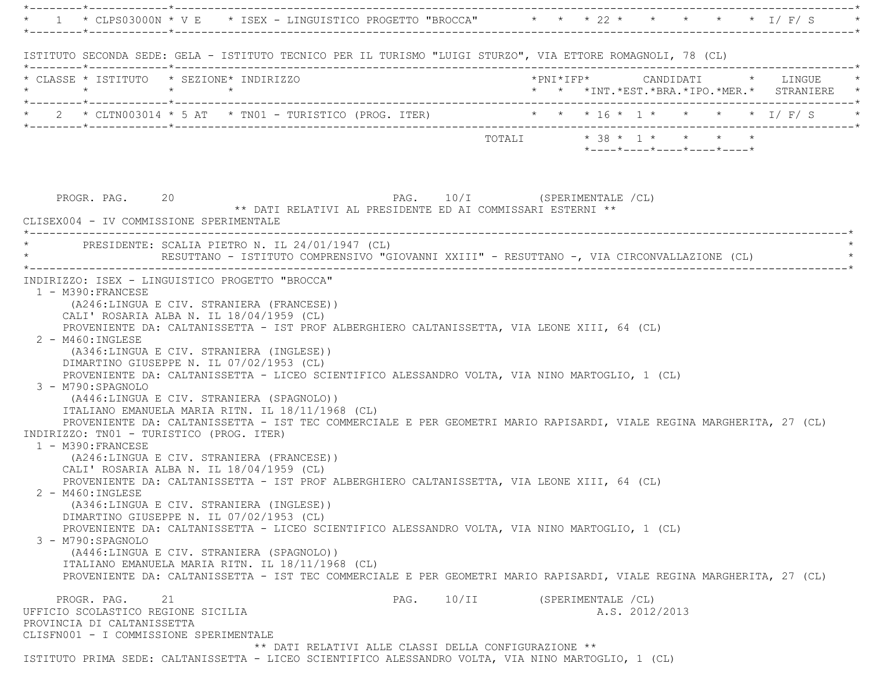|                                                                                       |                                                                                                                                                                                                                                                                                | * 1 * CLPS03000N * V E * ISEX - LINGUISTICO PROGETTO "BROCCA" * * * 22 * * * * * * * I/ F/ S                                                                                                                                                                                                |          |                              |                            |                |  |                                            |
|---------------------------------------------------------------------------------------|--------------------------------------------------------------------------------------------------------------------------------------------------------------------------------------------------------------------------------------------------------------------------------|---------------------------------------------------------------------------------------------------------------------------------------------------------------------------------------------------------------------------------------------------------------------------------------------|----------|------------------------------|----------------------------|----------------|--|--------------------------------------------|
|                                                                                       |                                                                                                                                                                                                                                                                                | ISTITUTO SECONDA SEDE: GELA - ISTITUTO TECNICO PER IL TURISMO "LUIGI STURZO", VIA ETTORE ROMAGNOLI, 78 (CL)                                                                                                                                                                                 |          |                              |                            |                |  |                                            |
| $\star$                                                                               | * CLASSE * ISTITUTO * SEZIONE* INDIRIZZO<br>$\star$ $\star$                                                                                                                                                                                                                    |                                                                                                                                                                                                                                                                                             |          | *PNI*IFP* CANDIDATI * LINGUE |                            |                |  | * * *INT.*EST.*BRA.*IPO.*MER.* STRANIERE * |
|                                                                                       |                                                                                                                                                                                                                                                                                | * 2 * CLTN003014 * 5 AT * TN01 - TURISTICO (PROG. ITER) * * * 16 * 1 * * * * * * I/ F/ S *                                                                                                                                                                                                  |          |                              |                            |                |  |                                            |
|                                                                                       |                                                                                                                                                                                                                                                                                |                                                                                                                                                                                                                                                                                             |          |                              | *----*----*----*----*----* |                |  |                                            |
| PROGR. PAG. 20                                                                        | CLISEX004 - IV COMMISSIONE SPERIMENTALE                                                                                                                                                                                                                                        | PAG. 10/I (SPERIMENTALE /CL)<br>** DATI RELATIVI AL PRESIDENTE ED AI COMMISSARI ESTERNI **                                                                                                                                                                                                  |          |                              |                            |                |  |                                            |
|                                                                                       | * PRESIDENTE: SCALIA PIETRO N. IL 24/01/1947 (CL)                                                                                                                                                                                                                              | RESUTTANO - ISTITUTO COMPRENSIVO "GIOVANNI XXIII" - RESUTTANO -, VIA CIRCONVALLAZIONE (CL)                                                                                                                                                                                                  |          |                              |                            |                |  |                                            |
| 3 - M790:SPAGNOLO<br>1 - M390: FRANCESE                                               | (A346:LINGUA E CIV. STRANIERA (INGLESE))<br>DIMARTINO GIUSEPPE N. IL 07/02/1953 (CL)<br>(A446:LINGUA E CIV. STRANIERA (SPAGNOLO))<br>ITALIANO EMANUELA MARIA RITN. IL 18/11/1968 (CL)<br>INDIRIZZO: TN01 - TURISTICO (PROG. ITER)<br>(A246:LINGUA E CIV. STRANIERA (FRANCESE)) | PROVENIENTE DA: CALTANISSETTA - LICEO SCIENTIFICO ALESSANDRO VOLTA, VIA NINO MARTOGLIO, 1 (CL)<br>PROVENIENTE DA: CALTANISSETTA - IST TEC COMMERCIALE E PER GEOMETRI MARIO RAPISARDI, VIALE REGINA MARGHERITA, 27 (CL)                                                                      |          |                              |                            |                |  |                                            |
| $2 - M460$ : INGLESE<br>3 - M790:SPAGNOLO                                             | CALI' ROSARIA ALBA N. IL 18/04/1959 (CL)<br>(A346:LINGUA E CIV. STRANIERA (INGLESE))<br>DIMARTINO GIUSEPPE N. IL 07/02/1953 (CL)<br>(A446:LINGUA E CIV. STRANIERA (SPAGNOLO))<br>ITALIANO EMANUELA MARIA RITN. IL 18/11/1968 (CL)                                              | PROVENIENTE DA: CALTANISSETTA - IST PROF ALBERGHIERO CALTANISSETTA, VIA LEONE XIII, 64 (CL)<br>PROVENIENTE DA: CALTANISSETTA - LICEO SCIENTIFICO ALESSANDRO VOLTA, VIA NINO MARTOGLIO, 1 (CL)                                                                                               |          |                              |                            |                |  |                                            |
| PROGR. PAG.<br>21<br>UFFICIO SCOLASTICO REGIONE SICILIA<br>PROVINCIA DI CALTANISSETTA | CLISFN001 - I COMMISSIONE SPERIMENTALE                                                                                                                                                                                                                                         | PROVENIENTE DA: CALTANISSETTA - IST TEC COMMERCIALE E PER GEOMETRI MARIO RAPISARDI, VIALE REGINA MARGHERITA, 27 (CL)<br>PAG.<br>** DATI RELATIVI ALLE CLASSI DELLA CONFIGURAZIONE **<br>ISTITUTO PRIMA SEDE: CALTANISSETTA - LICEO SCIENTIFICO ALESSANDRO VOLTA, VIA NINO MARTOGLIO, 1 (CL) | $10/$ II |                              | (SPERIMENTALE /CL)         | A.S. 2012/2013 |  |                                            |

\*--------\*------------\*-------------------------------------------------------------------------------------------------------\*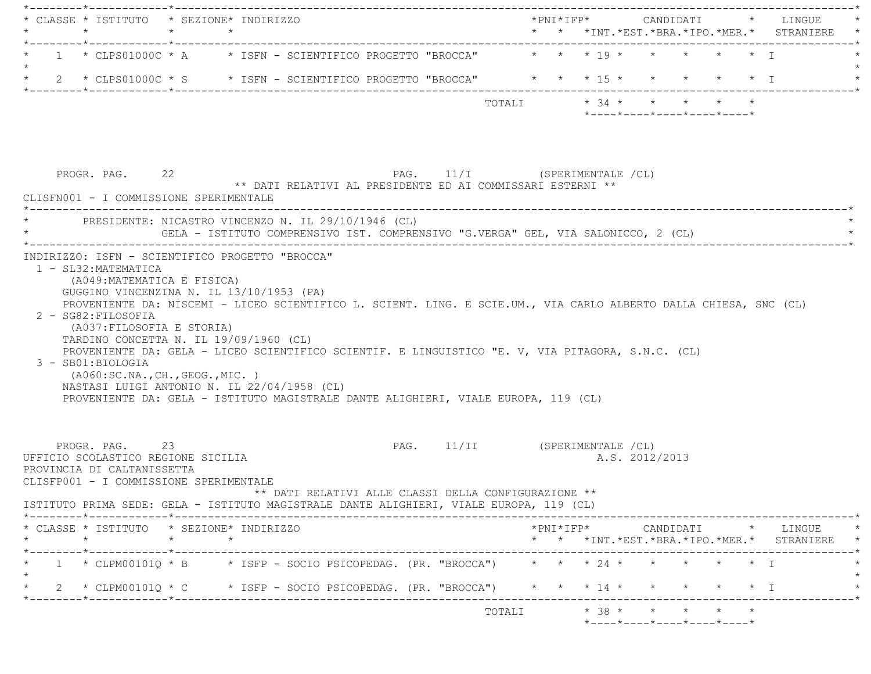| * CLASSE * ISTITUTO * SEZIONE* INDIRIZZO                                                                                                                                                                                                                                                                                                                                                                                                                                                                            |         |         |                                                            |                               |                         |                     |  |                |                                                                                     |  | *PNI*IFP*     CANDIDATI    *   LINGUE           |
|---------------------------------------------------------------------------------------------------------------------------------------------------------------------------------------------------------------------------------------------------------------------------------------------------------------------------------------------------------------------------------------------------------------------------------------------------------------------------------------------------------------------|---------|---------|------------------------------------------------------------|-------------------------------|-------------------------|---------------------|--|----------------|-------------------------------------------------------------------------------------|--|-------------------------------------------------|
| 1 * CLPS01000C * A * ISFN - SCIENTIFICO PROGETTO "BROCCA" * * * 19 * * * * * * * T                                                                                                                                                                                                                                                                                                                                                                                                                                  |         |         |                                                            |                               |                         |                     |  |                |                                                                                     |  |                                                 |
|                                                                                                                                                                                                                                                                                                                                                                                                                                                                                                                     |         |         |                                                            |                               |                         |                     |  |                |                                                                                     |  |                                                 |
|                                                                                                                                                                                                                                                                                                                                                                                                                                                                                                                     |         |         |                                                            |                               | TOTALI * 34 * * * * * * |                     |  |                | $*$ ---- $*$ ---- $*$ ---- $*$ ---- $*$ ---- $*$                                    |  |                                                 |
| PROGR. PAG. 22<br>CLISFN001 - I COMMISSIONE SPERIMENTALE                                                                                                                                                                                                                                                                                                                                                                                                                                                            |         |         | ** DATI RELATIVI AL PRESIDENTE ED AI COMMISSARI ESTERNI ** | PAG. 11/I (SPERIMENTALE /CL)  |                         |                     |  |                |                                                                                     |  |                                                 |
| PRESIDENTE: NICASTRO VINCENZO N. IL 29/10/1946 (CL)<br>GELA - ISTITUTO COMPRENSIVO IST. COMPRENSIVO "G.VERGA" GEL, VIA SALONICCO, 2 (CL)                                                                                                                                                                                                                                                                                                                                                                            |         |         |                                                            |                               |                         |                     |  |                |                                                                                     |  |                                                 |
| PROVENIENTE DA: NISCEMI - LICEO SCIENTIFICO L. SCIENT. LING. E SCIE.UM., VIA CARLO ALBERTO DALLA CHIESA, SNC (CL)<br>2 - SG82: FILOSOFIA<br>(A037:FILOSOFIA E STORIA)<br>TARDINO CONCETTA N. IL 19/09/1960 (CL)<br>PROVENIENTE DA: GELA - LICEO SCIENTIFICO SCIENTIF. E LINGUISTICO "E. V, VIA PITAGORA, S.N.C. (CL)<br>3 - SB01:BIOLOGIA<br>( A060:SC.NA., CH., GEOG., MIC. )<br>NASTASI LUIGI ANTONIO N. IL 22/04/1958 (CL)<br>PROVENIENTE DA: GELA - ISTITUTO MAGISTRALE DANTE ALIGHIERI, VIALE EUROPA, 119 (CL) |         |         |                                                            |                               |                         |                     |  |                |                                                                                     |  |                                                 |
| PROGR. PAG. 23<br>UFFICIO SCOLASTICO REGIONE SICILIA<br>PROVINCIA DI CALTANISSETTA<br>CLISFP001 - I COMMISSIONE SPERIMENTALE<br>ISTITUTO PRIMA SEDE: GELA - ISTITUTO MAGISTRALE DANTE ALIGHIERI, VIALE EUROPA, 119 (CL)                                                                                                                                                                                                                                                                                             |         |         | ** DATI RELATIVI ALLE CLASSI DELLA CONFIGURAZIONE **       | PAG. 11/II (SPERIMENTALE /CL) |                         |                     |  | A.S. 2012/2013 |                                                                                     |  |                                                 |
| * CLASSE * ISTITUTO * SEZIONE* INDIRIZZO                                                                                                                                                                                                                                                                                                                                                                                                                                                                            |         |         |                                                            |                               |                         | $*$ PNI $*$ IFP $*$ |  |                |                                                                                     |  | CANDIDATI * LINGUE *                            |
| $\star$                                                                                                                                                                                                                                                                                                                                                                                                                                                                                                             | $\star$ | $\star$ |                                                            |                               |                         |                     |  |                |                                                                                     |  | * * *INT. *EST. *BRA. *IPO. *MER. * STRANIERE * |
| 1 * CLPM00101Q * B * ISFP - SOCIO PSICOPEDAG. (PR. "BROCCA") * * * 24 * * * * * * * I                                                                                                                                                                                                                                                                                                                                                                                                                               |         |         |                                                            |                               |                         |                     |  |                |                                                                                     |  |                                                 |
| 2 * CLPM00101Q * C * ISFP - SOCIO PSICOPEDAG. (PR. "BROCCA") * * * 14 * * * * * * * I                                                                                                                                                                                                                                                                                                                                                                                                                               |         |         |                                                            |                               |                         |                     |  |                |                                                                                     |  |                                                 |
|                                                                                                                                                                                                                                                                                                                                                                                                                                                                                                                     |         |         |                                                            |                               | TOTALI                  |                     |  |                | $*$ 38 * * * * *<br>$*$ - - - - $*$ - - - - $*$ - - - - $*$ - - - - $*$ - - - - $*$ |  |                                                 |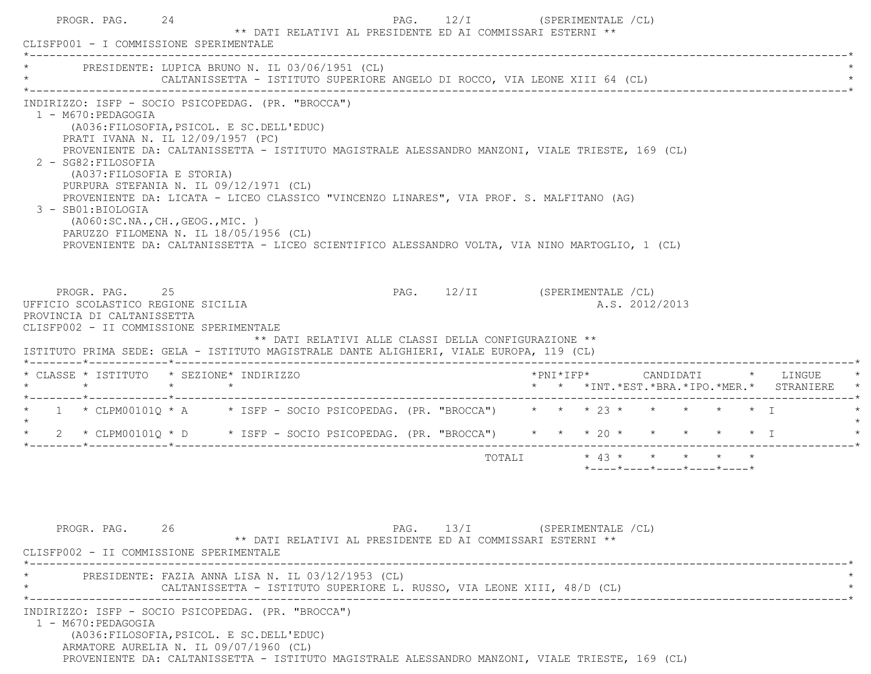|                                                                                                                                                                        | PRESIDENTE: LUPICA BRUNO N. IL 03/06/1951 (CL)<br>CALTANISSETTA - ISTITUTO SUPERIORE ANGELO DI ROCCO, VIA LEONE XIII 64 (CL)                                                                                                                                                                                                                                                                                                                                                         |                               |                         |                                                  |  |                                                                     |
|------------------------------------------------------------------------------------------------------------------------------------------------------------------------|--------------------------------------------------------------------------------------------------------------------------------------------------------------------------------------------------------------------------------------------------------------------------------------------------------------------------------------------------------------------------------------------------------------------------------------------------------------------------------------|-------------------------------|-------------------------|--------------------------------------------------|--|---------------------------------------------------------------------|
| 1 - M670: PEDAGOGIA<br>PRATI IVANA N. IL 12/09/1957 (PC)<br>2 - SG82: FILOSOFIA<br>(A037:FILOSOFIA E STORIA)<br>3 - SB01:BIOLOGIA<br>( A060:SC.NA., CH., GEOG., MIC. ) | INDIRIZZO: ISFP - SOCIO PSICOPEDAG. (PR. "BROCCA")<br>(A036: FILOSOFIA, PSICOL. E SC. DELL'EDUC)<br>PROVENIENTE DA: CALTANISSETTA - ISTITUTO MAGISTRALE ALESSANDRO MANZONI, VIALE TRIESTE, 169 (CL)<br>PURPURA STEFANIA N. IL 09/12/1971 (CL)<br>PROVENIENTE DA: LICATA - LICEO CLASSICO "VINCENZO LINARES", VIA PROF. S. MALFITANO (AG)<br>PARUZZO FILOMENA N. IL 18/05/1956 (CL)<br>PROVENIENTE DA: CALTANISSETTA - LICEO SCIENTIFICO ALESSANDRO VOLTA, VIA NINO MARTOGLIO, 1 (CL) |                               |                         |                                                  |  |                                                                     |
| PROGR. PAG. 25<br>UFFICIO SCOLASTICO REGIONE SICILIA<br>PROVINCIA DI CALTANISSETTA                                                                                     |                                                                                                                                                                                                                                                                                                                                                                                                                                                                                      | PAG. 12/II (SPERIMENTALE /CL) |                         | A.S. 2012/2013                                   |  |                                                                     |
|                                                                                                                                                                        | CLISFP002 - II COMMISSIONE SPERIMENTALE<br>** DATI RELATIVI ALLE CLASSI DELLA CONFIGURAZIONE **<br>ISTITUTO PRIMA SEDE: GELA - ISTITUTO MAGISTRALE DANTE ALIGHIERI, VIALE EUROPA, 119 (CL)                                                                                                                                                                                                                                                                                           |                               |                         |                                                  |  |                                                                     |
| * CLASSE * ISTITUTO * SEZIONE* INDIRIZZO<br>$\star$ $\star$                                                                                                            | $\star$                                                                                                                                                                                                                                                                                                                                                                                                                                                                              |                               | $*$ PNI $*$ IFP $*$     |                                                  |  | CANDIDATI * LINGUE<br>* * *INT. *EST. *BRA. *IPO. *MER. * STRANIERE |
|                                                                                                                                                                        | * 1 * CLPM00101Q * A * ISFP - SOCIO PSICOPEDAG. (PR. "BROCCA") * * * 23 * * * * * * * I                                                                                                                                                                                                                                                                                                                                                                                              |                               |                         |                                                  |  |                                                                     |
|                                                                                                                                                                        | * 2 * CLPM00101Q * D * ISFP - SOCIO PSICOPEDAG. (PR. "BROCCA") * * * 20 * * * * * * * I                                                                                                                                                                                                                                                                                                                                                                                              |                               |                         |                                                  |  |                                                                     |
|                                                                                                                                                                        |                                                                                                                                                                                                                                                                                                                                                                                                                                                                                      |                               | TOTALI * 43 * * * * * * |                                                  |  |                                                                     |
| PROGR. PAG. 26<br>CLISFP002 - II COMMISSIONE SPERIMENTALE                                                                                                              | ** DATI RELATIVI AL PRESIDENTE ED AI COMMISSARI ESTERNI **                                                                                                                                                                                                                                                                                                                                                                                                                           | PAG. 13/I (SPERIMENTALE /CL)  |                         | $*$ ---- $*$ ---- $*$ ---- $*$ ---- $*$ ---- $*$ |  |                                                                     |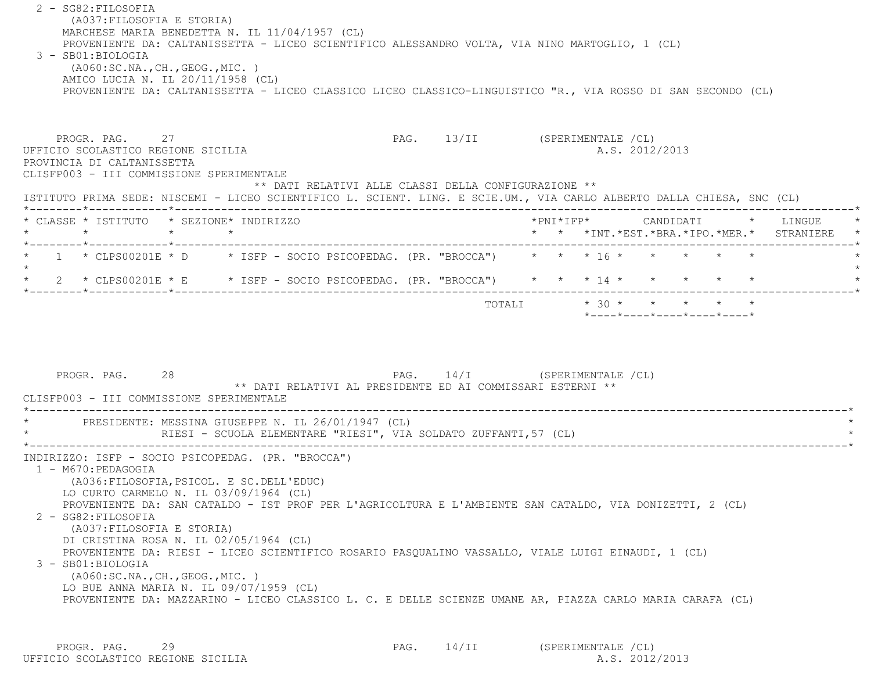2 - SG82:FILOSOFIA (A037:FILOSOFIA E STORIA) MARCHESE MARIA BENEDETTA N. IL 11/04/1957 (CL) PROVENIENTE DA: CALTANISSETTA - LICEO SCIENTIFICO ALESSANDRO VOLTA, VIA NINO MARTOGLIO, 1 (CL) 3 - SB01:BIOLOGIA (A060:SC.NA.,CH.,GEOG.,MIC. ) AMICO LUCIA N. IL 20/11/1958 (CL) PROVENIENTE DA: CALTANISSETTA - LICEO CLASSICO LICEO CLASSICO-LINGUISTICO "R., VIA ROSSO DI SAN SECONDO (CL) PROGR. PAG. 27 27 PAG. 13/II (SPERIMENTALE /CL) UFFICIO SCOLASTICO REGIONE SICILIA A.S. 2012/2013 PROVINCIA DI CALTANISSETTA CLISFP003 - III COMMISSIONE SPERIMENTALE \*\* DATI RELATIVI ALLE CLASSI DELLA CONFIGURAZIONE \*\* ISTITUTO PRIMA SEDE: NISCEMI - LICEO SCIENTIFICO L. SCIENT. LING. E SCIE.UM., VIA CARLO ALBERTO DALLA CHIESA, SNC (CL) \*--------\*------------\*-------------------------------------------------------------------------------------------------------\* \* CLASSE \* ISTITUTO \* SEZIONE\* INDIRIZZO \*PNI\*IFP\* CANDIDATI \* LINGUE \* \* \* \* \* \* \* \*INT.\*EST.\*BRA.\*IPO.\*MER.\* STRANIERE \* \*--------\*------------\*-------------------------------------------------------------------------------------------------------\* $1 \times$  CLPS00201E  $\star$  D  $\star$  ISFP - SOCIO PSICOPEDAG. (PR. "BROCCA")  $\star \star \star \star 16 \star \star \star \star \star \star \star \star \star$  $\star$ \* 2 \* CLPS00201E \* E \* ISFP - SOCIO PSICOPEDAG. (PR. "BROCCA") \* \* \* 14 \* \* \* \* \* \* \* \*--------\*------------\*-------------------------------------------------------------------------------------------------------\*TOTALI  $* 30 * * * * * * * * * *$  \*----\*----\*----\*----\*----\*PROGR. PAG. 28 28 PAG. 14/I (SPERIMENTALE /CL) \*\* DATI RELATIVI AL PRESIDENTE ED AI COMMISSARI ESTERNI \*\* CLISFP003 - III COMMISSIONE SPERIMENTALE \*----------------------------------------------------------------------------------------------------------------------------\*PRESIDENTE: MESSINA GIUSEPPE N. IL 26/01/1947 (CL) RIESI - SCUOLA ELEMENTARE "RIESI", VIA SOLDATO ZUFFANTI, 57 (CL) \*----------------------------------------------------------------------------------------------------------------------------\* INDIRIZZO: ISFP - SOCIO PSICOPEDAG. (PR. "BROCCA") 1 - M670:PEDAGOGIA (A036:FILOSOFIA,PSICOL. E SC.DELL'EDUC) LO CURTO CARMELO N. IL 03/09/1964 (CL) PROVENIENTE DA: SAN CATALDO - IST PROF PER L'AGRICOLTURA E L'AMBIENTE SAN CATALDO, VIA DONIZETTI, 2 (CL) 2 - SG82:FILOSOFIA (A037:FILOSOFIA E STORIA) DI CRISTINA ROSA N. IL 02/05/1964 (CL) PROVENIENTE DA: RIESI - LICEO SCIENTIFICO ROSARIO PASQUALINO VASSALLO, VIALE LUIGI EINAUDI, 1 (CL) 3 - SB01:BIOLOGIA (A060:SC.NA.,CH.,GEOG.,MIC. ) LO BUE ANNA MARIA N. IL 09/07/1959 (CL) PROVENIENTE DA: MAZZARINO - LICEO CLASSICO L. C. E DELLE SCIENZE UMANE AR, PIAZZA CARLO MARIA CARAFA (CL)

PROGR. PAG. 29 29 PAG. 14/II (SPERIMENTALE /CL) UFFICIO SCOLASTICO REGIONE SICILIA A.S. 2012/2013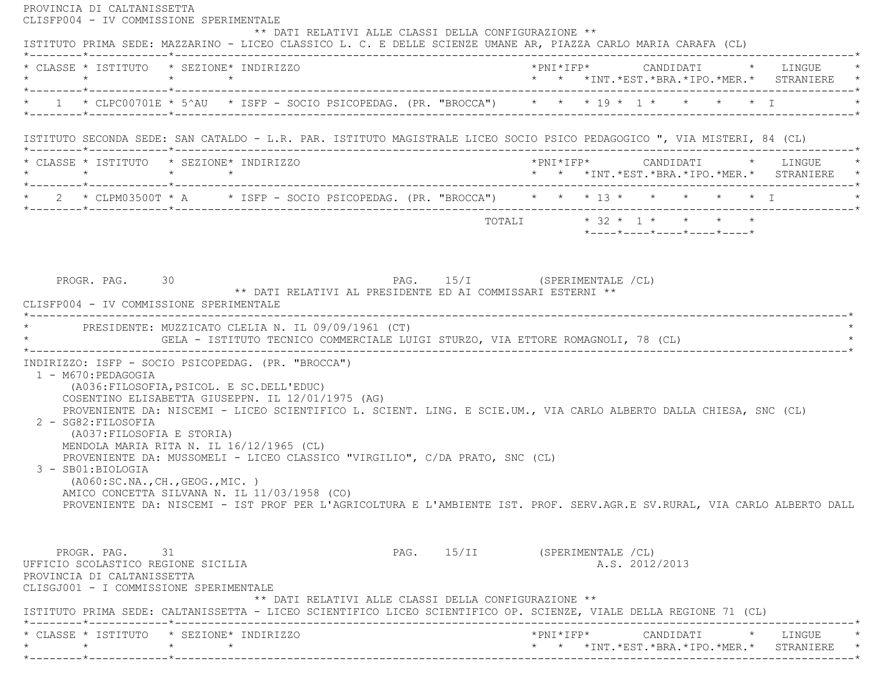PROVINCIA DI CALTANISSETTA CLISFP004 - IV COMMISSIONE SPERIMENTALE \*\* DATI RELATIVI ALLE CLASSI DELLA CONFIGURAZIONE \*\* ISTITUTO PRIMA SEDE: MAZZARINO - LICEO CLASSICO L. C. E DELLE SCIENZE UMANE AR, PIAZZA CARLO MARIA CARAFA (CL) \*--------\*------------\*-------------------------------------------------------------------------------------------------------\* \* CLASSE \* ISTITUTO \* SEZIONE\* INDIRIZZO \*PNI\*IFP\* CANDIDATI \* LINGUE \* \* \* \* \* \* \* \*INT.\*EST.\*BRA.\*IPO.\*MER.\* STRANIERE \* \*--------\*------------\*-------------------------------------------------------------------------------------------------------\*\* 1 \* CLPC00701E \* 5^AU \* ISFP - SOCIO PSICOPEDAG. (PR. "BROCCA") \* \* \* 19 \* 1 \* \* \* \* \* \* I \*--------\*------------\*-------------------------------------------------------------------------------------------------------\* ISTITUTO SECONDA SEDE: SAN CATALDO - L.R. PAR. ISTITUTO MAGISTRALE LICEO SOCIO PSICO PEDAGOGICO ", VIA MISTERI, 84 (CL) \*--------\*------------\*-------------------------------------------------------------------------------------------------------\* \* CLASSE \* ISTITUTO \* SEZIONE\* INDIRIZZO \*PNI\*IFP\* CANDIDATI \* LINGUE \* \* \* \* \* \* \* \*INT.\*EST.\*BRA.\*IPO.\*MER.\* STRANIERE \* \*--------\*------------\*-------------------------------------------------------------------------------------------------------\*\* 2 \* CLPM03500T \* A \* ISFP - SOCIO PSICOPEDAG. (PR. "BROCCA") \* \* \* 13 \* \* \* \* \* \* \* I \*--------\*------------\*-------------------------------------------------------------------------------------------------------\* $\texttt{TOTAL} \qquad \qquad \star \quad 32 \; \star \quad 1 \; \star \qquad \star \qquad \star \qquad \star$  \*----\*----\*----\*----\*----\* PROGR. PAG. 30 PAG. 15/I (SPERIMENTALE /CL) \*\* DATI RELATIVI AL PRESIDENTE ED AI COMMISSARI ESTERNI \*\* CLISFP004 - IV COMMISSIONE SPERIMENTALE \*----------------------------------------------------------------------------------------------------------------------------\*PRESIDENTE: MUZZICATO CLELIA N. IL 09/09/1961 (CT) \* GELA - ISTITUTO TECNICO COMMERCIALE LUIGI STURZO, VIA ETTORE ROMAGNOLI, 78 (CL) \* \*----------------------------------------------------------------------------------------------------------------------------\* INDIRIZZO: ISFP - SOCIO PSICOPEDAG. (PR. "BROCCA") 1 - M670:PEDAGOGIA (A036:FILOSOFIA,PSICOL. E SC.DELL'EDUC) COSENTINO ELISABETTA GIUSEPPN. IL 12/01/1975 (AG) PROVENIENTE DA: NISCEMI - LICEO SCIENTIFICO L. SCIENT. LING. E SCIE.UM., VIA CARLO ALBERTO DALLA CHIESA, SNC (CL) 2 - SG82:FILOSOFIA (A037:FILOSOFIA E STORIA) MENDOLA MARIA RITA N. IL 16/12/1965 (CL) PROVENIENTE DA: MUSSOMELI - LICEO CLASSICO "VIRGILIO", C/DA PRATO, SNC (CL) 3 - SB01:BIOLOGIA (A060:SC.NA.,CH.,GEOG.,MIC. ) AMICO CONCETTA SILVANA N. IL 11/03/1958 (CO) PROVENIENTE DA: NISCEMI - IST PROF PER L'AGRICOLTURA E L'AMBIENTE IST. PROF. SERV.AGR.E SV.RURAL, VIA CARLO ALBERTO DALL PROGR. PAG. 31 2009 PAG. 15/II (SPERIMENTALE /CL) UFFICIO SCOLASTICO REGIONE SICILIA A.S. 2012/2013 PROVINCIA DI CALTANISSETTA CLISGJ001 - I COMMISSIONE SPERIMENTALE \*\* DATI RELATIVI ALLE CLASSI DELLA CONFIGURAZIONE \*\* ISTITUTO PRIMA SEDE: CALTANISSETTA - LICEO SCIENTIFICO LICEO SCIENTIFICO OP. SCIENZE, VIALE DELLA REGIONE 71 (CL) \*--------\*------------\*-------------------------------------------------------------------------------------------------------\* \* CLASSE \* ISTITUTO \* SEZIONE\* INDIRIZZO \*PNI\*IFP\* CANDIDATI \* LINGUE \* \* \* \* \* \* \* \*INT.\*EST.\*BRA.\*IPO.\*MER.\* STRANIERE \*\*--------\*------------\*-------------------------------------------------------------------------------------------------------\*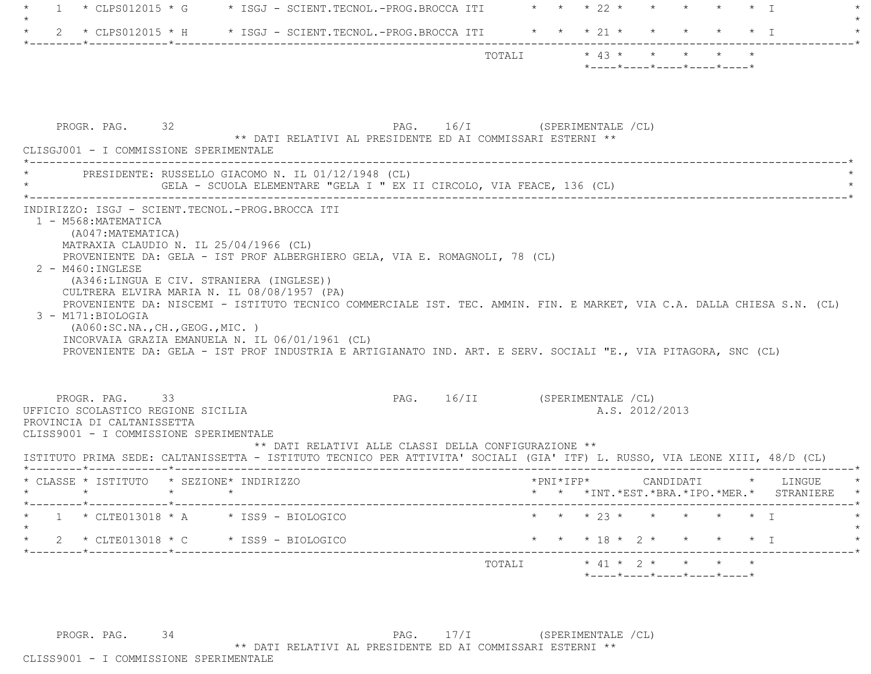| -1                                                                                                                           | * CLPS012015 * G * ISGJ - SCIENT.TECNOL.-PROG.BROCCA ITI * * * 22 * * * * * * * I                                                                                                                                                                                                                                                                                                                                        |        |                                                                                                                                                                               |
|------------------------------------------------------------------------------------------------------------------------------|--------------------------------------------------------------------------------------------------------------------------------------------------------------------------------------------------------------------------------------------------------------------------------------------------------------------------------------------------------------------------------------------------------------------------|--------|-------------------------------------------------------------------------------------------------------------------------------------------------------------------------------|
|                                                                                                                              | 2 * CLPS012015 * H * ISGJ - SCIENT.TECNOL.-PROG.BROCCA ITI * * * 21 * *                                                                                                                                                                                                                                                                                                                                                  |        | $\star$ T                                                                                                                                                                     |
|                                                                                                                              |                                                                                                                                                                                                                                                                                                                                                                                                                          |        | TOTALI * 43 * * * *<br>$*$ - - - - $*$ - - - - $*$ - - - - $*$ - - - - $*$ - - - - $*$                                                                                        |
| PROGR. PAG. 32<br>CLISGJ001 - I COMMISSIONE SPERIMENTALE                                                                     | ** DATI RELATIVI AL PRESIDENTE ED AI COMMISSARI ESTERNI **                                                                                                                                                                                                                                                                                                                                                               |        | PAG. 16/I (SPERIMENTALE /CL)                                                                                                                                                  |
|                                                                                                                              | PRESIDENTE: RUSSELLO GIACOMO N. IL 01/12/1948 (CL)                                                                                                                                                                                                                                                                                                                                                                       |        |                                                                                                                                                                               |
| 2 - M460: INGLESE<br>3 - M171:BIOLOGIA                                                                                       | MATRAXIA CLAUDIO N. IL 25/04/1966 (CL)<br>PROVENIENTE DA: GELA - IST PROF ALBERGHIERO GELA, VIA E. ROMAGNOLI, 78 (CL)<br>(A346:LINGUA E CIV. STRANIERA (INGLESE))<br>CULTRERA ELVIRA MARIA N. IL 08/08/1957 (PA)<br>(AO60:SC.NA., CH., GEOG., MIC. )<br>INCORVAIA GRAZIA EMANUELA N. IL 06/01/1961 (CL)<br>PROVENIENTE DA: GELA - IST PROF INDUSTRIA E ARTIGIANATO IND. ART. E SERV. SOCIALI "E., VIA PITAGORA, SNC (CL) |        | PROVENIENTE DA: NISCEMI - ISTITUTO TECNICO COMMERCIALE IST. TEC. AMMIN. FIN. E MARKET, VIA C.A. DALLA CHIESA S.N. (CL)                                                        |
| PROGR. PAG. 33<br>UFFICIO SCOLASTICO REGIONE SICILIA<br>PROVINCIA DI CALTANISSETTA<br>CLISS9001 - I COMMISSIONE SPERIMENTALE | ** DATI RELATIVI ALLE CLASSI DELLA CONFIGURAZIONE **                                                                                                                                                                                                                                                                                                                                                                     |        | PAG. 16/II (SPERIMENTALE /CL)<br>A.S. 2012/2013<br>ISTITUTO PRIMA SEDE: CALTANISSETTA - ISTITUTO TECNICO PER ATTIVITA' SOCIALI (GIA' ITF) L. RUSSO, VIA LEONE XIII, 48/D (CL) |
|                                                                                                                              | * CLASSE * ISTITUTO * SEZIONE* INDIRIZZO                                                                                                                                                                                                                                                                                                                                                                                 |        | *PNI*IFP*<br>CANDIDATI<br>* LINGUE<br>* * *INT. *EST. *BRA. *IPO. *MER. * STRANIERE                                                                                           |
|                                                                                                                              | $1 * CLTE013018 * A * ISS9 - BI0LOGICO$                                                                                                                                                                                                                                                                                                                                                                                  |        | * * * 23 * * * * * * I                                                                                                                                                        |
|                                                                                                                              | 2 * CLTE013018 * C * ISS9 - BIOLOGICO                                                                                                                                                                                                                                                                                                                                                                                    |        | * * * 18 * 2 * * * * * I                                                                                                                                                      |
|                                                                                                                              |                                                                                                                                                                                                                                                                                                                                                                                                                          | TOTALI | $\star$ 41 $\star$ 2 $\star$ $\star$ $\star$ $\star$                                                                                                                          |

PROGR. PAG. 34 34 PAG. 17/I (SPERIMENTALE /CL) \*\* DATI RELATIVI AL PRESIDENTE ED AI COMMISSARI ESTERNI \*\*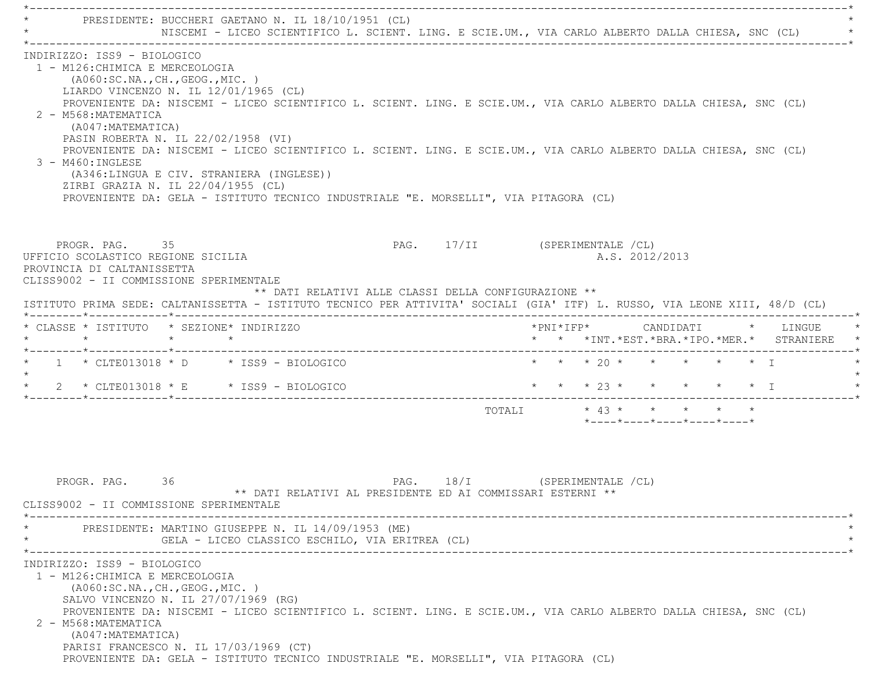\*----------------------------------------------------------------------------------------------------------------------------\*PRESIDENTE: BUCCHERI GAETANO N. IL 18/10/1951 (CL) NISCEMI - LICEO SCIENTIFICO L. SCIENT. LING. E SCIE.UM., VIA CARLO ALBERTO DALLA CHIESA, SNC (CL) \*----------------------------------------------------------------------------------------------------------------------------\* INDIRIZZO: ISS9 - BIOLOGICO 1 - M126:CHIMICA E MERCEOLOGIA (A060:SC.NA.,CH.,GEOG.,MIC. ) LIARDO VINCENZO N. IL 12/01/1965 (CL) PROVENIENTE DA: NISCEMI - LICEO SCIENTIFICO L. SCIENT. LING. E SCIE.UM., VIA CARLO ALBERTO DALLA CHIESA, SNC (CL) 2 - M568:MATEMATICA (A047:MATEMATICA) PASIN ROBERTA N. IL 22/02/1958 (VI) PROVENIENTE DA: NISCEMI - LICEO SCIENTIFICO L. SCIENT. LING. E SCIE.UM., VIA CARLO ALBERTO DALLA CHIESA, SNC (CL) 3 - M460:INGLESE (A346:LINGUA E CIV. STRANIERA (INGLESE)) ZIRBI GRAZIA N. IL 22/04/1955 (CL) PROVENIENTE DA: GELA - ISTITUTO TECNICO INDUSTRIALE "E. MORSELLI", VIA PITAGORA (CL) PROGR. PAG. 35 35 PAG. 17/II (SPERIMENTALE /CL) UFFICIO SCOLASTICO REGIONE SICILIA A.S. 2012/2013 PROVINCIA DI CALTANISSETTA CLISS9002 - II COMMISSIONE SPERIMENTALE \*\* DATI RELATIVI ALLE CLASSI DELLA CONFIGURAZIONE \*\* ISTITUTO PRIMA SEDE: CALTANISSETTA - ISTITUTO TECNICO PER ATTIVITA' SOCIALI (GIA' ITF) L. RUSSO, VIA LEONE XIII, 48/D (CL) \*--------\*------------\*-------------------------------------------------------------------------------------------------------\* \* CLASSE \* ISTITUTO \* SEZIONE\* INDIRIZZO \*PNI\*IFP\* CANDIDATI \* LINGUE \* \* \* \* \* \* \* \*INT.\*EST.\*BRA.\*IPO.\*MER.\* STRANIERE \* \*--------\*------------\*-------------------------------------------------------------------------------------------------------\*\* 1 \* CLTE013018 \* D \* ISS9 - BIOLOGICO \* \* \* \* 20 \* \* \* \* \* \* \* I  $\star$  \* 2 \* CLTE013018 \* E \* ISS9 - BIOLOGICO \* \* \* 23 \* \* \* \* \* I \* \*--------\*------------\*-------------------------------------------------------------------------------------------------------\* TOTALI \* 43 \* \* \* \* \* \*----\*----\*----\*----\*----\*PROGR. PAG. 36 36 PAG. 18/I (SPERIMENTALE /CL) \*\* DATI RELATIVI AL PRESIDENTE ED AI COMMISSARI ESTERNI \*\* CLISS9002 - II COMMISSIONE SPERIMENTALE \*----------------------------------------------------------------------------------------------------------------------------\*PRESIDENTE: MARTINO GIUSEPPE N. IL 14/09/1953 (ME) GELA - LICEO CLASSICO ESCHILO, VIA ERITREA (CL) \*----------------------------------------------------------------------------------------------------------------------------\* INDIRIZZO: ISS9 - BIOLOGICO 1 - M126:CHIMICA E MERCEOLOGIA (A060:SC.NA.,CH.,GEOG.,MIC. ) SALVO VINCENZO N. IL 27/07/1969 (RG) PROVENIENTE DA: NISCEMI - LICEO SCIENTIFICO L. SCIENT. LING. E SCIE.UM., VIA CARLO ALBERTO DALLA CHIESA, SNC (CL) 2 - M568:MATEMATICA (A047:MATEMATICA) PARISI FRANCESCO N. IL 17/03/1969 (CT) PROVENIENTE DA: GELA - ISTITUTO TECNICO INDUSTRIALE "E. MORSELLI", VIA PITAGORA (CL)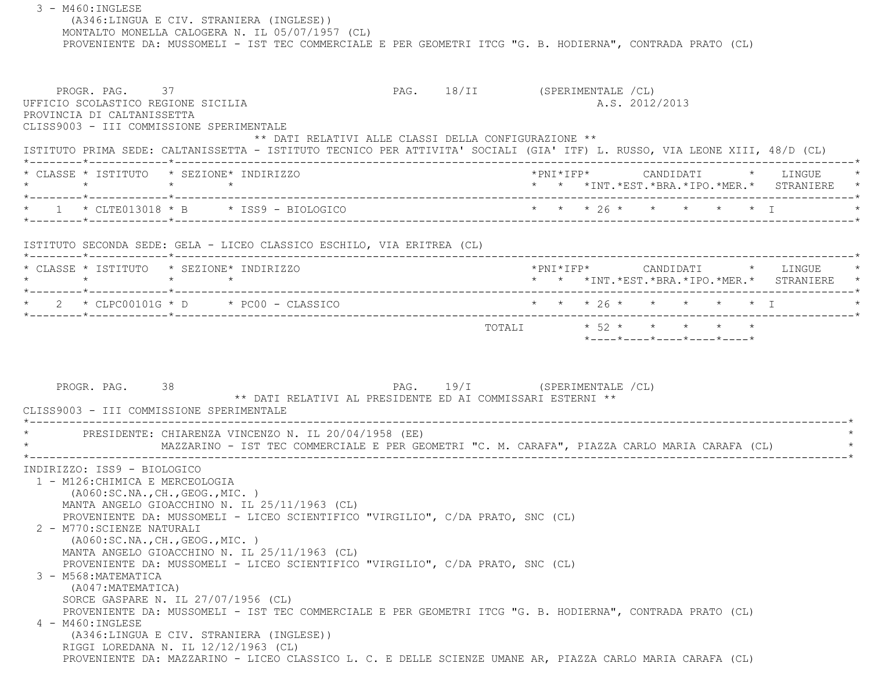3 - M460:INGLESE (A346:LINGUA E CIV. STRANIERA (INGLESE)) MONTALTO MONELLA CALOGERA N. IL 05/07/1957 (CL) PROVENIENTE DA: MUSSOMELI - IST TEC COMMERCIALE E PER GEOMETRI ITCG "G. B. HODIERNA", CONTRADA PRATO (CL) PROGR. PAG. 37 37 PAG. 18/II (SPERIMENTALE /CL) UFFICIO SCOLASTICO REGIONE SICILIA A.S. 2012/2013 PROVINCIA DI CALTANISSETTA CLISS9003 - III COMMISSIONE SPERIMENTALE \*\* DATI RELATIVI ALLE CLASSI DELLA CONFIGURAZIONE \*\* ISTITUTO PRIMA SEDE: CALTANISSETTA - ISTITUTO TECNICO PER ATTIVITA' SOCIALI (GIA' ITF) L. RUSSO, VIA LEONE XIII, 48/D (CL) \*--------\*------------\*-------------------------------------------------------------------------------------------------------\* \* CLASSE \* ISTITUTO \* SEZIONE\* INDIRIZZO \*PNI\*IFP\* CANDIDATI \* LINGUE \* \* \* \* \* \* \* \*INT.\*EST.\*BRA.\*IPO.\*MER.\* STRANIERE \* \*--------\*------------\*-------------------------------------------------------------------------------------------------------\* \* 1 \* CLTE013018 \* B \* ISS9 - BIOLOGICO \* \* \* 26 \* \* \* \* \* I \* \*--------\*------------\*-------------------------------------------------------------------------------------------------------\* ISTITUTO SECONDA SEDE: GELA - LICEO CLASSICO ESCHILO, VIA ERITREA (CL) \*--------\*------------\*-------------------------------------------------------------------------------------------------------\* \* CLASSE \* ISTITUTO \* SEZIONE\* INDIRIZZO \*PNI\*IFP\* CANDIDATI \* LINGUE \* \* \* \* \* \* \* \*INT.\*EST.\*BRA.\*IPO.\*MER.\* STRANIERE \* \*--------\*------------\*-------------------------------------------------------------------------------------------------------\*2 \* CLPC00101G \* D \* PC00 - CLASSICO \* \* \* \* \* 26 \* \* \* \* \* \* \* \* I \*--------\*------------\*-------------------------------------------------------------------------------------------------------\*TOTALI  $* 52 * * * * * * * * *$  \*----\*----\*----\*----\*----\*PROGR. PAG. 38 38 PAG. 19/I (SPERIMENTALE /CL) \*\* DATI RELATIVI AL PRESIDENTE ED AI COMMISSARI ESTERNI \*\* CLISS9003 - III COMMISSIONE SPERIMENTALE \*----------------------------------------------------------------------------------------------------------------------------\*PRESIDENTE: CHIARENZA VINCENZO N. IL 20/04/1958 (EE) \* MAZZARINO - IST TEC COMMERCIALE E PER GEOMETRI "C. M. CARAFA", PIAZZA CARLO MARIA CARAFA (CL) \* \*----------------------------------------------------------------------------------------------------------------------------\* INDIRIZZO: ISS9 - BIOLOGICO 1 - M126:CHIMICA E MERCEOLOGIA (A060:SC.NA.,CH.,GEOG.,MIC. ) MANTA ANGELO GIOACCHINO N. IL 25/11/1963 (CL) PROVENIENTE DA: MUSSOMELI - LICEO SCIENTIFICO "VIRGILIO", C/DA PRATO, SNC (CL) 2 - M770:SCIENZE NATURALI (A060:SC.NA.,CH.,GEOG.,MIC. ) MANTA ANGELO GIOACCHINO N. IL 25/11/1963 (CL) PROVENIENTE DA: MUSSOMELI - LICEO SCIENTIFICO "VIRGILIO", C/DA PRATO, SNC (CL) 3 - M568:MATEMATICA (A047:MATEMATICA) SORCE GASPARE N. IL 27/07/1956 (CL) PROVENIENTE DA: MUSSOMELI - IST TEC COMMERCIALE E PER GEOMETRI ITCG "G. B. HODIERNA", CONTRADA PRATO (CL) 4 - M460:INGLESE (A346:LINGUA E CIV. STRANIERA (INGLESE)) RIGGI LOREDANA N. IL 12/12/1963 (CL) PROVENIENTE DA: MAZZARINO - LICEO CLASSICO L. C. E DELLE SCIENZE UMANE AR, PIAZZA CARLO MARIA CARAFA (CL)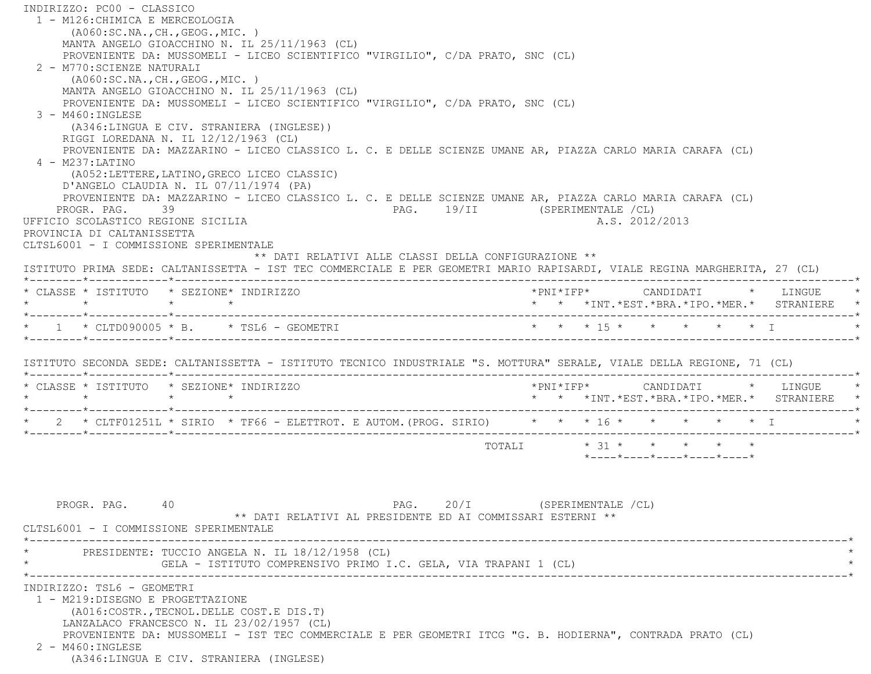INDIRIZZO: PC00 - CLASSICO 1 - M126:CHIMICA E MERCEOLOGIA (A060:SC.NA.,CH.,GEOG.,MIC. ) MANTA ANGELO GIOACCHINO N. IL 25/11/1963 (CL) PROVENIENTE DA: MUSSOMELI - LICEO SCIENTIFICO "VIRGILIO", C/DA PRATO, SNC (CL) 2 - M770:SCIENZE NATURALI (A060:SC.NA.,CH.,GEOG.,MIC. ) MANTA ANGELO GIOACCHINO N. IL 25/11/1963 (CL) PROVENIENTE DA: MUSSOMELI - LICEO SCIENTIFICO "VIRGILIO", C/DA PRATO, SNC (CL) 3 - M460:INGLESE (A346:LINGUA E CIV. STRANIERA (INGLESE)) RIGGI LOREDANA N. IL 12/12/1963 (CL) PROVENIENTE DA: MAZZARINO - LICEO CLASSICO L. C. E DELLE SCIENZE UMANE AR, PIAZZA CARLO MARIA CARAFA (CL) 4 - M237:LATINO (A052:LETTERE,LATINO,GRECO LICEO CLASSIC) D'ANGELO CLAUDIA N. IL 07/11/1974 (PA) PROVENIENTE DA: MAZZARINO - LICEO CLASSICO L. C. E DELLE SCIENZE UMANE AR, PIAZZA CARLO MARIA CARAFA (CL) PROGR. PAG. 39 39 PAG. 19/II (SPERIMENTALE /CL) UFFICIO SCOLASTICO REGIONE SICILIA AND ALS. 2012/2013 PROVINCIA DI CALTANISSETTA CLTSL6001 - I COMMISSIONE SPERIMENTALE \*\* DATI RELATIVI ALLE CLASSI DELLA CONFIGURAZIONE \*\* ISTITUTO PRIMA SEDE: CALTANISSETTA - IST TEC COMMERCIALE E PER GEOMETRI MARIO RAPISARDI, VIALE REGINA MARGHERITA, 27 (CL) \*--------\*------------\*-------------------------------------------------------------------------------------------------------\* \* CLASSE \* ISTITUTO \* SEZIONE\* INDIRIZZO \*PNI\*IFP\* CANDIDATI \* LINGUE \* \* \* \* \* \* \* \*INT.\*EST.\*BRA.\*IPO.\*MER.\* STRANIERE \* \*--------\*------------\*-------------------------------------------------------------------------------------------------------\* \* 1 \* CLTD090005 \* B. \* TSL6 - GEOMETRI \* \* \* 15 \* \* \* \* \* I \* \*--------\*------------\*-------------------------------------------------------------------------------------------------------\* ISTITUTO SECONDA SEDE: CALTANISSETTA - ISTITUTO TECNICO INDUSTRIALE "S. MOTTURA" SERALE, VIALE DELLA REGIONE, 71 (CL) \*--------\*------------\*-------------------------------------------------------------------------------------------------------\* \* CLASSE \* ISTITUTO \* SEZIONE\* INDIRIZZO \*PNI\*IFP\* CANDIDATI \* LINGUE \* \* \* \* \* \* \* \*INT.\*EST.\*BRA.\*IPO.\*MER.\* STRANIERE \* \*--------\*------------\*-------------------------------------------------------------------------------------------------------\*2 \* CLTF01251L \* SIRIO \* TF66 - ELETTROT. E AUTOM. (PROG. SIRIO) \* \* \* \* 16 \* \* \* \* \* \* \* \* I \*--------\*------------\*-------------------------------------------------------------------------------------------------------\* $\texttt{TOTAL} \qquad \qquad \star \quad 31 \; \star \qquad \star \qquad \star \qquad \star \qquad \star \qquad \star$  \*----\*----\*----\*----\*----\*PROGR. PAG. 40 40 PAG. 20/I (SPERIMENTALE /CL) \*\* DATI RELATIVI AL PRESIDENTE ED AI COMMISSARI ESTERNI \*\* CLTSL6001 - I COMMISSIONE SPERIMENTALE \*----------------------------------------------------------------------------------------------------------------------------\*PRESIDENTE: TUCCIO ANGELA N. IL 18/12/1958 (CL) GELA - ISTITUTO COMPRENSIVO PRIMO I.C. GELA, VIA TRAPANI 1 (CL) \*----------------------------------------------------------------------------------------------------------------------------\* INDIRIZZO: TSL6 - GEOMETRI 1 - M219:DISEGNO E PROGETTAZIONE (A016:COSTR.,TECNOL.DELLE COST.E DIS.T) LANZALACO FRANCESCO N. IL 23/02/1957 (CL) PROVENIENTE DA: MUSSOMELI - IST TEC COMMERCIALE E PER GEOMETRI ITCG "G. B. HODIERNA", CONTRADA PRATO (CL) 2 - M460:INGLESE(A346:LINGUA E CIV. STRANIERA (INGLESE)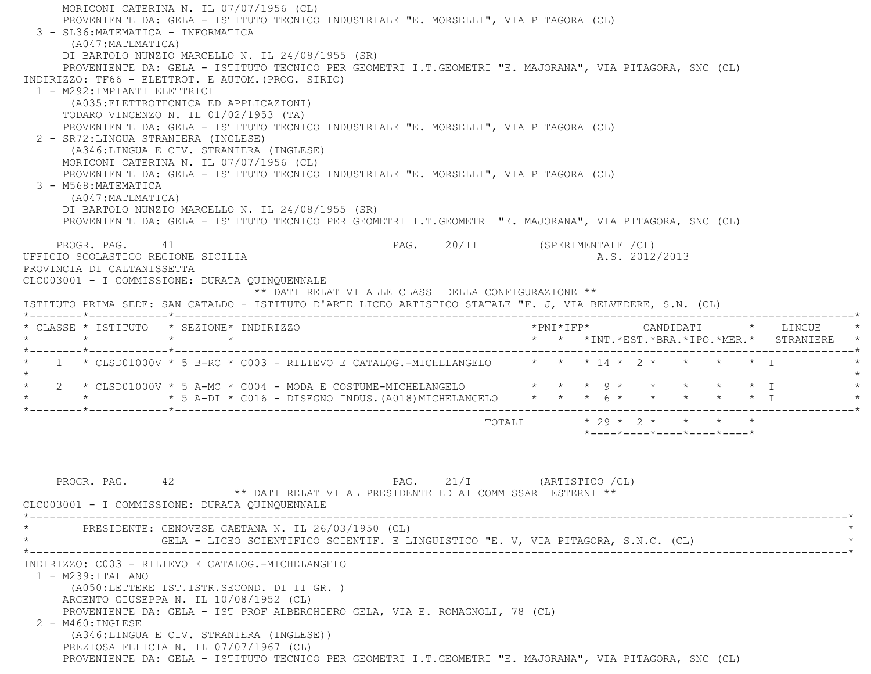MORICONI CATERINA N. IL 07/07/1956 (CL) PROVENIENTE DA: GELA - ISTITUTO TECNICO INDUSTRIALE "E. MORSELLI", VIA PITAGORA (CL) 3 - SL36:MATEMATICA - INFORMATICA (A047:MATEMATICA) DI BARTOLO NUNZIO MARCELLO N. IL 24/08/1955 (SR) PROVENIENTE DA: GELA - ISTITUTO TECNICO PER GEOMETRI I.T.GEOMETRI "E. MAJORANA", VIA PITAGORA, SNC (CL) INDIRIZZO: TF66 - ELETTROT. E AUTOM.(PROG. SIRIO) 1 - M292:IMPIANTI ELETTRICI (A035:ELETTROTECNICA ED APPLICAZIONI) TODARO VINCENZO N. IL 01/02/1953 (TA) PROVENIENTE DA: GELA - ISTITUTO TECNICO INDUSTRIALE "E. MORSELLI", VIA PITAGORA (CL) 2 - SR72:LINGUA STRANIERA (INGLESE) (A346:LINGUA E CIV. STRANIERA (INGLESE) MORICONI CATERINA N. IL 07/07/1956 (CL) PROVENIENTE DA: GELA - ISTITUTO TECNICO INDUSTRIALE "E. MORSELLI", VIA PITAGORA (CL) 3 - M568:MATEMATICA (A047:MATEMATICA) DI BARTOLO NUNZIO MARCELLO N. IL 24/08/1955 (SR) PROVENIENTE DA: GELA - ISTITUTO TECNICO PER GEOMETRI I.T.GEOMETRI "E. MAJORANA", VIA PITAGORA, SNC (CL) PROGR. PAG. 41 PAG. 20/II (SPERIMENTALE /CL) UFFICIO SCOLASTICO REGIONE SICILIA A.S. 2012/2013 PROVINCIA DI CALTANISSETTA CLC003001 - I COMMISSIONE: DURATA QUINQUENNALE \*\* DATI RELATIVI ALLE CLASSI DELLA CONFIGURAZIONE \*\* ISTITUTO PRIMA SEDE: SAN CATALDO - ISTITUTO D'ARTE LICEO ARTISTICO STATALE "F. J, VIA BELVEDERE, S.N. (CL) \*--------\*------------\*-------------------------------------------------------------------------------------------------------\* \* CLASSE \* ISTITUTO \* SEZIONE\* INDIRIZZO \*PNI\*IFP\* CANDIDATI \* LINGUE \* \* \* \* \* \* \* \*INT.\*EST.\*BRA.\*IPO.\*MER.\* STRANIERE \* \*--------\*------------\*-------------------------------------------------------------------------------------------------------\*1 \* CLSD01000V \* 5 B-RC \* C003 - RILIEVO E CATALOG.-MICHELANGELO \* \* \* 14 \* 2 \* \* \* \* \* \* I  $\star$  \* 2 \* CLSD01000V \* 5 A-MC \* C004 - MODA E COSTUME-MICHELANGELO \* \* \* 9 \* \* \* \* \* I \* \* \* \* 5 A-DI \* C016 - DISEGNO INDUS.(A018)MICHELANGELO \* \* \* 6 \* \* \* \* \* I \* \*--------\*------------\*-------------------------------------------------------------------------------------------------------\* $\texttt{TOTALI} \qquad \qquad \star \quad 29 \; \star \quad \ 2 \; \star \qquad \star \qquad \star \qquad \star \qquad \star$  \*----\*----\*----\*----\*----\*PROGR. PAG. 42 21/I (ARTISTICO /CL) \*\* DATI RELATIVI AL PRESIDENTE ED AI COMMISSARI ESTERNI \*\* CLC003001 - I COMMISSIONE: DURATA QUINQUENNALE \*----------------------------------------------------------------------------------------------------------------------------\*PRESIDENTE: GENOVESE GAETANA N. IL 26/03/1950 (CL) GELA - LICEO SCIENTIFICO SCIENTIF. E LINGUISTICO "E. V, VIA PITAGORA, S.N.C. (CL)  $\star$ 

INDIRIZZO: C003 - RILIEVO E CATALOG.-MICHELANGELO

1 - M239:ITALIANO

 (A050:LETTERE IST.ISTR.SECOND. DI II GR. ) ARGENTO GIUSEPPA N. IL 10/08/1952 (CL)

PROVENIENTE DA: GELA - IST PROF ALBERGHIERO GELA, VIA E. ROMAGNOLI, 78 (CL)

2 - M460:INGLESE

(A346:LINGUA E CIV. STRANIERA (INGLESE))

PREZIOSA FELICIA N. IL 07/07/1967 (CL)

PROVENIENTE DA: GELA - ISTITUTO TECNICO PER GEOMETRI I.T.GEOMETRI "E. MAJORANA", VIA PITAGORA, SNC (CL)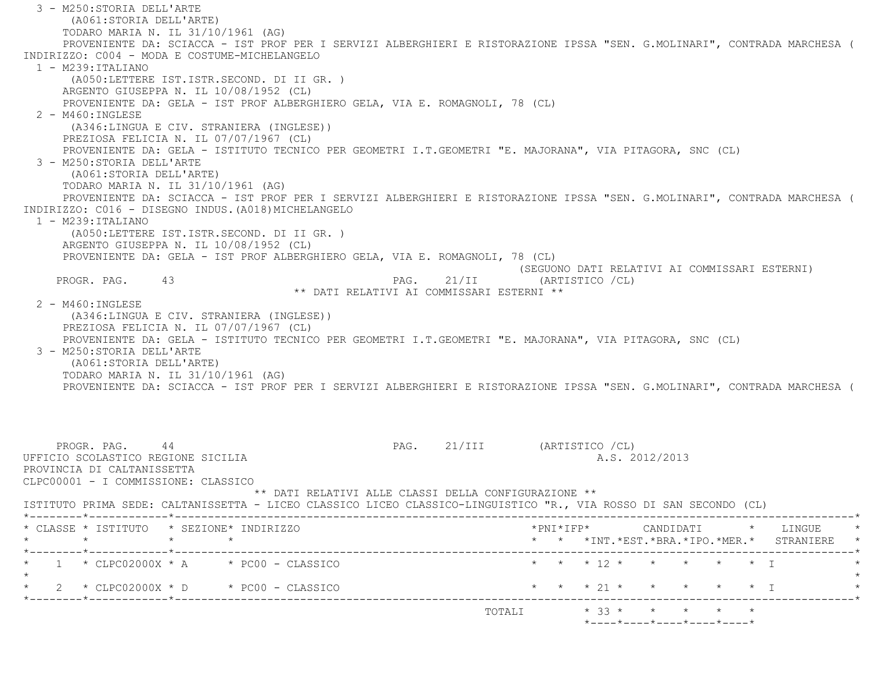3 - M250:STORIA DELL'ARTE (A061:STORIA DELL'ARTE) TODARO MARIA N. IL 31/10/1961 (AG) PROVENIENTE DA: SCIACCA - IST PROF PER I SERVIZI ALBERGHIERI E RISTORAZIONE IPSSA "SEN. G.MOLINARI", CONTRADA MARCHESA ( INDIRIZZO: C004 - MODA E COSTUME-MICHELANGELO $1 - M239 : TTAI, TANO$  (A050:LETTERE IST.ISTR.SECOND. DI II GR. ) ARGENTO GIUSEPPA N. IL 10/08/1952 (CL) PROVENIENTE DA: GELA - IST PROF ALBERGHIERO GELA, VIA E. ROMAGNOLI, 78 (CL)  $2 - M460 \cdot INGIERSE$  (A346:LINGUA E CIV. STRANIERA (INGLESE)) PREZIOSA FELICIA N. IL 07/07/1967 (CL) PROVENIENTE DA: GELA - ISTITUTO TECNICO PER GEOMETRI I.T.GEOMETRI "E. MAJORANA", VIA PITAGORA, SNC (CL) 3 - M250:STORIA DELL'ARTE (A061:STORIA DELL'ARTE) TODARO MARIA N. IL 31/10/1961 (AG) PROVENIENTE DA: SCIACCA - IST PROF PER I SERVIZI ALBERGHIERI E RISTORAZIONE IPSSA "SEN. G.MOLINARI", CONTRADA MARCHESA ( INDIRIZZO: C016 - DISEGNO INDUS. (A018) MICHELANGELO 1 - M239:ITALIANO (A050:LETTERE IST.ISTR.SECOND. DI II GR. ) ARGENTO GIUSEPPA N. IL 10/08/1952 (CL) PROVENIENTE DA: GELA - IST PROF ALBERGHIERO GELA, VIA E. ROMAGNOLI, 78 (CL) (SEGUONO DATI RELATIVI AI COMMISSARI ESTERNI) PROGR. PAG. 43 ARRY 1998 PAG. 21/II (ARTISTICO / CL) \*\* DATI RELATIVI AI COMMISSARI ESTERNI \*\* 2 - M460:INGLESE (A346:LINGUA E CIV. STRANIERA (INGLESE)) PREZIOSA FELICIA N. IL 07/07/1967 (CL) PROVENIENTE DA: GELA - ISTITUTO TECNICO PER GEOMETRI I.T.GEOMETRI "E. MAJORANA", VIA PITAGORA, SNC (CL) 3 - M250:STORIA DELL'ARTE (A061:STORIA DELL'ARTE) TODARO MARIA N. IL 31/10/1961 (AG) PROVENIENTE DA: SCIACCA - IST PROF PER I SERVIZI ALBERGHIERI E RISTORAZIONE IPSSA "SEN. G.MOLINARI", CONTRADA MARCHESA ( PROGR. PAG. 44 PAG. 21/III (ARTISTICO /CL) UFFICIO SCOLASTICO REGIONE SICILIA AND ALS. 2012/2013 PROVINCIA DI CALTANISSETTA CLPC00001 - I COMMISSIONE: CLASSICO \*\* DATI RELATIVI ALLE CLASSI DELLA CONFIGURAZIONE \*\* ISTITUTO PRIMA SEDE: CALTANISSETTA - LICEO CLASSICO LICEO CLASSICO-LINGUISTICO "R., VIA ROSSO DI SAN SECONDO (CL) \*--------\*------------\*-------------------------------------------------------------------------------------------------------\* \* CLASSE \* ISTITUTO \* SEZIONE\* INDIRIZZO \*PNI\*IFP\* CANDIDATI \* LINGUE \* \* \* \* \* \* \* \*INT.\*EST.\*BRA.\*IPO.\*MER.\* STRANIERE \* \*--------\*------------\*-------------------------------------------------------------------------------------------------------\* \* 1 \* CLPC02000X \* A \* PC00 - CLASSICO \* \* \* 12 \* \* \* \* \* I \* $\star$ \* 2 \* CLPC02000X \* D \* PC00 - CLASSICO \* \* \* \* 21 \* \* \* \* \* \* \* I \*--------\*------------\*-------------------------------------------------------------------------------------------------------\*TOTALI  $* 33 * * * * * * * * * *$ \*----\*----\*----\*----\*----\*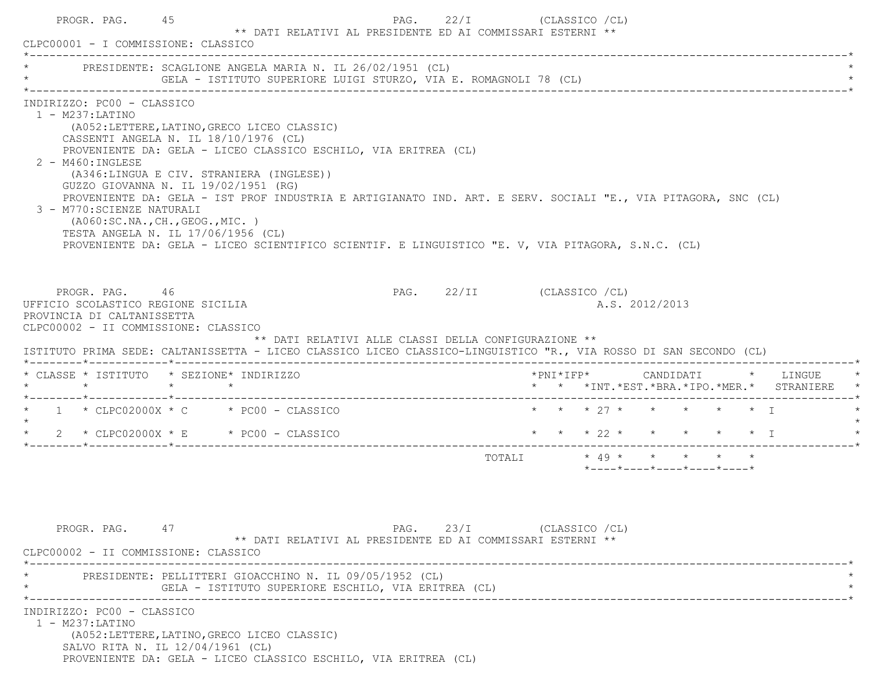| CLPC00001 - I COMMISSIONE: CLASSICO                                                                      | PROGR. PAG. 45                    |         | ** DATI RELATIVI AL PRESIDENTE ED AI COMMISSARI ESTERNI **                                                                                                                                                                                                                                                                                                                                                                                                                                               |                                                      | PAG. 22/I (CLASSICO / CL)  |                         |  |                                                                 |  |                                          |
|----------------------------------------------------------------------------------------------------------|-----------------------------------|---------|----------------------------------------------------------------------------------------------------------------------------------------------------------------------------------------------------------------------------------------------------------------------------------------------------------------------------------------------------------------------------------------------------------------------------------------------------------------------------------------------------------|------------------------------------------------------|----------------------------|-------------------------|--|-----------------------------------------------------------------|--|------------------------------------------|
|                                                                                                          |                                   |         | PRESIDENTE: SCAGLIONE ANGELA MARIA N. IL 26/02/1951 (CL)<br>GELA - ISTITUTO SUPERIORE LUIGI STURZO, VIA E. ROMAGNOLI 78 (CL)                                                                                                                                                                                                                                                                                                                                                                             |                                                      |                            |                         |  |                                                                 |  |                                          |
| INDIRIZZO: PC00 - CLASSICO<br>$1 - M237$ : LATINO<br>$2 - M460$ : INGLESE<br>3 - M770: SCIENZE NATURALI  | ( A060:SC.NA., CH., GEOG., MIC. ) |         | (A052: LETTERE, LATINO, GRECO LICEO CLASSIC)<br>CASSENTI ANGELA N. IL 18/10/1976 (CL)<br>PROVENIENTE DA: GELA - LICEO CLASSICO ESCHILO, VIA ERITREA (CL)<br>(A346:LINGUA E CIV. STRANIERA (INGLESE))<br>GUZZO GIOVANNA N. IL 19/02/1951 (RG)<br>PROVENIENTE DA: GELA - IST PROF INDUSTRIA E ARTIGIANATO IND. ART. E SERV. SOCIALI "E., VIA PITAGORA, SNC (CL)<br>TESTA ANGELA N. IL 17/06/1956 (CL)<br>PROVENIENTE DA: GELA - LICEO SCIENTIFICO SCIENTIF. E LINGUISTICO "E. V, VIA PITAGORA, S.N.C. (CL) |                                                      |                            |                         |  |                                                                 |  |                                          |
| UFFICIO SCOLASTICO REGIONE SICILIA<br>PROVINCIA DI CALTANISSETTA<br>CLPC00002 - II COMMISSIONE: CLASSICO | PROGR. PAG. 46                    |         | ISTITUTO PRIMA SEDE: CALTANISSETTA - LICEO CLASSICO LICEO CLASSICO-LINGUISTICO "R., VIA ROSSO DI SAN SECONDO (CL)                                                                                                                                                                                                                                                                                                                                                                                        | ** DATI RELATIVI ALLE CLASSI DELLA CONFIGURAZIONE ** | PAG. 22/II (CLASSICO / CL) |                         |  | A.S. 2012/2013                                                  |  |                                          |
|                                                                                                          |                                   |         |                                                                                                                                                                                                                                                                                                                                                                                                                                                                                                          |                                                      |                            |                         |  |                                                                 |  |                                          |
| $\star$                                                                                                  |                                   | $\star$ | * CLASSE * ISTITUTO * SEZIONE* INDIRIZZO<br>$\star$                                                                                                                                                                                                                                                                                                                                                                                                                                                      |                                                      |                            |                         |  |                                                                 |  | * * *INT.*EST.*BRA.*IPO.*MER.* STRANIERE |
|                                                                                                          |                                   |         | $1 \times$ CLPC02000X $\star$ C $\star$ PC00 - CLASSICO                                                                                                                                                                                                                                                                                                                                                                                                                                                  |                                                      |                            |                         |  | * * * 27 * * * * * * I                                          |  |                                          |
|                                                                                                          |                                   |         | $\star$ 2 $\star$ CLPC02000X $\star$ E $\star$ PC00 - CLASSICO                                                                                                                                                                                                                                                                                                                                                                                                                                           |                                                      |                            | * * * 22 * * * * * * I  |  |                                                                 |  |                                          |
|                                                                                                          |                                   |         |                                                                                                                                                                                                                                                                                                                                                                                                                                                                                                          |                                                      |                            | TOTALI * 49 * * * * * * |  | $*$ - - - - $*$ - - - - $*$ - - - - $*$ - - - - $*$ - - - - $*$ |  |                                          |
| CLPC00002 - II COMMISSIONE: CLASSICO<br>INDIRIZZO: PC00 - CLASSICO                                       | PROGR. PAG. 47                    |         | ** DATI RELATIVI AL PRESIDENTE ED AI COMMISSARI ESTERNI **<br>PRESIDENTE: PELLITTERI GIOACCHINO N. IL 09/05/1952 (CL)<br>GELA - ISTITUTO SUPERIORE ESCHILO, VIA ERITREA (CL)                                                                                                                                                                                                                                                                                                                             |                                                      | PAG. 23/I (CLASSICO / CL)  |                         |  |                                                                 |  |                                          |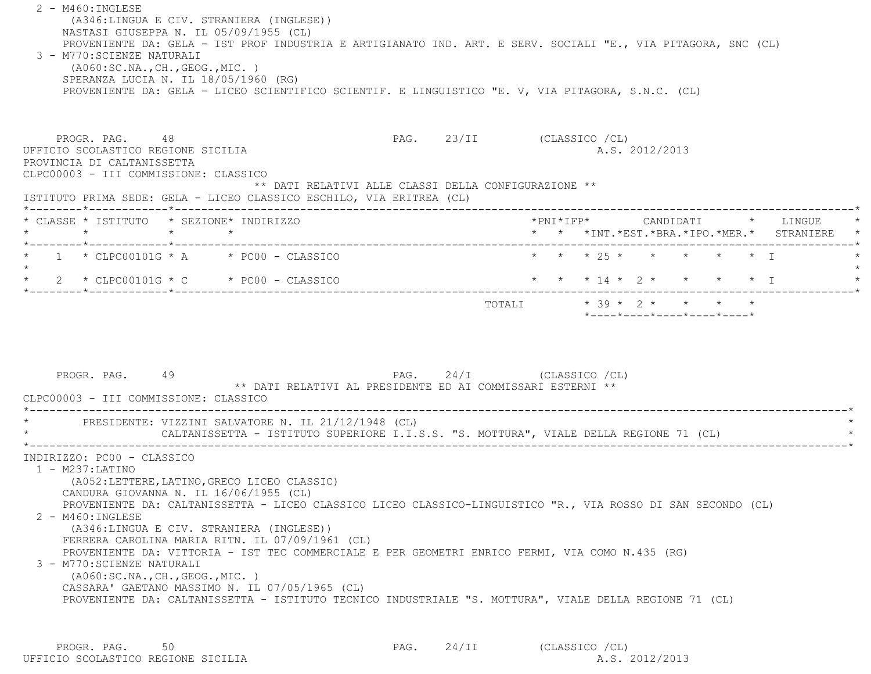2 - M460:INGLESE (A346:LINGUA E CIV. STRANIERA (INGLESE)) NASTASI GIUSEPPA N. IL 05/09/1955 (CL) PROVENIENTE DA: GELA - IST PROF INDUSTRIA E ARTIGIANATO IND. ART. E SERV. SOCIALI "E., VIA PITAGORA, SNC (CL) 3 - M770:SCIENZE NATURALI (A060:SC.NA.,CH.,GEOG.,MIC. ) SPERANZA LUCIA N. IL 18/05/1960 (RG) PROVENIENTE DA: GELA - LICEO SCIENTIFICO SCIENTIF. E LINGUISTICO "E. V, VIA PITAGORA, S.N.C. (CL) PROGR. PAG. 48 PAG. 23/II (CLASSICO /CL) UFFICIO SCOLASTICO REGIONE SICILIA A.S. 2012/2013 PROVINCIA DI CALTANISSETTA CLPC00003 - III COMMISSIONE: CLASSICO \*\* DATI RELATIVI ALLE CLASSI DELLA CONFIGURAZIONE \*\* ISTITUTO PRIMA SEDE: GELA - LICEO CLASSICO ESCHILO, VIA ERITREA (CL) \*--------\*------------\*-------------------------------------------------------------------------------------------------------\* \* CLASSE \* ISTITUTO \* SEZIONE\* INDIRIZZO \*PNI\*IFP\* CANDIDATI \* LINGUE \* \* \* \* \* \* \* \*INT.\*EST.\*BRA.\*IPO.\*MER.\* STRANIERE \* \*--------\*------------\*-------------------------------------------------------------------------------------------------------\* \* 1 \* CLPC00101G \* A \* PC00 - CLASSICO \* \* \* 25 \* \* \* \* \* I \* $\star$ \* 2 \* CLPC00101G \* C \* PC00 - CLASSICO \* \* \* \* 14 \* 2 \* \* \* \* \* \* I \*--------\*------------\*-------------------------------------------------------------------------------------------------------\*TOTALI  $* 39 * 2 * * * * * * * *$  \*----\*----\*----\*----\*----\*PROGR. PAG. 49 PAG. 24/I (CLASSICO /CL) \*\* DATI RELATIVI AL PRESIDENTE ED AI COMMISSARI ESTERNI \*\* CLPC00003 - III COMMISSIONE: CLASSICO \*----------------------------------------------------------------------------------------------------------------------------\*PRESIDENTE: VIZZINI SALVATORE N. IL 21/12/1948 (CL) CALTANISSETTA - ISTITUTO SUPERIORE I.I.S.S. "S. MOTTURA", VIALE DELLA REGIONE 71 (CL) \*----------------------------------------------------------------------------------------------------------------------------\* INDIRIZZO: PC00 - CLASSICO 1 - M237:LATINO (A052:LETTERE,LATINO,GRECO LICEO CLASSIC) CANDURA GIOVANNA N. IL 16/06/1955 (CL) PROVENIENTE DA: CALTANISSETTA - LICEO CLASSICO LICEO CLASSICO-LINGUISTICO "R., VIA ROSSO DI SAN SECONDO (CL) 2 - M460:INGLESE (A346:LINGUA E CIV. STRANIERA (INGLESE)) FERRERA CAROLINA MARIA RITN. IL 07/09/1961 (CL) PROVENIENTE DA: VITTORIA - IST TEC COMMERCIALE E PER GEOMETRI ENRICO FERMI, VIA COMO N.435 (RG) 3 - M770:SCIENZE NATURALI (A060:SC.NA.,CH.,GEOG.,MIC. ) CASSARA' GAETANO MASSIMO N. IL 07/05/1965 (CL) PROVENIENTE DA: CALTANISSETTA - ISTITUTO TECNICO INDUSTRIALE "S. MOTTURA", VIALE DELLA REGIONE 71 (CL)

PROGR. PAG. 50 50 PAG. 24/II (CLASSICO /CL) UFFICIO SCOLASTICO REGIONE SICILIA A.S. 2012/2013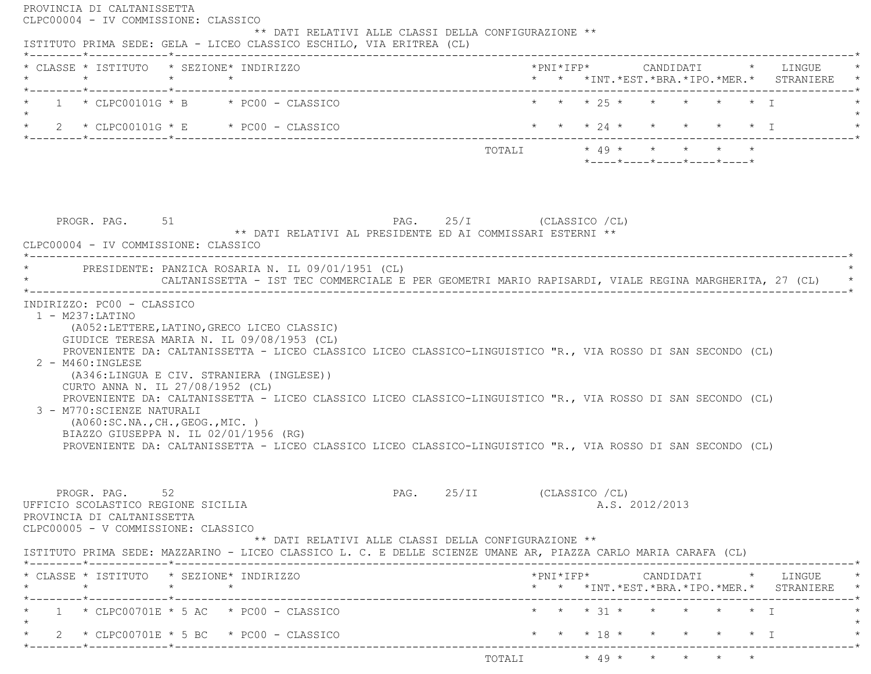| ISTITUTO PRIMA SEDE: GELA - LICEO CLASSICO ESCHILO, VIA ERITREA (CL)                                                                                                                                                                                                                                                                                                                                                                                                                              |                                                                                                        |
|---------------------------------------------------------------------------------------------------------------------------------------------------------------------------------------------------------------------------------------------------------------------------------------------------------------------------------------------------------------------------------------------------------------------------------------------------------------------------------------------------|--------------------------------------------------------------------------------------------------------|
| * CLASSE * ISTITUTO * SEZIONE* INDIRIZZO<br>$\star$ $\star$ $\star$<br>*--------*------------*--------------                                                                                                                                                                                                                                                                                                                                                                                      | *PNI*IFP*     CANDIDATI    *   LINGUE<br>* * *INT. *EST. *BRA. *IPO. *MER. * STRANIERE                 |
| $1 * CLPCO0101G * B * PC00 - CLASSICO$                                                                                                                                                                                                                                                                                                                                                                                                                                                            | * * * 25 * * * * * * T                                                                                 |
| $\star$ 2 $\star$ CLPC00101G $\star$ E $\star$ PC00 - CLASSICO                                                                                                                                                                                                                                                                                                                                                                                                                                    | * * * 24 * * * * * * I                                                                                 |
|                                                                                                                                                                                                                                                                                                                                                                                                                                                                                                   | TOTALI * 49 * * * * * *<br>$*$ - - - - $*$ - - - - $*$ - - - - $*$ - - - - $*$ - - - - $*$             |
| PROGR. PAG. 51<br>** DATI RELATIVI AL PRESIDENTE ED AI COMMISSARI ESTERNI **                                                                                                                                                                                                                                                                                                                                                                                                                      | PAG. 25/I (CLASSICO /CL)                                                                               |
| CLPC00004 - IV COMMISSIONE: CLASSICO<br>------------------------------------<br>* PRESIDENTE: PANZICA ROSARIA N. IL 09/01/1951 (CL)                                                                                                                                                                                                                                                                                                                                                               | CALTANISSETTA - IST TEC COMMERCIALE E PER GEOMETRI MARIO RAPISARDI, VIALE REGINA MARGHERITA, 27 (CL) * |
| (A052:LETTERE, LATINO, GRECO LICEO CLASSIC)<br>GIUDICE TERESA MARIA N. IL 09/08/1953 (CL)<br>PROVENIENTE DA: CALTANISSETTA - LICEO CLASSICO LICEO CLASSICO-LINGUISTICO "R., VIA ROSSO DI SAN SECONDO (CL)                                                                                                                                                                                                                                                                                         |                                                                                                        |
| INDIRIZZO: PC00 - CLASSICO<br>$1 - M237: LATINO$<br>2 - M460: INGLESE<br>(A346:LINGUA E CIV. STRANIERA (INGLESE))<br>CURTO ANNA N. IL 27/08/1952 (CL)<br>PROVENIENTE DA: CALTANISSETTA - LICEO CLASSICO LICEO CLASSICO-LINGUISTICO "R., VIA ROSSO DI SAN SECONDO (CL)<br>3 - M770: SCIENZE NATURALI<br>( A060:SC.NA., CH., GEOG., MIC. )<br>BIAZZO GIUSEPPA N. IL 02/01/1956 (RG)<br>PROVENIENTE DA: CALTANISSETTA - LICEO CLASSICO LICEO CLASSICO-LINGUISTICO "R., VIA ROSSO DI SAN SECONDO (CL) |                                                                                                        |
| 52<br>PROGR. PAG.<br>PAG.<br>UFFICIO SCOLASTICO REGIONE SICILIA<br>PROVINCIA DI CALTANISSETTA<br>CLPC00005 - V COMMISSIONE: CLASSICO                                                                                                                                                                                                                                                                                                                                                              | 25/II<br>(CLASSICO /CL)<br>A.S. 2012/2013                                                              |
| ** DATI RELATIVI ALLE CLASSI DELLA CONFIGURAZIONE **                                                                                                                                                                                                                                                                                                                                                                                                                                              |                                                                                                        |
| ISTITUTO PRIMA SEDE: MAZZARINO - LICEO CLASSICO L. C. E DELLE SCIENZE UMANE AR, PIAZZA CARLO MARIA CARAFA (CL)<br>* CLASSE * ISTITUTO * SEZIONE* INDIRIZZO                                                                                                                                                                                                                                                                                                                                        | *PNI*IFP*     CANDIDATI    *   LINGUE<br>* * *INT.*EST.*BRA.*IPO.*MER.* STRANIERE *                    |
| $1 * CLPCO0701E * 5 AC * PC00 - CLASSICO$                                                                                                                                                                                                                                                                                                                                                                                                                                                         | * * * 31 * * * * * * T                                                                                 |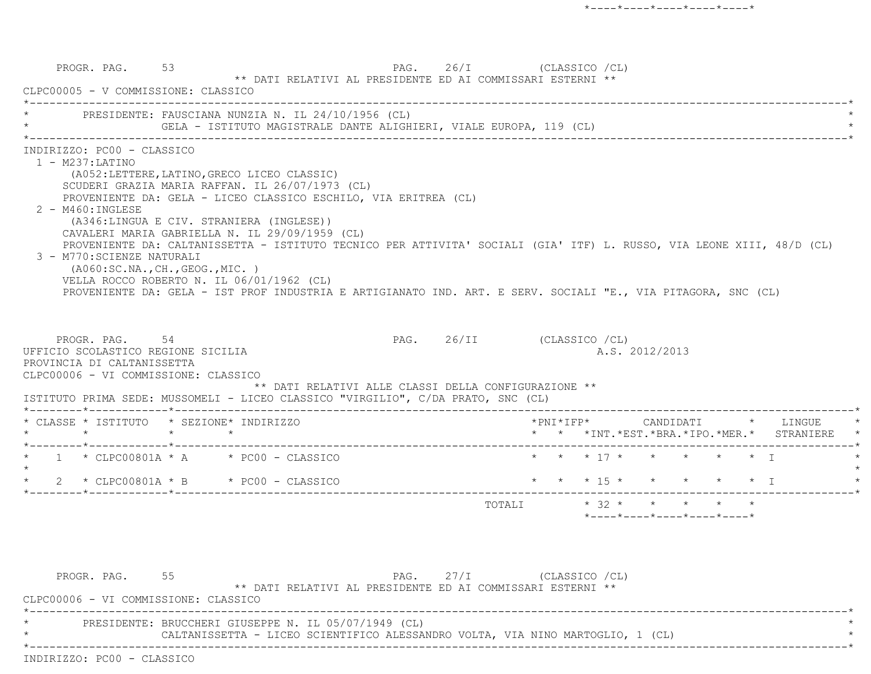PROGR. PAG. 53 PAG. 26/I (CLASSICO /CL) \*\* DATI RELATIVI AL PRESIDENTE ED AI COMMISSARI ESTERNI \*\* CLPC00005 - V COMMISSIONE: CLASSICO \*----------------------------------------------------------------------------------------------------------------------------\*PRESIDENTE: FAUSCIANA NUNZIA N. IL 24/10/1956 (CL) GELA - ISTITUTO MAGISTRALE DANTE ALIGHIERI, VIALE EUROPA, 119 (CL) \*----------------------------------------------------------------------------------------------------------------------------\* INDIRIZZO: PC00 - CLASSICO 1 - M237:LATINO (A052:LETTERE,LATINO,GRECO LICEO CLASSIC) SCUDERI GRAZIA MARIA RAFFAN. IL 26/07/1973 (CL) PROVENIENTE DA: GELA - LICEO CLASSICO ESCHILO, VIA ERITREA (CL) 2 - M460:INGLESE (A346:LINGUA E CIV. STRANIERA (INGLESE)) CAVALERI MARIA GABRIELLA N. IL 29/09/1959 (CL) PROVENIENTE DA: CALTANISSETTA - ISTITUTO TECNICO PER ATTIVITA' SOCIALI (GIA' ITF) L. RUSSO, VIA LEONE XIII, 48/D (CL) 3 - M770:SCIENZE NATURALI (A060:SC.NA.,CH.,GEOG.,MIC. ) VELLA ROCCO ROBERTO N. IL 06/01/1962 (CL) PROVENIENTE DA: GELA - IST PROF INDUSTRIA E ARTIGIANATO IND. ART. E SERV. SOCIALI "E., VIA PITAGORA, SNC (CL) PROGR. PAG. 54 54 PAG. 26/II (CLASSICO /CL) UFFICIO SCOLASTICO REGIONE SICILIA A.S. 2012/2013 PROVINCIA DI CALTANISSETTA CLPC00006 - VI COMMISSIONE: CLASSICO \*\* DATI RELATIVI ALLE CLASSI DELLA CONFIGURAZIONE \*\* ISTITUTO PRIMA SEDE: MUSSOMELI - LICEO CLASSICO "VIRGILIO", C/DA PRATO, SNC (CL) \*--------\*------------\*-------------------------------------------------------------------------------------------------------\* \* CLASSE \* ISTITUTO \* SEZIONE\* INDIRIZZO \*PNI\*IFP\* CANDIDATI \* LINGUE \* \* \* \* \* \* \* \*INT.\*EST.\*BRA.\*IPO.\*MER.\* STRANIERE \* \*--------\*------------\*-------------------------------------------------------------------------------------------------------\*1 \* CLPC00801A \* A \* PC00 - CLASSICO \* \* \* \* 17 \* \* \* \* \* \* \* \* I  $\star$  \* 2 \* CLPC00801A \* B \* PC00 - CLASSICO \* \* \* 15 \* \* \* \* \* I \* \*--------\*------------\*-------------------------------------------------------------------------------------------------------\*TOTALI  $* 32 * * * * * * * * * *$ \*----\*----\*----\*----\*----\*

PROGR. PAG. 55 5 PAG. 27/I (CLASSICO /CL) \*\* DATI RELATIVI AL PRESIDENTE ED AI COMMISSARI ESTERNI \*\* CLPC00006 - VI COMMISSIONE: CLASSICO \*----------------------------------------------------------------------------------------------------------------------------\*PRESIDENTE: BRUCCHERI GIUSEPPE N. IL 05/07/1949 (CL) CALTANISSETTA - LICEO SCIENTIFICO ALESSANDRO VOLTA, VIA NINO MARTOGLIO, 1 (CL) \*----------------------------------------------------------------------------------------------------------------------------\*INDIRIZZO: PC00 - CLASSICO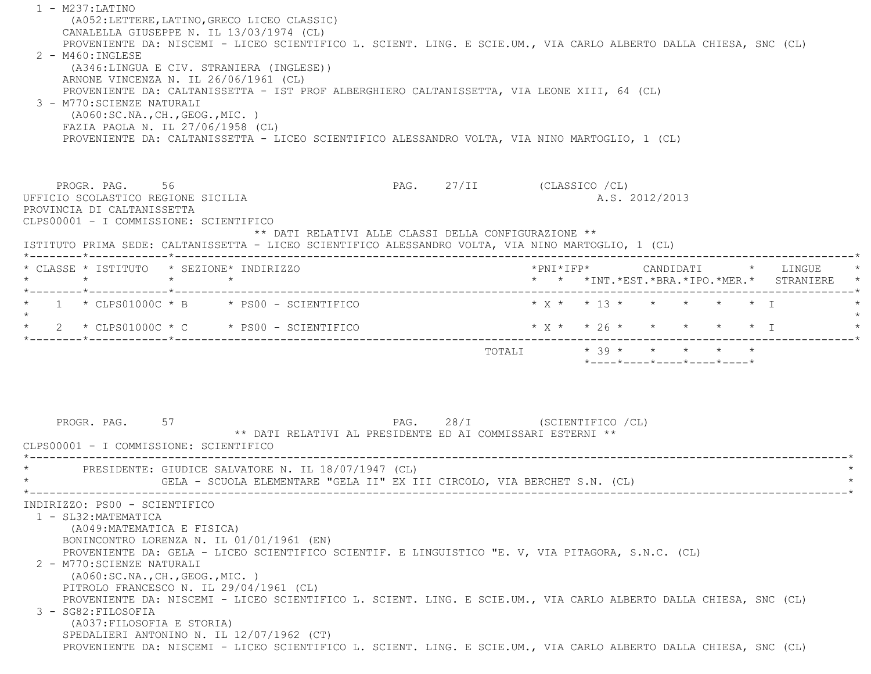1 - M237:LATINO (A052:LETTERE,LATINO,GRECO LICEO CLASSIC) CANALELLA GIUSEPPE N. IL 13/03/1974 (CL) PROVENIENTE DA: NISCEMI - LICEO SCIENTIFICO L. SCIENT. LING. E SCIE.UM., VIA CARLO ALBERTO DALLA CHIESA, SNC (CL) 2 - M460:INGLESE (A346:LINGUA E CIV. STRANIERA (INGLESE)) ARNONE VINCENZA N. IL 26/06/1961 (CL) PROVENIENTE DA: CALTANISSETTA - IST PROF ALBERGHIERO CALTANISSETTA, VIA LEONE XIII, 64 (CL) 3 - M770:SCIENZE NATURALI (A060:SC.NA.,CH.,GEOG.,MIC. ) FAZIA PAOLA N. IL 27/06/1958 (CL) PROVENIENTE DA: CALTANISSETTA - LICEO SCIENTIFICO ALESSANDRO VOLTA, VIA NINO MARTOGLIO, 1 (CL) PROGR. PAG. 56 56 PAG. 27/II (CLASSICO /CL) UFFICIO SCOLASTICO REGIONE SICILIA A.S. 2012/2013 PROVINCIA DI CALTANISSETTA CLPS00001 - I COMMISSIONE: SCIENTIFICO \*\* DATI RELATIVI ALLE CLASSI DELLA CONFIGURAZIONE \*\* ISTITUTO PRIMA SEDE: CALTANISSETTA - LICEO SCIENTIFICO ALESSANDRO VOLTA, VIA NINO MARTOGLIO, 1 (CL) \*--------\*------------\*-------------------------------------------------------------------------------------------------------\* \* CLASSE \* ISTITUTO \* SEZIONE\* INDIRIZZO \*PNI\*IFP\* CANDIDATI \* LINGUE \* \* \* \* \* \* \* \*INT.\*EST.\*BRA.\*IPO.\*MER.\* STRANIERE \* \*--------\*------------\*-------------------------------------------------------------------------------------------------------\*1 \* CLPS01000C \* B \* PS00 - SCIENTIFICO \* \* \* \* \* \* \* \* \* \* \* \* T  $\star$ \* 2 \* CLPS01000C \* C \* PS00 - SCIENTIFICO \* \* \* \* \* \* \* \* \* \* \* I \* \* \* \* I \* \* \* I \* \* \* I \* \* \* \* I \* \* \* \* I \* \* \* \* I \* \* \* \* I \* \* \* \* \* I \* \* \* \* \* I \* \* \* \* \* I \* \* \* \* \* I \* \* \* \* \* I \* \* \* \* \* I \* \* \* \* \* \* \* \* I \*--------\*------------\*-------------------------------------------------------------------------------------------------------\*TOTALI  $* 39 * * * * * * * * *$  \*----\*----\*----\*----\*----\*PROGR. PAG. 57 57 PAG. 28/I (SCIENTIFICO /CL) \*\* DATI RELATIVI AL PRESIDENTE ED AI COMMISSARI ESTERNI \*\* CLPS00001 - I COMMISSIONE: SCIENTIFICO \*----------------------------------------------------------------------------------------------------------------------------\*PRESIDENTE: GIUDICE SALVATORE N. IL 18/07/1947 (CL) GELA - SCUOLA ELEMENTARE "GELA II" EX III CIRCOLO, VIA BERCHET S.N. (CL) \*----------------------------------------------------------------------------------------------------------------------------\* INDIRIZZO: PS00 - SCIENTIFICO 1 - SL32:MATEMATICA (A049:MATEMATICA E FISICA) BONINCONTRO LORENZA N. IL 01/01/1961 (EN) PROVENIENTE DA: GELA - LICEO SCIENTIFICO SCIENTIF. E LINGUISTICO "E. V, VIA PITAGORA, S.N.C. (CL) 2 - M770:SCIENZE NATURALI (A060:SC.NA.,CH.,GEOG.,MIC. ) PITROLO FRANCESCO N. IL 29/04/1961 (CL) PROVENIENTE DA: NISCEMI - LICEO SCIENTIFICO L. SCIENT. LING. E SCIE.UM., VIA CARLO ALBERTO DALLA CHIESA, SNC (CL) 3 - SG82:FILOSOFIA (A037:FILOSOFIA E STORIA) SPEDALIERI ANTONINO N. IL 12/07/1962 (CT) PROVENIENTE DA: NISCEMI - LICEO SCIENTIFICO L. SCIENT. LING. E SCIE.UM., VIA CARLO ALBERTO DALLA CHIESA, SNC (CL)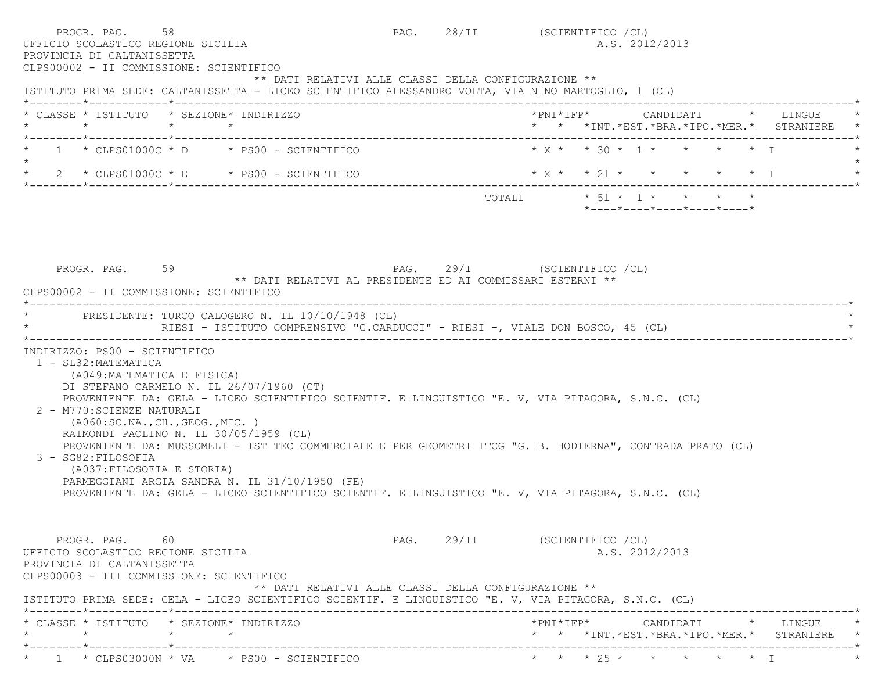| PROGR. PAG.<br>58<br>UFFICIO SCOLASTICO REGIONE SICILIA<br>PROVINCIA DI CALTANISSETTA<br>CLPS00002 - II COMMISSIONE: SCIENTIFICO                                                                                                                                                                                                                                                                                                                                                                                                                                                                                                                                           | PAG. 28/II (SCIENTIFICO /CL)  | A.S. 2012/2013                                                                     |                                                 |
|----------------------------------------------------------------------------------------------------------------------------------------------------------------------------------------------------------------------------------------------------------------------------------------------------------------------------------------------------------------------------------------------------------------------------------------------------------------------------------------------------------------------------------------------------------------------------------------------------------------------------------------------------------------------------|-------------------------------|------------------------------------------------------------------------------------|-------------------------------------------------|
| ** DATI RELATIVI ALLE CLASSI DELLA CONFIGURAZIONE **<br>ISTITUTO PRIMA SEDE: CALTANISSETTA - LICEO SCIENTIFICO ALESSANDRO VOLTA, VIA NINO MARTOGLIO, 1 (CL)                                                                                                                                                                                                                                                                                                                                                                                                                                                                                                                |                               |                                                                                    |                                                 |
| * CLASSE * ISTITUTO * SEZIONE* INDIRIZZO<br>$\star$ $\star$ $\star$                                                                                                                                                                                                                                                                                                                                                                                                                                                                                                                                                                                                        |                               |                                                                                    | * * *INT. *EST. *BRA. *IPO. *MER. * STRANIERE * |
| $1 * CLPS01000C * D * PS00 - SCIENTIFICO$                                                                                                                                                                                                                                                                                                                                                                                                                                                                                                                                                                                                                                  |                               | $* x * * 30 * 1 * * * * * T$                                                       |                                                 |
| $\star$ 2 $\star$ CLPS01000C $\star$ E $\star$ PS00 - SCIENTIFICO                                                                                                                                                                                                                                                                                                                                                                                                                                                                                                                                                                                                          |                               | $\star$ X $\star$ $\star$ 21 $\star$ $\star$ $\star$ $\star$ $\star$ $\star$ $\pm$ |                                                 |
|                                                                                                                                                                                                                                                                                                                                                                                                                                                                                                                                                                                                                                                                            |                               | *----*----*----*----*----*                                                         |                                                 |
|                                                                                                                                                                                                                                                                                                                                                                                                                                                                                                                                                                                                                                                                            |                               |                                                                                    |                                                 |
| PAG. 29/I (SCIENTIFICO /CL)<br>PROGR. PAG. 59<br>** DATI RELATIVI AL PRESIDENTE ED AI COMMISSARI ESTERNI **<br>CLPS00002 - II COMMISSIONE: SCIENTIFICO                                                                                                                                                                                                                                                                                                                                                                                                                                                                                                                     |                               |                                                                                    |                                                 |
| * PRESIDENTE: TURCO CALOGERO N. IL 10/10/1948 (CL)<br>RIESI - ISTITUTO COMPRENSIVO "G.CARDUCCI" - RIESI -, VIALE DON BOSCO, 45 (CL)                                                                                                                                                                                                                                                                                                                                                                                                                                                                                                                                        |                               |                                                                                    |                                                 |
| INDIRIZZO: PS00 - SCIENTIFICO<br>1 - SL32: MATEMATICA<br>(A049: MATEMATICA E FISICA)<br>DI STEFANO CARMELO N. IL 26/07/1960 (CT)<br>PROVENIENTE DA: GELA - LICEO SCIENTIFICO SCIENTIF. E LINGUISTICO "E. V, VIA PITAGORA, S.N.C. (CL)<br>2 - M770: SCIENZE NATURALI<br>(AO60:SC.NA., CH., GEOG., MIC. )<br>RAIMONDI PAOLINO N. IL 30/05/1959 (CL)<br>PROVENIENTE DA: MUSSOMELI - IST TEC COMMERCIALE E PER GEOMETRI ITCG "G. B. HODIERNA", CONTRADA PRATO (CL)<br>3 - SG82: FILOSOFIA<br>(A037: FILOSOFIA E STORIA)<br>PARMEGGIANI ARGIA SANDRA N. IL 31/10/1950 (FE)<br>PROVENIENTE DA: GELA - LICEO SCIENTIFICO SCIENTIF. E LINGUISTICO "E. V, VIA PITAGORA, S.N.C. (CL) |                               |                                                                                    |                                                 |
| PROGR. PAG. 60<br>UFFICIO SCOLASTICO REGIONE SICILIA<br>PROVINCIA DI CALTANISSETTA<br>CLPS00003 - III COMMISSIONE: SCIENTIFICO<br>** DATI RELATIVI ALLE CLASSI DELLA CONFIGURAZIONE **                                                                                                                                                                                                                                                                                                                                                                                                                                                                                     | PAG. 29/II (SCIENTIFICO / CL) | A.S. 2012/2013                                                                     |                                                 |
| ISTITUTO PRIMA SEDE: GELA - LICEO SCIENTIFICO SCIENTIF. E LINGUISTICO "E. V, VIA PITAGORA, S.N.C. (CL)                                                                                                                                                                                                                                                                                                                                                                                                                                                                                                                                                                     |                               |                                                                                    |                                                 |
| * CLASSE * ISTITUTO * SEZIONE* INDIRIZZO<br>$\star$ $\star$<br>$\star$                                                                                                                                                                                                                                                                                                                                                                                                                                                                                                                                                                                                     |                               | *PNI*IFP* CANDIDATI * LINGUE<br>* * *INT. *EST. *BRA. *IPO. *MER. * STRANIERE *    |                                                 |
| $\star$ 1 $\star$ CLPS03000N $\star$ VA $\star$ PS00 - SCIENTIFICO                                                                                                                                                                                                                                                                                                                                                                                                                                                                                                                                                                                                         |                               | * * * 25 * * * * * * I                                                             |                                                 |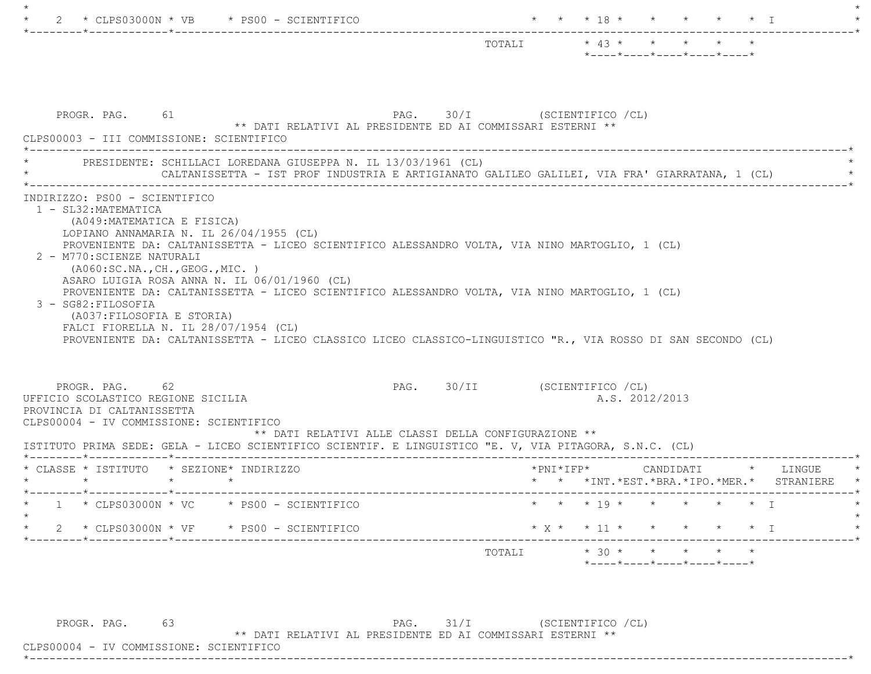|                                                                                                                                                                                                                                                                                                                      | *----*----*----*----*----*                                                                    |
|----------------------------------------------------------------------------------------------------------------------------------------------------------------------------------------------------------------------------------------------------------------------------------------------------------------------|-----------------------------------------------------------------------------------------------|
| PROGR. PAG. 61<br>** DATI RELATIVI AL PRESIDENTE ED AI COMMISSARI ESTERNI **<br>CLPS00003 - III COMMISSIONE: SCIENTIFICO                                                                                                                                                                                             | PAG. 30/I (SCIENTIFICO /CL)                                                                   |
| PRESIDENTE: SCHILLACI LOREDANA GIUSEPPA N. IL 13/03/1961 (CL)                                                                                                                                                                                                                                                        | CALTANISSETTA - IST PROF INDUSTRIA E ARTIGIANATO GALILEO GALILEI, VIA FRA' GIARRATANA, 1 (CL) |
| 1 - SL32: MATEMATICA<br>(A049:MATEMATICA E FISICA)<br>LOPIANO ANNAMARIA N. IL $26/04/1955$ (CL)<br>PROVENIENTE DA: CALTANISSETTA - LICEO SCIENTIFICO ALESSANDRO VOLTA, VIA NINO MARTOGLIO, 1 (CL)<br>2 - M770: SCIENZE NATURALI<br>( A060:SC.NA., CH., GEOG., MIC. )<br>ASARO LUIGIA ROSA ANNA N. IL 06/01/1960 (CL) |                                                                                               |
| PROVENIENTE DA: CALTANISSETTA - LICEO SCIENTIFICO ALESSANDRO VOLTA, VIA NINO MARTOGLIO, 1 (CL)<br>3 - SG82: FILOSOFIA<br>(A037:FILOSOFIA E STORIA)<br>FALCI FIORELLA N. IL $28/07/1954$ (CL)<br>PROVENIENTE DA: CALTANISSETTA - LICEO CLASSICO LICEO CLASSICO-LINGUISTICO "R., VIA ROSSO DI SAN SECONDO (CL)         |                                                                                               |
| PROGR. PAG. 62<br>UFFICIO SCOLASTICO REGIONE SICILIA<br>PROVINCIA DI CALTANISSETTA<br>CLPS00004 - IV COMMISSIONE: SCIENTIFICO<br>** DATI RELATIVI ALLE CLASSI DELLA CONFIGURAZIONE **<br>ISTITUTO PRIMA SEDE: GELA - LICEO SCIENTIFICO SCIENTIF. E LINGUISTICO "E. V, VIA PITAGORA, S.N.C. (CL)                      | PAG. 30/II (SCIENTIFICO / CL)<br>A.S. 2012/2013                                               |
| * CLASSE * ISTITUTO * SEZIONE* INDIRIZZO                                                                                                                                                                                                                                                                             | *PNI*IFP* CANDIDATI * LINGUE                                                                  |
| $\star$ $\qquad$ $\star$                                                                                                                                                                                                                                                                                             | * * *INT. *EST. *BRA. *IPO. *MER. * STRANIERE                                                 |
| $1 \times$ CLPS03000N $\star$ VC $\star$ PS00 - SCIENTIFICO                                                                                                                                                                                                                                                          | * * * 19 * * * * * * T                                                                        |
| 2 * CLPS03000N * VF * PS00 - SCIENTIFICO                                                                                                                                                                                                                                                                             | $\star$ x $\star$ $\star$ 11 $\star$ $\star$ $\star$ $\star$ $\star$ $\star$ $\star$ $\perp$  |

PROGR. PAG. 63 PAG. 31/I (SCIENTIFICO /CL)

\*\* DATI RELATIVI AL PRESIDENTE ED AI COMMISSARI ESTERNI \*\*

 CLPS00004 - IV COMMISSIONE: SCIENTIFICO\*----------------------------------------------------------------------------------------------------------------------------\*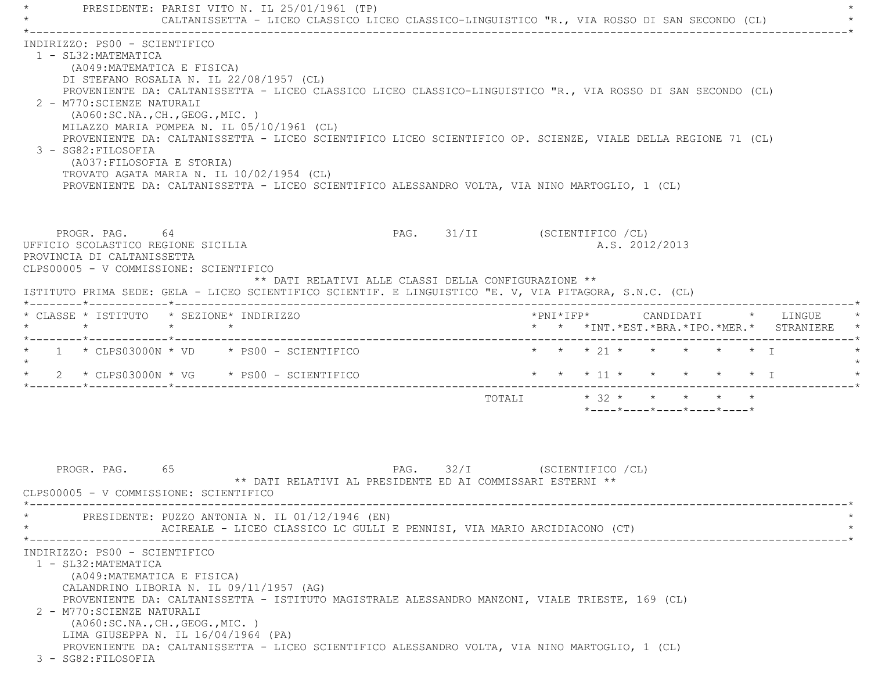PRESIDENTE: PARISI VITO N. IL 25/01/1961 (TP) CALTANISSETTA - LICEO CLASSICO LICEO CLASSICO-LINGUISTICO "R., VIA ROSSO DI SAN SECONDO (CL) \*----------------------------------------------------------------------------------------------------------------------------\* INDIRIZZO: PS00 - SCIENTIFICO 1 - SL32:MATEMATICA (A049:MATEMATICA E FISICA) DI STEFANO ROSALIA N. IL 22/08/1957 (CL) PROVENIENTE DA: CALTANISSETTA - LICEO CLASSICO LICEO CLASSICO-LINGUISTICO "R., VIA ROSSO DI SAN SECONDO (CL) 2 - M770:SCIENZE NATURALI (A060:SC.NA.,CH.,GEOG.,MIC. ) MILAZZO MARIA POMPEA N. IL 05/10/1961 (CL) PROVENIENTE DA: CALTANISSETTA - LICEO SCIENTIFICO LICEO SCIENTIFICO OP. SCIENZE, VIALE DELLA REGIONE 71 (CL) 3 - SG82:FILOSOFIA (A037:FILOSOFIA E STORIA) TROVATO AGATA MARIA N. IL 10/02/1954 (CL) PROVENIENTE DA: CALTANISSETTA - LICEO SCIENTIFICO ALESSANDRO VOLTA, VIA NINO MARTOGLIO, 1 (CL) PROGR. PAG. 64 64 PAG. 31/II (SCIENTIFICO /CL) UFFICIO SCOLASTICO REGIONE SICILIA A.S. 2012/2013 PROVINCIA DI CALTANISSETTA CLPS00005 - V COMMISSIONE: SCIENTIFICO \*\* DATI RELATIVI ALLE CLASSI DELLA CONFIGURAZIONE \*\* ISTITUTO PRIMA SEDE: GELA - LICEO SCIENTIFICO SCIENTIF. E LINGUISTICO "E. V, VIA PITAGORA, S.N.C. (CL) \*--------\*------------\*-------------------------------------------------------------------------------------------------------\* \* CLASSE \* ISTITUTO \* SEZIONE\* INDIRIZZO \*PNI\*IFP\* CANDIDATI \* LINGUE \* \* \* \* \* \* \* \*INT.\*EST.\*BRA.\*IPO.\*MER.\* STRANIERE \* \*--------\*------------\*-------------------------------------------------------------------------------------------------------\*1 \* CLPS03000N \* VD \* PS00 - SCIENTIFICO \* \* \* \* 21 \* \* \* \* \* \* \* I  $\star$ \* 2 \* CLPS03000N \* VG \* PS00 - SCIENTIFICO \* \* \* \* 11 \* \* \* \* \* \* \* T \*--------\*------------\*-------------------------------------------------------------------------------------------------------\*TOTALI  $* 32 * * * * * * * * *$  \*----\*----\*----\*----\*----\*PROGR. PAG. 65 65 PAG. 32/I (SCIENTIFICO /CL) \*\* DATI RELATIVI AL PRESIDENTE ED AI COMMISSARI ESTERNI \*\* CLPS00005 - V COMMISSIONE: SCIENTIFICO \*----------------------------------------------------------------------------------------------------------------------------\*PRESIDENTE: PUZZO ANTONIA N. IL 01/12/1946 (EN) ACIREALE - LICEO CLASSICO LC GULLI E PENNISI, VIA MARIO ARCIDIACONO (CT) \*----------------------------------------------------------------------------------------------------------------------------\* INDIRIZZO: PS00 - SCIENTIFICO 1 - SL32:MATEMATICA (A049:MATEMATICA E FISICA) CALANDRINO LIBORIA N. IL 09/11/1957 (AG) PROVENIENTE DA: CALTANISSETTA - ISTITUTO MAGISTRALE ALESSANDRO MANZONI, VIALE TRIESTE, 169 (CL) 2 - M770:SCIENZE NATURALI (A060:SC.NA.,CH.,GEOG.,MIC. ) LIMA GIUSEPPA N. IL 16/04/1964 (PA) PROVENIENTE DA: CALTANISSETTA - LICEO SCIENTIFICO ALESSANDRO VOLTA, VIA NINO MARTOGLIO, 1 (CL) 3 - SG82:FILOSOFIA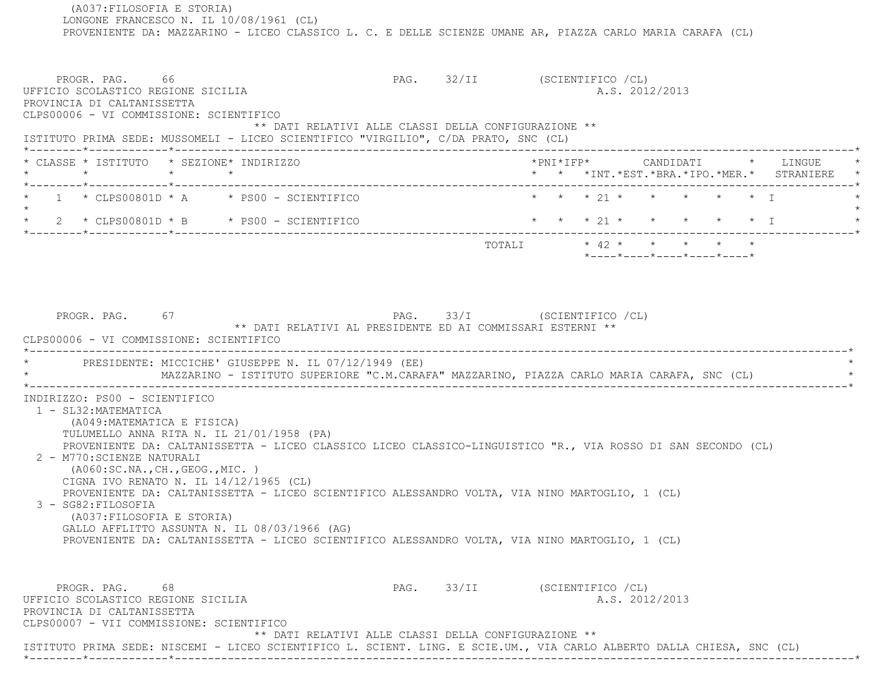(A037:FILOSOFIA E STORIA) LONGONE FRANCESCO N. IL 10/08/1961 (CL) PROVENIENTE DA: MAZZARINO - LICEO CLASSICO L. C. E DELLE SCIENZE UMANE AR, PIAZZA CARLO MARIA CARAFA (CL) PROGR. PAG. 66 66 FAG. 32/II (SCIENTIFICO /CL) UFFICIO SCOLASTICO REGIONE SICILIA A.S. 2012/2013 PROVINCIA DI CALTANISSETTA CLPS00006 - VI COMMISSIONE: SCIENTIFICO \*\* DATI RELATIVI ALLE CLASSI DELLA CONFIGURAZIONE \*\* ISTITUTO PRIMA SEDE: MUSSOMELI - LICEO SCIENTIFICO "VIRGILIO", C/DA PRATO, SNC (CL) \*--------\*------------\*-------------------------------------------------------------------------------------------------------\* \* CLASSE \* ISTITUTO \* SEZIONE\* INDIRIZZO \*PNI\*IFP\* CANDIDATI \* LINGUE \* \* \* \* \* \* \* \*INT.\*EST.\*BRA.\*IPO.\*MER.\* STRANIERE \* \*--------\*------------\*-------------------------------------------------------------------------------------------------------\*1 \* CLPS00801D \* A \* PS00 - SCIENTIFICO \* \* \* \* 21 \* \* \* \* \* \* \* \* I  $\star$  \* 2 \* CLPS00801D \* B \* PS00 - SCIENTIFICO \* \* \* 21 \* \* \* \* \* I \* \*--------\*------------\*-------------------------------------------------------------------------------------------------------\* TOTALI \* 42 \* \* \* \* \* \*----\*----\*----\*----\*----\*PROGR. PAG. 67 67 PAG. 93/I (SCIENTIFICO /CL) \*\* DATI RELATIVI AL PRESIDENTE ED AI COMMISSARI ESTERNI \*\* CLPS00006 - VI COMMISSIONE: SCIENTIFICO \*----------------------------------------------------------------------------------------------------------------------------\*PRESIDENTE: MICCICHE' GIUSEPPE N. IL 07/12/1949 (EE) \* MAZZARINO - ISTITUTO SUPERIORE "C.M.CARAFA" MAZZARINO, PIAZZA CARLO MARIA CARAFA, SNC (CL) \* \*----------------------------------------------------------------------------------------------------------------------------\* INDIRIZZO: PS00 - SCIENTIFICO 1 - SL32:MATEMATICA (A049:MATEMATICA E FISICA) TULUMELLO ANNA RITA N. IL 21/01/1958 (PA) PROVENIENTE DA: CALTANISSETTA - LICEO CLASSICO LICEO CLASSICO-LINGUISTICO "R., VIA ROSSO DI SAN SECONDO (CL) 2 - M770:SCIENZE NATURALI (A060:SC.NA.,CH.,GEOG.,MIC. ) CIGNA IVO RENATO N. IL 14/12/1965 (CL) PROVENIENTE DA: CALTANISSETTA - LICEO SCIENTIFICO ALESSANDRO VOLTA, VIA NINO MARTOGLIO, 1 (CL) 3 - SG82:FILOSOFIA (A037:FILOSOFIA E STORIA) GALLO AFFLITTO ASSUNTA N. IL 08/03/1966 (AG) PROVENIENTE DA: CALTANISSETTA - LICEO SCIENTIFICO ALESSANDRO VOLTA, VIA NINO MARTOGLIO, 1 (CL) PROGR. PAG. 68 68 PAG. 33/II (SCIENTIFICO /CL) UFFICIO SCOLASTICO REGIONE SICILIA A.S. 2012/2013 PROVINCIA DI CALTANISSETTA CLPS00007 - VII COMMISSIONE: SCIENTIFICO \*\* DATI RELATIVI ALLE CLASSI DELLA CONFIGURAZIONE \*\*ISTITUTO PRIMA SEDE: NISCEMI - LICEO SCIENTIFICO L. SCIENT. LING. E SCIE.UM., VIA CARLO ALBERTO DALLA CHIESA, SNC (CL)

\*--------\*------------\*-------------------------------------------------------------------------------------------------------\*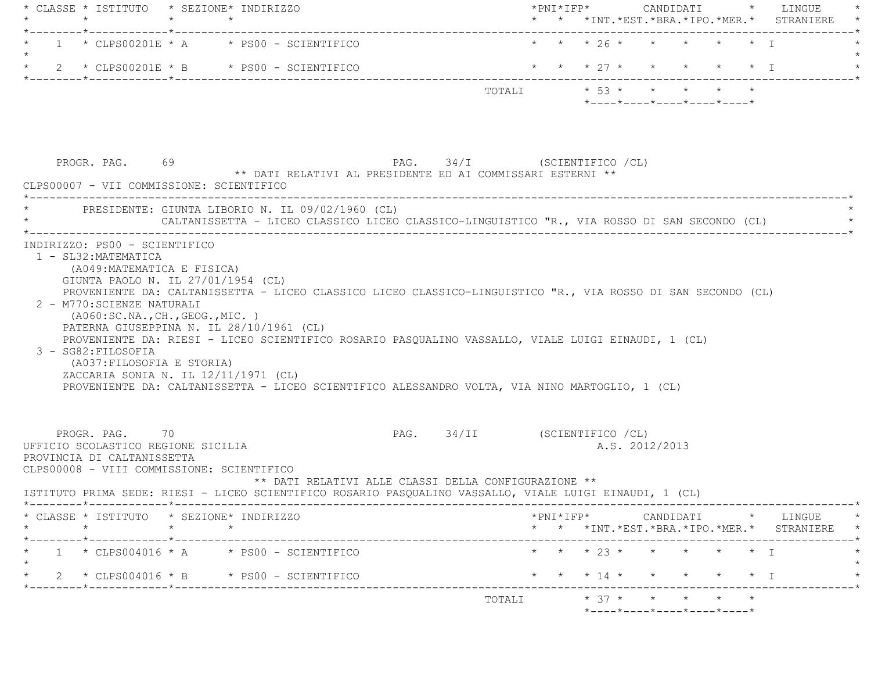|                                                                                                                                                                                                    |         | * CLASSE * ISTITUTO * SEZIONE* INDIRIZZO                                                                                                                                                                                                                                                                                                                         |                              |  |                                                                    |                |  | * *INT. *EST. *BRA. *IPO. *MER. * STRANIERE                                                                                                        |
|----------------------------------------------------------------------------------------------------------------------------------------------------------------------------------------------------|---------|------------------------------------------------------------------------------------------------------------------------------------------------------------------------------------------------------------------------------------------------------------------------------------------------------------------------------------------------------------------|------------------------------|--|--------------------------------------------------------------------|----------------|--|----------------------------------------------------------------------------------------------------------------------------------------------------|
|                                                                                                                                                                                                    |         | $1 * CLPSO0201E * A * PS00 - SCIENTIFICO$                                                                                                                                                                                                                                                                                                                        |                              |  | * * * 26 * * * * * * I                                             |                |  |                                                                                                                                                    |
|                                                                                                                                                                                                    |         | * $2$ * CLPS00201E * B * PS00 - SCIENTIFICO                                                                                                                                                                                                                                                                                                                      |                              |  |                                                                    |                |  | * * * 27 * * * * * * I                                                                                                                             |
|                                                                                                                                                                                                    |         |                                                                                                                                                                                                                                                                                                                                                                  |                              |  | TOTALI * 53 * * * * * *<br>$*$ ---- $*$ ---- $*$ ---- $*$ ---- $*$ |                |  |                                                                                                                                                    |
| PROGR. PAG. 69<br>CLPS00007 - VII COMMISSIONE: SCIENTIFICO                                                                                                                                         |         | ** DATI RELATIVI AL PRESIDENTE ED AI COMMISSARI ESTERNI **                                                                                                                                                                                                                                                                                                       | PAG. 34/I (SCIENTIFICO / CL) |  |                                                                    |                |  |                                                                                                                                                    |
|                                                                                                                                                                                                    |         | PRESIDENTE: GIUNTA LIBORIO N. IL 09/02/1960 (CL)<br>CALTANISSETTA - LICEO CLASSICO LICEO CLASSICO-LINGUISTICO "R., VIA ROSSO DI SAN SECONDO (CL)                                                                                                                                                                                                                 |                              |  |                                                                    |                |  |                                                                                                                                                    |
| GIUNTA PAOLO N. IL 27/01/1954 (CL)<br>2 - M770: SCIENZE NATURALI<br>( A060:SC.NA., CH., GEOG., MIC. )<br>3 - SG82: FILOSOFIA<br>(A037: FILOSOFIA E STORIA)<br>ZACCARIA SONIA N. IL 12/11/1971 (CL) |         | PROVENIENTE DA: CALTANISSETTA - LICEO CLASSICO LICEO CLASSICO-LINGUISTICO "R., VIA ROSSO DI SAN SECONDO (CL)<br>PATERNA GIUSEPPINA N. IL 28/10/1961 (CL)<br>PROVENIENTE DA: RIESI - LICEO SCIENTIFICO ROSARIO PASQUALINO VASSALLO, VIALE LUIGI EINAUDI, 1 (CL)<br>PROVENIENTE DA: CALTANISSETTA - LICEO SCIENTIFICO ALESSANDRO VOLTA, VIA NINO MARTOGLIO, 1 (CL) |                              |  |                                                                    |                |  |                                                                                                                                                    |
| PROGR. PAG. 70<br>UFFICIO SCOLASTICO REGIONE SICILIA<br>PROVINCIA DI CALTANISSETTA<br>CLPS00008 - VIII COMMISSIONE: SCIENTIFICO                                                                    |         | ** DATI RELATIVI ALLE CLASSI DELLA CONFIGURAZIONE **                                                                                                                                                                                                                                                                                                             | PAG. 34/II (SCIENTIFICO /CL) |  |                                                                    | A.S. 2012/2013 |  |                                                                                                                                                    |
|                                                                                                                                                                                                    |         | ISTITUTO PRIMA SEDE: RIESI - LICEO SCIENTIFICO ROSARIO PASOUALINO VASSALLO, VIALE LUIGI EINAUDI, 1 (CL)                                                                                                                                                                                                                                                          |                              |  |                                                                    |                |  |                                                                                                                                                    |
| * CLASSE * ISTITUTO * SEZIONE* INDIRIZZO<br>$\star$                                                                                                                                                | $\star$ | $\star$                                                                                                                                                                                                                                                                                                                                                          |                              |  |                                                                    |                |  | $*PNI*IFP* \qquad \qquad \text{CANDIDATI} \qquad \qquad * \qquad \text{LINGUE} \qquad \qquad *$<br>* * *INT. *EST. *BRA. *IPO. *MER. * STRANIERE * |
|                                                                                                                                                                                                    |         | $1 * CLPS004016 * A * PS00 - SCIENTIFICO$                                                                                                                                                                                                                                                                                                                        |                              |  | * * * 23 * * * * * * I                                             |                |  |                                                                                                                                                    |
|                                                                                                                                                                                                    |         | 2 * CLPS004016 * B * PS00 - SCIENTIFICO                                                                                                                                                                                                                                                                                                                          |                              |  | * * * 14 * *                                                       |                |  | $\star$ $\star$ $\star$ $\perp$                                                                                                                    |
|                                                                                                                                                                                                    |         |                                                                                                                                                                                                                                                                                                                                                                  |                              |  | TOTALI * 37 * * * * * *                                            |                |  |                                                                                                                                                    |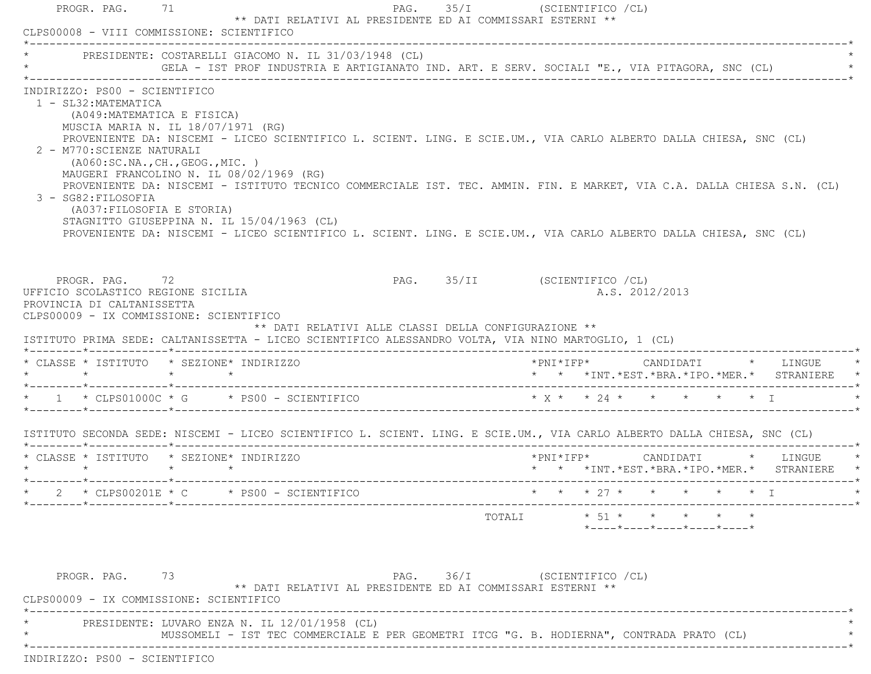|                                                                                                                                                                                                                                                   | PRESIDENTE: COSTARELLI GIACOMO N. IL 31/03/1948 (CL)<br>GELA – IST PROF INDUSTRIA E ARTIGIANATO IND. ART. E SERV. SOCIALI "E., VIA PITAGORA, SNC (CL)                                                                                                                                                                                                                                                                                                      |                                                                                       |        |                                                                                       |  |                                            |
|---------------------------------------------------------------------------------------------------------------------------------------------------------------------------------------------------------------------------------------------------|------------------------------------------------------------------------------------------------------------------------------------------------------------------------------------------------------------------------------------------------------------------------------------------------------------------------------------------------------------------------------------------------------------------------------------------------------------|---------------------------------------------------------------------------------------|--------|---------------------------------------------------------------------------------------|--|--------------------------------------------|
| INDIRIZZO: PS00 - SCIENTIFICO<br>1 - SL32: MATEMATICA<br>(A049: MATEMATICA E FISICA)<br>MUSCIA MARIA N. IL 18/07/1971 (RG)<br>2 - M770: SCIENZE NATURALI<br>( A060:SC.NA., CH., GEOG., MIC. )<br>3 - SG82: FILOSOFIA<br>(A037:FILOSOFIA E STORIA) | PROVENIENTE DA: NISCEMI - LICEO SCIENTIFICO L. SCIENT. LING. E SCIE.UM., VIA CARLO ALBERTO DALLA CHIESA, SNC (CL)<br>MAUGERI FRANCOLINO N. IL 08/02/1969 (RG)<br>PROVENIENTE DA: NISCEMI - ISTITUTO TECNICO COMMERCIALE IST. TEC. AMMIN. FIN. E MARKET, VIA C.A. DALLA CHIESA S.N. (CL)<br>STAGNITTO GIUSEPPINA N. IL 15/04/1963 (CL)<br>PROVENIENTE DA: NISCEMI - LICEO SCIENTIFICO L. SCIENT. LING. E SCIE.UM., VIA CARLO ALBERTO DALLA CHIESA, SNC (CL) |                                                                                       |        |                                                                                       |  |                                            |
|                                                                                                                                                                                                                                                   |                                                                                                                                                                                                                                                                                                                                                                                                                                                            |                                                                                       |        |                                                                                       |  |                                            |
| PROGR. PAG. 72<br>UFFICIO SCOLASTICO REGIONE SICILIA<br>PROVINCIA DI CALTANISSETTA<br>CLPS00009 - IX COMMISSIONE: SCIENTIFICO                                                                                                                     | ISTITUTO PRIMA SEDE: CALTANISSETTA - LICEO SCIENTIFICO ALESSANDRO VOLTA, VIA NINO MARTOGLIO, 1 (CL)                                                                                                                                                                                                                                                                                                                                                        | PAG. 35/II (SCIENTIFICO / CL)<br>** DATI RELATIVI ALLE CLASSI DELLA CONFIGURAZIONE ** |        | A.S. 2012/2013                                                                        |  |                                            |
|                                                                                                                                                                                                                                                   | * CLASSE * ISTITUTO * SEZIONE* INDIRIZZO                                                                                                                                                                                                                                                                                                                                                                                                                   |                                                                                       |        |                                                                                       |  | * * *INT.*EST.*BRA.*IPO.*MER.* STRANIERE * |
|                                                                                                                                                                                                                                                   | * 1 * CLPS01000C * G * PS00 - SCIENTIFICO * * * * * * * * * * * * * * T                                                                                                                                                                                                                                                                                                                                                                                    |                                                                                       |        |                                                                                       |  |                                            |
|                                                                                                                                                                                                                                                   | ISTITUTO SECONDA SEDE: NISCEMI - LICEO SCIENTIFICO L. SCIENT. LING. E SCIE.UM., VIA CARLO ALBERTO DALLA CHIESA, SNC (CL)                                                                                                                                                                                                                                                                                                                                   |                                                                                       |        |                                                                                       |  |                                            |
|                                                                                                                                                                                                                                                   | * CLASSE * ISTITUTO * SEZIONE* INDIRIZZO                                                                                                                                                                                                                                                                                                                                                                                                                   |                                                                                       |        |                                                                                       |  | * * *INT.*EST.*BRA.*IPO.*MER.* STRANIERE   |
|                                                                                                                                                                                                                                                   | * $2$ * CLPS00201E * C * PS00 - SCIENTIFICO                                                                                                                                                                                                                                                                                                                                                                                                                | * * * 27 * * * * * * I                                                                |        |                                                                                       |  |                                            |
|                                                                                                                                                                                                                                                   |                                                                                                                                                                                                                                                                                                                                                                                                                                                            |                                                                                       | TOTALI | $\star$ 51 $\star$ $\star$ $\star$ $\star$<br>$*$ ---- $*$ ---- $*$ ---- $*$ ---- $*$ |  |                                            |

\* \* \* MUSSOMELI - IST TEC COMMERCIALE E PER GEOMETRI ITCG "G. B. HODIERNA", CONTRADA PRATO (CL) \*

\*----------------------------------------------------------------------------------------------------------------------------\*

INDIRIZZO: PS00 - SCIENTIFICO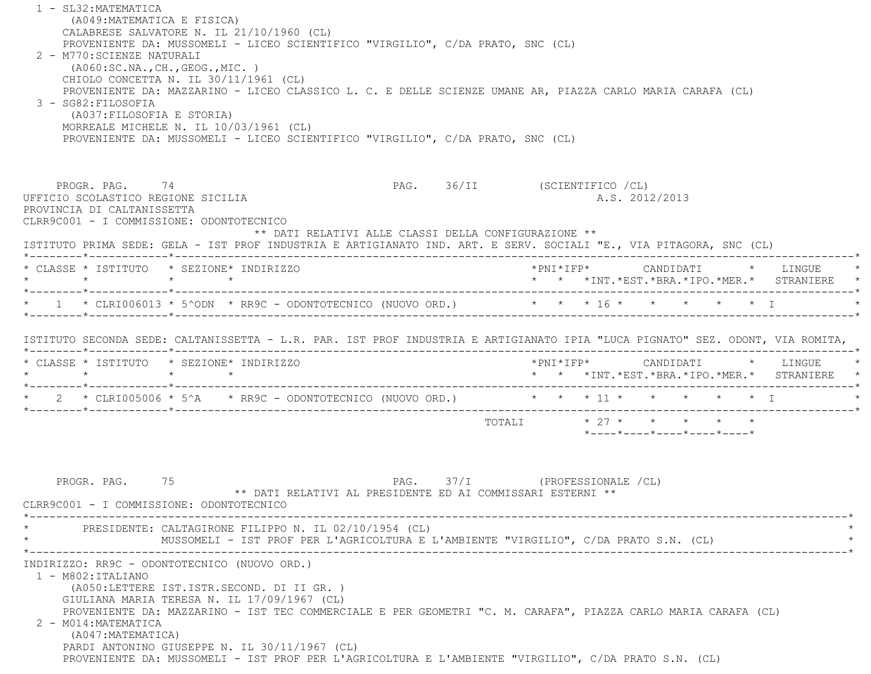1 - SL32:MATEMATICA (A049:MATEMATICA E FISICA) CALABRESE SALVATORE N. IL 21/10/1960 (CL) PROVENIENTE DA: MUSSOMELI - LICEO SCIENTIFICO "VIRGILIO", C/DA PRATO, SNC (CL) 2 - M770:SCIENZE NATURALI (A060:SC.NA.,CH.,GEOG.,MIC. ) CHIOLO CONCETTA N. IL 30/11/1961 (CL) PROVENIENTE DA: MAZZARINO - LICEO CLASSICO L. C. E DELLE SCIENZE UMANE AR, PIAZZA CARLO MARIA CARAFA (CL) 3 - SG82:FILOSOFIA (A037:FILOSOFIA E STORIA) MORREALE MICHELE N. IL 10/03/1961 (CL) PROVENIENTE DA: MUSSOMELI - LICEO SCIENTIFICO "VIRGILIO", C/DA PRATO, SNC (CL) PROGR. PAG. 74 PAG. 36/II (SCIENTIFICO /CL) UFFICIO SCOLASTICO REGIONE SICILIA A.S. 2012/2013 PROVINCIA DI CALTANISSETTA CLRR9C001 - I COMMISSIONE: ODONTOTECNICO \*\* DATI RELATIVI ALLE CLASSI DELLA CONFIGURAZIONE \*\* ISTITUTO PRIMA SEDE: GELA - IST PROF INDUSTRIA E ARTIGIANATO IND. ART. E SERV. SOCIALI "E., VIA PITAGORA, SNC (CL) \*--------\*------------\*-------------------------------------------------------------------------------------------------------\* \* CLASSE \* ISTITUTO \* SEZIONE\* INDIRIZZO \*PNI\*IFP\* CANDIDATI \* LINGUE \* \* \* \* \* \* \* \*INT.\*EST.\*BRA.\*IPO.\*MER.\* STRANIERE \* \*--------\*------------\*-------------------------------------------------------------------------------------------------------\*1 \* CLRI006013 \* 5^ODN \* RR9C - ODONTOTECNICO (NUOVO ORD.) \* \* \* \* 16 \* \* \* \* \* \* \* I \*--------\*------------\*-------------------------------------------------------------------------------------------------------\* ISTITUTO SECONDA SEDE: CALTANISSETTA - L.R. PAR. IST PROF INDUSTRIA E ARTIGIANATO IPIA "LUCA PIGNATO" SEZ. ODONT, VIA ROMITA, \*--------\*------------\*-------------------------------------------------------------------------------------------------------\* \* CLASSE \* ISTITUTO \* SEZIONE\* INDIRIZZO \*PNI\*IFP\* CANDIDATI \* LINGUE \* \* \* \* \* \* \* \*INT.\*EST.\*BRA.\*IPO.\*MER.\* STRANIERE \* \*--------\*------------\*-------------------------------------------------------------------------------------------------------\*2 \* CLRI005006 \* 5^A \* RR9C - ODONTOTECNICO (NUOVO ORD.) \* \* \* \* 11 \* \* \* \* \* \* \* I \*--------\*------------\*-------------------------------------------------------------------------------------------------------\*TOTALI  $* 27 * * * * * * * *$  \*----\*----\*----\*----\*----\*PROGR. PAG. 75 2009 PAG. 37/I (PROFESSIONALE /CL) \*\* DATI RELATIVI AL PRESIDENTE ED AI COMMISSARI ESTERNI \*\* CLRR9C001 - I COMMISSIONE: ODONTOTECNICO \*----------------------------------------------------------------------------------------------------------------------------\*PRESIDENTE: CALTAGIRONE FILIPPO N. IL 02/10/1954 (CL) MUSSOMELI - IST PROF PER L'AGRICOLTURA E L'AMBIENTE "VIRGILIO", C/DA PRATO S.N. (CL) \*----------------------------------------------------------------------------------------------------------------------------\* INDIRIZZO: RR9C - ODONTOTECNICO (NUOVO ORD.) 1 - M802:ITALIANO (A050:LETTERE IST.ISTR.SECOND. DI II GR. ) GIULIANA MARIA TERESA N. IL 17/09/1967 (CL) PROVENIENTE DA: MAZZARINO - IST TEC COMMERCIALE E PER GEOMETRI "C. M. CARAFA", PIAZZA CARLO MARIA CARAFA (CL) 2 - M014:MATEMATICA (A047:MATEMATICA) PARDI ANTONINO GIUSEPPE N. IL 30/11/1967 (CL) PROVENIENTE DA: MUSSOMELI - IST PROF PER L'AGRICOLTURA E L'AMBIENTE "VIRGILIO", C/DA PRATO S.N. (CL)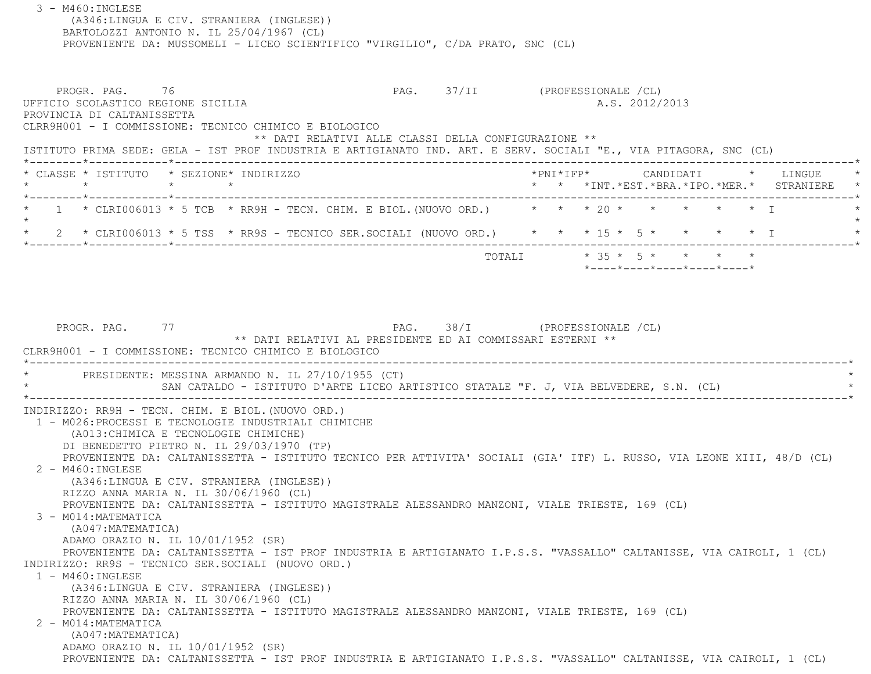(A346:LINGUA E CIV. STRANIERA (INGLESE)) BARTOLOZZI ANTONIO N. IL 25/04/1967 (CL) PROVENIENTE DA: MUSSOMELI - LICEO SCIENTIFICO "VIRGILIO", C/DA PRATO, SNC (CL) PROGR. PAG. 76 76 PAG. 37/II (PROFESSIONALE /CL) UFFICIO SCOLASTICO REGIONE SICILIA A.S. 2012/2013 PROVINCIA DI CALTANISSETTA CLRR9H001 - I COMMISSIONE: TECNICO CHIMICO E BIOLOGICO \*\* DATI RELATIVI ALLE CLASSI DELLA CONFIGURAZIONE \*\* ISTITUTO PRIMA SEDE: GELA - IST PROF INDUSTRIA E ARTIGIANATO IND. ART. E SERV. SOCIALI "E., VIA PITAGORA, SNC (CL) \*--------\*------------\*-------------------------------------------------------------------------------------------------------\* \* CLASSE \* ISTITUTO \* SEZIONE\* INDIRIZZO \*PNI\*IFP\* CANDIDATI \* LINGUE \* \* \* \* \* \* \* \*INT.\*EST.\*BRA.\*IPO.\*MER.\* STRANIERE \* \*--------\*------------\*-------------------------------------------------------------------------------------------------------\* $1 \times$  CLRI006013  $*$  5 TCB  $*$  RR9H - TECN. CHIM. E BIOL. (NUOVO ORD.)  $* \times \times 20 \times \times \times \times 10^{-4}$  $\star$ 2 \* CLRI006013 \* 5 TSS \* RR9S - TECNICO SER.SOCIALI (NUOVO ORD.) \* \* \* 15 \* 5 \* \* \* \* \* \* I \*--------\*------------\*-------------------------------------------------------------------------------------------------------\* TOTALI \* 35 \* 5 \* \* \* \* \*----\*----\*----\*----\*----\*PROGR. PAG. 77 PAG. 38/I (PROFESSIONALE /CL) \*\* DATI RELATIVI AL PRESIDENTE ED AI COMMISSARI ESTERNI \*\* CLRR9H001 - I COMMISSIONE: TECNICO CHIMICO E BIOLOGICO-------------------------------PRESIDENTE: MESSINA ARMANDO N. IL 27/10/1955 (CT) SAN CATALDO - ISTITUTO D'ARTE LICEO ARTISTICO STATALE "F. J, VIA BELVEDERE, S.N. (CL) \*----------------------------------------------------------------------------------------------------------------------------\* INDIRIZZO: RR9H - TECN. CHIM. E BIOL.(NUOVO ORD.) 1 - M026:PROCESSI E TECNOLOGIE INDUSTRIALI CHIMICHE (A013:CHIMICA E TECNOLOGIE CHIMICHE) DI BENEDETTO PIETRO N. IL 29/03/1970 (TP) PROVENIENTE DA: CALTANISSETTA - ISTITUTO TECNICO PER ATTIVITA' SOCIALI (GIA' ITF) L. RUSSO, VIA LEONE XIII, 48/D (CL) 2 - M460:INGLESE (A346:LINGUA E CIV. STRANIERA (INGLESE)) RIZZO ANNA MARIA N. IL 30/06/1960 (CL) PROVENIENTE DA: CALTANISSETTA - ISTITUTO MAGISTRALE ALESSANDRO MANZONI, VIALE TRIESTE, 169 (CL) 3 - M014:MATEMATICA (A047:MATEMATICA) ADAMO ORAZIO N. IL 10/01/1952 (SR) PROVENIENTE DA: CALTANISSETTA - IST PROF INDUSTRIA E ARTIGIANATO I.P.S.S. "VASSALLO" CALTANISSE, VIA CAIROLI, 1 (CL) INDIRIZZO: RR9S - TECNICO SER.SOCIALI (NUOVO ORD.) 1 - M460:INGLESE (A346:LINGUA E CIV. STRANIERA (INGLESE)) RIZZO ANNA MARIA N. IL 30/06/1960 (CL) PROVENIENTE DA: CALTANISSETTA - ISTITUTO MAGISTRALE ALESSANDRO MANZONI, VIALE TRIESTE, 169 (CL) 2 - M014:MATEMATICA (A047:MATEMATICA) ADAMO ORAZIO N. IL 10/01/1952 (SR) PROVENIENTE DA: CALTANISSETTA - IST PROF INDUSTRIA E ARTIGIANATO I.P.S.S. "VASSALLO" CALTANISSE, VIA CAIROLI, 1 (CL)

3 - M460:INGLESE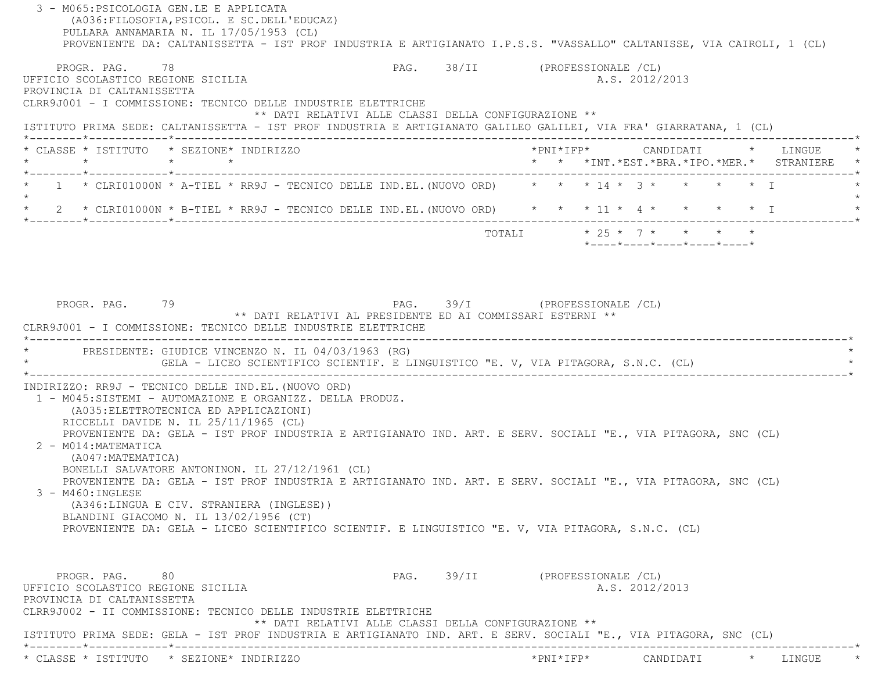| PROVENIENTE DA: CALTANISSETTA - IST PROF INDUSTRIA E ARTIGIANATO I.P.S.S. "VASSALLO" CALTANISSE, VIA CAIROLI, 1 (CL)<br>PROGR. PAG. 78 | PAG. 38/II (PROFESSIONALE /CL) |  |                |                            |  |                                               |
|----------------------------------------------------------------------------------------------------------------------------------------|--------------------------------|--|----------------|----------------------------|--|-----------------------------------------------|
| UFFICIO SCOLASTICO REGIONE SICILIA                                                                                                     |                                |  | A.S. 2012/2013 |                            |  |                                               |
| PROVINCIA DI CALTANISSETTA<br>CLRR9J001 - I COMMISSIONE: TECNICO DELLE INDUSTRIE ELETTRICHE                                            |                                |  |                |                            |  |                                               |
| ** DATI RELATIVI ALLE CLASSI DELLA CONFIGURAZIONE **                                                                                   |                                |  |                |                            |  |                                               |
| ISTITUTO PRIMA SEDE: CALTANISSETTA - IST PROF INDUSTRIA E ARTIGIANATO GALILEO GALILEI, VIA FRA' GIARRATANA, 1 (CL)                     |                                |  |                |                            |  |                                               |
| * CLASSE * ISTITUTO * SEZIONE* INDIRIZZO<br>$\star$<br>$\star$ $\star$                                                                 |                                |  |                |                            |  | * * *INT. *EST. *BRA. *IPO. *MER. * STRANIERE |
| 1 * CLRI01000N * A-TIEL * RR9J - TECNICO DELLE IND.EL. (NUOVO ORD) * * * 14 * 3 * * * * * * I                                          |                                |  |                |                            |  |                                               |
| 2 * CLRI01000N * B-TIEL * RR9J - TECNICO DELLE IND.EL. (NUOVO ORD) * * * 11 * 4 * * * * * * I<br>$\star$                               |                                |  |                |                            |  |                                               |
|                                                                                                                                        |                                |  |                | TOTALI * 25 * 7 * * * * *  |  |                                               |
|                                                                                                                                        |                                |  |                | *----*----*----*----*----* |  |                                               |
|                                                                                                                                        |                                |  |                |                            |  |                                               |
|                                                                                                                                        |                                |  |                |                            |  |                                               |
| PROGR. PAG. 79<br>** DATI RELATIVI AL PRESIDENTE ED AI COMMISSARI ESTERNI **                                                           | PAG. 39/I (PROFESSIONALE /CL)  |  |                |                            |  |                                               |
| CLRR9J001 - I COMMISSIONE: TECNICO DELLE INDUSTRIE ELETTRICHE                                                                          |                                |  |                |                            |  |                                               |
| PRESIDENTE: GIUDICE VINCENZO N. IL 04/03/1963 (RG)                                                                                     |                                |  |                |                            |  |                                               |
| GELA - LICEO SCIENTIFICO SCIENTIF. E LINGUISTICO "E. V, VIA PITAGORA, S.N.C. (CL)                                                      |                                |  |                |                            |  |                                               |
| INDIRIZZO: RR9J - TECNICO DELLE IND.EL. (NUOVO ORD)                                                                                    |                                |  |                |                            |  |                                               |
| 1 - M045:SISTEMI - AUTOMAZIONE E ORGANIZZ. DELLA PRODUZ.                                                                               |                                |  |                |                            |  |                                               |
| (A035: ELETTROTECNICA ED APPLICAZIONI)<br>RICCELLI DAVIDE N. IL 25/11/1965 (CL)                                                        |                                |  |                |                            |  |                                               |
| PROVENIENTE DA: GELA - IST PROF INDUSTRIA E ARTIGIANATO IND. ART. E SERV. SOCIALI "E., VIA PITAGORA, SNC (CL)                          |                                |  |                |                            |  |                                               |
| 2 - M014: MATEMATICA                                                                                                                   |                                |  |                |                            |  |                                               |
| (A047: MATEMATICA)<br>BONELLI SALVATORE ANTONINON. IL 27/12/1961 (CL)                                                                  |                                |  |                |                            |  |                                               |
| PROVENIENTE DA: GELA - IST PROF INDUSTRIA E ARTIGIANATO IND. ART. E SERV. SOCIALI "E., VIA PITAGORA, SNC (CL)                          |                                |  |                |                            |  |                                               |
| 3 - M460: INGLESE                                                                                                                      |                                |  |                |                            |  |                                               |
| (A346:LINGUA E CIV. STRANIERA (INGLESE))<br>BLANDINI GIACOMO N. IL 13/02/1956 (CT)                                                     |                                |  |                |                            |  |                                               |
| PROVENIENTE DA: GELA - LICEO SCIENTIFICO SCIENTIF. E LINGUISTICO "E. V, VIA PITAGORA, S.N.C. (CL)                                      |                                |  |                |                            |  |                                               |
|                                                                                                                                        |                                |  |                |                            |  |                                               |
| PROGR. PAG. 80                                                                                                                         | PAG. 39/II (PROFESSIONALE /CL) |  |                |                            |  |                                               |
|                                                                                                                                        |                                |  | A.S. 2012/2013 |                            |  |                                               |
| UFFICIO SCOLASTICO REGIONE SICILIA<br>PROVINCIA DI CALTANISSETTA<br>CLRR9J002 - II COMMISSIONE: TECNICO DELLE INDUSTRIE ELETTRICHE     |                                |  |                |                            |  |                                               |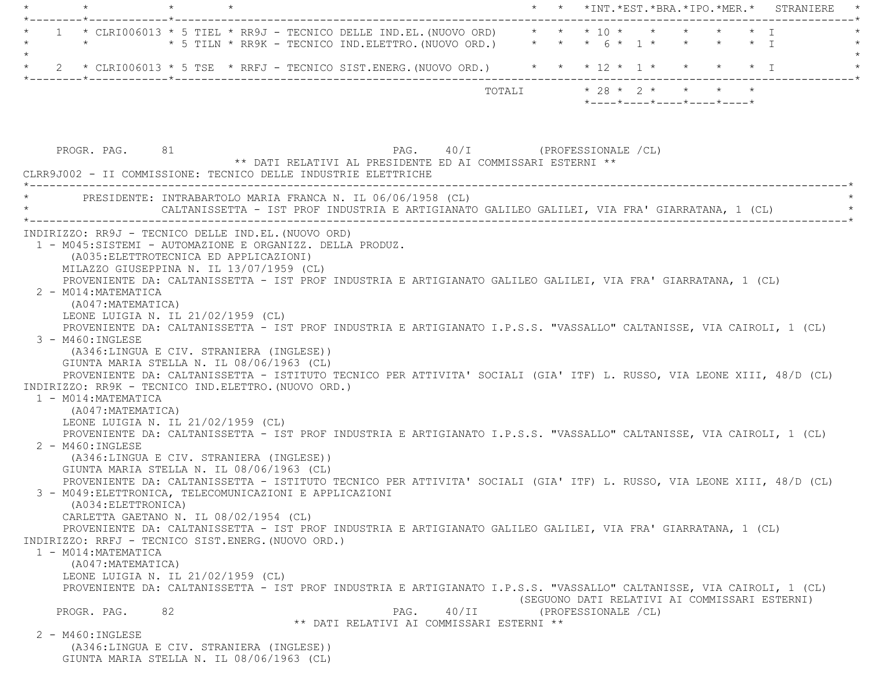| * CLRI006013 * 5 TIEL * RR9J - TECNICO DELLE IND.EL. (NUOVO ORD)<br>$*$ 5 TILN $*$ RR9K - TECNICO IND.ELETTRO. (NUOVO ORD.) $*$ $*$ $*$ 6 $*$ 1 $*$ $*$ $*$ $*$ $*$ I<br>$\star$<br>2 * CLRI006013 * 5 TSE * RRFJ - TECNICO SIST.ENERG. (NUOVO ORD.) * * * 12 * 1 * * * * * * I | * * * 10 * * * * * * T                           |
|---------------------------------------------------------------------------------------------------------------------------------------------------------------------------------------------------------------------------------------------------------------------------------|--------------------------------------------------|
|                                                                                                                                                                                                                                                                                 |                                                  |
|                                                                                                                                                                                                                                                                                 |                                                  |
|                                                                                                                                                                                                                                                                                 |                                                  |
| TOTALI                                                                                                                                                                                                                                                                          | $* 28 * 2 * * * * * * *$                         |
|                                                                                                                                                                                                                                                                                 | $*$ ---- $*$ ---- $*$ ---- $*$ ---- $*$ ---- $*$ |
|                                                                                                                                                                                                                                                                                 |                                                  |
|                                                                                                                                                                                                                                                                                 |                                                  |
| PROGR. PAG. 81<br>PAG. 40/I (PROFESSIONALE /CL)                                                                                                                                                                                                                                 |                                                  |
| ** DATI RELATIVI AL PRESIDENTE ED AI COMMISSARI ESTERNI **                                                                                                                                                                                                                      |                                                  |
| CLRR9J002 - II COMMISSIONE: TECNICO DELLE INDUSTRIE ELETTRICHE                                                                                                                                                                                                                  |                                                  |
| PRESIDENTE: INTRABARTOLO MARIA FRANCA N. IL 06/06/1958 (CL)                                                                                                                                                                                                                     |                                                  |
| CALTANISSETTA - IST PROF INDUSTRIA E ARTIGIANATO GALILEO GALILEI, VIA FRA' GIARRATANA, 1 (CL)                                                                                                                                                                                   |                                                  |
|                                                                                                                                                                                                                                                                                 |                                                  |
| INDIRIZZO: RR9J - TECNICO DELLE IND.EL. (NUOVO ORD)                                                                                                                                                                                                                             |                                                  |
| 1 - M045:SISTEMI - AUTOMAZIONE E ORGANIZZ. DELLA PRODUZ.                                                                                                                                                                                                                        |                                                  |
| (A035: ELETTROTECNICA ED APPLICAZIONI)                                                                                                                                                                                                                                          |                                                  |
| MILAZZO GIUSEPPINA N. IL 13/07/1959 (CL)                                                                                                                                                                                                                                        |                                                  |
| PROVENIENTE DA: CALTANISSETTA - IST PROF INDUSTRIA E ARTIGIANATO GALILEO GALILEI, VIA FRA' GIARRATANA, 1 (CL)                                                                                                                                                                   |                                                  |
| 2 - M014: MATEMATICA                                                                                                                                                                                                                                                            |                                                  |
| (A047: MATEMATICA)                                                                                                                                                                                                                                                              |                                                  |
| LEONE LUIGIA N. IL 21/02/1959 (CL)                                                                                                                                                                                                                                              |                                                  |
| PROVENIENTE DA: CALTANISSETTA - IST PROF INDUSTRIA E ARTIGIANATO I.P.S.S. "VASSALLO" CALTANISSE, VIA CAIROLI, 1 (CL)                                                                                                                                                            |                                                  |
| 3 - M460: INGLESE                                                                                                                                                                                                                                                               |                                                  |
| (A346:LINGUA E CIV. STRANIERA (INGLESE))                                                                                                                                                                                                                                        |                                                  |
| GIUNTA MARIA STELLA N. IL 08/06/1963 (CL)                                                                                                                                                                                                                                       |                                                  |
| PROVENIENTE DA: CALTANISSETTA - ISTITUTO TECNICO PER ATTIVITA' SOCIALI (GIA' ITF) L. RUSSO, VIA LEONE XIII, 48/D (CL)                                                                                                                                                           |                                                  |
| INDIRIZZO: RR9K - TECNICO IND.ELETTRO. (NUOVO ORD.)                                                                                                                                                                                                                             |                                                  |
| 1 - M014: MATEMATICA                                                                                                                                                                                                                                                            |                                                  |
| (A047: MATEMATICA)                                                                                                                                                                                                                                                              |                                                  |
| LEONE LUIGIA N. IL 21/02/1959 (CL)                                                                                                                                                                                                                                              |                                                  |
| PROVENIENTE DA: CALTANISSETTA - IST PROF INDUSTRIA E ARTIGIANATO I.P.S.S. "VASSALLO" CALTANISSE, VIA CAIROLI, 1 (CL)                                                                                                                                                            |                                                  |
| 2 - M460: INGLESE                                                                                                                                                                                                                                                               |                                                  |
| (A346:LINGUA E CIV. STRANIERA (INGLESE))                                                                                                                                                                                                                                        |                                                  |
| GIUNTA MARIA STELLA N. IL 08/06/1963 (CL)                                                                                                                                                                                                                                       |                                                  |
| PROVENIENTE DA: CALTANISSETTA - ISTITUTO TECNICO PER ATTIVITA' SOCIALI (GIA' ITF) L. RUSSO, VIA LEONE XIII, 48/D (CL)                                                                                                                                                           |                                                  |
| 3 - M049: ELETTRONICA, TELECOMUNICAZIONI E APPLICAZIONI                                                                                                                                                                                                                         |                                                  |
| (A034: ELETTRONICA)                                                                                                                                                                                                                                                             |                                                  |
| CARLETTA GAETANO N. IL 08/02/1954 (CL)                                                                                                                                                                                                                                          |                                                  |
| PROVENIENTE DA: CALTANISSETTA - IST PROF INDUSTRIA E ARTIGIANATO GALILEO GALILEI, VIA FRA' GIARRATANA, 1 (CL)                                                                                                                                                                   |                                                  |
| INDIRIZZO: RRFJ - TECNICO SIST.ENERG. (NUOVO ORD.)                                                                                                                                                                                                                              |                                                  |
| 1 - M014: MATEMATICA                                                                                                                                                                                                                                                            |                                                  |
| (A047: MATEMATICA)                                                                                                                                                                                                                                                              |                                                  |
| LEONE LUIGIA N. IL 21/02/1959 (CL)                                                                                                                                                                                                                                              |                                                  |
| PROVENIENTE DA: CALTANISSETTA - IST PROF INDUSTRIA E ARTIGIANATO I.P.S.S. "VASSALLO" CALTANISSE, VIA CAIROLI, 1 (CL)                                                                                                                                                            |                                                  |
|                                                                                                                                                                                                                                                                                 | (SEGUONO DATI RELATIVI AI COMMISSARI ESTERNI)    |
| 40/II<br>PROGR. PAG.<br>82<br>PAG.                                                                                                                                                                                                                                              | (PROFESSIONALE / CL)                             |
| ** DATI RELATIVI AI COMMISSARI ESTERNI **                                                                                                                                                                                                                                       |                                                  |
| $2 - M460$ : INGLESE                                                                                                                                                                                                                                                            |                                                  |
| (A346:LINGUA E CIV. STRANIERA (INGLESE))                                                                                                                                                                                                                                        |                                                  |
| GIUNTA MARIA STELLA N. IL 08/06/1963 (CL)                                                                                                                                                                                                                                       |                                                  |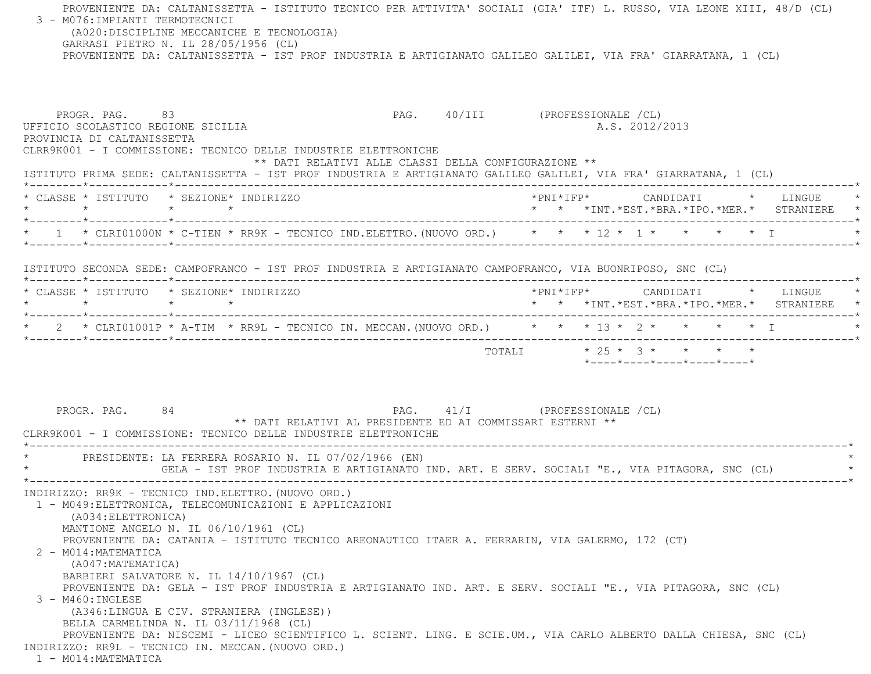PROVENIENTE DA: CALTANISSETTA - ISTITUTO TECNICO PER ATTIVITA' SOCIALI (GIA' ITF) L. RUSSO, VIA LEONE XIII, 48/D (CL) 3 - M076:IMPIANTI TERMOTECNICI (A020:DISCIPLINE MECCANICHE E TECNOLOGIA) GARRASI PIETRO N. IL 28/05/1956 (CL) PROVENIENTE DA: CALTANISSETTA - IST PROF INDUSTRIA E ARTIGIANATO GALILEO GALILEI, VIA FRA' GIARRATANA, 1 (CL) PROGR. PAG. 83 PAG. 40/III (PROFESSIONALE /CL) UFFICIO SCOLASTICO REGIONE SICILIA A.S. 2012/2013 PROVINCIA DI CALTANISSETTA CLRR9K001 - I COMMISSIONE: TECNICO DELLE INDUSTRIE ELETTRONICHE \*\* DATI RELATIVI ALLE CLASSI DELLA CONFIGURAZIONE \*\* ISTITUTO PRIMA SEDE: CALTANISSETTA - IST PROF INDUSTRIA E ARTIGIANATO GALILEO GALILEI, VIA FRA' GIARRATANA, 1 (CL) \*--------\*------------\*-------------------------------------------------------------------------------------------------------\* \* CLASSE \* ISTITUTO \* SEZIONE\* INDIRIZZO \*PNI\*IFP\* CANDIDATI \* LINGUE \* \* \* \* \* \* \* \*INT.\*EST.\*BRA.\*IPO.\*MER.\* STRANIERE \* \*--------\*------------\*-------------------------------------------------------------------------------------------------------\* $*$  1  $*$  CLRI01000N  $*$  C-TIEN  $*$  RR9K - TECNICO IND.ELETTRO.(NUOVO ORD.)  $*$   $*$   $*$   $*$  1  $*$   $*$   $*$   $*$   $*$  I \*--------\*------------\*-------------------------------------------------------------------------------------------------------\* ISTITUTO SECONDA SEDE: CAMPOFRANCO - IST PROF INDUSTRIA E ARTIGIANATO CAMPOFRANCO, VIA BUONRIPOSO, SNC (CL) \*--------\*------------\*-------------------------------------------------------------------------------------------------------\* \* CLASSE \* ISTITUTO \* SEZIONE\* INDIRIZZO \*PNI\*IFP\* CANDIDATI \* LINGUE \* \* \* \* \* \* \* \*INT.\*EST.\*BRA.\*IPO.\*MER.\* STRANIERE \* \*--------\*------------\*-------------------------------------------------------------------------------------------------------\*\* 2 \* CLRI01001P \* A-TIM \* RR9L - TECNICO IN. MECCAN. (NUOVO ORD.) \* \* \* 13 \* 2 \* \* \* \* \* \* I \*--------\*------------\*-------------------------------------------------------------------------------------------------------\*TOTALI  $* 25 * 3 * * * * * * *$  \*----\*----\*----\*----\*----\*PROGR. PAG. 84 84 PAG. 41/I (PROFESSIONALE /CL) \*\* DATI RELATIVI AL PRESIDENTE ED AI COMMISSARI ESTERNI \*\* CLRR9K001 - I COMMISSIONE: TECNICO DELLE INDUSTRIE ELETTRONICHE \*----------------------------------------------------------------------------------------------------------------------------\* \* PRESIDENTE: LA FERRERA ROSARIO N. IL 07/02/1966 (EN) \* GELA - IST PROF INDUSTRIA E ARTIGIANATO IND. ART. E SERV. SOCIALI "E., VIA PITAGORA, SNC (CL) \*----------------------------------------------------------------------------------------------------------------------------\* INDIRIZZO: RR9K - TECNICO IND.ELETTRO.(NUOVO ORD.) 1 - M049:ELETTRONICA, TELECOMUNICAZIONI E APPLICAZIONI (A034:ELETTRONICA) MANTIONE ANGELO N. IL 06/10/1961 (CL) PROVENIENTE DA: CATANIA - ISTITUTO TECNICO AREONAUTICO ITAER A. FERRARIN, VIA GALERMO, 172 (CT) 2 - M014:MATEMATICA (A047:MATEMATICA) BARBIERI SALVATORE N. IL 14/10/1967 (CL) PROVENIENTE DA: GELA - IST PROF INDUSTRIA E ARTIGIANATO IND. ART. E SERV. SOCIALI "E., VIA PITAGORA, SNC (CL) 3 - M460:INGLESE (A346:LINGUA E CIV. STRANIERA (INGLESE)) BELLA CARMELINDA N. IL 03/11/1968 (CL) PROVENIENTE DA: NISCEMI - LICEO SCIENTIFICO L. SCIENT. LING. E SCIE.UM., VIA CARLO ALBERTO DALLA CHIESA, SNC (CL) INDIRIZZO: RR9L - TECNICO IN. MECCAN.(NUOVO ORD.) 1 - M014:MATEMATICA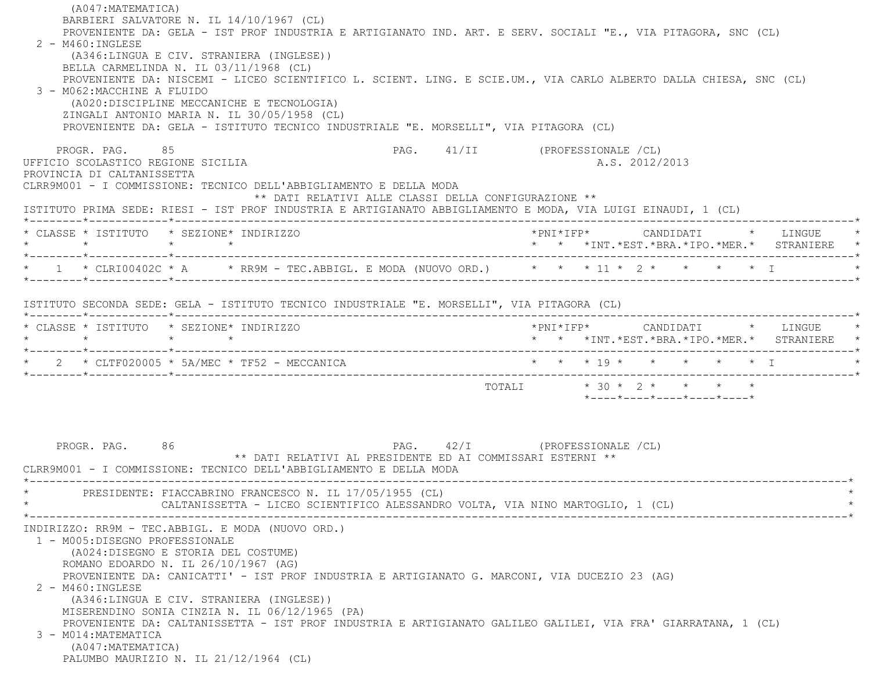| (A047: MATEMATICA)<br>BARBIERI SALVATORE N. IL 14/10/1967 (CL)                                                                                              |                                                  |
|-------------------------------------------------------------------------------------------------------------------------------------------------------------|--------------------------------------------------|
| PROVENIENTE DA: GELA - IST PROF INDUSTRIA E ARTIGIANATO IND. ART. E SERV. SOCIALI "E., VIA PITAGORA, SNC (CL)                                               |                                                  |
| $2 - M460$ : INGLESE<br>(A346:LINGUA E CIV. STRANIERA (INGLESE))                                                                                            |                                                  |
| BELLA CARMELINDA N. IL 03/11/1968 (CL)<br>PROVENIENTE DA: NISCEMI - LICEO SCIENTIFICO L. SCIENT. LING. E SCIE.UM., VIA CARLO ALBERTO DALLA CHIESA, SNC (CL) |                                                  |
| 3 - M062:MACCHINE A FLUIDO<br>(A020: DISCIPLINE MECCANICHE E TECNOLOGIA)                                                                                    |                                                  |
| ZINGALI ANTONIO MARIA N. IL 30/05/1958 (CL)<br>PROVENIENTE DA: GELA - ISTITUTO TECNICO INDUSTRIALE "E. MORSELLI", VIA PITAGORA (CL)                         |                                                  |
| PROGR. PAG. 85<br>UFFICIO SCOLASTICO REGIONE SICILIA                                                                                                        | PAG. 41/II (PROFESSIONALE /CL)<br>A.S. 2012/2013 |
| PROVINCIA DI CALTANISSETTA<br>CLRR9M001 - I COMMISSIONE: TECNICO DELL'ABBIGLIAMENTO E DELLA MODA<br>** DATI RELATIVI ALLE CLASSI DELLA CONFIGURAZIONE **    |                                                  |
| ISTITUTO PRIMA SEDE: RIESI - IST PROF INDUSTRIA E ARTIGIANATO ABBIGLIAMENTO E MODA, VIA LUIGI EINAUDI, 1 (CL)                                               |                                                  |
| * CLASSE * ISTITUTO * SEZIONE* INDIRIZZO                                                                                                                    | * * *INT. *EST. *BRA. *IPO. *MER. * STRANIERE *  |
| * 1 * CLRI00402C * A * RR9M - TEC.ABBIGL. E MODA (NUOVO ORD.) * * * 11 * 2 * * * * * * I                                                                    |                                                  |
| ISTITUTO SECONDA SEDE: GELA - ISTITUTO TECNICO INDUSTRIALE "E. MORSELLI", VIA PITAGORA (CL)                                                                 |                                                  |
|                                                                                                                                                             | *PNI*IFP*     CANDIDATI    *  LINGUE             |
| * CLASSE * ISTITUTO * SEZIONE* INDIRIZZO<br>$\star$ $\star$<br>$\star$ $\star$                                                                              | * * *INT.*EST.*BRA.*IPO.*MER.* STRANIERE *       |
| $\star$ 2 $\star$ CLTF020005 $\star$ 5A/MEC $\star$ TF52 - MECCANICA                                                                                        | * * * 19 * * * * * * I                           |
|                                                                                                                                                             |                                                  |
|                                                                                                                                                             | *----*----*----*----*----*                       |
|                                                                                                                                                             |                                                  |
| PROGR. PAG. 86<br>** DATI RELATIVI AL PRESIDENTE ED AI COMMISSARI ESTERNI **                                                                                | PAG. 42/I (PROFESSIONALE /CL)                    |
| CLRR9M001 - I COMMISSIONE: TECNICO DELL'ABBIGLIAMENTO E DELLA MODA                                                                                          |                                                  |
| PRESIDENTE: FIACCABRINO FRANCESCO N. IL 17/05/1955 (CL)                                                                                                     |                                                  |
| CALTANISSETTA - LICEO SCIENTIFICO ALESSANDRO VOLTA, VIA NINO MARTOGLIO, 1 (CL)                                                                              |                                                  |
| INDIRIZZO: RR9M - TEC.ABBIGL. E MODA (NUOVO ORD.)                                                                                                           |                                                  |
| 1 - M005: DISEGNO PROFESSIONALE<br>(A024:DISEGNO E STORIA DEL COSTUME)                                                                                      |                                                  |
| ROMANO EDOARDO N. IL 26/10/1967 (AG)                                                                                                                        |                                                  |
| PROVENIENTE DA: CANICATTI' - IST PROF INDUSTRIA E ARTIGIANATO G. MARCONI, VIA DUCEZIO 23 (AG)<br>2 - M460: INGLESE                                          |                                                  |
| (A346:LINGUA E CIV. STRANIERA (INGLESE))<br>MISERENDINO SONIA CINZIA N. IL 06/12/1965 (PA)                                                                  |                                                  |
| PROVENIENTE DA: CALTANISSETTA - IST PROF INDUSTRIA E ARTIGIANATO GALILEO GALILEI, VIA FRA' GIARRATANA, 1 (CL)                                               |                                                  |
| 3 - M014: MATEMATICA<br>(A047: MATEMATICA)                                                                                                                  |                                                  |
| PALUMBO MAURIZIO N. IL 21/12/1964 (CL)                                                                                                                      |                                                  |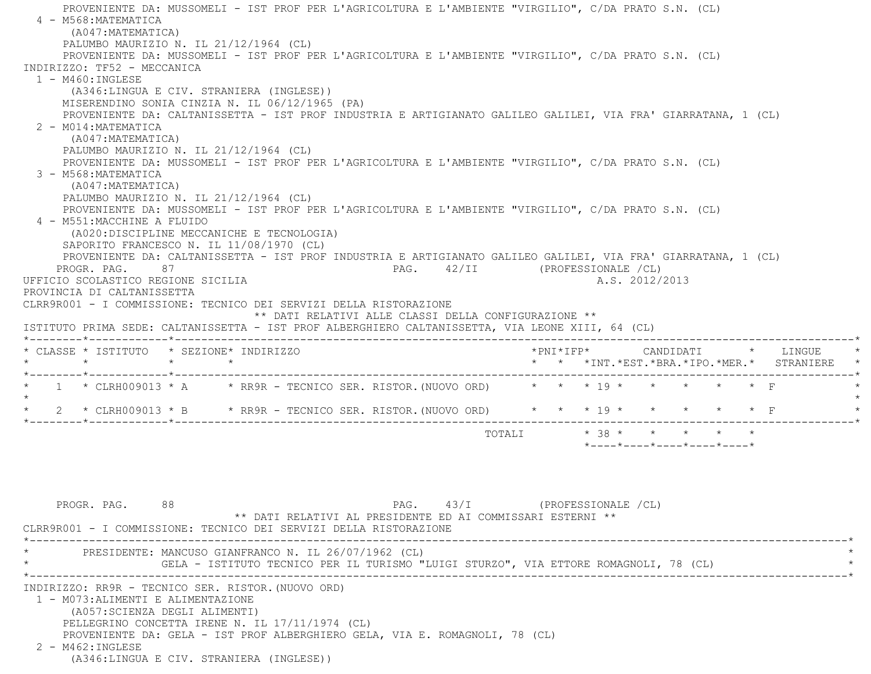PROVENIENTE DA: MUSSOMELI - IST PROF PER L'AGRICOLTURA E L'AMBIENTE "VIRGILIO", C/DA PRATO S.N. (CL) 4 - M568:MATEMATICA (A047:MATEMATICA) PALUMBO MAURIZIO N. IL 21/12/1964 (CL) PROVENIENTE DA: MUSSOMELI - IST PROF PER L'AGRICOLTURA E L'AMBIENTE "VIRGILIO", C/DA PRATO S.N. (CL) INDIRIZZO: TF52 - MECCANICA 1 - M460:INGLESE (A346:LINGUA E CIV. STRANIERA (INGLESE)) MISERENDINO SONIA CINZIA N. IL 06/12/1965 (PA) PROVENIENTE DA: CALTANISSETTA - IST PROF INDUSTRIA E ARTIGIANATO GALILEO GALILEI, VIA FRA' GIARRATANA, 1 (CL) 2 - M014:MATEMATICA (A047:MATEMATICA) PALUMBO MAURIZIO N. IL 21/12/1964 (CL) PROVENIENTE DA: MUSSOMELI - IST PROF PER L'AGRICOLTURA E L'AMBIENTE "VIRGILIO", C/DA PRATO S.N. (CL) 3 - M568:MATEMATICA (A047:MATEMATICA) PALUMBO MAURIZIO N. IL 21/12/1964 (CL) PROVENIENTE DA: MUSSOMELI - IST PROF PER L'AGRICOLTURA E L'AMBIENTE "VIRGILIO", C/DA PRATO S.N. (CL) 4 - M551:MACCHINE A FLUIDO (A020:DISCIPLINE MECCANICHE E TECNOLOGIA) SAPORITO FRANCESCO N. IL 11/08/1970 (CL) PROVENIENTE DA: CALTANISSETTA - IST PROF INDUSTRIA E ARTIGIANATO GALILEO GALILEI, VIA FRA' GIARRATANA, 1 (CL) PROGR. PAG. 87 87 PAG. 42/II (PROFESSIONALE /CL) UFFICIO SCOLASTICO REGIONE SICILIA A.S. 2012/2013 PROVINCIA DI CALTANISSETTA CLRR9R001 - I COMMISSIONE: TECNICO DEI SERVIZI DELLA RISTORAZIONE \*\* DATI RELATIVI ALLE CLASSI DELLA CONFIGURAZIONE \*\* ISTITUTO PRIMA SEDE: CALTANISSETTA - IST PROF ALBERGHIERO CALTANISSETTA, VIA LEONE XIII, 64 (CL) \*--------\*------------\*-------------------------------------------------------------------------------------------------------\* \* CLASSE \* ISTITUTO \* SEZIONE\* INDIRIZZO \*PNI\*IFP\* CANDIDATI \* LINGUE \* \* \* \* \* \* \* \*INT.\*EST.\*BRA.\*IPO.\*MER.\* STRANIERE \* \*--------\*------------\*-------------------------------------------------------------------------------------------------------\*1 \* CLRH009013 \* A \* RR9R - TECNICO SER. RISTOR. (NUOVO ORD) \* \* \* 19 \* \* \* \* \*  $\star$  \* 2 \* CLRH009013 \* B \* RR9R - TECNICO SER. RISTOR.(NUOVO ORD) \* \* \* 19 \* \* \* \* \* F \* \*--------\*------------\*-------------------------------------------------------------------------------------------------------\*TOTALI  $*$  38  $*$   $*$   $*$   $*$   $*$ \*----\*----\*----\*----\*----\*

PROGR. PAG. 88 8 PAG. 43/I (PROFESSIONALE /CL) \*\* DATI RELATIVI AL PRESIDENTE ED AI COMMISSARI ESTERNI \*\* CLRR9R001 - I COMMISSIONE: TECNICO DEI SERVIZI DELLA RISTORAZIONE \*----------------------------------------------------------------------------------------------------------------------------\*PRESIDENTE: MANCUSO GIANFRANCO N. IL 26/07/1962 (CL) GELA - ISTITUTO TECNICO PER IL TURISMO "LUIGI STURZO", VIA ETTORE ROMAGNOLI, 78 (CL) \*----------------------------------------------------------------------------------------------------------------------------\* INDIRIZZO: RR9R - TECNICO SER. RISTOR.(NUOVO ORD) 1 - M073:ALIMENTI E ALIMENTAZIONE (A057:SCIENZA DEGLI ALIMENTI) PELLEGRINO CONCETTA IRENE N. IL 17/11/1974 (CL) PROVENIENTE DA: GELA - IST PROF ALBERGHIERO GELA, VIA E. ROMAGNOLI, 78 (CL) 2 - M462:INGLESE(A346:LINGUA E CIV. STRANIERA (INGLESE))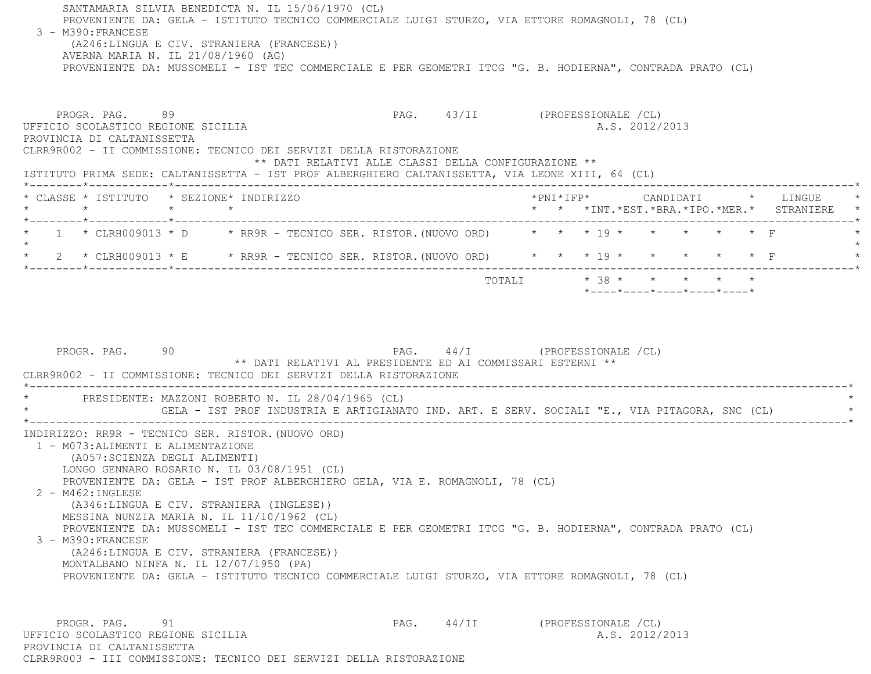SANTAMARIA SILVIA BENEDICTA N. IL 15/06/1970 (CL) PROVENIENTE DA: GELA - ISTITUTO TECNICO COMMERCIALE LUIGI STURZO, VIA ETTORE ROMAGNOLI, 78 (CL) 3 - M390:FRANCESE (A246:LINGUA E CIV. STRANIERA (FRANCESE)) AVERNA MARIA N. IL 21/08/1960 (AG) PROVENIENTE DA: MUSSOMELI - IST TEC COMMERCIALE E PER GEOMETRI ITCG "G. B. HODIERNA", CONTRADA PRATO (CL) PROGR. PAG. 89 PAG. 43/II (PROFESSIONALE /CL) UFFICIO SCOLASTICO REGIONE SICILIA A.S. 2012/2013 PROVINCIA DI CALTANISSETTA CLRR9R002 - II COMMISSIONE: TECNICO DEI SERVIZI DELLA RISTORAZIONE \*\* DATI RELATIVI ALLE CLASSI DELLA CONFIGURAZIONE \*\* ISTITUTO PRIMA SEDE: CALTANISSETTA - IST PROF ALBERGHIERO CALTANISSETTA, VIA LEONE XIII, 64 (CL) \*--------\*------------\*-------------------------------------------------------------------------------------------------------\* \* CLASSE \* ISTITUTO \* SEZIONE\* INDIRIZZO \*PNI\*IFP\* CANDIDATI \* LINGUE \* \* \* \* \* \* \* \*INT.\*EST.\*BRA.\*IPO.\*MER.\* STRANIERE \* \*--------\*------------\*-------------------------------------------------------------------------------------------------------\*1 \* CLRH009013 \* D \* RR9R - TECNICO SER. RISTOR. (NUOVO ORD) \* \* \* \* 19 \* \* \* \* \* \* F  $\star$  \* 2 \* CLRH009013 \* E \* RR9R - TECNICO SER. RISTOR.(NUOVO ORD) \* \* \* 19 \* \* \* \* \* F \* \*--------\*------------\*-------------------------------------------------------------------------------------------------------\*TOTALI  $* 38 * * * * * * * * *$  \*----\*----\*----\*----\*----\*PROGR. PAG. 90 90 PAG. 44/I (PROFESSIONALE /CL) \*\* DATI RELATIVI AL PRESIDENTE ED AI COMMISSARI ESTERNI \*\* CLRR9R002 - II COMMISSIONE: TECNICO DEI SERVIZI DELLA RISTORAZIONE \*----------------------------------------------------------------------------------------------------------------------------\* \* PRESIDENTE: MAZZONI ROBERTO N. IL 28/04/1965 (CL) \* \* GELA - IST PROF INDUSTRIA E ARTIGIANATO IND. ART. E SERV. SOCIALI "E., VIA PITAGORA, SNC (CL) \* \*----------------------------------------------------------------------------------------------------------------------------\* INDIRIZZO: RR9R - TECNICO SER. RISTOR.(NUOVO ORD) 1 - M073:ALIMENTI E ALIMENTAZIONE (A057:SCIENZA DEGLI ALIMENTI) LONGO GENNARO ROSARIO N. IL 03/08/1951 (CL) PROVENIENTE DA: GELA - IST PROF ALBERGHIERO GELA, VIA E. ROMAGNOLI, 78 (CL) 2 - M462:INGLESE (A346:LINGUA E CIV. STRANIERA (INGLESE)) MESSINA NUNZIA MARIA N. IL 11/10/1962 (CL) PROVENIENTE DA: MUSSOMELI - IST TEC COMMERCIALE E PER GEOMETRI ITCG "G. B. HODIERNA", CONTRADA PRATO (CL) 3 - M390:FRANCESE (A246:LINGUA E CIV. STRANIERA (FRANCESE)) MONTALBANO NINFA N. IL 12/07/1950 (PA) PROVENIENTE DA: GELA - ISTITUTO TECNICO COMMERCIALE LUIGI STURZO, VIA ETTORE ROMAGNOLI, 78 (CL) PROGR. PAG. 91 91 PAG. 44/II (PROFESSIONALE /CL)

 UFFICIO SCOLASTICO REGIONE SICILIA A.S. 2012/2013 PROVINCIA DI CALTANISSETTACLRR9R003 - III COMMISSIONE: TECNICO DEI SERVIZI DELLA RISTORAZIONE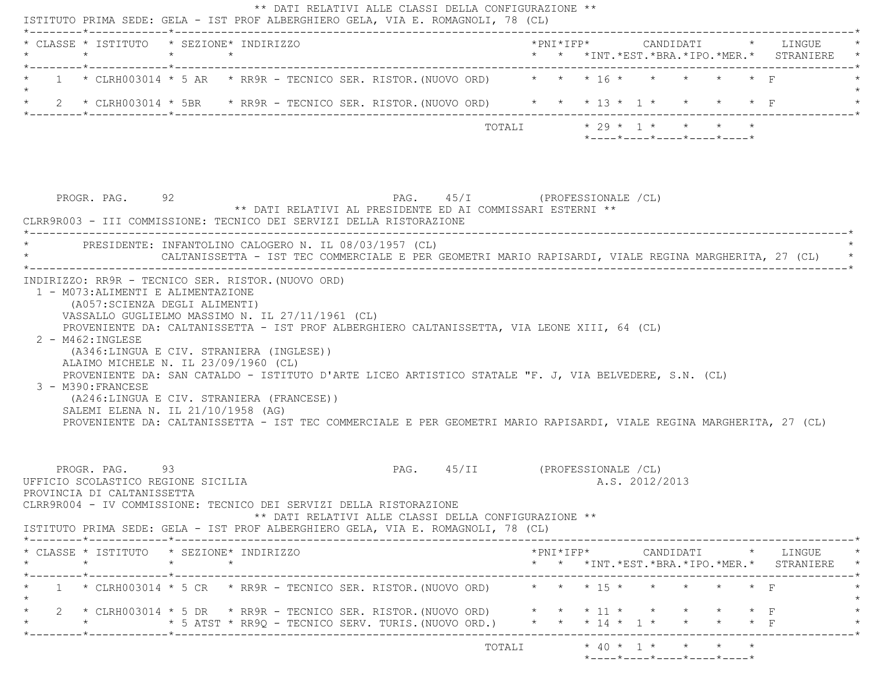| * CLASSE * ISTITUTO * SEZIONE* INDIRIZZO<br>$\star$                                                                                                                                                                                                                                                                                                                                                                        | $\star$         | $\star$                                                                                                                                                          |  |                                                                                        |        |  |                |                                                                                                                         |  | *PNI*IFP*     CANDIDATI    *   LINGUE<br>* * *INT. *EST. *BRA. *IPO. *MER. * STRANIERE          |
|----------------------------------------------------------------------------------------------------------------------------------------------------------------------------------------------------------------------------------------------------------------------------------------------------------------------------------------------------------------------------------------------------------------------------|-----------------|------------------------------------------------------------------------------------------------------------------------------------------------------------------|--|----------------------------------------------------------------------------------------|--------|--|----------------|-------------------------------------------------------------------------------------------------------------------------|--|-------------------------------------------------------------------------------------------------|
| 1 * CLRH003014 * 5 AR * RR9R - TECNICO SER. RISTOR. (NUOVO ORD) * * * 16 * * * *                                                                                                                                                                                                                                                                                                                                           |                 |                                                                                                                                                                  |  |                                                                                        |        |  |                |                                                                                                                         |  |                                                                                                 |
| 2 * CLRH003014 * 5BR * RR9R - TECNICO SER. RISTOR. (NUOVO ORD) * * * 13 * 1 * * * * * F                                                                                                                                                                                                                                                                                                                                    |                 |                                                                                                                                                                  |  |                                                                                        |        |  |                |                                                                                                                         |  |                                                                                                 |
|                                                                                                                                                                                                                                                                                                                                                                                                                            |                 |                                                                                                                                                                  |  |                                                                                        | TOTALI |  |                | $\star$ 29 $\star$ 1 $\star$ $\star$ $\star$ $\star$<br>$*$ - - - - $*$ - - - - $*$ - - - - $*$ - - - - $*$ - - - - $*$ |  |                                                                                                 |
| PROGR. PAG. 92<br>CLRR9R003 - III COMMISSIONE: TECNICO DEI SERVIZI DELLA RISTORAZIONE                                                                                                                                                                                                                                                                                                                                      |                 | ** DATI RELATIVI AL PRESIDENTE ED AI COMMISSARI ESTERNI **                                                                                                       |  | PAG. 45/I (PROFESSIONALE /CL)                                                          |        |  |                |                                                                                                                         |  |                                                                                                 |
|                                                                                                                                                                                                                                                                                                                                                                                                                            |                 | PRESIDENTE: INFANTOLINO CALOGERO N. IL 08/03/1957 (CL)<br>CALTANISSETTA - IST TEC COMMERCIALE E PER GEOMETRI MARIO RAPISARDI, VIALE REGINA MARGHERITA, 27 (CL) * |  |                                                                                        |        |  |                |                                                                                                                         |  |                                                                                                 |
| (A057: SCIENZA DEGLI ALIMENTI)<br>VASSALLO GUGLIELMO MASSIMO N. IL 27/11/1961 (CL)<br>PROVENIENTE DA: CALTANISSETTA - IST PROF ALBERGHIERO CALTANISSETTA, VIA LEONE XIII, 64 (CL)<br>$2 - M462 : INGLESE$                                                                                                                                                                                                                  |                 | 1 - M073: ALIMENTI E ALIMENTAZIONE                                                                                                                               |  |                                                                                        |        |  |                |                                                                                                                         |  |                                                                                                 |
| (A346:LINGUA E CIV. STRANIERA (INGLESE))<br>ALAIMO MICHELE N. IL 23/09/1960 (CL)<br>PROVENIENTE DA: SAN CATALDO - ISTITUTO D'ARTE LICEO ARTISTICO STATALE "F. J, VIA BELVEDERE, S.N. (CL)<br>3 - M390: FRANCESE<br>(A246:LINGUA E CIV. STRANIERA (FRANCESE))<br>SALEMI ELENA N. IL 21/10/1958 (AG)<br>PROVENIENTE DA: CALTANISSETTA - IST TEC COMMERCIALE E PER GEOMETRI MARIO RAPISARDI, VIALE REGINA MARGHERITA, 27 (CL) |                 |                                                                                                                                                                  |  |                                                                                        |        |  |                |                                                                                                                         |  |                                                                                                 |
| PROGR. PAG. 93<br>UFFICIO SCOLASTICO REGIONE SICILIA<br>PROVINCIA DI CALTANISSETTA<br>CLRR9R004 - IV COMMISSIONE: TECNICO DEI SERVIZI DELLA RISTORAZIONE                                                                                                                                                                                                                                                                   |                 |                                                                                                                                                                  |  | PAG. 45/II (PROFESSIONALE /CL)<br>** DATI RELATIVI ALLE CLASSI DELLA CONFIGURAZIONE ** |        |  | A.S. 2012/2013 |                                                                                                                         |  |                                                                                                 |
| ISTITUTO PRIMA SEDE: GELA - IST PROF ALBERGHIERO GELA, VIA E. ROMAGNOLI, 78 (CL)<br>* CLASSE * ISTITUTO * SEZIONE* INDIRIZZO                                                                                                                                                                                                                                                                                               |                 |                                                                                                                                                                  |  |                                                                                        |        |  |                |                                                                                                                         |  | $*PNI*IFP* \qquad \qquad \text{CANDIDATI} \qquad \qquad * \qquad \text{LINGUE} \qquad \qquad *$ |
| $\star$<br>1 * CLRH003014 * 5 CR * RR9R - TECNICO SER. RISTOR. (NUOVO ORD) * * * * 15 * * * * * * * F                                                                                                                                                                                                                                                                                                                      | $\star$ $\star$ |                                                                                                                                                                  |  |                                                                                        |        |  |                |                                                                                                                         |  | * * *INT.*EST.*BRA.*IPO.*MER.* STRANIERE *                                                      |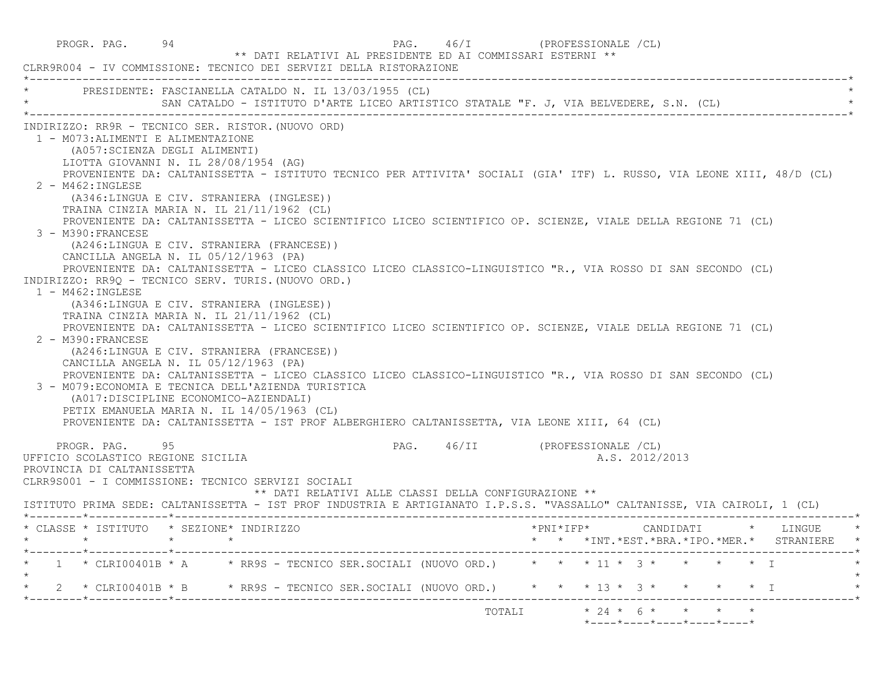PROGR. PAG. 94 PAG. 46/I (PROFESSIONALE /CL) \*\* DATI RELATIVI AL PRESIDENTE ED AI COMMISSARI ESTERNI \*\* CLRR9R004 - IV COMMISSIONE: TECNICO DEI SERVIZI DELLA RISTORAZIONE \*----------------------------------------------------------------------------------------------------------------------------\*PRESIDENTE: FASCIANELLA CATALDO N. IL 13/03/1955 (CL) SAN CATALDO - ISTITUTO D'ARTE LICEO ARTISTICO STATALE "F. J, VIA BELVEDERE, S.N. (CL) \*----------------------------------------------------------------------------------------------------------------------------\* INDIRIZZO: RR9R - TECNICO SER. RISTOR.(NUOVO ORD) 1 - M073:ALIMENTI E ALIMENTAZIONE (A057:SCIENZA DEGLI ALIMENTI) LIOTTA GIOVANNI N. IL 28/08/1954 (AG) PROVENIENTE DA: CALTANISSETTA - ISTITUTO TECNICO PER ATTIVITA' SOCIALI (GIA' ITF) L. RUSSO, VIA LEONE XIII, 48/D (CL) 2 - M462:INGLESE (A346:LINGUA E CIV. STRANIERA (INGLESE)) TRAINA CINZIA MARIA N. IL 21/11/1962 (CL) PROVENIENTE DA: CALTANISSETTA - LICEO SCIENTIFICO LICEO SCIENTIFICO OP. SCIENZE, VIALE DELLA REGIONE 71 (CL) 3 - M390:FRANCESE (A246:LINGUA E CIV. STRANIERA (FRANCESE)) CANCILLA ANGELA N. IL 05/12/1963 (PA) PROVENIENTE DA: CALTANISSETTA - LICEO CLASSICO LICEO CLASSICO-LINGUISTICO "R., VIA ROSSO DI SAN SECONDO (CL) INDIRIZZO: RR9Q - TECNICO SERV. TURIS.(NUOVO ORD.) 1 - M462:INGLESE (A346:LINGUA E CIV. STRANIERA (INGLESE)) TRAINA CINZIA MARIA N. IL 21/11/1962 (CL) PROVENIENTE DA: CALTANISSETTA - LICEO SCIENTIFICO LICEO SCIENTIFICO OP. SCIENZE, VIALE DELLA REGIONE 71 (CL)  $2 - M390 \cdot FRANTERSE$  (A246:LINGUA E CIV. STRANIERA (FRANCESE)) CANCILLA ANGELA N. IL 05/12/1963 (PA) PROVENIENTE DA: CALTANISSETTA - LICEO CLASSICO LICEO CLASSICO-LINGUISTICO "R., VIA ROSSO DI SAN SECONDO (CL) 3 - M079:ECONOMIA E TECNICA DELL'AZIENDA TURISTICA (A017:DISCIPLINE ECONOMICO-AZIENDALI) PETIX EMANUELA MARIA N. IL 14/05/1963 (CL) PROVENIENTE DA: CALTANISSETTA - IST PROF ALBERGHIERO CALTANISSETTA, VIA LEONE XIII, 64 (CL) PROGR. PAG. 95 95 PAG. 46/II (PROFESSIONALE /CL) UFFICIO SCOLASTICO REGIONE SICILIA A.S. 2012/2013 PROVINCIA DI CALTANISSETTA CLRR9S001 - I COMMISSIONE: TECNICO SERVIZI SOCIALI \*\* DATI RELATIVI ALLE CLASSI DELLA CONFIGURAZIONE \*\* ISTITUTO PRIMA SEDE: CALTANISSETTA - IST PROF INDUSTRIA E ARTIGIANATO I.P.S.S. "VASSALLO" CALTANISSE, VIA CAIROLI, 1 (CL) \*--------\*------------\*-------------------------------------------------------------------------------------------------------\* \* CLASSE \* ISTITUTO \* SEZIONE\* INDIRIZZO \*PNI\*IFP\* CANDIDATI \* LINGUE \* \* \* \* \* \* \* \*INT.\*EST.\*BRA.\*IPO.\*MER.\* STRANIERE \* \*--------\*------------\*-------------------------------------------------------------------------------------------------------\* $1 \times$  CLRI00401B \* A  $\rightarrow$  RR9S - TECNICO SER.SOCIALI (NUOVO ORD.)  $\rightarrow$  \* \* \* 11 \* 3 \* \* \* \* \* I  $\star$ \* 2 \* CLRI00401B \* B \* RR9S - TECNICO SER. SOCIALI (NUOVO ORD.) \* \* \* 13 \* 3 \* \* \* \* \* I \*--------\*------------\*-------------------------------------------------------------------------------------------------------\*TOTALI  $* 24 * 6 * * * * * * *$  $*$ ---- $*$ ---- $*$ ---- $*$ ---- $*$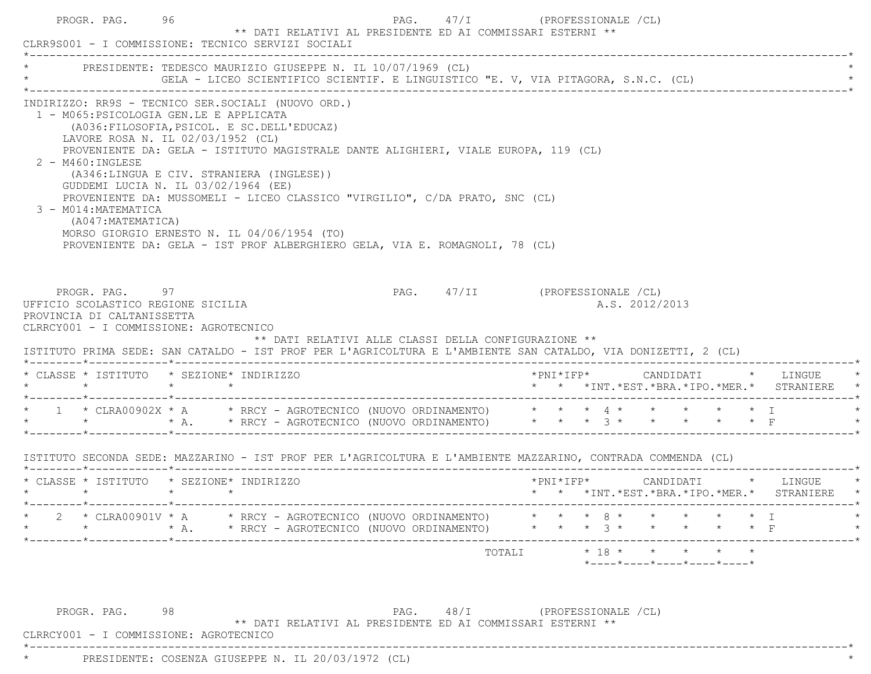|                                                                                                                                                        |                                                                                                                                                                                                                                           |  | PRESIDENTE: TEDESCO MAURIZIO GIUSEPPE N. IL 10/07/1969 (CL)                                                | *<br>The SELA - LICEO SCIENTIFICO SCIENTIF. E LINGUISTICO "E. V, VIA PITAGORA, S.N.C. (CL)<br>The Second Section of the Secondary S.N.C. (CL)                                                                                                    |  |                |                |  |                                                                                                                                                                                |
|--------------------------------------------------------------------------------------------------------------------------------------------------------|-------------------------------------------------------------------------------------------------------------------------------------------------------------------------------------------------------------------------------------------|--|------------------------------------------------------------------------------------------------------------|--------------------------------------------------------------------------------------------------------------------------------------------------------------------------------------------------------------------------------------------------|--|----------------|----------------|--|--------------------------------------------------------------------------------------------------------------------------------------------------------------------------------|
| INDIRIZZO: RR9S - TECNICO SER.SOCIALI (NUOVO ORD.)<br>1 - M065: PSICOLOGIA GEN.LE E APPLICATA<br>2 - M460: INGLESE<br>3 - M014: MATEMATICA             | (A036: FILOSOFIA, PSICOL. E SC. DELL'EDUCAZ)<br>LAVORE ROSA N. IL 02/03/1952 (CL)<br>(A346:LINGUA E CIV. STRANIERA (INGLESE))<br>GUDDEMI LUCIA N. IL 03/02/1964 (EE)<br>(A047: MATEMATICA)<br>MORSO GIORGIO ERNESTO N. IL 04/06/1954 (TO) |  |                                                                                                            | PROVENIENTE DA: GELA - ISTITUTO MAGISTRALE DANTE ALIGHIERI, VIALE EUROPA, 119 (CL)<br>PROVENIENTE DA: MUSSOMELI - LICEO CLASSICO "VIRGILIO", C/DA PRATO, SNC (CL)<br>PROVENIENTE DA: GELA - IST PROF ALBERGHIERO GELA, VIA E. ROMAGNOLI, 78 (CL) |  |                |                |  |                                                                                                                                                                                |
|                                                                                                                                                        |                                                                                                                                                                                                                                           |  |                                                                                                            |                                                                                                                                                                                                                                                  |  |                |                |  |                                                                                                                                                                                |
| UFFICIO SCOLASTICO REGIONE SICILIA<br>PROVINCIA DI CALTANISSETTA<br>CLRRCY001 - I COMMISSIONE: AGROTECNICO<br>* CLASSE * ISTITUTO * SEZIONE* INDIRIZZO | PROGR. PAG. 97                                                                                                                                                                                                                            |  |                                                                                                            | PAG. 47/II (PROFESSIONALE /CL)<br>** DATI RELATIVI ALLE CLASSI DELLA CONFIGURAZIONE **<br>ISTITUTO PRIMA SEDE: SAN CATALDO - IST PROF PER L'AGRICOLTURA E L'AMBIENTE SAN CATALDO, VIA DONIZETTI, 2 (CL)                                          |  |                | A.S. 2012/2013 |  |                                                                                                                                                                                |
|                                                                                                                                                        |                                                                                                                                                                                                                                           |  |                                                                                                            | * 1 * CLRA00902X * A * RRCY - AGROTECNICO (NUOVO ORDINAMENTO) * * * * 4 * * * * * * * I<br>* * * * * * RRCY - AGROTECNICO (NUOVO ORDINAMENTO) * * * * 3 * * * * * * F                                                                            |  |                |                |  |                                                                                                                                                                                |
|                                                                                                                                                        |                                                                                                                                                                                                                                           |  |                                                                                                            | ISTITUTO SECONDA SEDE: MAZZARINO - IST PROF PER L'AGRICOLTURA E L'AMBIENTE MAZZARINO, CONTRADA COMMENDA (CL)                                                                                                                                     |  |                |                |  |                                                                                                                                                                                |
| * CLASSE * ISTITUTO * SEZIONE* INDIRIZZO                                                                                                               |                                                                                                                                                                                                                                           |  |                                                                                                            |                                                                                                                                                                                                                                                  |  |                |                |  | $*PNI * IFP * \hspace{1.5cm} \texttt{CANDIDATI} \hspace{1.5cm} * \hspace{1.5cm} \texttt{LINGUE} \hspace{1.5cm} * \hspace{1.5cm}$<br>* * *INT.*EST.*BRA.*IPO.*MER.* STRANIERE * |
|                                                                                                                                                        |                                                                                                                                                                                                                                           |  | * CLRA00901V * A * RRCY - AGROTECNICO (NUOVO ORDINAMENTO)<br>* A. * RRCY - AGROTECNICO (NUOVO ORDINAMENTO) |                                                                                                                                                                                                                                                  |  | $8 *$<br>$3 *$ |                |  |                                                                                                                                                                                |

\*----------------------------------------------------------------------------------------------------------------------------\*

\* PRESIDENTE: COSENZA GIUSEPPE N. IL 20/03/1972 (CL) \*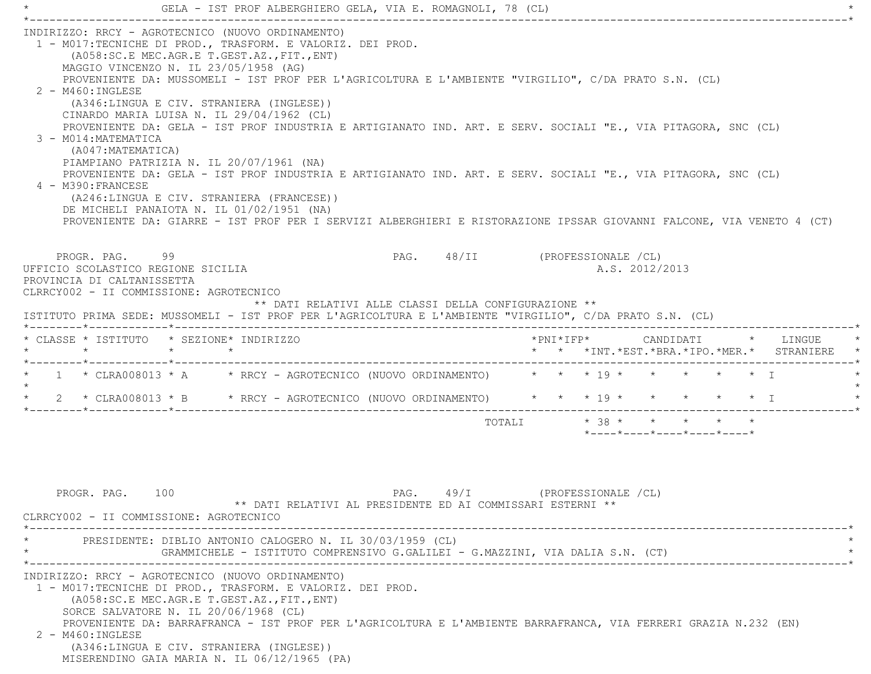\* GELA - IST PROF ALBERGHIERO GELA, VIA E. ROMAGNOLI, 78 (CL) \* \*----------------------------------------------------------------------------------------------------------------------------\* INDIRIZZO: RRCY - AGROTECNICO (NUOVO ORDINAMENTO) 1 - M017:TECNICHE DI PROD., TRASFORM. E VALORIZ. DEI PROD. (A058:SC.E MEC.AGR.E T.GEST.AZ.,FIT.,ENT) MAGGIO VINCENZO N. IL 23/05/1958 (AG) PROVENIENTE DA: MUSSOMELI - IST PROF PER L'AGRICOLTURA E L'AMBIENTE "VIRGILIO", C/DA PRATO S.N. (CL) 2 - M460:INGLESE (A346:LINGUA E CIV. STRANIERA (INGLESE)) CINARDO MARIA LUISA N. IL 29/04/1962 (CL) PROVENIENTE DA: GELA - IST PROF INDUSTRIA E ARTIGIANATO IND. ART. E SERV. SOCIALI "E., VIA PITAGORA, SNC (CL) 3 - M014:MATEMATICA (A047:MATEMATICA) PIAMPIANO PATRIZIA N. IL 20/07/1961 (NA) PROVENIENTE DA: GELA - IST PROF INDUSTRIA E ARTIGIANATO IND. ART. E SERV. SOCIALI "E., VIA PITAGORA, SNC (CL) 4 - M390:FRANCESE (A246:LINGUA E CIV. STRANIERA (FRANCESE)) DE MICHELI PANAIOTA N. IL 01/02/1951 (NA) PROVENIENTE DA: GIARRE - IST PROF PER I SERVIZI ALBERGHIERI E RISTORAZIONE IPSSAR GIOVANNI FALCONE, VIA VENETO 4 (CT) PROGR. PAG. 99 PAG. 48/II (PROFESSIONALE /CL) UFFICIO SCOLASTICO REGIONE SICILIA A.S. 2012/2013 PROVINCIA DI CALTANISSETTA CLRRCY002 - II COMMISSIONE: AGROTECNICO \*\* DATI RELATIVI ALLE CLASSI DELLA CONFIGURAZIONE \*\* ISTITUTO PRIMA SEDE: MUSSOMELI - IST PROF PER L'AGRICOLTURA E L'AMBIENTE "VIRGILIO", C/DA PRATO S.N. (CL) \*--------\*------------\*-------------------------------------------------------------------------------------------------------\* \* CLASSE \* ISTITUTO \* SEZIONE\* INDIRIZZO \*PNI\*IFP\* CANDIDATI \* LINGUE \* \* \* \* \* \* \* \*INT.\*EST.\*BRA.\*IPO.\*MER.\* STRANIERE \* \*--------\*------------\*-------------------------------------------------------------------------------------------------------\* $1$  \* CLRA008013 \* A  $\quad$  \* RRCY - AGROTECNICO (NUOVO ORDINAMENTO)  $\quad$  \* \* \* \* \* \* \* \* \* \* \* \* T  $\star$  \* 2 \* CLRA008013 \* B \* RRCY - AGROTECNICO (NUOVO ORDINAMENTO) \* \* \* 19 \* \* \* \* \* I \* \*--------\*------------\*-------------------------------------------------------------------------------------------------------\*TOTALI  $* 38 * * * * * * * * * *$ \*----\*----\*----\*----\*----\*

PROGR. PAG. 100 PAG. 49/I (PROFESSIONALE /CL) \*\* DATI RELATIVI AL PRESIDENTE ED AI COMMISSARI ESTERNI \*\* CLRRCY002 - II COMMISSIONE: AGROTECNICO \*----------------------------------------------------------------------------------------------------------------------------\*PRESIDENTE: DIBLIO ANTONIO CALOGERO N. IL 30/03/1959 (CL) \* GRAMMICHELE - ISTITUTO COMPRENSIVO G.GALILEI - G.MAZZINI, VIA DALIA S.N. (CT) \* \*----------------------------------------------------------------------------------------------------------------------------\* INDIRIZZO: RRCY - AGROTECNICO (NUOVO ORDINAMENTO) 1 - M017:TECNICHE DI PROD., TRASFORM. E VALORIZ. DEI PROD. (A058:SC.E MEC.AGR.E T.GEST.AZ.,FIT.,ENT) SORCE SALVATORE N. IL 20/06/1968 (CL) PROVENIENTE DA: BARRAFRANCA - IST PROF PER L'AGRICOLTURA E L'AMBIENTE BARRAFRANCA, VIA FERRERI GRAZIA N.232 (EN) 2 - M460:INGLESE (A346:LINGUA E CIV. STRANIERA (INGLESE)) MISERENDINO GAIA MARIA N. IL 06/12/1965 (PA)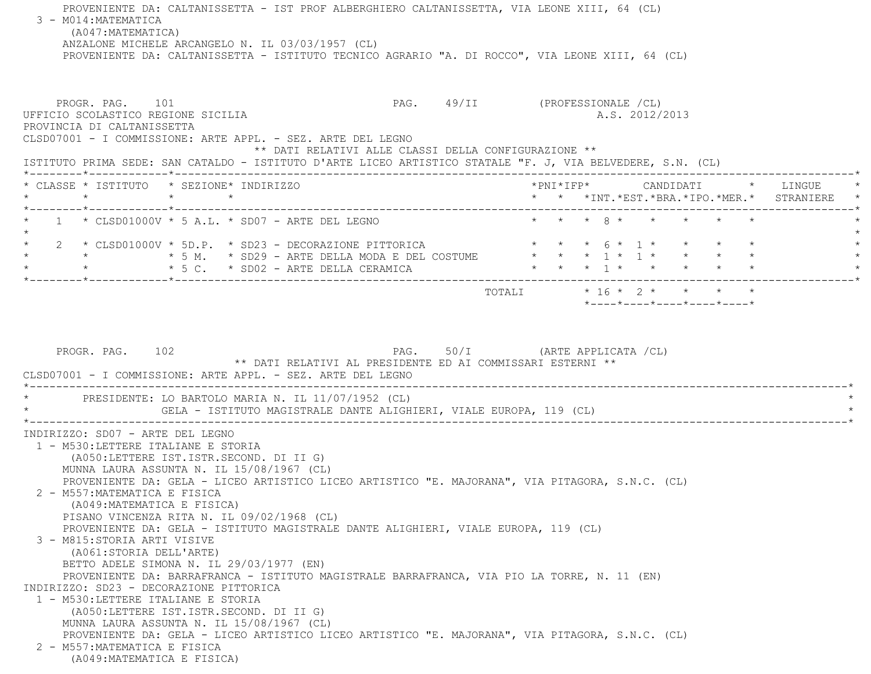PROVENIENTE DA: CALTANISSETTA - IST PROF ALBERGHIERO CALTANISSETTA, VIA LEONE XIII, 64 (CL) 3 - M014:MATEMATICA (A047:MATEMATICA) ANZALONE MICHELE ARCANGELO N. IL 03/03/1957 (CL) PROVENIENTE DA: CALTANISSETTA - ISTITUTO TECNICO AGRARIO "A. DI ROCCO", VIA LEONE XIII, 64 (CL) PROGR. PAG. 101 CPROFESSIONALE (CL) UFFICIO SCOLASTICO REGIONE SICILIA A.S. 2012/2013 PROVINCIA DI CALTANISSETTA CLSD07001 - I COMMISSIONE: ARTE APPL. - SEZ. ARTE DEL LEGNO \*\* DATI RELATIVI ALLE CLASSI DELLA CONFIGURAZIONE \*\* ISTITUTO PRIMA SEDE: SAN CATALDO - ISTITUTO D'ARTE LICEO ARTISTICO STATALE "F. J, VIA BELVEDERE, S.N. (CL) \*--------\*------------\*-------------------------------------------------------------------------------------------------------\* \* CLASSE \* ISTITUTO \* SEZIONE\* INDIRIZZO \*PNI\*IFP\* CANDIDATI \* LINGUE \* \* \* \* \* \* \* \*INT.\*EST.\*BRA.\*IPO.\*MER.\* STRANIERE \* \*--------\*------------\*-------------------------------------------------------------------------------------------------------\* \* 1 \* CLSD01000V \* 5 A.L. \* SD07 - ARTE DEL LEGNO \* \* \* 8 \* \* \* \* \* \* $\star$  $2 \times$  CLSD01000V \* 5D.P. \* SD23 - DECORAZIONE PITTORICA  $\qquad \qquad \star \quad \star \quad \star \quad \star \quad \circ \star \quad 1 \times \quad \star \quad \star \quad \star \quad \star \quad \star$  \* \* \* 5 M. \* SD29 - ARTE DELLA MODA E DEL COSTUME \* \* \* 1 \* 1 \* \* \* \* \*\* 5 C. \* SD02 - ARTE DELLA CERAMICA \* \* \* \* \* \* \* \* \* \* \* \* \* \* \*--------\*------------\*-------------------------------------------------------------------------------------------------------\*TOTALI  $* 16 * 2 * * * * * * *$  \*----\*----\*----\*----\*----\*PROGR. PAG. 102 **PAG.** PAG. 50/I (ARTE APPLICATA /CL) \*\* DATI RELATIVI AL PRESIDENTE ED AI COMMISSARI ESTERNI \*\* CLSD07001 - I COMMISSIONE: ARTE APPL. - SEZ. ARTE DEL LEGNO \*----------------------------------------------------------------------------------------------------------------------------\* \* PRESIDENTE: LO BARTOLO MARIA N. IL 11/07/1952 (CL) \* GELA - ISTITUTO MAGISTRALE DANTE ALIGHIERI, VIALE EUROPA, 119 (CL) \*----------------------------------------------------------------------------------------------------------------------------\* INDIRIZZO: SD07 - ARTE DEL LEGNO 1 - M530:LETTERE ITALIANE E STORIA (A050:LETTERE IST.ISTR.SECOND. DI II G) MUNNA LAURA ASSUNTA N. IL 15/08/1967 (CL) PROVENIENTE DA: GELA - LICEO ARTISTICO LICEO ARTISTICO "E. MAJORANA", VIA PITAGORA, S.N.C. (CL) 2 - M557:MATEMATICA E FISICA (A049:MATEMATICA E FISICA) PISANO VINCENZA RITA N. IL 09/02/1968 (CL) PROVENIENTE DA: GELA - ISTITUTO MAGISTRALE DANTE ALIGHIERI, VIALE EUROPA, 119 (CL) 3 - M815:STORIA ARTI VISIVE (A061:STORIA DELL'ARTE) BETTO ADELE SIMONA N. IL 29/03/1977 (EN) PROVENIENTE DA: BARRAFRANCA - ISTITUTO MAGISTRALE BARRAFRANCA, VIA PIO LA TORRE, N. 11 (EN) INDIRIZZO: SD23 - DECORAZIONE PITTORICA 1 - M530:LETTERE ITALIANE E STORIA (A050:LETTERE IST.ISTR.SECOND. DI II G) MUNNA LAURA ASSUNTA N. IL 15/08/1967 (CL) PROVENIENTE DA: GELA - LICEO ARTISTICO LICEO ARTISTICO "E. MAJORANA", VIA PITAGORA, S.N.C. (CL) 2 - M557:MATEMATICA E FISICA(A049:MATEMATICA E FISICA)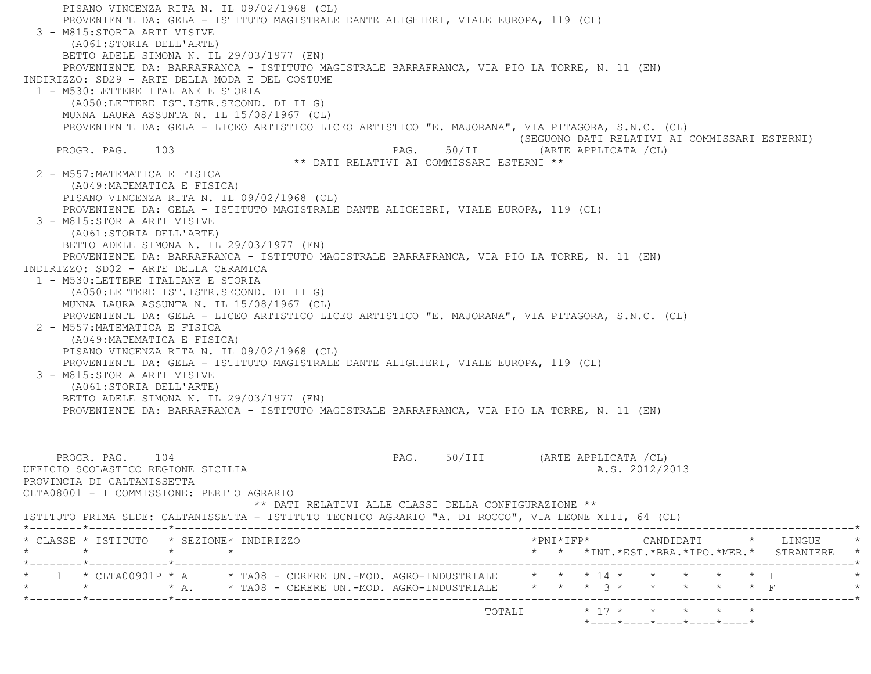PISANO VINCENZA RITA N. IL 09/02/1968 (CL) PROVENIENTE DA: GELA - ISTITUTO MAGISTRALE DANTE ALIGHIERI, VIALE EUROPA, 119 (CL) 3 - M815:STORIA ARTI VISIVE (A061:STORIA DELL'ARTE) BETTO ADELE SIMONA N. IL 29/03/1977 (EN) PROVENIENTE DA: BARRAFRANCA - ISTITUTO MAGISTRALE BARRAFRANCA, VIA PIO LA TORRE, N. 11 (EN) INDIRIZZO: SD29 - ARTE DELLA MODA E DEL COSTUME 1 - M530:LETTERE ITALIANE E STORIA (A050:LETTERE IST.ISTR.SECOND. DI II G) MUNNA LAURA ASSUNTA N. IL 15/08/1967 (CL) PROVENIENTE DA: GELA - LICEO ARTISTICO LICEO ARTISTICO "E. MAJORANA", VIA PITAGORA, S.N.C. (CL) (SEGUONO DATI RELATIVI AI COMMISSARI ESTERNI) PROGR. PAG. 103 PAG. 50/II (ARTE APPLICATA /CL) \*\* DATI RELATIVI AI COMMISSARI ESTERNI \*\* 2 - M557:MATEMATICA E FISICA (A049:MATEMATICA E FISICA) PISANO VINCENZA RITA N. IL 09/02/1968 (CL) PROVENIENTE DA: GELA - ISTITUTO MAGISTRALE DANTE ALIGHIERI, VIALE EUROPA, 119 (CL) 3 - M815:STORIA ARTI VISIVE (A061:STORIA DELL'ARTE) BETTO ADELE SIMONA N. IL 29/03/1977 (EN) PROVENIENTE DA: BARRAFRANCA - ISTITUTO MAGISTRALE BARRAFRANCA, VIA PIO LA TORRE, N. 11 (EN) INDIRIZZO: SD02 - ARTE DELLA CERAMICA 1 - M530:LETTERE ITALIANE E STORIA (A050:LETTERE IST.ISTR.SECOND. DI II G) MUNNA LAURA ASSUNTA N. IL 15/08/1967 (CL) PROVENIENTE DA: GELA - LICEO ARTISTICO LICEO ARTISTICO "E. MAJORANA", VIA PITAGORA, S.N.C. (CL) 2 - M557:MATEMATICA E FISICA (A049:MATEMATICA E FISICA) PISANO VINCENZA RITA N. IL 09/02/1968 (CL) PROVENIENTE DA: GELA - ISTITUTO MAGISTRALE DANTE ALIGHIERI, VIALE EUROPA, 119 (CL) 3 - M815:STORIA ARTI VISIVE (A061:STORIA DELL'ARTE) BETTO ADELE SIMONA N. IL 29/03/1977 (EN) PROVENIENTE DA: BARRAFRANCA - ISTITUTO MAGISTRALE BARRAFRANCA, VIA PIO LA TORRE, N. 11 (EN) PROGR. PAG. 104 **PAG.** 90/III (ARTE APPLICATA /CL) UFFICIO SCOLASTICO REGIONE SICILIA A.S. 2012/2013 PROVINCIA DI CALTANISSETTA CLTA08001 - I COMMISSIONE: PERITO AGRARIO \*\* DATI RELATIVI ALLE CLASSI DELLA CONFIGURAZIONE \*\* ISTITUTO PRIMA SEDE: CALTANISSETTA - ISTITUTO TECNICO AGRARIO "A. DI ROCCO", VIA LEONE XIII, 64 (CL) \*--------\*------------\*-------------------------------------------------------------------------------------------------------\* \* CLASSE \* ISTITUTO \* SEZIONE\* INDIRIZZO \*PNI\*IFP\* CANDIDATI \* LINGUE \* \* \* \* \* \* \* \*INT.\*EST.\*BRA.\*IPO.\*MER.\* STRANIERE \* \*--------\*------------\*-------------------------------------------------------------------------------------------------------\*\* 1 \* CLTA00901P \* A \* TA08 - CERERE UN.-MOD. AGRO-INDUSTRIALE \* \* \* 14 \* \* \* \* \* \* \* I \* \* \* A. \* TA08 - CERERE UN.-MOD. AGRO-INDUSTRIALE \* \* \* 3 \* \* \* \* \* \* F \*--------\*------------\*-------------------------------------------------------------------------------------------------------\*TOTALI  $* 17 * * * * * * * * *$ \*----\*----\*----\*----\*----\*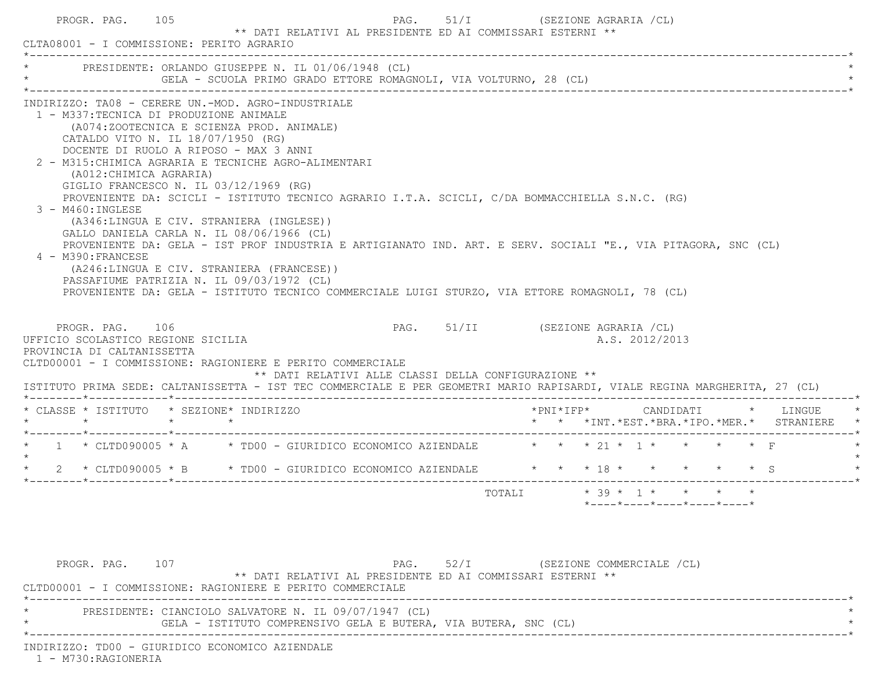| * PRESIDENTE: ORLANDO GIUSEPPE N. IL 01/06/1948 (CL)                                                                                                                                                                                                                                                                                                                                                                                 |                                                                                       | GELA - SCUOLA PRIMO GRADO ETTORE ROMAGNOLI, VIA VOLTURNO, 28 (CL) |                                  |                                                            |                |                    |  |
|--------------------------------------------------------------------------------------------------------------------------------------------------------------------------------------------------------------------------------------------------------------------------------------------------------------------------------------------------------------------------------------------------------------------------------------|---------------------------------------------------------------------------------------|-------------------------------------------------------------------|----------------------------------|------------------------------------------------------------|----------------|--------------------|--|
| INDIRIZZO: TA08 - CERERE UN.-MOD. AGRO-INDUSTRIALE<br>1 - M337:TECNICA DI PRODUZIONE ANIMALE<br>CATALDO VITO N. IL 18/07/1950 (RG)<br>DOCENTE DI RUOLO A RIPOSO - MAX 3 ANNI<br>2 - M315: CHIMICA AGRARIA E TECNICHE AGRO-ALIMENTARI<br>(A012: CHIMICA AGRARIA)<br>GIGLIO FRANCESCO N. IL 03/12/1969 (RG)<br>PROVENIENTE DA: SCICLI - ISTITUTO TECNICO AGRARIO I.T.A. SCICLI, C/DA BOMMACCHIELLA S.N.C. (RG)<br>$3 - M460$ : INGLESE | (A074:ZOOTECNICA E SCIENZA PROD. ANIMALE)<br>(A346:LINGUA E CIV. STRANIERA (INGLESE)) |                                                                   |                                  |                                                            |                |                    |  |
| GALLO DANIELA CARLA N. IL 08/06/1966 (CL)<br>PROVENIENTE DA: GELA - IST PROF INDUSTRIA E ARTIGIANATO IND. ART. E SERV. SOCIALI "E., VIA PITAGORA, SNC (CL)<br>4 - M390: FRANCESE<br>PASSAFIUME PATRIZIA N. IL 09/03/1972 (CL)<br>PROVENIENTE DA: GELA - ISTITUTO TECNICO COMMERCIALE LUIGI STURZO, VIA ETTORE ROMAGNOLI, 78 (CL)                                                                                                     | (A246:LINGUA E CIV. STRANIERA (FRANCESE))                                             |                                                                   |                                  |                                                            |                |                    |  |
| PROGR. PAG. 106<br>UFFICIO SCOLASTICO REGIONE SICILIA<br>PROVINCIA DI CALTANISSETTA<br>CLTD00001 - I COMMISSIONE: RAGIONIERE E PERITO COMMERCIALE<br>ISTITUTO PRIMA SEDE: CALTANISSETTA - IST TEC COMMERCIALE E PER GEOMETRI MARIO RAPISARDI, VIALE REGINA MARGHERITA, 27 (CL)                                                                                                                                                       |                                                                                       | ** DATI RELATIVI ALLE CLASSI DELLA CONFIGURAZIONE **              | PAG. 51/II (SEZIONE AGRARIA /CL) |                                                            | A.S. 2012/2013 |                    |  |
| * CLASSE * ISTITUTO * SEZIONE* INDIRIZZO                                                                                                                                                                                                                                                                                                                                                                                             |                                                                                       |                                                                   |                                  | *PNI*IFP*<br>* * *INT. *EST. *BRA. *IPO. *MER. * STRANIERE |                | CANDIDATI * LINGUE |  |
| 1 * CLTD090005 * A * TD00 - GIURIDICO ECONOMICO AZIENDALE $\star$ * * 21 * 1 * * * * * F                                                                                                                                                                                                                                                                                                                                             |                                                                                       |                                                                   |                                  |                                                            |                |                    |  |

PROGR. PAG. 107 PAG. 52/I (SEZIONE COMMERCIALE /CL) \*\* DATI RELATIVI AL PRESIDENTE ED AI COMMISSARI ESTERNI \*\* CLTD00001 - I COMMISSIONE: RAGIONIERE E PERITO COMMERCIALE \*----------------------------------------------------------------------------------------------------------------------------\*PRESIDENTE: CIANCIOLO SALVATORE N. IL 09/07/1947 (CL) GELA - ISTITUTO COMPRENSIVO GELA E BUTERA, VIA BUTERA, SNC (CL) \*----------------------------------------------------------------------------------------------------------------------------\*INDIRIZZO: TD00 - GIURIDICO ECONOMICO AZIENDALE

1 - M730:RAGIONERIA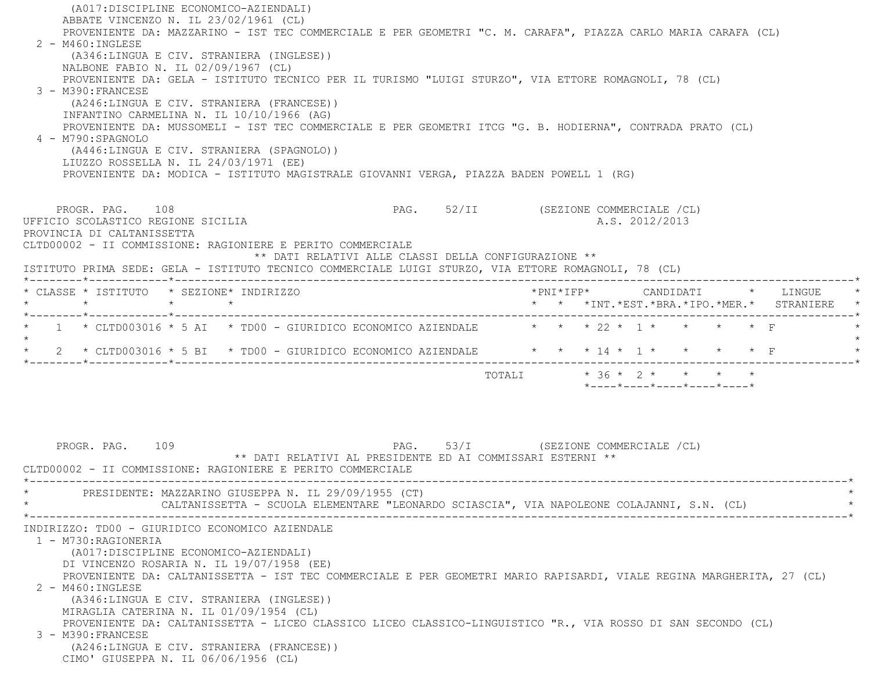| (A017:DISCIPLINE ECONOMICO-AZIENDALI)                                                                                                                   |                                                            |                                                                                           |
|---------------------------------------------------------------------------------------------------------------------------------------------------------|------------------------------------------------------------|-------------------------------------------------------------------------------------------|
| ABBATE VINCENZO N. IL 23/02/1961 (CL)                                                                                                                   |                                                            |                                                                                           |
| PROVENIENTE DA: MAZZARINO - IST TEC COMMERCIALE E PER GEOMETRI "C. M. CARAFA", PIAZZA CARLO MARIA CARAFA (CL)                                           |                                                            |                                                                                           |
| 2 - M460: INGLESE<br>(A346:LINGUA E CIV. STRANIERA (INGLESE))                                                                                           |                                                            |                                                                                           |
| NALBONE FABIO N. IL 02/09/1967 (CL)                                                                                                                     |                                                            |                                                                                           |
| PROVENIENTE DA: GELA - ISTITUTO TECNICO PER IL TURISMO "LUIGI STURZO", VIA ETTORE ROMAGNOLI, 78 (CL)                                                    |                                                            |                                                                                           |
| 3 - M390: FRANCESE                                                                                                                                      |                                                            |                                                                                           |
| (A246:LINGUA E CIV. STRANIERA (FRANCESE))                                                                                                               |                                                            |                                                                                           |
| INFANTINO CARMELINA N. IL 10/10/1966 (AG)                                                                                                               |                                                            |                                                                                           |
| PROVENIENTE DA: MUSSOMELI - IST TEC COMMERCIALE E PER GEOMETRI ITCG "G. B. HODIERNA", CONTRADA PRATO (CL)<br>4 - M790: SPAGNOLO                         |                                                            |                                                                                           |
| (A446:LINGUA E CIV. STRANIERA (SPAGNOLO))                                                                                                               |                                                            |                                                                                           |
| LIUZZO ROSSELLA N. IL 24/03/1971 (EE)                                                                                                                   |                                                            |                                                                                           |
| PROVENIENTE DA: MODICA - ISTITUTO MAGISTRALE GIOVANNI VERGA, PIAZZA BADEN POWELL 1 (RG)                                                                 |                                                            |                                                                                           |
|                                                                                                                                                         |                                                            |                                                                                           |
|                                                                                                                                                         |                                                            |                                                                                           |
| PROGR. PAG. 108<br>UFFICIO SCOLASTICO REGIONE SICILIA                                                                                                   |                                                            | PAG. 52/II (SEZIONE COMMERCIALE /CL)<br>A.S. 2012/2013                                    |
| PROVINCIA DI CALTANISSETTA                                                                                                                              |                                                            |                                                                                           |
| CLTD00002 - II COMMISSIONE: RAGIONIERE E PERITO COMMERCIALE                                                                                             |                                                            |                                                                                           |
|                                                                                                                                                         | ** DATI RELATIVI ALLE CLASSI DELLA CONFIGURAZIONE **       |                                                                                           |
| ISTITUTO PRIMA SEDE: GELA - ISTITUTO TECNICO COMMERCIALE LUIGI STURZO, VIA ETTORE ROMAGNOLI, 78 (CL)                                                    |                                                            |                                                                                           |
| * CLASSE * ISTITUTO * SEZIONE* INDIRIZZO                                                                                                                |                                                            | *PNI*IFP* CANDIDATI * LINGUE                                                              |
| $\star$<br>$\star$ $\star$                                                                                                                              |                                                            | * * *INT. *EST. *BRA. *IPO. *MER. * STRANIERE                                             |
|                                                                                                                                                         |                                                            |                                                                                           |
| 1 * CLTD003016 * 5 AI * TD00 - GIURIDICO ECONOMICO AZIENDALE                                                                                            |                                                            | * * * 22 * 1 * * * * F                                                                    |
|                                                                                                                                                         |                                                            |                                                                                           |
| 2 * CLTD003016 * 5 BI * TD00 - GIURIDICO ECONOMICO AZIENDALE * * * 14 * 1 * * * * * * F                                                                 |                                                            |                                                                                           |
|                                                                                                                                                         |                                                            | TOTALI * 36 * 2 * * * *                                                                   |
|                                                                                                                                                         |                                                            | $*$ - - - - $*$ - - - - $*$ - - - - $*$ - - - - $*$ - - - - $*$                           |
|                                                                                                                                                         |                                                            |                                                                                           |
|                                                                                                                                                         |                                                            |                                                                                           |
|                                                                                                                                                         |                                                            |                                                                                           |
| PROGR. PAG. 109                                                                                                                                         |                                                            | PAG. 53/I (SEZIONE COMMERCIALE /CL)                                                       |
|                                                                                                                                                         | ** DATI RELATIVI AL PRESIDENTE ED AI COMMISSARI ESTERNI ** |                                                                                           |
| CLTD00002 - II COMMISSIONE: RAGIONIERE E PERITO COMMERCIALE                                                                                             |                                                            |                                                                                           |
|                                                                                                                                                         |                                                            |                                                                                           |
| PRESIDENTE: MAZZARINO GIUSEPPA N. IL 29/09/1955 (CT)                                                                                                    |                                                            |                                                                                           |
|                                                                                                                                                         |                                                            | CALTANISSETTA - SCUOLA ELEMENTARE "LEONARDO SCIASCIA", VIA NAPOLEONE COLAJANNI, S.N. (CL) |
| INDIRIZZO: TD00 - GIURIDICO ECONOMICO AZIENDALE                                                                                                         |                                                            |                                                                                           |
| 1 - M730: RAGIONERIA                                                                                                                                    |                                                            |                                                                                           |
| (A017:DISCIPLINE ECONOMICO-AZIENDALI)                                                                                                                   |                                                            |                                                                                           |
| DI VINCENZO ROSARIA N. IL 19/07/1958 (EE)                                                                                                               |                                                            |                                                                                           |
| PROVENIENTE DA: CALTANISSETTA - IST TEC COMMERCIALE E PER GEOMETRI MARIO RAPISARDI, VIALE REGINA MARGHERITA, 27 (CL)                                    |                                                            |                                                                                           |
|                                                                                                                                                         |                                                            |                                                                                           |
| 2 - M460: INGLESE                                                                                                                                       |                                                            |                                                                                           |
| (A346:LINGUA E CIV. STRANIERA (INGLESE))                                                                                                                |                                                            |                                                                                           |
| MIRAGLIA CATERINA N. IL 01/09/1954 (CL)<br>PROVENIENTE DA: CALTANISSETTA - LICEO CLASSICO LICEO CLASSICO-LINGUISTICO "R., VIA ROSSO DI SAN SECONDO (CL) |                                                            |                                                                                           |
| 3 - M390: FRANCESE                                                                                                                                      |                                                            |                                                                                           |
| (A246:LINGUA E CIV. STRANIERA (FRANCESE))<br>CIMO' GIUSEPPA N. IL 06/06/1956 (CL)                                                                       |                                                            |                                                                                           |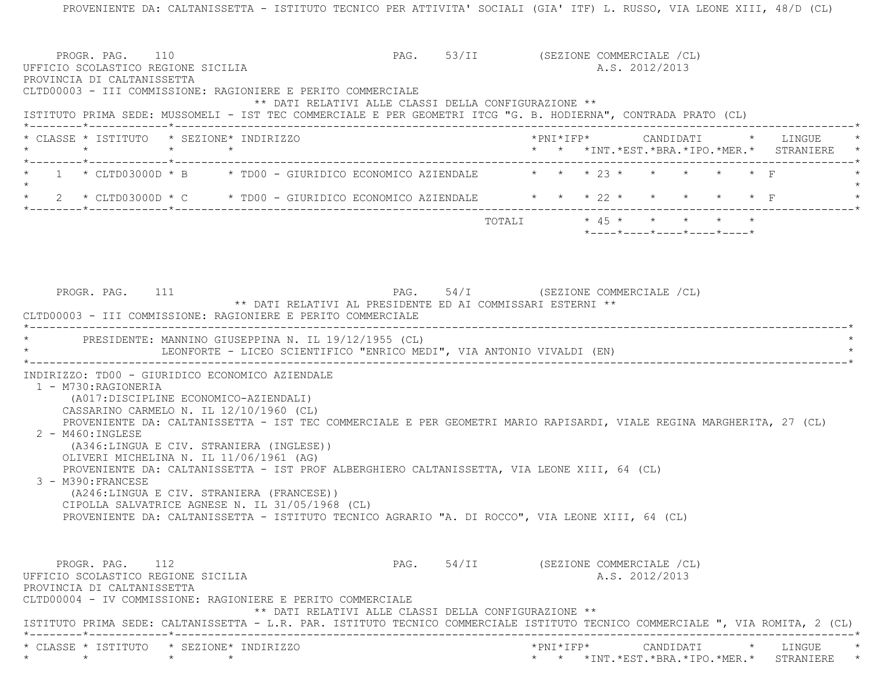PROVENIENTE DA: CALTANISSETTA - ISTITUTO TECNICO PER ATTIVITA' SOCIALI (GIA' ITF) L. RUSSO, VIA LEONE XIII, 48/D (CL) PROGR. PAG. 110 **PAG.** PAG. 53/II (SEZIONE COMMERCIALE /CL) UFFICIO SCOLASTICO REGIONE SICILIA A.S. 2012/2013 PROVINCIA DI CALTANISSETTA CLTD00003 - III COMMISSIONE: RAGIONIERE E PERITO COMMERCIALE \*\* DATI RELATIVI ALLE CLASSI DELLA CONFIGURAZIONE \*\* ISTITUTO PRIMA SEDE: MUSSOMELI - IST TEC COMMERCIALE E PER GEOMETRI ITCG "G. B. HODIERNA", CONTRADA PRATO (CL) \*--------\*------------\*-------------------------------------------------------------------------------------------------------\* \* CLASSE \* ISTITUTO \* SEZIONE\* INDIRIZZO \*PNI\*IFP\* CANDIDATI \* LINGUE \* \* \* \* \* \* \* \*INT.\*EST.\*BRA.\*IPO.\*MER.\* STRANIERE \* \*--------\*------------\*-------------------------------------------------------------------------------------------------------\*1 \* CLTD03000D \* B \* TD00 - GIURIDICO ECONOMICO AZIENDALE  $\qquad$  \* \* \* 23 \* \* \* \* \* \* F  $\star$ 2 \* CLTD03000D \* C \* TD00 - GIURIDICO ECONOMICO AZIENDALE \* \* \* 22 \* \* \* \* \* \* \* F \*--------\*------------\*-------------------------------------------------------------------------------------------------------\* $\text{TOTALI}$  \* 45 \* \* \* \* \* \*----\*----\*----\*----\*----\*PROGR. PAG. 111 PAG. 54/I (SEZIONE COMMERCIALE /CL) \*\* DATI RELATIVI AL PRESIDENTE ED AI COMMISSARI ESTERNI \*\* CLTD00003 - III COMMISSIONE: RAGIONIERE E PERITO COMMERCIALE \*----------------------------------------------------------------------------------------------------------------------------\* \* PRESIDENTE: MANNINO GIUSEPPINA N. IL 19/12/1955 (CL) \* LEONFORTE - LICEO SCIENTIFICO "ENRICO MEDI", VIA ANTONIO VIVALDI (EN) \*----------------------------------------------------------------------------------------------------------------------------\* INDIRIZZO: TD00 - GIURIDICO ECONOMICO AZIENDALE 1 - M730:RAGIONERIA (A017:DISCIPLINE ECONOMICO-AZIENDALI) CASSARINO CARMELO N. IL 12/10/1960 (CL) PROVENIENTE DA: CALTANISSETTA - IST TEC COMMERCIALE E PER GEOMETRI MARIO RAPISARDI, VIALE REGINA MARGHERITA, 27 (CL) 2 - M460:INGLESE (A346:LINGUA E CIV. STRANIERA (INGLESE)) OLIVERI MICHELINA N. IL 11/06/1961 (AG) PROVENIENTE DA: CALTANISSETTA - IST PROF ALBERGHIERO CALTANISSETTA, VIA LEONE XIII, 64 (CL) 3 - M390:FRANCESE (A246:LINGUA E CIV. STRANIERA (FRANCESE)) CIPOLLA SALVATRICE AGNESE N. IL 31/05/1968 (CL) PROVENIENTE DA: CALTANISSETTA - ISTITUTO TECNICO AGRARIO "A. DI ROCCO", VIA LEONE XIII, 64 (CL) PROGR. PAG. 112 **PAG.** 54/II (SEZIONE COMMERCIALE /CL) UFFICIO SCOLASTICO REGIONE SICILIA A.S. 2012/2013 PROVINCIA DI CALTANISSETTA CLTD00004 - IV COMMISSIONE: RAGIONIERE E PERITO COMMERCIALE \*\* DATI RELATIVI ALLE CLASSI DELLA CONFIGURAZIONE \*\* ISTITUTO PRIMA SEDE: CALTANISSETTA - L.R. PAR. ISTITUTO TECNICO COMMERCIALE ISTITUTO TECNICO COMMERCIALE ", VIA ROMITA, 2 (CL) \*--------\*------------\*-------------------------------------------------------------------------------------------------------\* \* CLASSE \* ISTITUTO \* SEZIONE\* INDIRIZZO \*PNI\*IFP\* CANDIDATI \* LINGUE \*\* \* \* \* \* \* \*INT.\*EST.\*BRA.\*IPO.\*MER.\* STRANIERE \*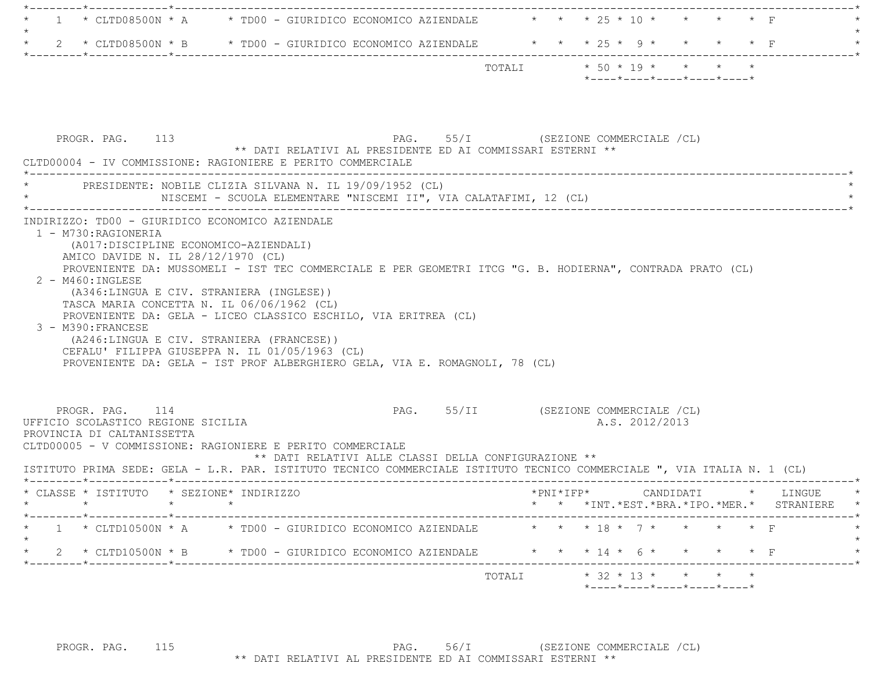| ______*____________*_________                                                                                           |                                                                                                           |        |                                                  |  |
|-------------------------------------------------------------------------------------------------------------------------|-----------------------------------------------------------------------------------------------------------|--------|--------------------------------------------------|--|
|                                                                                                                         | 1 * CLTD08500N * A * TD00 - GIURIDICO ECONOMICO AZIENDALE * * * 25 * 10 * * * * * F                       |        |                                                  |  |
| $\star$                                                                                                                 | 2 * CLTD08500N * B * TD00 - GIURIDICO ECONOMICO AZIENDALE * * * 25 * 9 * * * * * F                        |        |                                                  |  |
|                                                                                                                         |                                                                                                           |        |                                                  |  |
|                                                                                                                         |                                                                                                           |        | $*$ ---- $*$ ---- $*$ ---- $*$ ---- $*$ ---- $*$ |  |
|                                                                                                                         |                                                                                                           |        |                                                  |  |
|                                                                                                                         |                                                                                                           |        |                                                  |  |
| PROGR. PAG. 113                                                                                                         |                                                                                                           |        | PAG. 55/I (SEZIONE COMMERCIALE /CL)              |  |
| CLTD00004 - IV COMMISSIONE: RAGIONIERE E PERITO COMMERCIALE                                                             | ** DATI RELATIVI AL PRESIDENTE ED AI COMMISSARI ESTERNI **                                                |        |                                                  |  |
|                                                                                                                         | PRESIDENTE: NOBILE CLIZIA SILVANA N. IL 19/09/1952 (CL)                                                   |        |                                                  |  |
|                                                                                                                         | NISCEMI - SCUOLA ELEMENTARE "NISCEMI II", VIA CALATAFIMI, 12 (CL)                                         |        |                                                  |  |
| INDIRIZZO: TD00 - GIURIDICO ECONOMICO AZIENDALE                                                                         |                                                                                                           |        |                                                  |  |
| 1 - M730: RAGIONERIA                                                                                                    |                                                                                                           |        |                                                  |  |
| (A017: DISCIPLINE ECONOMICO-AZIENDALI)                                                                                  |                                                                                                           |        |                                                  |  |
| AMICO DAVIDE N. IL 28/12/1970 (CL)                                                                                      |                                                                                                           |        |                                                  |  |
|                                                                                                                         | PROVENIENTE DA: MUSSOMELI - IST TEC COMMERCIALE E PER GEOMETRI ITCG "G. B. HODIERNA", CONTRADA PRATO (CL) |        |                                                  |  |
| $2 - M460$ : INGLESE                                                                                                    |                                                                                                           |        |                                                  |  |
| (A346:LINGUA E CIV. STRANIERA (INGLESE))                                                                                |                                                                                                           |        |                                                  |  |
| TASCA MARIA CONCETTA N. IL 06/06/1962 (CL)                                                                              |                                                                                                           |        |                                                  |  |
|                                                                                                                         | PROVENIENTE DA: GELA - LICEO CLASSICO ESCHILO, VIA ERITREA (CL)                                           |        |                                                  |  |
| 3 - M390: FRANCESE                                                                                                      |                                                                                                           |        |                                                  |  |
| (A246:LINGUA E CIV. STRANIERA (FRANCESE))                                                                               |                                                                                                           |        |                                                  |  |
|                                                                                                                         | CEFALU' FILIPPA GIUSEPPA N. IL 01/05/1963 (CL)                                                            |        |                                                  |  |
|                                                                                                                         | PROVENIENTE DA: GELA - IST PROF ALBERGHIERO GELA, VIA E. ROMAGNOLI, 78 (CL)                               |        |                                                  |  |
|                                                                                                                         |                                                                                                           |        |                                                  |  |
|                                                                                                                         |                                                                                                           |        |                                                  |  |
| PROGR. PAG. 114                                                                                                         |                                                                                                           |        | PAG. 55/II (SEZIONE COMMERCIALE /CL)             |  |
| UFFICIO SCOLASTICO REGIONE SICILIA                                                                                      |                                                                                                           |        | A.S. 2012/2013                                   |  |
| PROVINCIA DI CALTANISSETTA                                                                                              |                                                                                                           |        |                                                  |  |
| CLTD00005 - V COMMISSIONE: RAGIONIERE E PERITO COMMERCIALE                                                              |                                                                                                           |        |                                                  |  |
|                                                                                                                         | ** DATI RELATIVI ALLE CLASSI DELLA CONFIGURAZIONE **                                                      |        |                                                  |  |
| ISTITUTO PRIMA SEDE: GELA - L.R. PAR. ISTITUTO TECNICO COMMERCIALE ISTITUTO TECNICO COMMERCIALE ", VIA ITALIA N. 1 (CL) |                                                                                                           |        |                                                  |  |
|                                                                                                                         |                                                                                                           |        |                                                  |  |
| $\star$<br>$\star$                                                                                                      |                                                                                                           |        | * * *INT. *EST. *BRA. *IPO. *MER. * STRANIERE *  |  |
| -----------*-----------                                                                                                 | 1 * CLTD10500N * A * TD00 - GIURIDICO ECONOMICO AZIENDALE                                                 |        | * * * 18 * 7 * * * * * F                         |  |
|                                                                                                                         |                                                                                                           |        |                                                  |  |
| _______*_____________*________                                                                                          | 2 * CLTD10500N * B * TD00 - GIURIDICO ECONOMICO AZIENDALE * * * * 14 * 6 *                                |        |                                                  |  |
|                                                                                                                         |                                                                                                           | TOTALI | $*$ 32 $*$ 13 $*$ $*$ $*$ $*$                    |  |
|                                                                                                                         |                                                                                                           |        | *----*----*----*----*----*                       |  |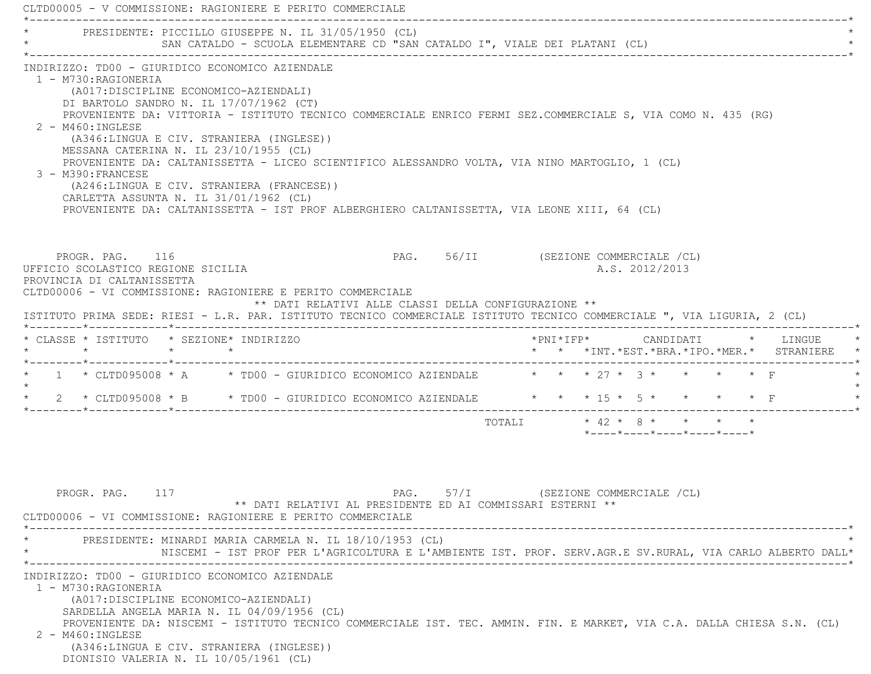| * PRESIDENTE: PICCILLO GIUSEPPE N. IL 31/05/1950 (CL)                                                                                                                 |                                                                                                           |
|-----------------------------------------------------------------------------------------------------------------------------------------------------------------------|-----------------------------------------------------------------------------------------------------------|
| SAN CATALDO - SCUOLA ELEMENTARE CD "SAN CATALDO I", VIALE DEI PLATANI (CL)                                                                                            |                                                                                                           |
| INDIRIZZO: TD00 - GIURIDICO ECONOMICO AZIENDALE                                                                                                                       |                                                                                                           |
| 1 - M730:RAGIONERIA<br>(A017:DISCIPLINE ECONOMICO-AZIENDALI)                                                                                                          |                                                                                                           |
| DI BARTOLO SANDRO N. IL 17/07/1962 (CT)                                                                                                                               |                                                                                                           |
| PROVENIENTE DA: VITTORIA - ISTITUTO TECNICO COMMERCIALE ENRICO FERMI SEZ.COMMERCIALE S, VIA COMO N. 435 (RG)                                                          |                                                                                                           |
| $2 - M460$ : INGLESE                                                                                                                                                  |                                                                                                           |
| (A346:LINGUA E CIV. STRANIERA (INGLESE))<br>MESSANA CATERINA N. IL 23/10/1955 (CL)                                                                                    |                                                                                                           |
| PROVENIENTE DA: CALTANISSETTA - LICEO SCIENTIFICO ALESSANDRO VOLTA, VIA NINO MARTOGLIO, 1 (CL)                                                                        |                                                                                                           |
| 3 - M390: FRANCESE                                                                                                                                                    |                                                                                                           |
| (A246:LINGUA E CIV. STRANIERA (FRANCESE))<br>CARLETTA ASSUNTA N. IL 31/01/1962 (CL)                                                                                   |                                                                                                           |
| PROVENIENTE DA: CALTANISSETTA - IST PROF ALBERGHIERO CALTANISSETTA, VIA LEONE XIII, 64 (CL)                                                                           |                                                                                                           |
|                                                                                                                                                                       |                                                                                                           |
|                                                                                                                                                                       |                                                                                                           |
| PROGR. PAG. 116                                                                                                                                                       | PAG. 56/II (SEZIONE COMMERCIALE /CL)                                                                      |
| UFFICIO SCOLASTICO REGIONE SICILIA                                                                                                                                    | A.S. 2012/2013                                                                                            |
| PROVINCIA DI CALTANISSETTA<br>CLTD00006 - VI COMMISSIONE: RAGIONIERE E PERITO COMMERCIALE                                                                             |                                                                                                           |
| ** DATI RELATIVI ALLE CLASSI DELLA CONFIGURAZIONE **                                                                                                                  |                                                                                                           |
| ISTITUTO PRIMA SEDE: RIESI - L.R. PAR. ISTITUTO TECNICO COMMERCIALE ISTITUTO TECNICO COMMERCIALE ", VIA LIGURIA, 2 (CL)                                               |                                                                                                           |
| * CLASSE * ISTITUTO * SEZIONE* INDIRIZZO                                                                                                                              | $*$ PNI $*$ I F P $*$<br>CANDIDATI * LINGUE                                                               |
| $\star$ $\star$<br>$\star$<br>$\star$                                                                                                                                 | * * *INT.*EST.*BRA.*IPO.*MER.* STRANIERE                                                                  |
| * 1 * CLTD095008 * A * TD00 - GIURIDICO ECONOMICO AZIENDALE * * * 27 * 3 * * * * * F                                                                                  |                                                                                                           |
| * 2 * CLTD095008 * B * TD00 - GIURIDICO ECONOMICO AZIENDALE * * * 15 * 5 * * * * * F                                                                                  |                                                                                                           |
|                                                                                                                                                                       | TOTALI * 42 * 8 * * * * *                                                                                 |
|                                                                                                                                                                       | $*$ - - - - $*$ - - - - $*$ - - - - $*$ - - - - $*$ - - - - $*$                                           |
|                                                                                                                                                                       |                                                                                                           |
|                                                                                                                                                                       |                                                                                                           |
|                                                                                                                                                                       |                                                                                                           |
| PROGR. PAG. 117                                                                                                                                                       | PAG. 57/I (SEZIONE COMMERCIALE /CL)                                                                       |
| ** DATI RELATIVI AL PRESIDENTE ED AI COMMISSARI ESTERNI **<br>CLTD00006 - VI COMMISSIONE: RAGIONIERE E PERITO COMMERCIALE                                             |                                                                                                           |
|                                                                                                                                                                       |                                                                                                           |
|                                                                                                                                                                       |                                                                                                           |
| PRESIDENTE: MINARDI MARIA CARMELA N. IL 18/10/1953 (CL)                                                                                                               |                                                                                                           |
|                                                                                                                                                                       |                                                                                                           |
|                                                                                                                                                                       |                                                                                                           |
| INDIRIZZO: TD00 - GIURIDICO ECONOMICO AZIENDALE<br>1 - M730: RAGIONERIA                                                                                               |                                                                                                           |
| (A017:DISCIPLINE ECONOMICO-AZIENDALI)                                                                                                                                 |                                                                                                           |
| SARDELLA ANGELA MARIA N. IL 04/09/1956 (CL)<br>PROVENIENTE DA: NISCEMI - ISTITUTO TECNICO COMMERCIALE IST. TEC. AMMIN. FIN. E MARKET, VIA C.A. DALLA CHIESA S.N. (CL) | NISCEMI - IST PROF PER L'AGRICOLTURA E L'AMBIENTE IST. PROF. SERV.AGR.E SV.RURAL, VIA CARLO ALBERTO DALL* |
| 2 - M460: INGLESE                                                                                                                                                     |                                                                                                           |
| (A346:LINGUA E CIV. STRANIERA (INGLESE))<br>DIONISIO VALERIA N. IL 10/05/1961 (CL)                                                                                    |                                                                                                           |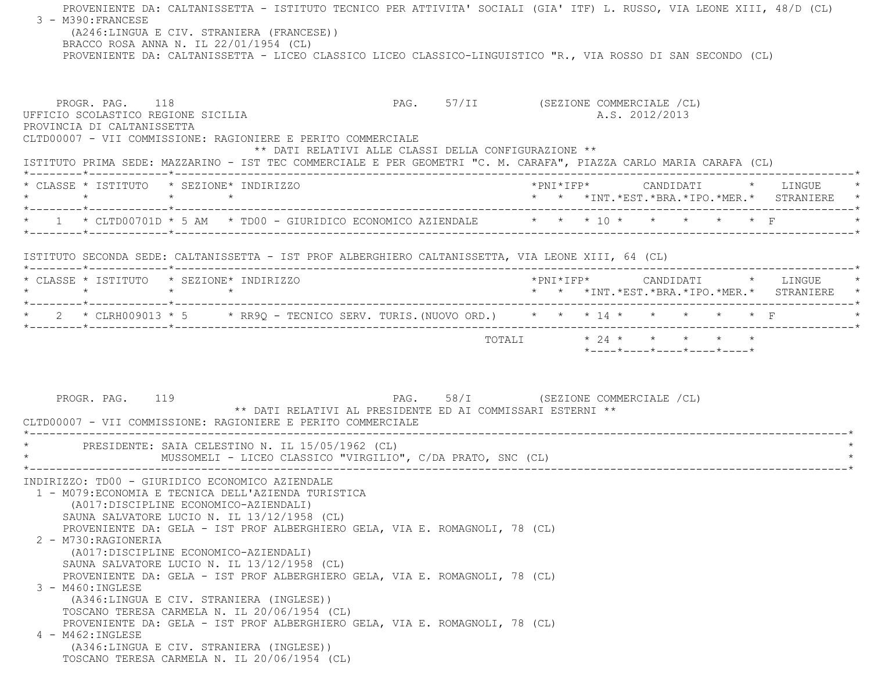PROVENIENTE DA: CALTANISSETTA - ISTITUTO TECNICO PER ATTIVITA' SOCIALI (GIA' ITF) L. RUSSO, VIA LEONE XIII, 48/D (CL) 3 - M390:FRANCESE (A246:LINGUA E CIV. STRANIERA (FRANCESE)) BRACCO ROSA ANNA N. IL 22/01/1954 (CL) PROVENIENTE DA: CALTANISSETTA - LICEO CLASSICO LICEO CLASSICO-LINGUISTICO "R., VIA ROSSO DI SAN SECONDO (CL) PROGR. PAG. 118 COMMERCIALE (CL) UFFICIO SCOLASTICO REGIONE SICILIA A.S. 2012/2013 PROVINCIA DI CALTANISSETTA CLTD00007 - VII COMMISSIONE: RAGIONIERE E PERITO COMMERCIALE \*\* DATI RELATIVI ALLE CLASSI DELLA CONFIGURAZIONE \*\* ISTITUTO PRIMA SEDE: MAZZARINO - IST TEC COMMERCIALE E PER GEOMETRI "C. M. CARAFA", PIAZZA CARLO MARIA CARAFA (CL) \*--------\*------------\*-------------------------------------------------------------------------------------------------------\* \* CLASSE \* ISTITUTO \* SEZIONE\* INDIRIZZO \*PNI\*IFP\* CANDIDATI \* LINGUE \* \* \* \* \* \* \* \*INT.\*EST.\*BRA.\*IPO.\*MER.\* STRANIERE \* \*--------\*------------\*-------------------------------------------------------------------------------------------------------\*\* 1 \* CLTD00701D \* 5 AM \* TD00 - GIURIDICO ECONOMICO AZIENDALE \* \* \* \* 10 \* \* \* \* \* \* \* F \*--------\*------------\*-------------------------------------------------------------------------------------------------------\* ISTITUTO SECONDA SEDE: CALTANISSETTA - IST PROF ALBERGHIERO CALTANISSETTA, VIA LEONE XIII, 64 (CL) \*--------\*------------\*-------------------------------------------------------------------------------------------------------\* \* CLASSE \* ISTITUTO \* SEZIONE\* INDIRIZZO \*PNI\*IFP\* CANDIDATI \* LINGUE \* \* \* \* \* \* \* \*INT.\*EST.\*BRA.\*IPO.\*MER.\* STRANIERE \* \*--------\*------------\*-------------------------------------------------------------------------------------------------------\* \* 2 \* CLRH009013 \* 5 \* RR9Q - TECNICO SERV. TURIS.(NUOVO ORD.) \* \* \* 14 \* \* \* \* \* F \* \*--------\*------------\*-------------------------------------------------------------------------------------------------------\*TOTALI  $* 24 * * * * * * * * * *$  \*----\*----\*----\*----\*----\*PROGR. PAG. 119 PAG. 58/I (SEZIONE COMMERCIALE /CL) \*\* DATI RELATIVI AL PRESIDENTE ED AI COMMISSARI ESTERNI \*\* CLTD00007 - VII COMMISSIONE: RAGIONIERE E PERITO COMMERCIALE \*----------------------------------------------------------------------------------------------------------------------------\*PRESIDENTE: SAIA CELESTINO N. IL 15/05/1962 (CL) MUSSOMELI - LICEO CLASSICO "VIRGILIO", C/DA PRATO, SNC (CL) \*----------------------------------------------------------------------------------------------------------------------------\* INDIRIZZO: TD00 - GIURIDICO ECONOMICO AZIENDALE 1 - M079:ECONOMIA E TECNICA DELL'AZIENDA TURISTICA (A017:DISCIPLINE ECONOMICO-AZIENDALI) SAUNA SALVATORE LUCIO N. IL 13/12/1958 (CL) PROVENIENTE DA: GELA - IST PROF ALBERGHIERO GELA, VIA E. ROMAGNOLI, 78 (CL) 2 - M730:RAGIONERIA (A017:DISCIPLINE ECONOMICO-AZIENDALI) SAUNA SALVATORE LUCIO N. IL 13/12/1958 (CL) PROVENIENTE DA: GELA - IST PROF ALBERGHIERO GELA, VIA E. ROMAGNOLI, 78 (CL) 3 - M460:INGLESE (A346:LINGUA E CIV. STRANIERA (INGLESE)) TOSCANO TERESA CARMELA N. IL 20/06/1954 (CL) PROVENIENTE DA: GELA - IST PROF ALBERGHIERO GELA, VIA E. ROMAGNOLI, 78 (CL) 4 - M462:INGLESE (A346:LINGUA E CIV. STRANIERA (INGLESE)) TOSCANO TERESA CARMELA N. IL 20/06/1954 (CL)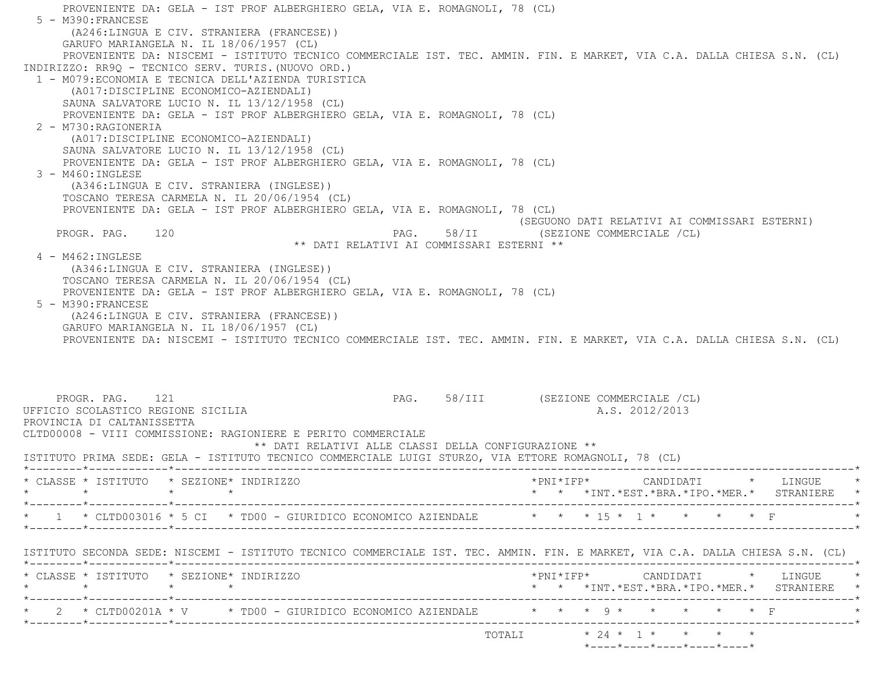PROVENIENTE DA: GELA - IST PROF ALBERGHIERO GELA, VIA E. ROMAGNOLI, 78 (CL) 5 - M390:FRANCESE (A246:LINGUA E CIV. STRANIERA (FRANCESE)) GARUFO MARIANGELA N. IL 18/06/1957 (CL) PROVENIENTE DA: NISCEMI - ISTITUTO TECNICO COMMERCIALE IST. TEC. AMMIN. FIN. E MARKET, VIA C.A. DALLA CHIESA S.N. (CL) INDIRIZZO: RR9Q - TECNICO SERV. TURIS.(NUOVO ORD.) 1 - M079:ECONOMIA E TECNICA DELL'AZIENDA TURISTICA (A017:DISCIPLINE ECONOMICO-AZIENDALI) SAUNA SALVATORE LUCIO N. IL 13/12/1958 (CL) PROVENIENTE DA: GELA - IST PROF ALBERGHIERO GELA, VIA E. ROMAGNOLI, 78 (CL) 2 - M730:RAGIONERIA (A017:DISCIPLINE ECONOMICO-AZIENDALI) SAUNA SALVATORE LUCIO N. IL 13/12/1958 (CL) PROVENIENTE DA: GELA - IST PROF ALBERGHIERO GELA, VIA E. ROMAGNOLI, 78 (CL) 3 - M460:INGLESE (A346:LINGUA E CIV. STRANIERA (INGLESE)) TOSCANO TERESA CARMELA N. IL 20/06/1954 (CL) PROVENIENTE DA: GELA - IST PROF ALBERGHIERO GELA, VIA E. ROMAGNOLI, 78 (CL) (SEGUONO DATI RELATIVI AI COMMISSARI ESTERNI) PROGR. PAG. 120 **PAG.** 98/II (SEZIONE COMMERCIALE /CL) \*\* DATI RELATIVI AI COMMISSARI ESTERNI \*\* 4 - M462:INGLESE (A346:LINGUA E CIV. STRANIERA (INGLESE)) TOSCANO TERESA CARMELA N. IL 20/06/1954 (CL) PROVENIENTE DA: GELA - IST PROF ALBERGHIERO GELA, VIA E. ROMAGNOLI, 78 (CL) 5 - M390:FRANCESE (A246:LINGUA E CIV. STRANIERA (FRANCESE)) GARUFO MARIANGELA N. IL 18/06/1957 (CL) PROVENIENTE DA: NISCEMI - ISTITUTO TECNICO COMMERCIALE IST. TEC. AMMIN. FIN. E MARKET, VIA C.A. DALLA CHIESA S.N. (CL) PROGR. PAG. 121 **PROGR. PAG. 21** PAG. 58/III (SEZIONE COMMERCIALE /CL) UFFICIO SCOLASTICO REGIONE SICILIA A.S. 2012/2013 PROVINCIA DI CALTANISSETTA CLTD00008 - VIII COMMISSIONE: RAGIONIERE E PERITO COMMERCIALE \*\* DATI RELATIVI ALLE CLASSI DELLA CONFIGURAZIONE \*\* ISTITUTO PRIMA SEDE: GELA - ISTITUTO TECNICO COMMERCIALE LUIGI STURZO, VIA ETTORE ROMAGNOLI, 78 (CL) \*--------\*------------\*-------------------------------------------------------------------------------------------------------\* \* CLASSE \* ISTITUTO \* SEZIONE\* INDIRIZZO \*PNI\*IFP\* CANDIDATI \* LINGUE \* \* \* \* \* \* \* \*INT.\*EST.\*BRA.\*IPO.\*MER.\* STRANIERE \* \*--------\*------------\*-------------------------------------------------------------------------------------------------------\*\* 1 \* CLTD003016 \* 5 CI \* TD00 - GIURIDICO ECONOMICO AZIENDALE \* \* \* 15 \* 1 \* \* \* \* \* F \*--------\*------------\*-------------------------------------------------------------------------------------------------------\* ISTITUTO SECONDA SEDE: NISCEMI - ISTITUTO TECNICO COMMERCIALE IST. TEC. AMMIN. FIN. E MARKET, VIA C.A. DALLA CHIESA S.N. (CL) \*--------\*------------\*-------------------------------------------------------------------------------------------------------\* \* CLASSE \* ISTITUTO \* SEZIONE\* INDIRIZZO \*PNI\*IFP\* CANDIDATI \* LINGUE \* \* \* \* \* \* \* \*INT.\*EST.\*BRA.\*IPO.\*MER.\* STRANIERE \* \*--------\*------------\*-------------------------------------------------------------------------------------------------------\*\* 2 \* CLTD00201A \* V \* TD00 - GIURIDICO ECONOMICO AZIENDALE \* \* \* 9 \* \* \* \* \* \* F \*--------\*------------\*-------------------------------------------------------------------------------------------------------\* TOTALI \* 24 \* 1 \* \* \* \*\*----\*----\*----\*----\*----\*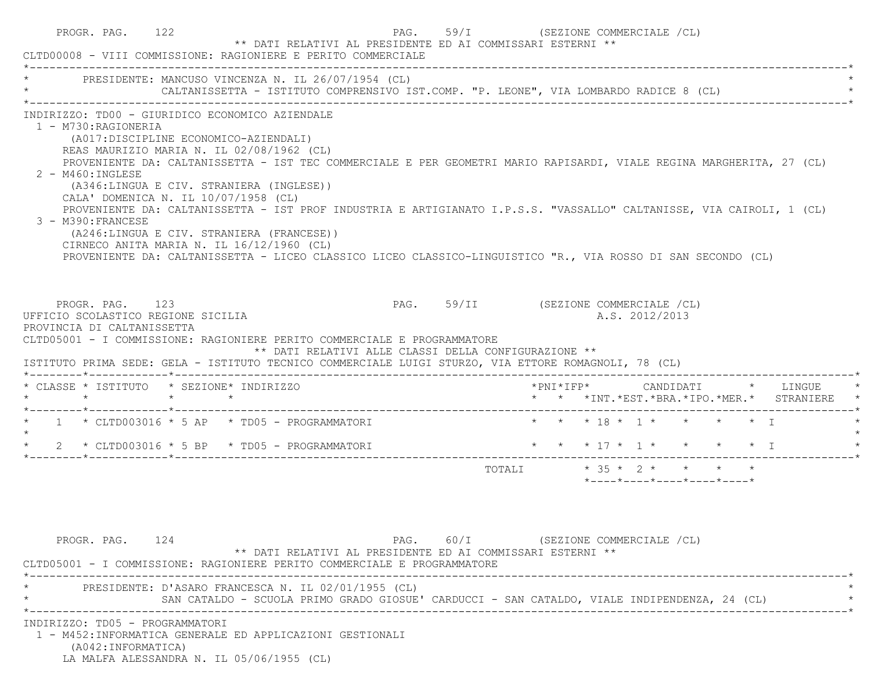|                                                                                                           | CLTD00008 - VIII COMMISSIONE: RAGIONIERE E PERITO COMMERCIALE                                                                                                                                                                                                                                                                                                                                                                                                                                                                                                                                                                               |                                      |  |                           |                |                                                                 |  |                                               |
|-----------------------------------------------------------------------------------------------------------|---------------------------------------------------------------------------------------------------------------------------------------------------------------------------------------------------------------------------------------------------------------------------------------------------------------------------------------------------------------------------------------------------------------------------------------------------------------------------------------------------------------------------------------------------------------------------------------------------------------------------------------------|--------------------------------------|--|---------------------------|----------------|-----------------------------------------------------------------|--|-----------------------------------------------|
|                                                                                                           | PRESIDENTE: MANCUSO VINCENZA N. IL 26/07/1954 (CL)<br>CALTANISSETTA - ISTITUTO COMPRENSIVO IST.COMP. "P. LEONE", VIA LOMBARDO RADICE 8 (CL)                                                                                                                                                                                                                                                                                                                                                                                                                                                                                                 |                                      |  |                           |                |                                                                 |  |                                               |
| 1 - M730:RAGIONERIA<br>$2 - M460$ : INGLESE<br>CALA' DOMENICA N. IL 10/07/1958 (CL)<br>3 - M390: FRANCESE | INDIRIZZO: TD00 - GIURIDICO ECONOMICO AZIENDALE<br>(A017:DISCIPLINE ECONOMICO-AZIENDALI)<br>REAS MAURIZIO MARIA N. IL 02/08/1962 (CL)<br>PROVENIENTE DA: CALTANISSETTA - IST TEC COMMERCIALE E PER GEOMETRI MARIO RAPISARDI, VIALE REGINA MARGHERITA, 27 (CL)<br>(A346:LINGUA E CIV. STRANIERA (INGLESE))<br>PROVENIENTE DA: CALTANISSETTA - IST PROF INDUSTRIA E ARTIGIANATO I.P.S.S. "VASSALLO" CALTANISSE, VIA CAIROLI, 1 (CL)<br>(A246:LINGUA E CIV. STRANIERA (FRANCESE))<br>CIRNECO ANITA MARIA N. IL 16/12/1960 (CL)<br>PROVENIENTE DA: CALTANISSETTA - LICEO CLASSICO LICEO CLASSICO-LINGUISTICO "R., VIA ROSSO DI SAN SECONDO (CL) |                                      |  |                           |                |                                                                 |  |                                               |
| PROGR. PAG. 123<br>UFFICIO SCOLASTICO REGIONE SICILIA<br>PROVINCIA DI CALTANISSETTA                       | CLTD05001 - I COMMISSIONE: RAGIONIERE PERITO COMMERCIALE E PROGRAMMATORE<br>** DATI RELATIVI ALLE CLASSI DELLA CONFIGURAZIONE **                                                                                                                                                                                                                                                                                                                                                                                                                                                                                                            | PAG. 59/II (SEZIONE COMMERCIALE /CL) |  |                           | A.S. 2012/2013 |                                                                 |  |                                               |
| * CLASSE * ISTITUTO * SEZIONE* INDIRIZZO                                                                  | ISTITUTO PRIMA SEDE: GELA - ISTITUTO TECNICO COMMERCIALE LUIGI STURZO, VIA ETTORE ROMAGNOLI, 78 (CL)                                                                                                                                                                                                                                                                                                                                                                                                                                                                                                                                        |                                      |  |                           |                |                                                                 |  | *PNI*IFP*     CANDIDATI    *   LINGUE         |
|                                                                                                           |                                                                                                                                                                                                                                                                                                                                                                                                                                                                                                                                                                                                                                             |                                      |  |                           |                |                                                                 |  | * * *INT. *EST. *BRA. *IPO. *MER. * STRANIERE |
|                                                                                                           | $\star$ 1 $\star$ CLTD003016 $\star$ 5 AP $\star$ TD05 - PROGRAMMATORI                                                                                                                                                                                                                                                                                                                                                                                                                                                                                                                                                                      |                                      |  | * * * 18 * 1 * * * * * 1  |                |                                                                 |  |                                               |
|                                                                                                           | $\star$ 2 $\star$ CLTD003016 $\star$ 5 BP $\star$ TD05 - PROGRAMMATORI                                                                                                                                                                                                                                                                                                                                                                                                                                                                                                                                                                      |                                      |  |                           |                |                                                                 |  | * * * 17 * 1 * * * * * 1                      |
|                                                                                                           |                                                                                                                                                                                                                                                                                                                                                                                                                                                                                                                                                                                                                                             |                                      |  | TOTALI * 35 * 2 * * * * * |                | $*$ - - - - $*$ - - - - $*$ - - - - $*$ - - - - $*$ - - - - $*$ |  |                                               |
| PROGR. PAG. 124                                                                                           | ** DATI RELATIVI AL PRESIDENTE ED AI COMMISSARI ESTERNI **<br>CLTD05001 - I COMMISSIONE: RAGIONIERE PERITO COMMERCIALE E PROGRAMMATORE                                                                                                                                                                                                                                                                                                                                                                                                                                                                                                      | PAG. 60/I (SEZIONE COMMERCIALE /CL)  |  |                           |                |                                                                 |  |                                               |
|                                                                                                           | PRESIDENTE: D'ASARO FRANCESCA N. IL 02/01/1955 (CL)<br>SAN CATALDO - SCUOLA PRIMO GRADO GIOSUE' CARDUCCI - SAN CATALDO, VIALE INDIPENDENZA, 24 (CL)                                                                                                                                                                                                                                                                                                                                                                                                                                                                                         |                                      |  |                           |                |                                                                 |  |                                               |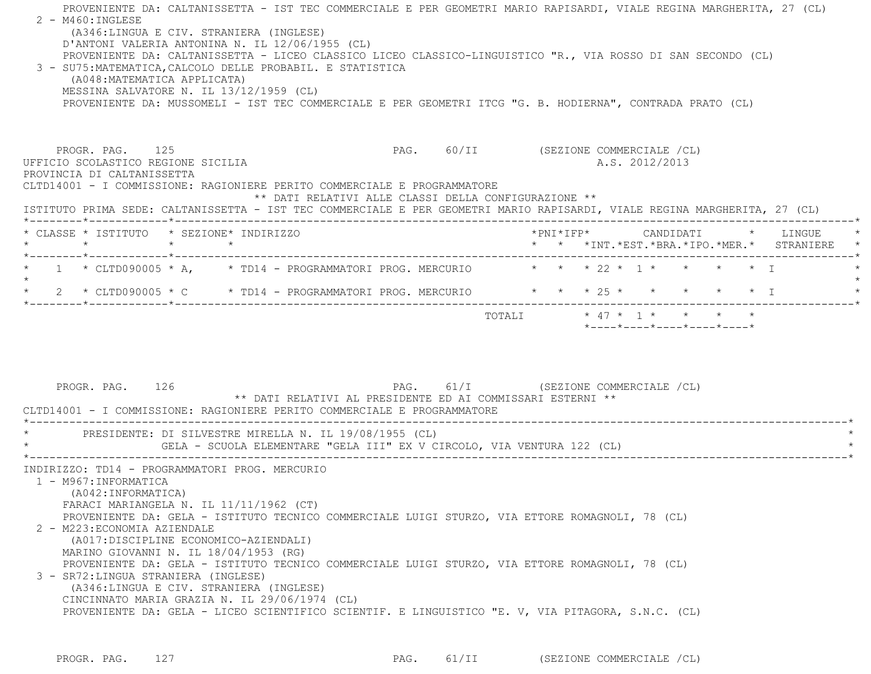| 2 - M460: INGLESE<br>(A346:LINGUA E CIV. STRANIERA (INGLESE)<br>D'ANTONI VALERIA ANTONINA N. IL 12/06/1955 (CL)<br>PROVENIENTE DA: CALTANISSETTA - LICEO CLASSICO LICEO CLASSICO-LINGUISTICO "R., VIA ROSSO DI SAN SECONDO (CL)<br>3 - SU75: MATEMATICA, CALCOLO DELLE PROBABIL. E STATISTICA<br>(A048: MATEMATICA APPLICATA)<br>MESSINA SALVATORE N. IL 13/12/1959 (CL)<br>PROVENIENTE DA: MUSSOMELI - IST TEC COMMERCIALE E PER GEOMETRI ITCG "G. B. HODIERNA", CONTRADA PRATO (CL) |                                                            | PROVENIENTE DA: CALTANISSETTA - IST TEC COMMERCIALE E PER GEOMETRI MARIO RAPISARDI, VIALE REGINA MARGHERITA, 27 (CL)                                                                |
|---------------------------------------------------------------------------------------------------------------------------------------------------------------------------------------------------------------------------------------------------------------------------------------------------------------------------------------------------------------------------------------------------------------------------------------------------------------------------------------|------------------------------------------------------------|-------------------------------------------------------------------------------------------------------------------------------------------------------------------------------------|
| PROGR. PAG. 125<br>UFFICIO SCOLASTICO REGIONE SICILIA<br>PROVINCIA DI CALTANISSETTA<br>CLTD14001 - I COMMISSIONE: RAGIONIERE PERITO COMMERCIALE E PROGRAMMATORE                                                                                                                                                                                                                                                                                                                       | ** DATI RELATIVI ALLE CLASSI DELLA CONFIGURAZIONE **       | PAG. 60/II (SEZIONE COMMERCIALE /CL)<br>A.S. 2012/2013<br>ISTITUTO PRIMA SEDE: CALTANISSETTA - IST TEC COMMERCIALE E PER GEOMETRI MARIO RAPISARDI, VIALE REGINA MARGHERITA, 27 (CL) |
| * CLASSE * ISTITUTO * SEZIONE* INDIRIZZO<br>$\star$ $\star$ $\star$ $\star$                                                                                                                                                                                                                                                                                                                                                                                                           |                                                            | * * *INT.*EST.*BRA.*IPO.*MER.* STRANIERE                                                                                                                                            |
| *--------*------------*-------------<br>1 * CLTD090005 * A, * TD14 - PROGRAMMATORI PROG. MERCURIO * * * 22 * 1 * * * * * T<br>$\star$<br>* 2 * CLTD090005 * C * TD14 - PROGRAMMATORI PROG. MERCURIO * * * 25 * *                                                                                                                                                                                                                                                                      |                                                            | $\star$ T<br>$\star$                                                                                                                                                                |
| PROGR. PAG. 126<br>CLTD14001 - I COMMISSIONE: RAGIONIERE PERITO COMMERCIALE E PROGRAMMATORE                                                                                                                                                                                                                                                                                                                                                                                           | ** DATI RELATIVI AL PRESIDENTE ED AI COMMISSARI ESTERNI ** | PAG. 61/I (SEZIONE COMMERCIALE /CL)                                                                                                                                                 |
| * PRESIDENTE: DI SILVESTRE MIRELLA N. IL 19/08/1955 (CL)                                                                                                                                                                                                                                                                                                                                                                                                                              |                                                            |                                                                                                                                                                                     |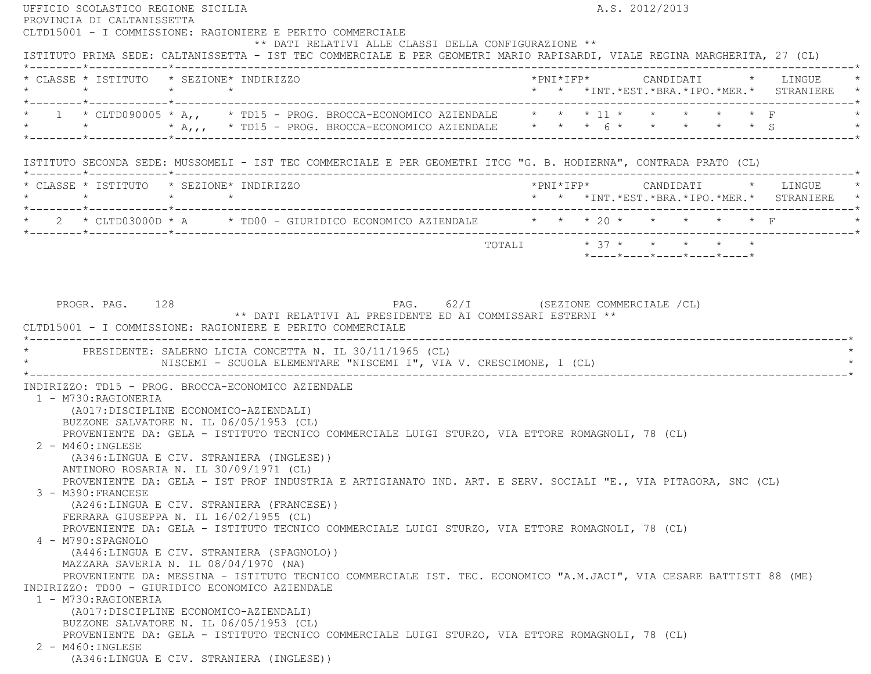| UFFICIO SCOLASTICO REGIONE SICILIA<br>PROVINCIA DI CALTANISSETTA |                 |                                                                                     |                                                                                                                                                                                              |  |  | A.S. 2012/2013 |                                                                 |                                                 |
|------------------------------------------------------------------|-----------------|-------------------------------------------------------------------------------------|----------------------------------------------------------------------------------------------------------------------------------------------------------------------------------------------|--|--|----------------|-----------------------------------------------------------------|-------------------------------------------------|
|                                                                  |                 |                                                                                     | CLTD15001 - I COMMISSIONE: RAGIONIERE E PERITO COMMERCIALE                                                                                                                                   |  |  |                |                                                                 |                                                 |
|                                                                  |                 |                                                                                     | ** DATI RELATIVI ALLE CLASSI DELLA CONFIGURAZIONE **                                                                                                                                         |  |  |                |                                                                 |                                                 |
|                                                                  |                 |                                                                                     | ISTITUTO PRIMA SEDE: CALTANISSETTA - IST TEC COMMERCIALE E PER GEOMETRI MARIO RAPISARDI, VIALE REGINA MARGHERITA, 27 (CL)                                                                    |  |  |                |                                                                 |                                                 |
| * CLASSE * ISTITUTO * SEZIONE* INDIRIZZO                         |                 |                                                                                     |                                                                                                                                                                                              |  |  |                |                                                                 |                                                 |
| $\star$                                                          | $\star$ $\star$ |                                                                                     |                                                                                                                                                                                              |  |  |                |                                                                 | * * *INT. *EST. *BRA. *IPO. *MER. * STRANIERE * |
|                                                                  |                 |                                                                                     |                                                                                                                                                                                              |  |  |                |                                                                 |                                                 |
|                                                                  |                 |                                                                                     | 1 * CLTD090005 * A,, * TD15 - PROG. BROCCA-ECONOMICO AZIENDALE * * * 11 * * * * * * * F                                                                                                      |  |  |                |                                                                 |                                                 |
|                                                                  |                 |                                                                                     | * * * * A,,, * TD15 - PROG. BROCCA-ECONOMICO AZIENDALE * * * 6 * * * * * * * 5                                                                                                               |  |  |                |                                                                 |                                                 |
|                                                                  |                 |                                                                                     |                                                                                                                                                                                              |  |  |                |                                                                 |                                                 |
|                                                                  |                 |                                                                                     | ISTITUTO SECONDA SEDE: MUSSOMELI - IST TEC COMMERCIALE E PER GEOMETRI ITCG "G. B. HODIERNA", CONTRADA PRATO (CL)                                                                             |  |  |                |                                                                 |                                                 |
|                                                                  |                 |                                                                                     |                                                                                                                                                                                              |  |  |                |                                                                 |                                                 |
| * CLASSE * ISTITUTO * SEZIONE* INDIRIZZO                         |                 |                                                                                     |                                                                                                                                                                                              |  |  |                |                                                                 |                                                 |
| $\star$                                                          | $\star$ $\star$ |                                                                                     |                                                                                                                                                                                              |  |  |                |                                                                 | * * *INT. *EST. *BRA. *IPO. *MER. * STRANIERE * |
|                                                                  |                 |                                                                                     |                                                                                                                                                                                              |  |  |                |                                                                 |                                                 |
|                                                                  |                 |                                                                                     | 2 * CLTD03000D * A * TD00 - GIURIDICO ECONOMICO AZIENDALE * * * * 20 * * * * * * F                                                                                                           |  |  |                |                                                                 |                                                 |
|                                                                  |                 |                                                                                     |                                                                                                                                                                                              |  |  |                | TOTALI * 37 * * * * * *                                         |                                                 |
|                                                                  |                 |                                                                                     |                                                                                                                                                                                              |  |  |                | $*$ - - - - $*$ - - - - $*$ - - - - $*$ - - - - $*$ - - - - $*$ |                                                 |
|                                                                  |                 |                                                                                     |                                                                                                                                                                                              |  |  |                |                                                                 |                                                 |
|                                                                  |                 |                                                                                     | CLTD15001 - I COMMISSIONE: RAGIONIERE E PERITO COMMERCIALE<br>PRESIDENTE: SALERNO LICIA CONCETTA N. IL 30/11/1965 (CL)<br>NISCEMI - SCUOLA ELEMENTARE "NISCEMI I", VIA V. CRESCIMONE, 1 (CL) |  |  |                |                                                                 |                                                 |
|                                                                  |                 |                                                                                     |                                                                                                                                                                                              |  |  |                |                                                                 |                                                 |
|                                                                  |                 | INDIRIZZO: TD15 - PROG. BROCCA-ECONOMICO AZIENDALE                                  |                                                                                                                                                                                              |  |  |                |                                                                 |                                                 |
| 1 - M730:RAGIONERIA                                              |                 |                                                                                     |                                                                                                                                                                                              |  |  |                |                                                                 |                                                 |
|                                                                  |                 | (A017:DISCIPLINE ECONOMICO-AZIENDALI)<br>BUZZONE SALVATORE N. IL 06/05/1953 (CL)    |                                                                                                                                                                                              |  |  |                |                                                                 |                                                 |
|                                                                  |                 |                                                                                     | PROVENIENTE DA: GELA - ISTITUTO TECNICO COMMERCIALE LUIGI STURZO, VIA ETTORE ROMAGNOLI, 78 (CL)                                                                                              |  |  |                |                                                                 |                                                 |
| 2 - M460: INGLESE                                                |                 |                                                                                     |                                                                                                                                                                                              |  |  |                |                                                                 |                                                 |
|                                                                  |                 | (A346:LINGUA E CIV. STRANIERA (INGLESE))                                            |                                                                                                                                                                                              |  |  |                |                                                                 |                                                 |
|                                                                  |                 | ANTINORO ROSARIA N. IL 30/09/1971 (CL)                                              |                                                                                                                                                                                              |  |  |                |                                                                 |                                                 |
|                                                                  |                 |                                                                                     | PROVENIENTE DA: GELA - IST PROF INDUSTRIA E ARTIGIANATO IND. ART. E SERV. SOCIALI "E., VIA PITAGORA, SNC (CL)                                                                                |  |  |                |                                                                 |                                                 |
| 3 - M390:FRANCESE                                                |                 |                                                                                     |                                                                                                                                                                                              |  |  |                |                                                                 |                                                 |
|                                                                  |                 | (A246:LINGUA E CIV. STRANIERA (FRANCESE))<br>FERRARA GIUSEPPA N. IL 16/02/1955 (CL) |                                                                                                                                                                                              |  |  |                |                                                                 |                                                 |
|                                                                  |                 |                                                                                     | PROVENIENTE DA: GELA - ISTITUTO TECNICO COMMERCIALE LUIGI STURZO, VIA ETTORE ROMAGNOLI, 78 (CL)                                                                                              |  |  |                |                                                                 |                                                 |
| 4 - M790:SPAGNOLO                                                |                 |                                                                                     |                                                                                                                                                                                              |  |  |                |                                                                 |                                                 |
|                                                                  |                 | (A446:LINGUA E CIV. STRANIERA (SPAGNOLO))                                           |                                                                                                                                                                                              |  |  |                |                                                                 |                                                 |
|                                                                  |                 | MAZZARA SAVERIA N. IL 08/04/1970 (NA)                                               |                                                                                                                                                                                              |  |  |                |                                                                 |                                                 |
|                                                                  |                 |                                                                                     |                                                                                                                                                                                              |  |  |                |                                                                 |                                                 |
|                                                                  |                 |                                                                                     | PROVENIENTE DA: MESSINA - ISTITUTO TECNICO COMMERCIALE IST. TEC. ECONOMICO "A.M.JACI", VIA CESARE BATTISTI 88 (ME)                                                                           |  |  |                |                                                                 |                                                 |
|                                                                  |                 | INDIRIZZO: TD00 - GIURIDICO ECONOMICO AZIENDALE                                     |                                                                                                                                                                                              |  |  |                |                                                                 |                                                 |
| 1 - M730: RAGIONERIA                                             |                 |                                                                                     |                                                                                                                                                                                              |  |  |                |                                                                 |                                                 |
|                                                                  |                 | (A017: DISCIPLINE ECONOMICO-AZIENDALI)                                              |                                                                                                                                                                                              |  |  |                |                                                                 |                                                 |
|                                                                  |                 | BUZZONE SALVATORE N. IL 06/05/1953 (CL)                                             |                                                                                                                                                                                              |  |  |                |                                                                 |                                                 |
|                                                                  |                 |                                                                                     | PROVENIENTE DA: GELA - ISTITUTO TECNICO COMMERCIALE LUIGI STURZO, VIA ETTORE ROMAGNOLI, 78 (CL)                                                                                              |  |  |                |                                                                 |                                                 |
| 2 - M460: INGLESE                                                |                 | (A346:LINGUA E CIV. STRANIERA (INGLESE))                                            |                                                                                                                                                                                              |  |  |                |                                                                 |                                                 |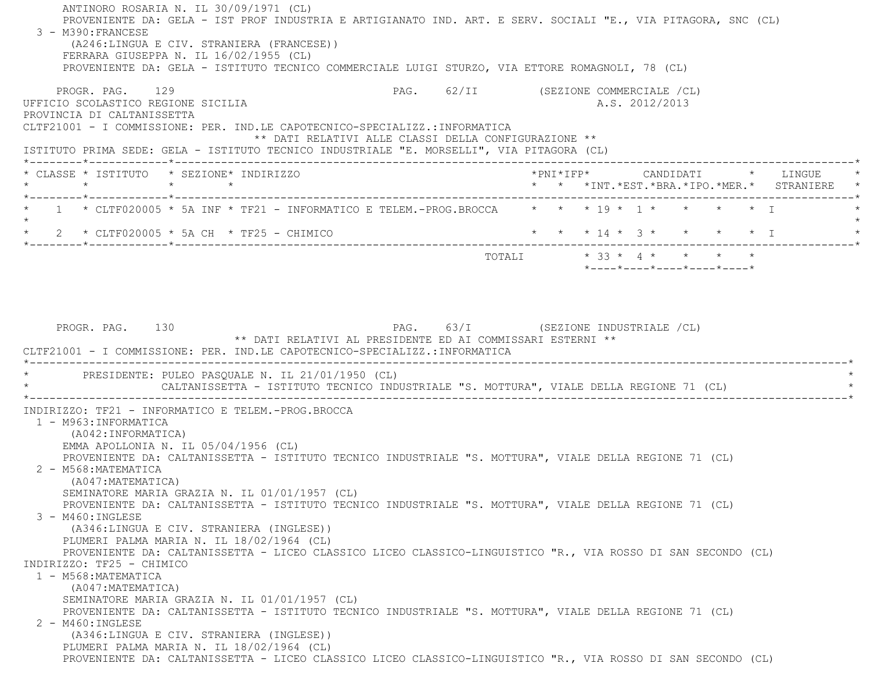ANTINORO ROSARIA N. IL 30/09/1971 (CL) PROVENIENTE DA: GELA - IST PROF INDUSTRIA E ARTIGIANATO IND. ART. E SERV. SOCIALI "E., VIA PITAGORA, SNC (CL) 3 - M390:FRANCESE (A246:LINGUA E CIV. STRANIERA (FRANCESE)) FERRARA GIUSEPPA N. IL 16/02/1955 (CL) PROVENIENTE DA: GELA - ISTITUTO TECNICO COMMERCIALE LUIGI STURZO, VIA ETTORE ROMAGNOLI, 78 (CL) PROGR. PAG. 129 CHARGE 129 PAG. 62/II (SEZIONE COMMERCIALE /CL) UFFICIO SCOLASTICO REGIONE SICILIA A.S. 2012/2013 PROVINCIA DI CALTANISSETTA CLTF21001 - I COMMISSIONE: PER. IND.LE CAPOTECNICO-SPECIALIZZ.:INFORMATICA \*\* DATI RELATIVI ALLE CLASSI DELLA CONFIGURAZIONE \*\* ISTITUTO PRIMA SEDE: GELA - ISTITUTO TECNICO INDUSTRIALE "E. MORSELLI", VIA PITAGORA (CL) \*--------\*------------\*-------------------------------------------------------------------------------------------------------\* \* CLASSE \* ISTITUTO \* SEZIONE\* INDIRIZZO \*PNI\*IFP\* CANDIDATI \* LINGUE \* \* \* \* \* \* \* \*INT.\*EST.\*BRA.\*IPO.\*MER.\* STRANIERE \* \*--------\*------------\*-------------------------------------------------------------------------------------------------------\* $1$  \* CLTF020005 \* 5A INF \* TF21 - INFORMATICO E TELEM.-PROG.BROCCA  $*$  \* \* 19 \* 1 \* \* \* \* \* I  $\star$ 2 \* CLTF020005 \* 5A CH \* TF25 - CHIMICO \* \* \* \* \* \* 14 \* 3 \* \* \* \* \* \* \* I \*--------\*------------\*-------------------------------------------------------------------------------------------------------\*TOTALI  $\star$  33  $\star$  4  $\star$   $\star$   $\star$   $\star$  \*----\*----\*----\*----\*----\*PROGR. PAG. 130 PAG. 63/I (SEZIONE INDUSTRIALE (CL) \*\* DATI RELATIVI AL PRESIDENTE ED AI COMMISSARI ESTERNI \*\* CLTF21001 - I COMMISSIONE: PER. IND.LE CAPOTECNICO-SPECIALIZZ.:INFORMATICA \*----------------------------------------------------------------------------------------------------------------------------\*PRESIDENTE: PULEO PASQUALE N. IL 21/01/1950 (CL) CALTANISSETTA - ISTITUTO TECNICO INDUSTRIALE "S. MOTTURA", VIALE DELLA REGIONE 71 (CL) \*----------------------------------------------------------------------------------------------------------------------------\* INDIRIZZO: TF21 - INFORMATICO E TELEM.-PROG.BROCCA 1 - M963:INFORMATICA (A042:INFORMATICA) EMMA APOLLONIA N. IL 05/04/1956 (CL) PROVENIENTE DA: CALTANISSETTA - ISTITUTO TECNICO INDUSTRIALE "S. MOTTURA", VIALE DELLA REGIONE 71 (CL) 2 - M568:MATEMATICA (A047:MATEMATICA) SEMINATORE MARIA GRAZIA N. IL 01/01/1957 (CL) PROVENIENTE DA: CALTANISSETTA - ISTITUTO TECNICO INDUSTRIALE "S. MOTTURA", VIALE DELLA REGIONE 71 (CL) 3 - M460:INGLESE (A346:LINGUA E CIV. STRANIERA (INGLESE)) PLUMERI PALMA MARIA N. IL 18/02/1964 (CL) PROVENIENTE DA: CALTANISSETTA - LICEO CLASSICO LICEO CLASSICO-LINGUISTICO "R., VIA ROSSO DI SAN SECONDO (CL) INDIRIZZO: TF25 - CHIMICO 1 - M568:MATEMATICA (A047:MATEMATICA) SEMINATORE MARIA GRAZIA N. IL 01/01/1957 (CL) PROVENIENTE DA: CALTANISSETTA - ISTITUTO TECNICO INDUSTRIALE "S. MOTTURA", VIALE DELLA REGIONE 71 (CL) 2 - M460:INGLESE (A346:LINGUA E CIV. STRANIERA (INGLESE)) PLUMERI PALMA MARIA N. IL 18/02/1964 (CL) PROVENIENTE DA: CALTANISSETTA - LICEO CLASSICO LICEO CLASSICO-LINGUISTICO "R., VIA ROSSO DI SAN SECONDO (CL)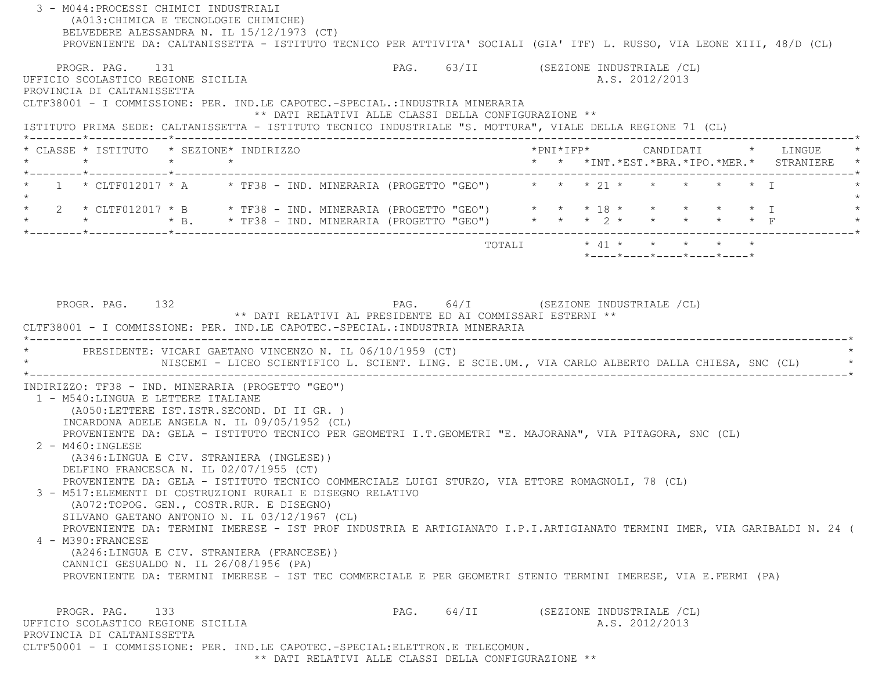| 3 - M044: PROCESSI CHIMICI INDUSTRIALI<br>(A013: CHIMICA E TECNOLOGIE CHIMICHE)<br>BELVEDERE ALESSANDRA N. IL 15/12/1973 (CT)<br>PROVENIENTE DA: CALTANISSETTA - ISTITUTO TECNICO PER ATTIVITA' SOCIALI (GIA' ITF) L. RUSSO, VIA LEONE XIII, 48/D (CL)                                                                                                                                                                                                                                                                                                                                                                      |                                      |  |                                                                                                                                                                                             |  |                                                                                        |  |
|-----------------------------------------------------------------------------------------------------------------------------------------------------------------------------------------------------------------------------------------------------------------------------------------------------------------------------------------------------------------------------------------------------------------------------------------------------------------------------------------------------------------------------------------------------------------------------------------------------------------------------|--------------------------------------|--|---------------------------------------------------------------------------------------------------------------------------------------------------------------------------------------------|--|----------------------------------------------------------------------------------------|--|
| PROGR. PAG. 131<br>UFFICIO SCOLASTICO REGIONE SICILIA<br>PROVINCIA DI CALTANISSETTA<br>CLTF38001 - I COMMISSIONE: PER. IND.LE CAPOTEC.-SPECIAL.: INDUSTRIA MINERARIA                                                                                                                                                                                                                                                                                                                                                                                                                                                        | PAG. 63/II (SEZIONE INDUSTRIALE /CL) |  | A.S. 2012/2013                                                                                                                                                                              |  |                                                                                        |  |
| ** DATI RELATIVI ALLE CLASSI DELLA CONFIGURAZIONE **<br>ISTITUTO PRIMA SEDE: CALTANISSETTA - ISTITUTO TECNICO INDUSTRIALE "S. MOTTURA", VIALE DELLA REGIONE 71 (CL)                                                                                                                                                                                                                                                                                                                                                                                                                                                         |                                      |  |                                                                                                                                                                                             |  |                                                                                        |  |
| * CLASSE * ISTITUTO * SEZIONE* INDIRIZZO<br>$\star$<br>$\star$ $\star$                                                                                                                                                                                                                                                                                                                                                                                                                                                                                                                                                      |                                      |  |                                                                                                                                                                                             |  | *PNI*IFP*     CANDIDATI    *   LINGUE<br>* * *INT. *EST. *BRA. *IPO. *MER. * STRANIERE |  |
| 1 * CLTF012017 * A * TF38 - IND. MINERARIA (PROGETTO "GEO") * * * 21 * * * * * * * T                                                                                                                                                                                                                                                                                                                                                                                                                                                                                                                                        |                                      |  |                                                                                                                                                                                             |  |                                                                                        |  |
| * 2 * CLTF012017 * B * TF38 - IND. MINERARIA (PROGETTO "GEO") * * * 18 * * * * * * * * I<br>* * * * * B. * TF38 - IND. MINERARIA (PROGETTO "GEO") * * * * 2 * * * * * * F                                                                                                                                                                                                                                                                                                                                                                                                                                                   |                                      |  |                                                                                                                                                                                             |  |                                                                                        |  |
|                                                                                                                                                                                                                                                                                                                                                                                                                                                                                                                                                                                                                             |                                      |  | $\texttt{TOTAL} \qquad \qquad * \ \ 41 \ \ * \qquad \  * \qquad \  * \qquad \  * \qquad \  * \qquad \  * \qquad \  * \\$<br>$*$ _ _ _ _ $*$ _ _ _ _ $*$ _ _ _ _ $*$ _ _ _ _ $*$ _ _ _ _ $*$ |  |                                                                                        |  |
| NISCEMI - LICEO SCIENTIFICO L. SCIENT. LING. E SCIE.UM., VIA CARLO ALBERTO DALLA CHIESA, SNC (CL) *                                                                                                                                                                                                                                                                                                                                                                                                                                                                                                                         |                                      |  |                                                                                                                                                                                             |  |                                                                                        |  |
| INDIRIZZO: TF38 - IND. MINERARIA (PROGETTO "GEO")<br>1 - M540: LINGUA E LETTERE ITALIANE<br>(A050;LETTERE IST.ISTR.SECOND. DI II GR. )<br>INCARDONA ADELE ANGELA N. IL 09/05/1952 (CL)<br>PROVENIENTE DA: GELA - ISTITUTO TECNICO PER GEOMETRI I.T.GEOMETRI "E. MAJORANA", VIA PITAGORA, SNC (CL)<br>2 - M460: INGLESE<br>(A346:LINGUA E CIV. STRANIERA (INGLESE))<br>DELFINO FRANCESCA N. IL 02/07/1955 (CT)<br>PROVENIENTE DA: GELA - ISTITUTO TECNICO COMMERCIALE LUIGI STURZO, VIA ETTORE ROMAGNOLI, 78 (CL)<br>3 - M517: ELEMENTI DI COSTRUZIONI RURALI E DISEGNO RELATIVO<br>(A072:TOPOG. GEN., COSTR.RUR. E DISEGNO) |                                      |  |                                                                                                                                                                                             |  |                                                                                        |  |
| SILVANO GAETANO ANTONIO N. IL 03/12/1967 (CL)<br>PROVENIENTE DA: TERMINI IMERESE - IST PROF INDUSTRIA E ARTIGIANATO I.P.I.ARTIGIANATO TERMINI IMER, VIA GARIBALDI N. 24 (<br>4 - M390: FRANCESE<br>(A246:LINGUA E CIV. STRANIERA (FRANCESE))<br>CANNICI GESUALDO N. IL 26/08/1956 (PA)<br>PROVENIENTE DA: TERMINI IMERESE - IST TEC COMMERCIALE E PER GEOMETRI STENIO TERMINI IMERESE, VIA E.FERMI (PA)                                                                                                                                                                                                                     |                                      |  |                                                                                                                                                                                             |  |                                                                                        |  |
| PROGR. PAG. 133<br>UFFICIO SCOLASTICO REGIONE SICILIA<br>PROVINCIA DI CALTANISSETTA<br>CLTF50001 - I COMMISSIONE: PER. IND.LE CAPOTEC.-SPECIAL:ELETTRON.E TELECOMUN.                                                                                                                                                                                                                                                                                                                                                                                                                                                        | $PAG.$ 64/II                         |  | (SEZIONE INDUSTRIALE /CL)<br>A.S. 2012/2013                                                                                                                                                 |  |                                                                                        |  |

 \*\* DATI RELATIVI ALLE CLASSI DELLA CONFIGURAZIONE \*\*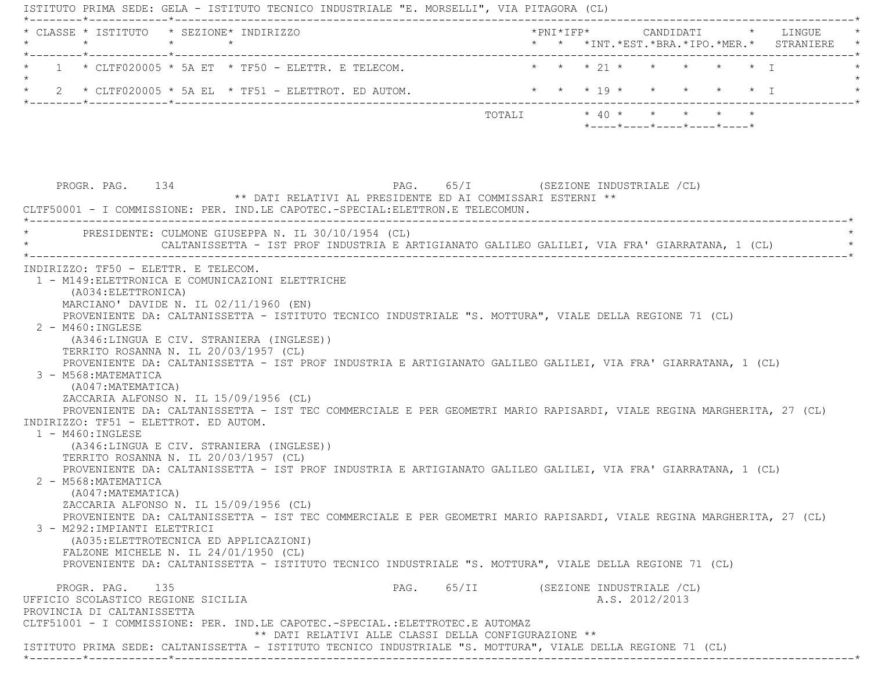ISTITUTO PRIMA SEDE: GELA - ISTITUTO TECNICO INDUSTRIALE "E. MORSELLI", VIA PITAGORA (CL) \*--------\*------------\*-------------------------------------------------------------------------------------------------------\* \* CLASSE \* ISTITUTO \* SEZIONE\* INDIRIZZO \*PNI\*IFP\* CANDIDATI \* LINGUE \* \* \* \* \* \* \* \*INT.\*EST.\*BRA.\*IPO.\*MER.\* STRANIERE \* \*--------\*------------\*-------------------------------------------------------------------------------------------------------\*1 \* CLTF020005 \* 5A ET \* TF50 - ELETTR. E TELECOM. \* \* \* \* 21 \* \* \* \* \* \* \* \* I  $\star$ \* 2 \* CLTF020005 \* 5A EL \* TF51 - ELETTROT. ED AUTOM. \* \* \* \* 19 \* \* \* \* \* \* \* \* I \*--------\*------------\*-------------------------------------------------------------------------------------------------------\*TOTALI  $\star$  40  $\star$   $\star$   $\star$   $\star$   $\star$  \*----\*----\*----\*----\*----\*PROGR. PAG. 134 PAG. 65/I (SEZIONE INDUSTRIALE (CL) \*\* DATI RELATIVI AL PRESIDENTE ED AI COMMISSARI ESTERNI \*\* CLTF50001 - I COMMISSIONE: PER. IND.LE CAPOTEC.-SPECIAL:ELETTRON.E TELECOMUN. \*----------------------------------------------------------------------------------------------------------------------------\*PRESIDENTE: CULMONE GIUSEPPA N. IL 30/10/1954 (CL) CALTANISSETTA - IST PROF INDUSTRIA E ARTIGIANATO GALILEO GALILEI, VIA FRA' GIARRATANA, 1 (CL) \*----------------------------------------------------------------------------------------------------------------------------\* INDIRIZZO: TF50 - ELETTR. E TELECOM. 1 - M149:ELETTRONICA E COMUNICAZIONI ELETTRICHE (A034:ELETTRONICA) MARCIANO' DAVIDE N. IL 02/11/1960 (EN) PROVENIENTE DA: CALTANISSETTA - ISTITUTO TECNICO INDUSTRIALE "S. MOTTURA", VIALE DELLA REGIONE 71 (CL) 2 - M460:INGLESE (A346:LINGUA E CIV. STRANIERA (INGLESE)) TERRITO ROSANNA N. IL 20/03/1957 (CL) PROVENIENTE DA: CALTANISSETTA - IST PROF INDUSTRIA E ARTIGIANATO GALILEO GALILEI, VIA FRA' GIARRATANA, 1 (CL) 3 - M568:MATEMATICA (A047:MATEMATICA) ZACCARIA ALFONSO N. IL 15/09/1956 (CL) PROVENIENTE DA: CALTANISSETTA - IST TEC COMMERCIALE E PER GEOMETRI MARIO RAPISARDI, VIALE REGINA MARGHERITA, 27 (CL) INDIRIZZO: TF51 - ELETTROT. ED AUTOM. 1 - M460:INGLESE (A346:LINGUA E CIV. STRANIERA (INGLESE)) TERRITO ROSANNA N. IL 20/03/1957 (CL) PROVENIENTE DA: CALTANISSETTA - IST PROF INDUSTRIA E ARTIGIANATO GALILEO GALILEI, VIA FRA' GIARRATANA, 1 (CL) 2 - M568:MATEMATICA (A047:MATEMATICA) ZACCARIA ALFONSO N. IL 15/09/1956 (CL) PROVENIENTE DA: CALTANISSETTA - IST TEC COMMERCIALE E PER GEOMETRI MARIO RAPISARDI, VIALE REGINA MARGHERITA, 27 (CL) 3 - M292:IMPIANTI ELETTRICI (A035:ELETTROTECNICA ED APPLICAZIONI) FALZONE MICHELE N. IL 24/01/1950 (CL) PROVENIENTE DA: CALTANISSETTA - ISTITUTO TECNICO INDUSTRIALE "S. MOTTURA", VIALE DELLA REGIONE 71 (CL) PROGR. PAG. 135 PAG. PAG. 65/II (SEZIONE INDUSTRIALE /CL) UFFICIO SCOLASTICO REGIONE SICILIA A.S. 2012/2013 PROVINCIA DI CALTANISSETTA CLTF51001 - I COMMISSIONE: PER. IND.LE CAPOTEC.-SPECIAL.:ELETTROTEC.E AUTOMAZ \*\* DATI RELATIVI ALLE CLASSI DELLA CONFIGURAZIONE \*\*ISTITUTO PRIMA SEDE: CALTANISSETTA - ISTITUTO TECNICO INDUSTRIALE "S. MOTTURA", VIALE DELLA REGIONE 71 (CL)

\*--------\*------------\*-------------------------------------------------------------------------------------------------------\*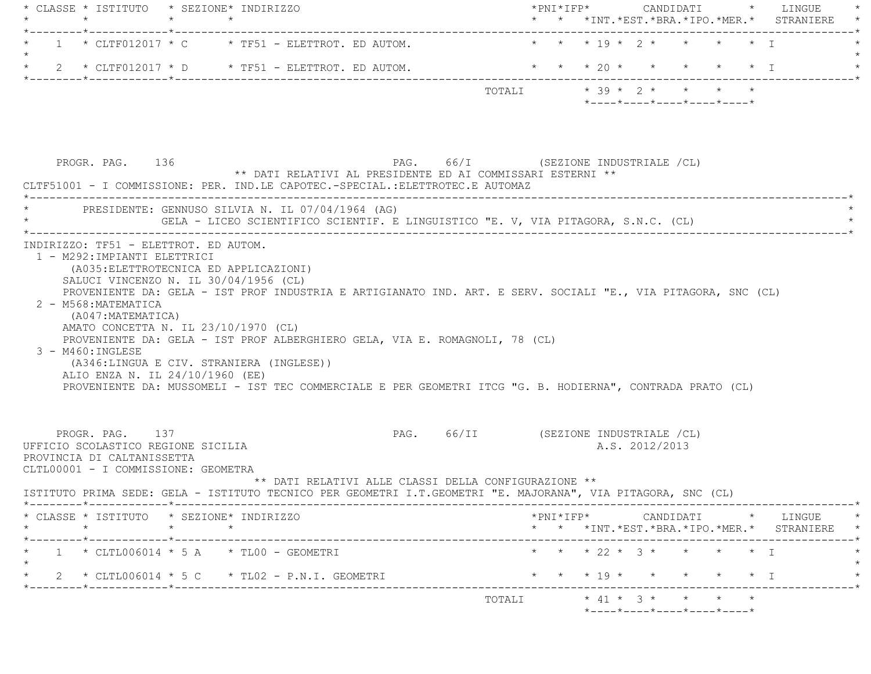| * CLASSE * ISTITUTO * SEZIONE* INDIRIZZO<br>$\star$<br>$\star$<br>$\star$                                                                                                             |                                                                                                                                                                                                                                                                                                           | * * *INT. *EST. *BRA. *IPO. *MER. * STRANIERE                                                                                                      | $\star$ |
|---------------------------------------------------------------------------------------------------------------------------------------------------------------------------------------|-----------------------------------------------------------------------------------------------------------------------------------------------------------------------------------------------------------------------------------------------------------------------------------------------------------|----------------------------------------------------------------------------------------------------------------------------------------------------|---------|
| $1 \times$ CLTF012017 $\times$ C $\times$ TF51 - ELETTROT. ED AUTOM.                                                                                                                  |                                                                                                                                                                                                                                                                                                           | * * * 19 * 2 * * * * T                                                                                                                             |         |
| 2 * CLTF012017 * D * TF51 - ELETTROT. ED AUTOM.                                                                                                                                       |                                                                                                                                                                                                                                                                                                           | * * * 20 * * * * * * I                                                                                                                             |         |
|                                                                                                                                                                                       |                                                                                                                                                                                                                                                                                                           | $*$ ---- $*$ ---- $*$ ---- $*$ ---- $*$ ---- $*$                                                                                                   |         |
| PROGR. PAG. 136                                                                                                                                                                       | PAG. 66/I (SEZIONE INDUSTRIALE /CL)<br>** DATI RELATIVI AL PRESIDENTE ED AI COMMISSARI ESTERNI **<br>CLTF51001 - I COMMISSIONE: PER. IND.LE CAPOTEC.-SPECIAL.:ELETTROTEC.E AUTOMAZ<br>_______________________________                                                                                     |                                                                                                                                                    |         |
| PRESIDENTE: GENNUSO SILVIA N. IL 07/04/1964 (AG)                                                                                                                                      | GELA - LICEO SCIENTIFICO SCIENTIF. E LINGUISTICO "E. V, VIA PITAGORA, S.N.C. (CL)                                                                                                                                                                                                                         |                                                                                                                                                    |         |
| 2 - M568:MATEMATICA<br>(A047: MATEMATICA)<br>AMATO CONCETTA N. IL 23/10/1970 (CL)<br>3 - M460: INGLESE<br>(A346:LINGUA E CIV. STRANIERA (INGLESE))<br>ALIO ENZA N. IL 24/10/1960 (EE) | PROVENIENTE DA: GELA - IST PROF INDUSTRIA E ARTIGIANATO IND. ART. E SERV. SOCIALI "E., VIA PITAGORA, SNC (CL)<br>PROVENIENTE DA: GELA - IST PROF ALBERGHIERO GELA, VIA E. ROMAGNOLI, 78 (CL)<br>PROVENIENTE DA: MUSSOMELI - IST TEC COMMERCIALE E PER GEOMETRI ITCG "G. B. HODIERNA", CONTRADA PRATO (CL) |                                                                                                                                                    |         |
| PROGR. PAG. 137<br>UFFICIO SCOLASTICO REGIONE SICILIA<br>PROVINCIA DI CALTANISSETTA<br>CLTL00001 - I COMMISSIONE: GEOMETRA                                                            | ** DATI RELATIVI ALLE CLASSI DELLA CONFIGURAZIONE **                                                                                                                                                                                                                                                      | PAG. 66/II (SEZIONE INDUSTRIALE /CL)<br>A.S. 2012/2013                                                                                             |         |
|                                                                                                                                                                                       | ISTITUTO PRIMA SEDE: GELA - ISTITUTO TECNICO PER GEOMETRI I.T.GEOMETRI "E. MAJORANA", VIA PITAGORA, SNC (CL)                                                                                                                                                                                              |                                                                                                                                                    |         |
| CLASSE * ISTITUTO * SEZIONE* INDIRIZZO<br>$\star$                                                                                                                                     |                                                                                                                                                                                                                                                                                                           | $*PNI*IFP* \qquad \qquad \text{CANDIDATI} \qquad \qquad * \qquad \text{LINGUE} \qquad \qquad *$<br>* * *INT. *EST. *BRA. *IPO. *MER. * STRANIERE * |         |
| -----*------------*-------------<br>$1 * CLTL006014 * 5 A * TL00 - GEOMETRYI$                                                                                                         |                                                                                                                                                                                                                                                                                                           | * * * 22 * 3 * * * * * I                                                                                                                           |         |
| $\star$ 2 $\star$ CLTL006014 $\star$ 5 C $\star$ TL02 - P.N.I. GEOMETRI                                                                                                               |                                                                                                                                                                                                                                                                                                           | * * * 19 * * * * * * I                                                                                                                             |         |
| *--------*------------*---------                                                                                                                                                      |                                                                                                                                                                                                                                                                                                           |                                                                                                                                                    |         |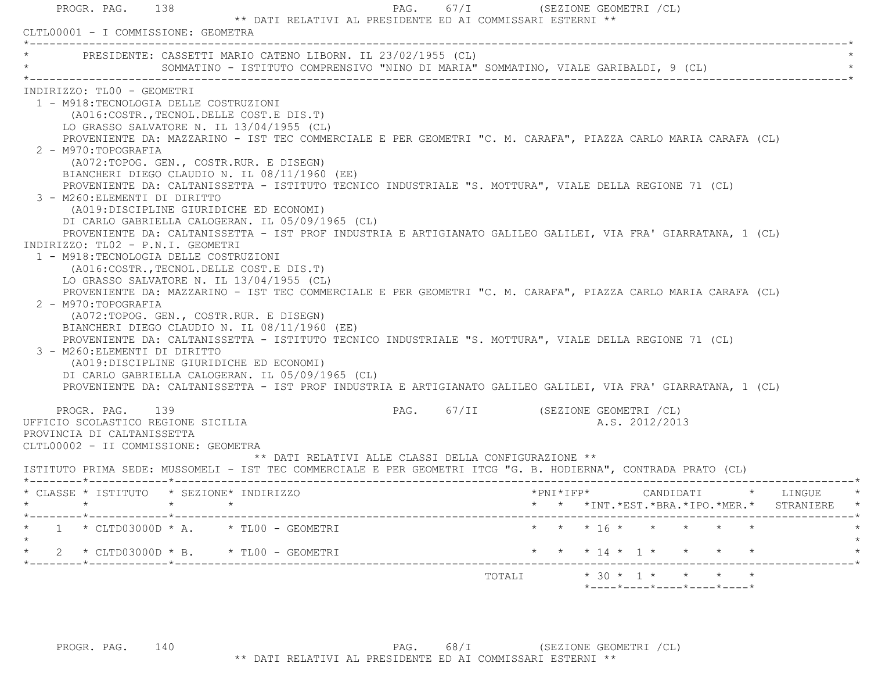|                                                                                                                                                            | CLTL00001 - I COMMISSIONE: GEOMETRA |                                                                                     |  |                                                                  |  |                        |                |                    |  |                                                 |  |
|------------------------------------------------------------------------------------------------------------------------------------------------------------|-------------------------------------|-------------------------------------------------------------------------------------|--|------------------------------------------------------------------|--|------------------------|----------------|--------------------|--|-------------------------------------------------|--|
| * PRESIDENTE: CASSETTI MARIO CATENO LIBORN. IL 23/02/1955 (CL)                                                                                             |                                     | SOMMATINO - ISTITUTO COMPRENSIVO "NINO DI MARIA" SOMMATINO, VIALE GARIBALDI, 9 (CL) |  |                                                                  |  |                        |                |                    |  |                                                 |  |
| INDIRIZZO: TL00 - GEOMETRI                                                                                                                                 |                                     |                                                                                     |  |                                                                  |  |                        |                |                    |  |                                                 |  |
| 1 - M918:TECNOLOGIA DELLE COSTRUZIONI                                                                                                                      |                                     |                                                                                     |  |                                                                  |  |                        |                |                    |  |                                                 |  |
| (A016: COSTR., TECNOL. DELLE COST. E DIS. T)<br>LO GRASSO SALVATORE N. IL 13/04/1955 (CL)                                                                  |                                     |                                                                                     |  |                                                                  |  |                        |                |                    |  |                                                 |  |
| PROVENIENTE DA: MAZZARINO - IST TEC COMMERCIALE E PER GEOMETRI "C. M. CARAFA", PIAZZA CARLO MARIA CARAFA (CL)                                              |                                     |                                                                                     |  |                                                                  |  |                        |                |                    |  |                                                 |  |
| 2 - M970: TOPOGRAFIA                                                                                                                                       |                                     |                                                                                     |  |                                                                  |  |                        |                |                    |  |                                                 |  |
| (A072:TOPOG. GEN., COSTR.RUR. E DISEGN)                                                                                                                    |                                     |                                                                                     |  |                                                                  |  |                        |                |                    |  |                                                 |  |
| BIANCHERI DIEGO CLAUDIO N. IL 08/11/1960 (EE)                                                                                                              |                                     |                                                                                     |  |                                                                  |  |                        |                |                    |  |                                                 |  |
| PROVENIENTE DA: CALTANISSETTA - ISTITUTO TECNICO INDUSTRIALE "S. MOTTURA", VIALE DELLA REGIONE 71 (CL)                                                     |                                     |                                                                                     |  |                                                                  |  |                        |                |                    |  |                                                 |  |
| 3 - M260: ELEMENTI DI DIRITTO<br>(A019:DISCIPLINE GIURIDICHE ED ECONOMI)                                                                                   |                                     |                                                                                     |  |                                                                  |  |                        |                |                    |  |                                                 |  |
| DI CARLO GABRIELLA CALOGERAN. IL 05/09/1965 (CL)                                                                                                           |                                     |                                                                                     |  |                                                                  |  |                        |                |                    |  |                                                 |  |
| PROVENIENTE DA: CALTANISSETTA - IST PROF INDUSTRIA E ARTIGIANATO GALILEO GALILEI, VIA FRA' GIARRATANA, 1 (CL)                                              |                                     |                                                                                     |  |                                                                  |  |                        |                |                    |  |                                                 |  |
| INDIRIZZO: TLO2 - P.N.I. GEOMETRI                                                                                                                          |                                     |                                                                                     |  |                                                                  |  |                        |                |                    |  |                                                 |  |
| 1 - M918: TECNOLOGIA DELLE COSTRUZIONI                                                                                                                     |                                     |                                                                                     |  |                                                                  |  |                        |                |                    |  |                                                 |  |
| (A016:COSTR., TECNOL. DELLE COST.E DIS.T)                                                                                                                  |                                     |                                                                                     |  |                                                                  |  |                        |                |                    |  |                                                 |  |
| LO GRASSO SALVATORE N. IL 13/04/1955 (CL)<br>PROVENIENTE DA: MAZZARINO - IST TEC COMMERCIALE E PER GEOMETRI "C. M. CARAFA", PIAZZA CARLO MARIA CARAFA (CL) |                                     |                                                                                     |  |                                                                  |  |                        |                |                    |  |                                                 |  |
| 2 - M970:TOPOGRAFIA                                                                                                                                        |                                     |                                                                                     |  |                                                                  |  |                        |                |                    |  |                                                 |  |
| (A072:TOPOG. GEN., COSTR.RUR. E DISEGN)                                                                                                                    |                                     |                                                                                     |  |                                                                  |  |                        |                |                    |  |                                                 |  |
| BIANCHERI DIEGO CLAUDIO N. IL 08/11/1960 (EE)                                                                                                              |                                     |                                                                                     |  |                                                                  |  |                        |                |                    |  |                                                 |  |
| PROVENIENTE DA: CALTANISSETTA - ISTITUTO TECNICO INDUSTRIALE "S. MOTTURA", VIALE DELLA REGIONE 71 (CL)                                                     |                                     |                                                                                     |  |                                                                  |  |                        |                |                    |  |                                                 |  |
| 3 - M260: ELEMENTI DI DIRITTO<br>(A019:DISCIPLINE GIURIDICHE ED ECONOMI)                                                                                   |                                     |                                                                                     |  |                                                                  |  |                        |                |                    |  |                                                 |  |
| DI CARLO GABRIELLA CALOGERAN. IL 05/09/1965 (CL)                                                                                                           |                                     |                                                                                     |  |                                                                  |  |                        |                |                    |  |                                                 |  |
| PROVENIENTE DA: CALTANISSETTA - IST PROF INDUSTRIA E ARTIGIANATO GALILEO GALILEI, VIA FRA' GIARRATANA, 1 (CL)                                              |                                     |                                                                                     |  |                                                                  |  |                        |                |                    |  |                                                 |  |
|                                                                                                                                                            |                                     |                                                                                     |  |                                                                  |  |                        |                |                    |  |                                                 |  |
| PROGR. PAG.                                                                                                                                                | 139                                 |                                                                                     |  | PAG. 67/II (SEZIONE GEOMETRI / CL)                               |  |                        | A.S. 2012/2013 |                    |  |                                                 |  |
| UFFICIO SCOLASTICO REGIONE SICILIA<br>PROVINCIA DI CALTANISSETTA                                                                                           |                                     |                                                                                     |  |                                                                  |  |                        |                |                    |  |                                                 |  |
| CLTL00002 - II COMMISSIONE: GEOMETRA                                                                                                                       |                                     |                                                                                     |  |                                                                  |  |                        |                |                    |  |                                                 |  |
|                                                                                                                                                            |                                     |                                                                                     |  | ** DATI RELATIVI ALLE CLASSI DELLA CONFIGURAZIONE **             |  |                        |                |                    |  |                                                 |  |
| ISTITUTO PRIMA SEDE: MUSSOMELI - IST TEC COMMERCIALE E PER GEOMETRI ITCG "G. B. HODIERNA", CONTRADA PRATO (CL)                                             |                                     |                                                                                     |  |                                                                  |  |                        |                |                    |  |                                                 |  |
| * CLASSE * ISTITUTO * SEZIONE* INDIRIZZO                                                                                                                   |                                     |                                                                                     |  | $\star$ PNI $\star$ IFP $\star$ CANDIDATI $\star$ LINGUE $\star$ |  |                        |                |                    |  |                                                 |  |
|                                                                                                                                                            |                                     |                                                                                     |  |                                                                  |  |                        |                |                    |  | * * *INT. *EST. *BRA. *IPO. *MER. * STRANIERE * |  |
|                                                                                                                                                            |                                     |                                                                                     |  | --------------------------                                       |  |                        |                |                    |  |                                                 |  |
| _____*____________*________                                                                                                                                |                                     |                                                                                     |  |                                                                  |  |                        |                |                    |  |                                                 |  |
| $1 * CLTD03000D * A. * TLO0 - GEOMETRYI$                                                                                                                   |                                     |                                                                                     |  |                                                                  |  |                        |                | * * * 16 * * * * * |  |                                                 |  |
| 2 * CLTD03000D * B. * TL00 - GEOMETRI                                                                                                                      |                                     |                                                                                     |  |                                                                  |  | * * * 14 * 1 * * * * * |                |                    |  |                                                 |  |
|                                                                                                                                                            |                                     |                                                                                     |  |                                                                  |  |                        |                |                    |  |                                                 |  |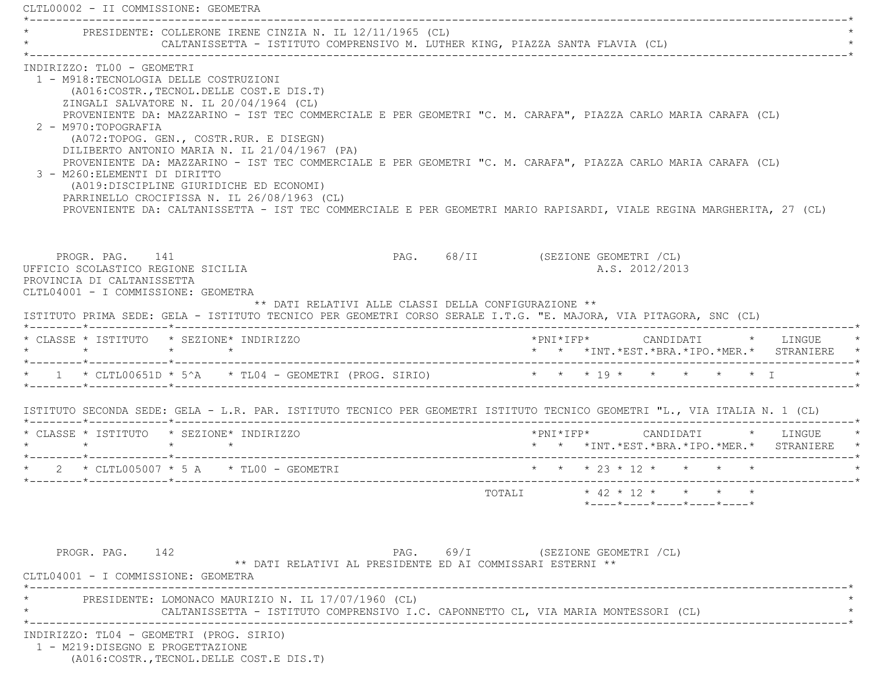CLTL00002 - II COMMISSIONE: GEOMETRA \*----------------------------------------------------------------------------------------------------------------------------\*PRESIDENTE: COLLERONE IRENE CINZIA N. IL 12/11/1965 (CL) \* CALTANISSETTA - ISTITUTO COMPRENSIVO M. LUTHER KING, PIAZZA SANTA FLAVIA (CL) \* \*----------------------------------------------------------------------------------------------------------------------------\* INDIRIZZO: TL00 - GEOMETRI 1 - M918:TECNOLOGIA DELLE COSTRUZIONI (A016:COSTR.,TECNOL.DELLE COST.E DIS.T) ZINGALI SALVATORE N. IL 20/04/1964 (CL) PROVENIENTE DA: MAZZARINO - IST TEC COMMERCIALE E PER GEOMETRI "C. M. CARAFA", PIAZZA CARLO MARIA CARAFA (CL) 2 - M970:TOPOGRAFIA (A072:TOPOG. GEN., COSTR.RUR. E DISEGN) DILIBERTO ANTONIO MARIA N. IL 21/04/1967 (PA) PROVENIENTE DA: MAZZARINO - IST TEC COMMERCIALE E PER GEOMETRI "C. M. CARAFA", PIAZZA CARLO MARIA CARAFA (CL) 3 - M260:ELEMENTI DI DIRITTO (A019:DISCIPLINE GIURIDICHE ED ECONOMI) PARRINELLO CROCIFISSA N. IL 26/08/1963 (CL) PROVENIENTE DA: CALTANISSETTA - IST TEC COMMERCIALE E PER GEOMETRI MARIO RAPISARDI, VIALE REGINA MARGHERITA, 27 (CL) PROGR. PAG. 141 **PROGR. PAG.** 68/II (SEZIONE GEOMETRI /CL) UFFICIO SCOLASTICO REGIONE SICILIA A.S. 2012/2013 PROVINCIA DI CALTANISSETTA CLTL04001 - I COMMISSIONE: GEOMETRA \*\* DATI RELATIVI ALLE CLASSI DELLA CONFIGURAZIONE \*\* ISTITUTO PRIMA SEDE: GELA - ISTITUTO TECNICO PER GEOMETRI CORSO SERALE I.T.G. "E. MAJORA, VIA PITAGORA, SNC (CL) \*--------\*------------\*-------------------------------------------------------------------------------------------------------\* \* CLASSE \* ISTITUTO \* SEZIONE\* INDIRIZZO \*PNI\*IFP\* CANDIDATI \* LINGUE \* \* \* \* \* \* \* \*INT.\*EST.\*BRA.\*IPO.\*MER.\* STRANIERE \* \*--------\*------------\*-------------------------------------------------------------------------------------------------------\* \* 1 \* CLTL00651D \* 5^A \* TL04 - GEOMETRI (PROG. SIRIO) \* \* \* 19 \* \* \* \* \* I \* \*--------\*------------\*-------------------------------------------------------------------------------------------------------\* ISTITUTO SECONDA SEDE: GELA - L.R. PAR. ISTITUTO TECNICO PER GEOMETRI ISTITUTO TECNICO GEOMETRI "L., VIA ITALIA N. 1 (CL) \*--------\*------------\*-------------------------------------------------------------------------------------------------------\* \* CLASSE \* ISTITUTO \* SEZIONE\* INDIRIZZO \*PNI\*IFP\* CANDIDATI \* LINGUE \* \* \* \* \* \* \* \*INT.\*EST.\*BRA.\*IPO.\*MER.\* STRANIERE \* \*--------\*------------\*-------------------------------------------------------------------------------------------------------\*2 \* CLTL005007 \* 5 A \* TL00 - GEOMETRI \* \* \* \* \* \* 23 \* 12 \* \* \* \* \* \* \* \*--------\*------------\*-------------------------------------------------------------------------------------------------------\* TOTALI \* 42 \* 12 \* \* \* \* \*----\*----\*----\*----\*----\*PROGR. PAG. 142 **PAG.** PAG. 69/I (SEZIONE GEOMETRI /CL) \*\* DATI RELATIVI AL PRESIDENTE ED AI COMMISSARI ESTERNI \*\* CLTL04001 - I COMMISSIONE: GEOMETRA \*----------------------------------------------------------------------------------------------------------------------------\*PRESIDENTE: LOMONACO MAURIZIO N. IL 17/07/1960 (CL) CALTANISSETTA - ISTITUTO COMPRENSIVO I.C. CAPONNETTO CL, VIA MARIA MONTESSORI (CL) \*----------------------------------------------------------------------------------------------------------------------------\* INDIRIZZO: TL04 - GEOMETRI (PROG. SIRIO) 1 - M219:DISEGNO E PROGETTAZIONE(A016:COSTR.,TECNOL.DELLE COST.E DIS.T)